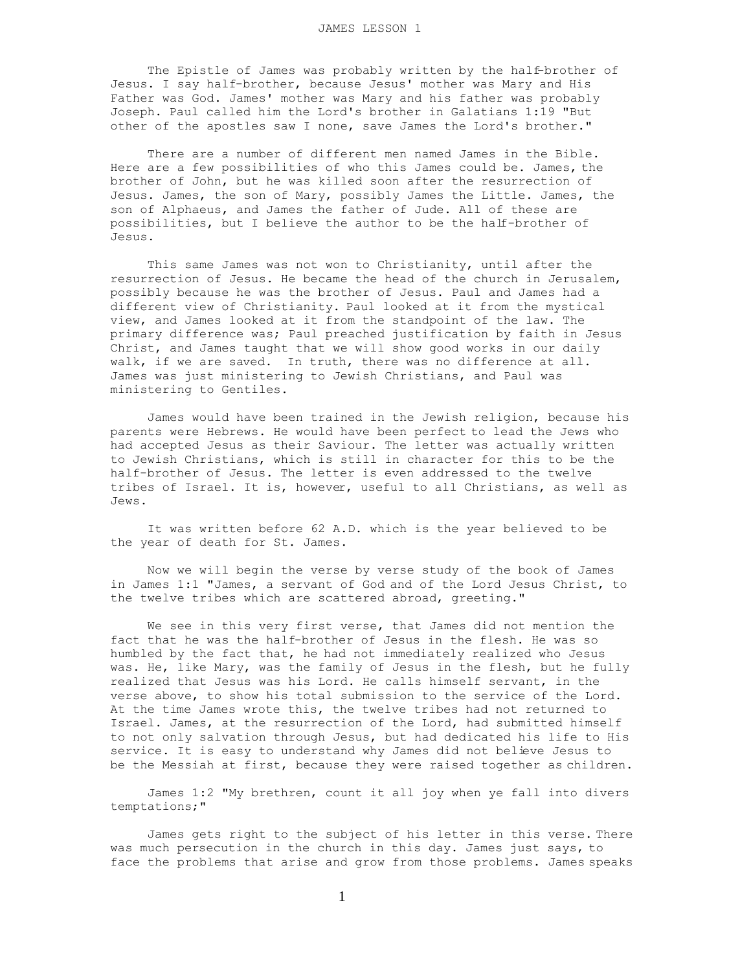The Epistle of James was probably written by the half-brother of Jesus. I say half-brother, because Jesus' mother was Mary and His Father was God. James' mother was Mary and his father was probably Joseph. Paul called him the Lord's brother in Galatians 1:19 "But other of the apostles saw I none, save James the Lord's brother."

 There are a number of different men named James in the Bible. Here are a few possibilities of who this James could be. James, the brother of John, but he was killed soon after the resurrection of Jesus. James, the son of Mary, possibly James the Little. James, the son of Alphaeus, and James the father of Jude. All of these are possibilities, but I believe the author to be the half-brother of Jesus.

 This same James was not won to Christianity, until after the resurrection of Jesus. He became the head of the church in Jerusalem, possibly because he was the brother of Jesus. Paul and James had a different view of Christianity. Paul looked at it from the mystical view, and James looked at it from the standpoint of the law. The primary difference was; Paul preached justification by faith in Jesus Christ, and James taught that we will show good works in our daily walk, if we are saved. In truth, there was no difference at all. James was just ministering to Jewish Christians, and Paul was ministering to Gentiles.

 James would have been trained in the Jewish religion, because his parents were Hebrews. He would have been perfect to lead the Jews who had accepted Jesus as their Saviour. The letter was actually written to Jewish Christians, which is still in character for this to be the half-brother of Jesus. The letter is even addressed to the twelve tribes of Israel. It is, however, useful to all Christians, as well as Jews.

 It was written before 62 A.D. which is the year believed to be the year of death for St. James.

 Now we will begin the verse by verse study of the book of James in James 1:1 "James, a servant of God and of the Lord Jesus Christ, to the twelve tribes which are scattered abroad, greeting."

 We see in this very first verse, that James did not mention the fact that he was the half-brother of Jesus in the flesh. He was so humbled by the fact that, he had not immediately realized who Jesus was. He, like Mary, was the family of Jesus in the flesh, but he fully realized that Jesus was his Lord. He calls himself servant, in the verse above, to show his total submission to the service of the Lord. At the time James wrote this, the twelve tribes had not returned to Israel. James, at the resurrection of the Lord, had submitted himself to not only salvation through Jesus, but had dedicated his life to His service. It is easy to understand why James did not believe Jesus to be the Messiah at first, because they were raised together as children.

 James 1:2 "My brethren, count it all joy when ye fall into divers temptations;"

 James gets right to the subject of his letter in this verse. There was much persecution in the church in this day. James just says, to face the problems that arise and grow from those problems. James speaks

1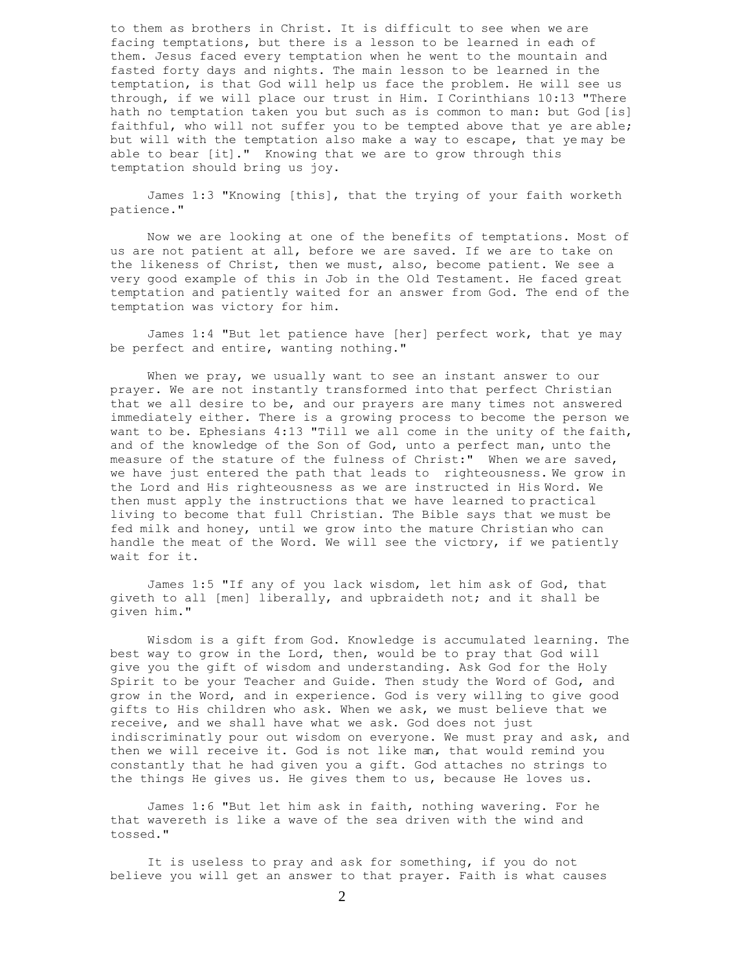to them as brothers in Christ. It is difficult to see when we are facing temptations, but there is a lesson to be learned in each of them. Jesus faced every temptation when he went to the mountain and fasted forty days and nights. The main lesson to be learned in the temptation, is that God will help us face the problem. He will see us through, if we will place our trust in Him. I Corinthians 10:13 "There hath no temptation taken you but such as is common to man: but God [is] faithful, who will not suffer you to be tempted above that ye are able; but will with the temptation also make a way to escape, that ye may be able to bear [it]." Knowing that we are to grow through this temptation should bring us joy.

 James 1:3 "Knowing [this], that the trying of your faith worketh patience."

 Now we are looking at one of the benefits of temptations. Most of us are not patient at all, before we are saved. If we are to take on the likeness of Christ, then we must, also, become patient. We see a very good example of this in Job in the Old Testament. He faced great temptation and patiently waited for an answer from God. The end of the temptation was victory for him.

 James 1:4 "But let patience have [her] perfect work, that ye may be perfect and entire, wanting nothing."

When we pray, we usually want to see an instant answer to our prayer. We are not instantly transformed into that perfect Christian that we all desire to be, and our prayers are many times not answered immediately either. There is a growing process to become the person we want to be. Ephesians 4:13 "Till we all come in the unity of the faith, and of the knowledge of the Son of God, unto a perfect man, unto the measure of the stature of the fulness of Christ:" When we are saved, we have just entered the path that leads to righteousness. We grow in the Lord and His righteousness as we are instructed in His Word. We then must apply the instructions that we have learned to practical living to become that full Christian. The Bible says that we must be fed milk and honey, until we grow into the mature Christian who can handle the meat of the Word. We will see the victory, if we patiently wait for it.

 James 1:5 "If any of you lack wisdom, let him ask of God, that giveth to all [men] liberally, and upbraideth not; and it shall be given him."

 Wisdom is a gift from God. Knowledge is accumulated learning. The best way to grow in the Lord, then, would be to pray that God will give you the gift of wisdom and understanding. Ask God for the Holy Spirit to be your Teacher and Guide. Then study the Word of God, and grow in the Word, and in experience. God is very willing to give good gifts to His children who ask. When we ask, we must believe that we receive, and we shall have what we ask. God does not just indiscriminatly pour out wisdom on everyone. We must pray and ask, and then we will receive it. God is not like man, that would remind you constantly that he had given you a gift. God attaches no strings to the things He gives us. He gives them to us, because He loves us.

 James 1:6 "But let him ask in faith, nothing wavering. For he that wavereth is like a wave of the sea driven with the wind and tossed."

 It is useless to pray and ask for something, if you do not believe you will get an answer to that prayer. Faith is what causes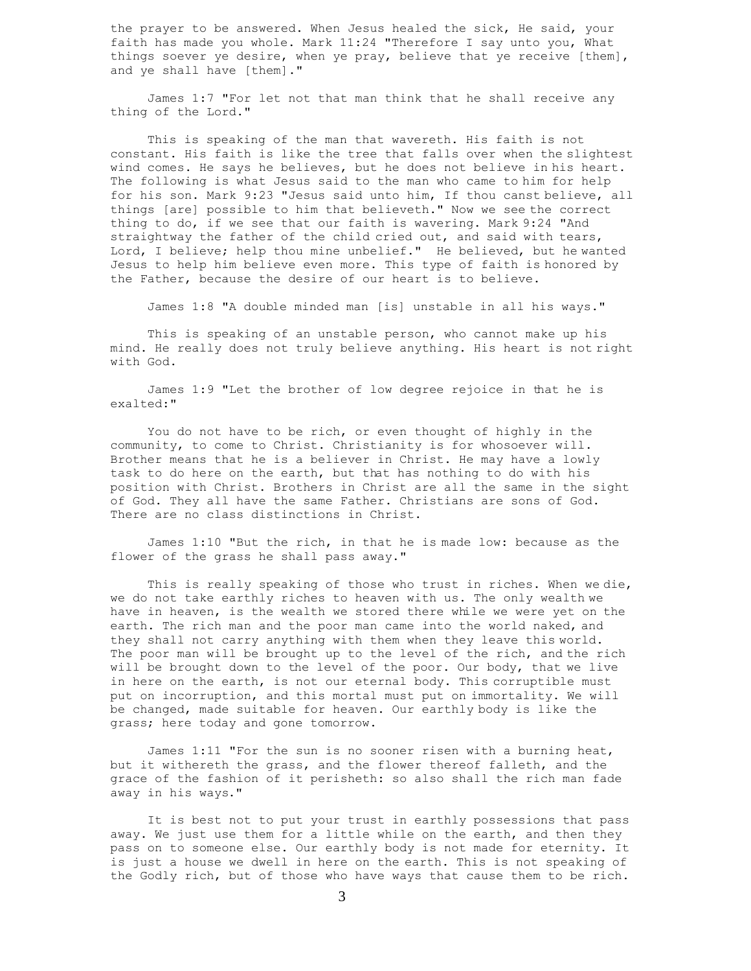the prayer to be answered. When Jesus healed the sick, He said, your faith has made you whole. Mark 11:24 "Therefore I say unto you, What things soever ye desire, when ye pray, believe that ye receive [them], and ye shall have [them]."

 James 1:7 "For let not that man think that he shall receive any thing of the Lord."

 This is speaking of the man that wavereth. His faith is not constant. His faith is like the tree that falls over when the slightest wind comes. He says he believes, but he does not believe in his heart. The following is what Jesus said to the man who came to him for help for his son. Mark 9:23 "Jesus said unto him, If thou canst believe, all things [are] possible to him that believeth." Now we see the correct thing to do, if we see that our faith is wavering. Mark 9:24 "And straightway the father of the child cried out, and said with tears, Lord, I believe; help thou mine unbelief." He believed, but he wanted Jesus to help him believe even more. This type of faith is honored by the Father, because the desire of our heart is to believe.

James 1:8 "A double minded man [is] unstable in all his ways."

 This is speaking of an unstable person, who cannot make up his mind. He really does not truly believe anything. His heart is not right with God.

 James 1:9 "Let the brother of low degree rejoice in that he is exalted:"

 You do not have to be rich, or even thought of highly in the community, to come to Christ. Christianity is for whosoever will. Brother means that he is a believer in Christ. He may have a lowly task to do here on the earth, but that has nothing to do with his position with Christ. Brothers in Christ are all the same in the sight of God. They all have the same Father. Christians are sons of God. There are no class distinctions in Christ.

 James 1:10 "But the rich, in that he is made low: because as the flower of the grass he shall pass away."

 This is really speaking of those who trust in riches. When we die, we do not take earthly riches to heaven with us. The only wealth we have in heaven, is the wealth we stored there while we were yet on the earth. The rich man and the poor man came into the world naked, and they shall not carry anything with them when they leave this world. The poor man will be brought up to the level of the rich, and the rich will be brought down to the level of the poor. Our body, that we live in here on the earth, is not our eternal body. This corruptible must put on incorruption, and this mortal must put on immortality. We will be changed, made suitable for heaven. Our earthly body is like the grass; here today and gone tomorrow.

 James 1:11 "For the sun is no sooner risen with a burning heat, but it withereth the grass, and the flower thereof falleth, and the grace of the fashion of it perisheth: so also shall the rich man fade away in his ways."

 It is best not to put your trust in earthly possessions that pass away. We just use them for a little while on the earth, and then they pass on to someone else. Our earthly body is not made for eternity. It is just a house we dwell in here on the earth. This is not speaking of the Godly rich, but of those who have ways that cause them to be rich.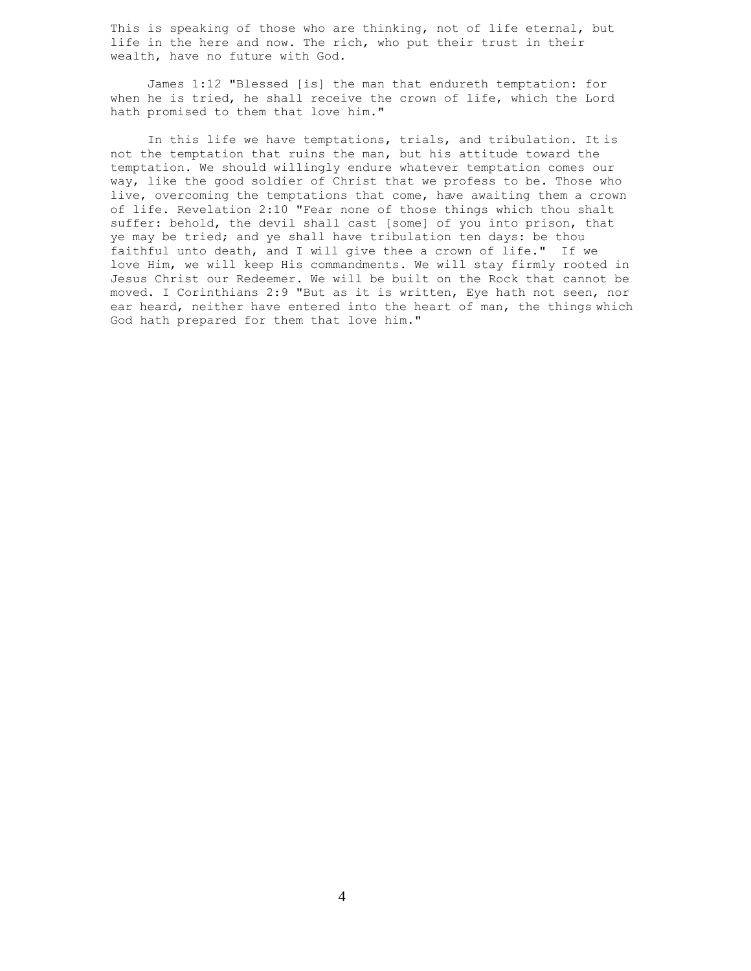This is speaking of those who are thinking, not of life eternal, but life in the here and now. The rich, who put their trust in their wealth, have no future with God.

 James 1:12 "Blessed [is] the man that endureth temptation: for when he is tried, he shall receive the crown of life, which the Lord hath promised to them that love him."

 In this life we have temptations, trials, and tribulation. It is not the temptation that ruins the man, but his attitude toward the temptation. We should willingly endure whatever temptation comes our way, like the good soldier of Christ that we profess to be. Those who live, overcoming the temptations that come, have awaiting them a crown of life. Revelation 2:10 "Fear none of those things which thou shalt suffer: behold, the devil shall cast [some] of you into prison, that ye may be tried; and ye shall have tribulation ten days: be thou faithful unto death, and I will give thee a crown of life." If we love Him, we will keep His commandments. We will stay firmly rooted in Jesus Christ our Redeemer. We will be built on the Rock that cannot be moved. I Corinthians 2:9 "But as it is written, Eye hath not seen, nor ear heard, neither have entered into the heart of man, the things which God hath prepared for them that love him."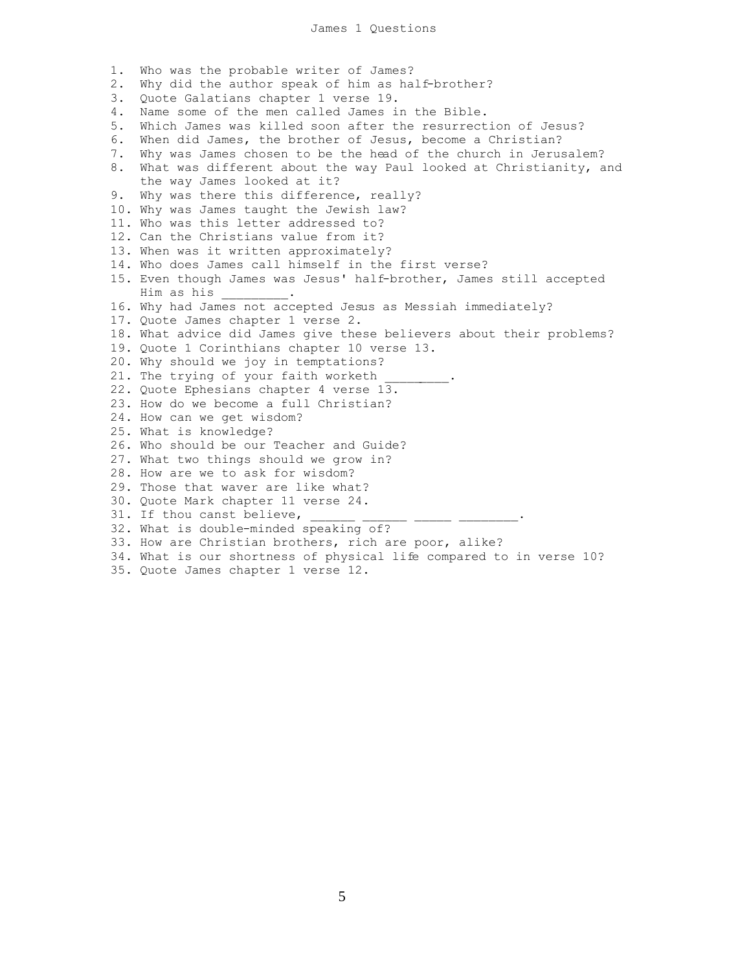1. Who was the probable writer of James? 2. Why did the author speak of him as half-brother? 3. Quote Galatians chapter 1 verse 19. 4. Name some of the men called James in the Bible. 5. Which James was killed soon after the resurrection of Jesus? 6. When did James, the brother of Jesus, become a Christian? 7. Why was James chosen to be the head of the church in Jerusalem? 8. What was different about the way Paul looked at Christianity, and the way James looked at it? 9. Why was there this difference, really? 10. Why was James taught the Jewish law? 11. Who was this letter addressed to? 12. Can the Christians value from it? 13. When was it written approximately? 14. Who does James call himself in the first verse? 15. Even though James was Jesus' half-brother, James still accepted Him as his \_\_\_\_\_\_\_\_\_. 16. Why had James not accepted Jesus as Messiah immediately? 17. Quote James chapter 1 verse 2. 18. What advice did James give these believers about their problems? 19. Quote 1 Corinthians chapter 10 verse 13. 20. Why should we joy in temptations? 21. The trying of your faith worketh 22. Quote Ephesians chapter 4 verse 13. 23. How do we become a full Christian? 24. How can we get wisdom? 25. What is knowledge? 26. Who should be our Teacher and Guide? 27. What two things should we grow in? 28. How are we to ask for wisdom? 29. Those that waver are like what? 30. Quote Mark chapter 11 verse 24. 31. If thou canst believe, 32. What is double-minded speaking of? 33. How are Christian brothers, rich are poor, alike? 34. What is our shortness of physical life compared to in verse 10? 35. Quote James chapter 1 verse 12.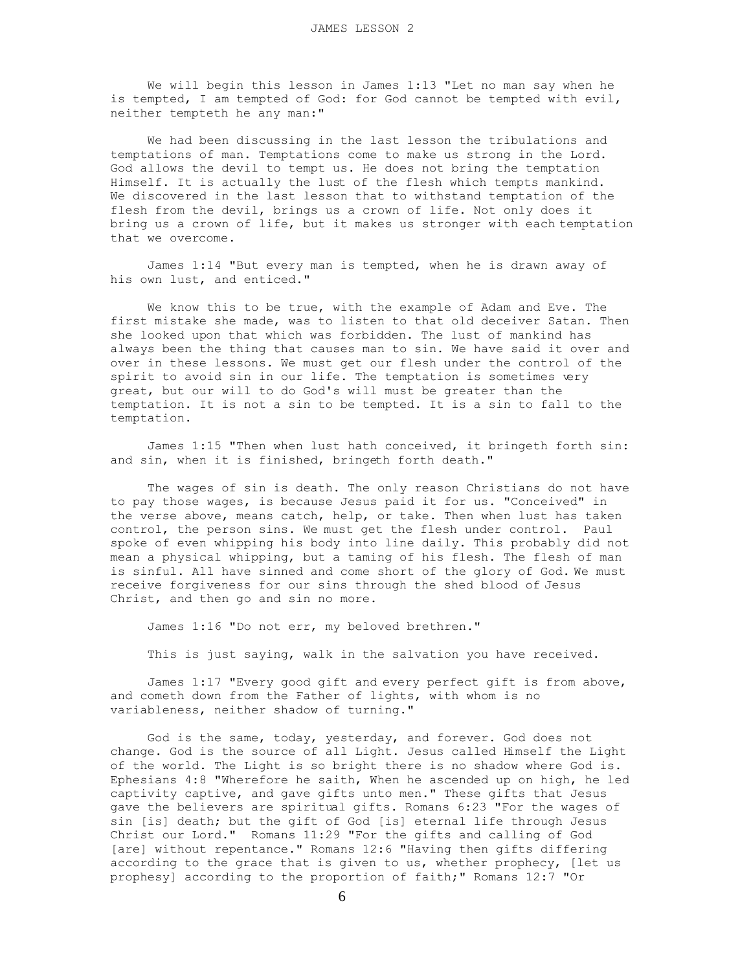We will begin this lesson in James 1:13 "Let no man say when he is tempted, I am tempted of God: for God cannot be tempted with evil, neither tempteth he any man:"

 We had been discussing in the last lesson the tribulations and temptations of man. Temptations come to make us strong in the Lord. God allows the devil to tempt us. He does not bring the temptation Himself. It is actually the lust of the flesh which tempts mankind. We discovered in the last lesson that to withstand temptation of the flesh from the devil, brings us a crown of life. Not only does it bring us a crown of life, but it makes us stronger with each temptation that we overcome.

 James 1:14 "But every man is tempted, when he is drawn away of his own lust, and enticed."

 We know this to be true, with the example of Adam and Eve. The first mistake she made, was to listen to that old deceiver Satan. Then she looked upon that which was forbidden. The lust of mankind has always been the thing that causes man to sin. We have said it over and over in these lessons. We must get our flesh under the control of the spirit to avoid sin in our life. The temptation is sometimes very great, but our will to do God's will must be greater than the temptation. It is not a sin to be tempted. It is a sin to fall to the temptation.

 James 1:15 "Then when lust hath conceived, it bringeth forth sin: and sin, when it is finished, bringeth forth death."

 The wages of sin is death. The only reason Christians do not have to pay those wages, is because Jesus paid it for us. "Conceived" in the verse above, means catch, help, or take. Then when lust has taken control, the person sins. We must get the flesh under control. Paul spoke of even whipping his body into line daily. This probably did not mean a physical whipping, but a taming of his flesh. The flesh of man is sinful. All have sinned and come short of the glory of God. We must receive forgiveness for our sins through the shed blood of Jesus Christ, and then go and sin no more.

James 1:16 "Do not err, my beloved brethren."

This is just saying, walk in the salvation you have received.

 James 1:17 "Every good gift and every perfect gift is from above, and cometh down from the Father of lights, with whom is no variableness, neither shadow of turning."

 God is the same, today, yesterday, and forever. God does not change. God is the source of all Light. Jesus called Himself the Light of the world. The Light is so bright there is no shadow where God is. Ephesians 4:8 "Wherefore he saith, When he ascended up on high, he led captivity captive, and gave gifts unto men." These gifts that Jesus gave the believers are spiritual gifts. Romans 6:23 "For the wages of sin [is] death; but the gift of God [is] eternal life through Jesus Christ our Lord." Romans 11:29 "For the gifts and calling of God [are] without repentance." Romans 12:6 "Having then gifts differing according to the grace that is given to us, whether prophecy, [let us prophesy] according to the proportion of faith;" Romans 12:7 "Or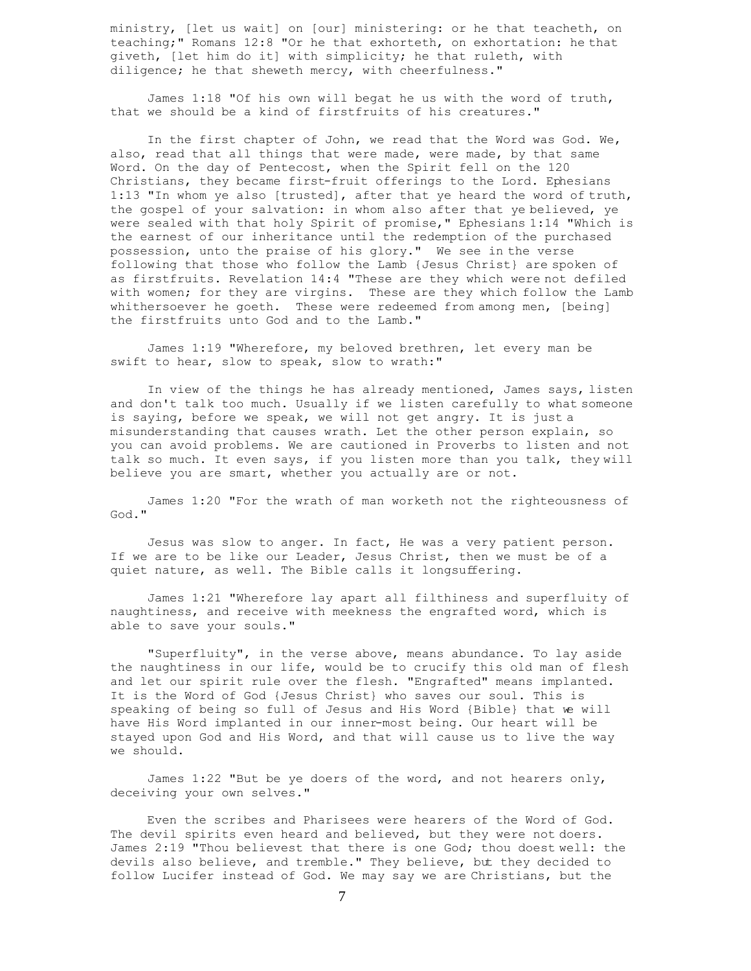ministry, [let us wait] on [our] ministering: or he that teacheth, on teaching;" Romans 12:8 "Or he that exhorteth, on exhortation: he that giveth, [let him do it] with simplicity; he that ruleth, with diligence; he that sheweth mercy, with cheerfulness."

 James 1:18 "Of his own will begat he us with the word of truth, that we should be a kind of firstfruits of his creatures."

 In the first chapter of John, we read that the Word was God. We, also, read that all things that were made, were made, by that same Word. On the day of Pentecost, when the Spirit fell on the 120 Christians, they became first-fruit offerings to the Lord. Ephesians 1:13 "In whom ye also [trusted], after that ye heard the word of truth, the gospel of your salvation: in whom also after that ye believed, ye were sealed with that holy Spirit of promise," Ephesians 1:14 "Which is the earnest of our inheritance until the redemption of the purchased possession, unto the praise of his glory." We see in the verse following that those who follow the Lamb {Jesus Christ} are spoken of as firstfruits. Revelation 14:4 "These are they which were not defiled with women; for they are virgins. These are they which follow the Lamb whithersoever he goeth. These were redeemed from among men, [being] the firstfruits unto God and to the Lamb."

 James 1:19 "Wherefore, my beloved brethren, let every man be swift to hear, slow to speak, slow to wrath:"

 In view of the things he has already mentioned, James says, listen and don't talk too much. Usually if we listen carefully to what someone is saying, before we speak, we will not get angry. It is just a misunderstanding that causes wrath. Let the other person explain, so you can avoid problems. We are cautioned in Proverbs to listen and not talk so much. It even says, if you listen more than you talk, they will believe you are smart, whether you actually are or not.

 James 1:20 "For the wrath of man worketh not the righteousness of God."

 Jesus was slow to anger. In fact, He was a very patient person. If we are to be like our Leader, Jesus Christ, then we must be of a quiet nature, as well. The Bible calls it longsuffering.

 James 1:21 "Wherefore lay apart all filthiness and superfluity of naughtiness, and receive with meekness the engrafted word, which is able to save your souls."

 "Superfluity", in the verse above, means abundance. To lay aside the naughtiness in our life, would be to crucify this old man of flesh and let our spirit rule over the flesh. "Engrafted" means implanted. It is the Word of God {Jesus Christ} who saves our soul. This is speaking of being so full of Jesus and His Word {Bible} that we will have His Word implanted in our inner-most being. Our heart will be stayed upon God and His Word, and that will cause us to live the way we should.

 James 1:22 "But be ye doers of the word, and not hearers only, deceiving your own selves."

 Even the scribes and Pharisees were hearers of the Word of God. The devil spirits even heard and believed, but they were not doers. James 2:19 "Thou believest that there is one God; thou doest well: the devils also believe, and tremble." They believe, but they decided to follow Lucifer instead of God. We may say we are Christians, but the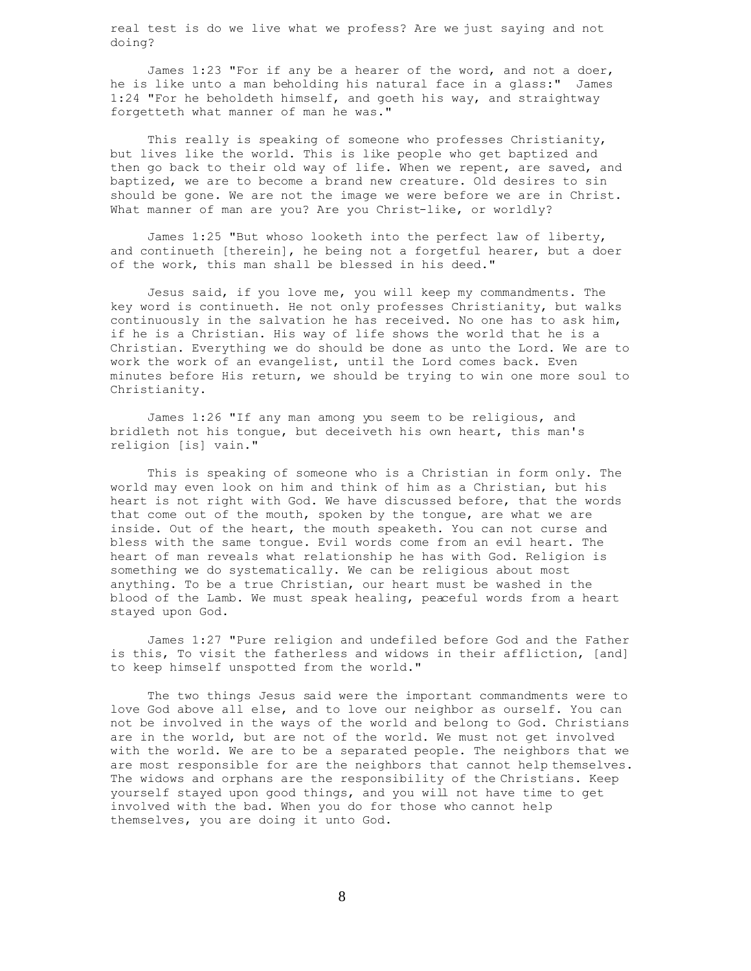real test is do we live what we profess? Are we just saying and not doing?

 James 1:23 "For if any be a hearer of the word, and not a doer, he is like unto a man beholding his natural face in a glass:" James 1:24 "For he beholdeth himself, and goeth his way, and straightway forgetteth what manner of man he was."

 This really is speaking of someone who professes Christianity, but lives like the world. This is like people who get baptized and then go back to their old way of life. When we repent, are saved, and baptized, we are to become a brand new creature. Old desires to sin should be gone. We are not the image we were before we are in Christ. What manner of man are you? Are you Christ-like, or worldly?

 James 1:25 "But whoso looketh into the perfect law of liberty, and continueth [therein], he being not a forgetful hearer, but a doer of the work, this man shall be blessed in his deed."

 Jesus said, if you love me, you will keep my commandments. The key word is continueth. He not only professes Christianity, but walks continuously in the salvation he has received. No one has to ask him, if he is a Christian. His way of life shows the world that he is a Christian. Everything we do should be done as unto the Lord. We are to work the work of an evangelist, until the Lord comes back. Even minutes before His return, we should be trying to win one more soul to Christianity.

 James 1:26 "If any man among you seem to be religious, and bridleth not his tongue, but deceiveth his own heart, this man's religion [is] vain."

 This is speaking of someone who is a Christian in form only. The world may even look on him and think of him as a Christian, but his heart is not right with God. We have discussed before, that the words that come out of the mouth, spoken by the tongue, are what we are inside. Out of the heart, the mouth speaketh. You can not curse and bless with the same tongue. Evil words come from an evil heart. The heart of man reveals what relationship he has with God. Religion is something we do systematically. We can be religious about most anything. To be a true Christian, our heart must be washed in the blood of the Lamb. We must speak healing, peaceful words from a heart stayed upon God.

 James 1:27 "Pure religion and undefiled before God and the Father is this, To visit the fatherless and widows in their affliction, [and] to keep himself unspotted from the world."

 The two things Jesus said were the important commandments were to love God above all else, and to love our neighbor as ourself. You can not be involved in the ways of the world and belong to God. Christians are in the world, but are not of the world. We must not get involved with the world. We are to be a separated people. The neighbors that we are most responsible for are the neighbors that cannot help themselves. The widows and orphans are the responsibility of the Christians. Keep yourself stayed upon good things, and you will not have time to get involved with the bad. When you do for those who cannot help themselves, you are doing it unto God.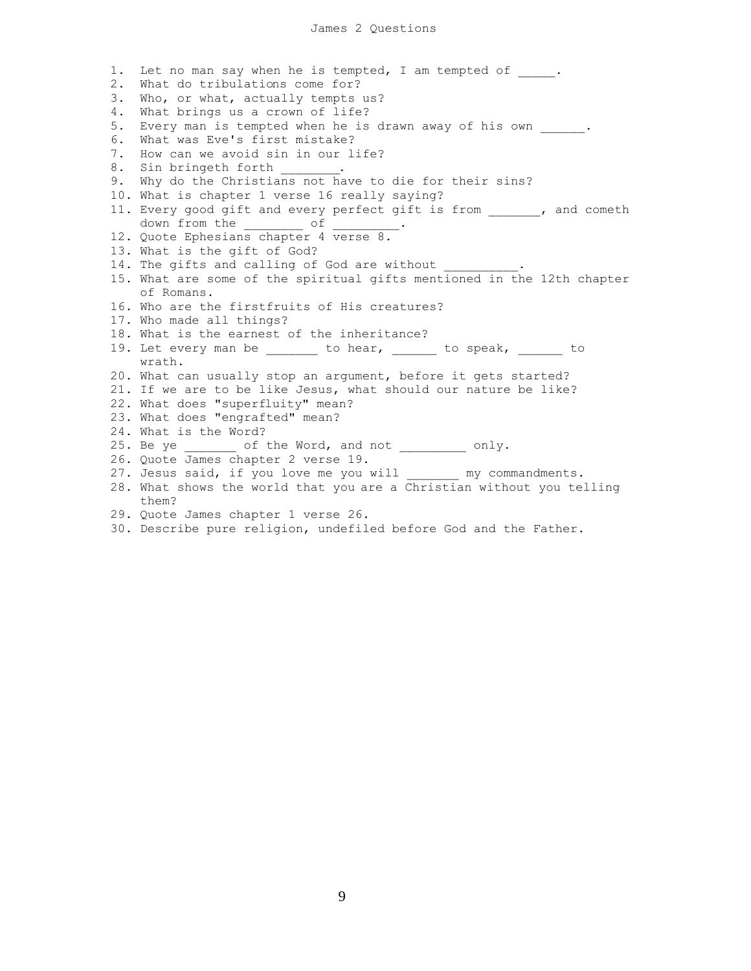1. Let no man say when he is tempted, I am tempted of . 2. What do tribulations come for? 3. Who, or what, actually tempts us? 4. What brings us a crown of life? 5. Every man is tempted when he is drawn away of his own . 6. What was Eve's first mistake? 7. How can we avoid sin in our life? 8. Sin bringeth forth 9. Why do the Christians not have to die for their sins? 10. What is chapter 1 verse 16 really saying? 11. Every good gift and every perfect gift is from \_\_\_\_\_\_, and cometh down from the of 12. Quote Ephesians chapter 4 verse 8. 13. What is the gift of God? 14. The gifts and calling of God are without 15. What are some of the spiritual gifts mentioned in the 12th chapter of Romans. 16. Who are the firstfruits of His creatures? 17. Who made all things? 18. What is the earnest of the inheritance? 19. Let every man be \_\_\_\_\_\_\_ to hear, \_\_\_\_\_\_ to speak, \_\_\_\_\_\_ to wrath. 20. What can usually stop an argument, before it gets started? 21. If we are to be like Jesus, what should our nature be like? 22. What does "superfluity" mean? 23. What does "engrafted" mean? 24. What is the Word? 25. Be ye cof the Word, and not conly. 26. Quote James chapter 2 verse 19. 27. Jesus said, if you love me you will \_\_\_\_\_\_\_ my commandments. 28. What shows the world that you are a Christian without you telling them? 29. Quote James chapter 1 verse 26. 30. Describe pure religion, undefiled before God and the Father.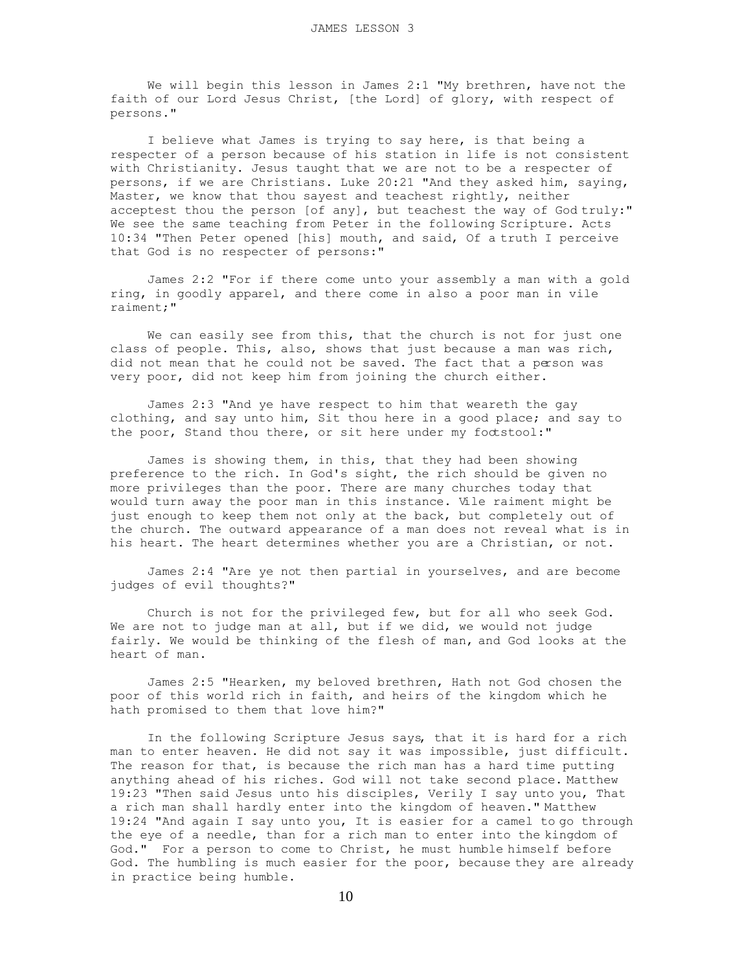We will begin this lesson in James 2:1 "My brethren, have not the faith of our Lord Jesus Christ, [the Lord] of glory, with respect of persons."

 I believe what James is trying to say here, is that being a respecter of a person because of his station in life is not consistent with Christianity. Jesus taught that we are not to be a respecter of persons, if we are Christians. Luke 20:21 "And they asked him, saying, Master, we know that thou sayest and teachest rightly, neither acceptest thou the person [of any], but teachest the way of God truly:" We see the same teaching from Peter in the following Scripture. Acts 10:34 "Then Peter opened [his] mouth, and said, Of a truth I perceive that God is no respecter of persons:"

 James 2:2 "For if there come unto your assembly a man with a gold ring, in goodly apparel, and there come in also a poor man in vile raiment;"

 We can easily see from this, that the church is not for just one class of people. This, also, shows that just because a man was rich, did not mean that he could not be saved. The fact that a person was very poor, did not keep him from joining the church either.

 James 2:3 "And ye have respect to him that weareth the gay clothing, and say unto him, Sit thou here in a good place; and say to the poor, Stand thou there, or sit here under my foctstool:"

 James is showing them, in this, that they had been showing preference to the rich. In God's sight, the rich should be given no more privileges than the poor. There are many churches today that would turn away the poor man in this instance. Vile raiment might be just enough to keep them not only at the back, but completely out of the church. The outward appearance of a man does not reveal what is in his heart. The heart determines whether you are a Christian, or not.

 James 2:4 "Are ye not then partial in yourselves, and are become judges of evil thoughts?"

 Church is not for the privileged few, but for all who seek God. We are not to judge man at all, but if we did, we would not judge fairly. We would be thinking of the flesh of man, and God looks at the heart of man.

 James 2:5 "Hearken, my beloved brethren, Hath not God chosen the poor of this world rich in faith, and heirs of the kingdom which he hath promised to them that love him?"

 In the following Scripture Jesus says, that it is hard for a rich man to enter heaven. He did not say it was impossible, just difficult. The reason for that, is because the rich man has a hard time putting anything ahead of his riches. God will not take second place. Matthew 19:23 "Then said Jesus unto his disciples, Verily I say unto you, That a rich man shall hardly enter into the kingdom of heaven." Matthew 19:24 "And again I say unto you, It is easier for a camel to go through the eye of a needle, than for a rich man to enter into the kingdom of God." For a person to come to Christ, he must humble himself before God. The humbling is much easier for the poor, because they are already in practice being humble.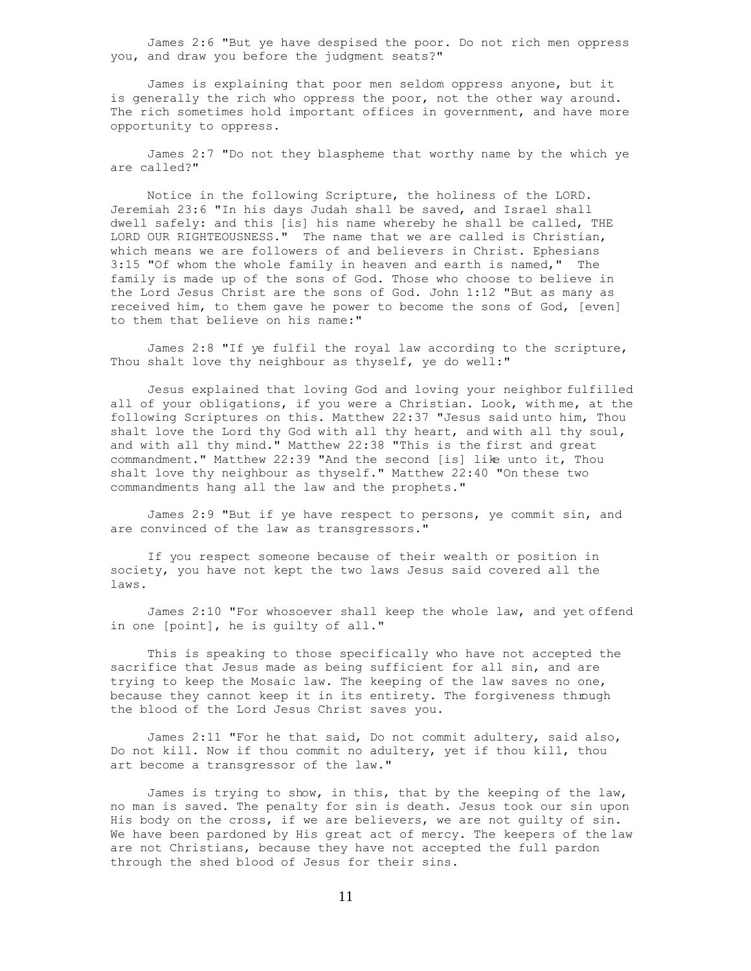James 2:6 "But ye have despised the poor. Do not rich men oppress you, and draw you before the judgment seats?"

 James is explaining that poor men seldom oppress anyone, but it is generally the rich who oppress the poor, not the other way around. The rich sometimes hold important offices in government, and have more opportunity to oppress.

 James 2:7 "Do not they blaspheme that worthy name by the which ye are called?"

 Notice in the following Scripture, the holiness of the LORD. Jeremiah 23:6 "In his days Judah shall be saved, and Israel shall dwell safely: and this [is] his name whereby he shall be called, THE LORD OUR RIGHTEOUSNESS." The name that we are called is Christian, which means we are followers of and believers in Christ. Ephesians 3:15 "Of whom the whole family in heaven and earth is named," The family is made up of the sons of God. Those who choose to believe in the Lord Jesus Christ are the sons of God. John 1:12 "But as many as received him, to them gave he power to become the sons of God, [even] to them that believe on his name:"

 James 2:8 "If ye fulfil the royal law according to the scripture, Thou shalt love thy neighbour as thyself, ye do well:"

 Jesus explained that loving God and loving your neighbor fulfilled all of your obligations, if you were a Christian. Look, with me, at the following Scriptures on this. Matthew 22:37 "Jesus said unto him, Thou shalt love the Lord thy God with all thy heart, and with all thy soul, and with all thy mind." Matthew 22:38 "This is the first and great commandment." Matthew 22:39 "And the second [is] like unto it, Thou shalt love thy neighbour as thyself." Matthew 22:40 "On these two commandments hang all the law and the prophets."

 James 2:9 "But if ye have respect to persons, ye commit sin, and are convinced of the law as transgressors."

 If you respect someone because of their wealth or position in society, you have not kept the two laws Jesus said covered all the laws.

 James 2:10 "For whosoever shall keep the whole law, and yet offend in one [point], he is guilty of all."

 This is speaking to those specifically who have not accepted the sacrifice that Jesus made as being sufficient for all sin, and are trying to keep the Mosaic law. The keeping of the law saves no one, because they cannot keep it in its entirety. The forgiveness through the blood of the Lord Jesus Christ saves you.

 James 2:11 "For he that said, Do not commit adultery, said also, Do not kill. Now if thou commit no adultery, yet if thou kill, thou art become a transgressor of the law."

 James is trying to show, in this, that by the keeping of the law, no man is saved. The penalty for sin is death. Jesus took our sin upon His body on the cross, if we are believers, we are not guilty of sin. We have been pardoned by His great act of mercy. The keepers of the law are not Christians, because they have not accepted the full pardon through the shed blood of Jesus for their sins.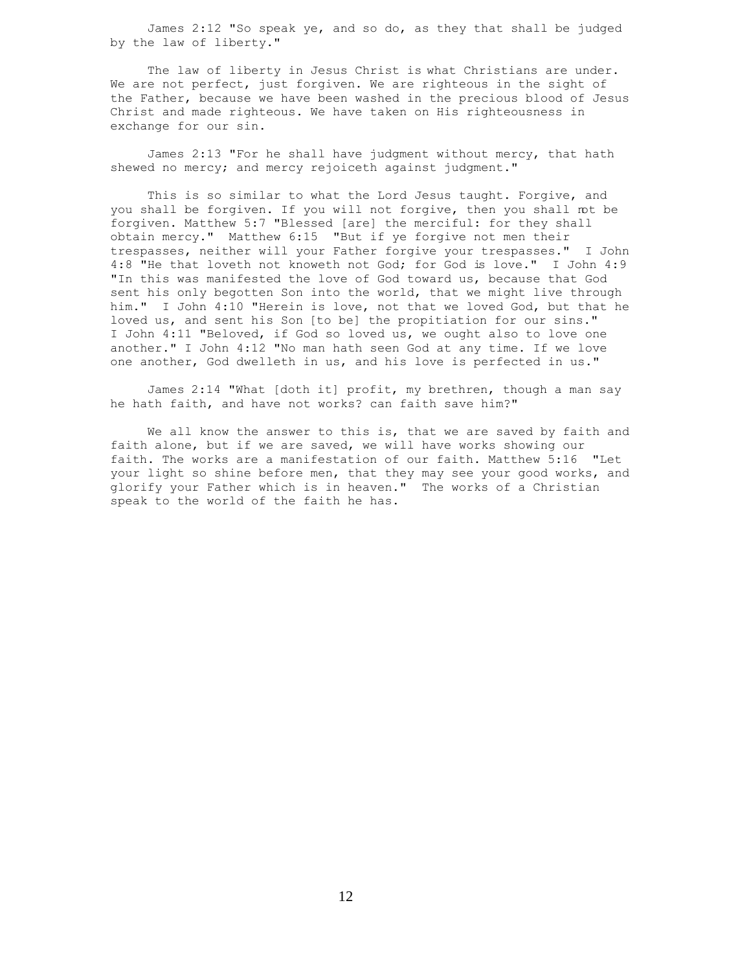James 2:12 "So speak ye, and so do, as they that shall be judged by the law of liberty."

The law of liberty in Jesus Christ is what Christians are under. We are not perfect, just forgiven. We are righteous in the sight of the Father, because we have been washed in the precious blood of Jesus Christ and made righteous. We have taken on His righteousness in exchange for our sin.

 James 2:13 "For he shall have judgment without mercy, that hath shewed no mercy; and mercy rejoiceth against judgment."

 This is so similar to what the Lord Jesus taught. Forgive, and you shall be forgiven. If you will not forgive, then you shall mt be forgiven. Matthew 5:7 "Blessed [are] the merciful: for they shall obtain mercy." Matthew 6:15 "But if ye forgive not men their trespasses, neither will your Father forgive your trespasses." I John 4:8 "He that loveth not knoweth not God; for God is love." I John 4:9 "In this was manifested the love of God toward us, because that God sent his only begotten Son into the world, that we might live through him." I John 4:10 "Herein is love, not that we loved God, but that he loved us, and sent his Son [to be] the propitiation for our sins." I John 4:11 "Beloved, if God so loved us, we ought also to love one another." I John 4:12 "No man hath seen God at any time. If we love one another, God dwelleth in us, and his love is perfected in us."

 James 2:14 "What [doth it] profit, my brethren, though a man say he hath faith, and have not works? can faith save him?"

 We all know the answer to this is, that we are saved by faith and faith alone, but if we are saved, we will have works showing our faith. The works are a manifestation of our faith. Matthew 5:16 "Let your light so shine before men, that they may see your good works, and glorify your Father which is in heaven." The works of a Christian speak to the world of the faith he has.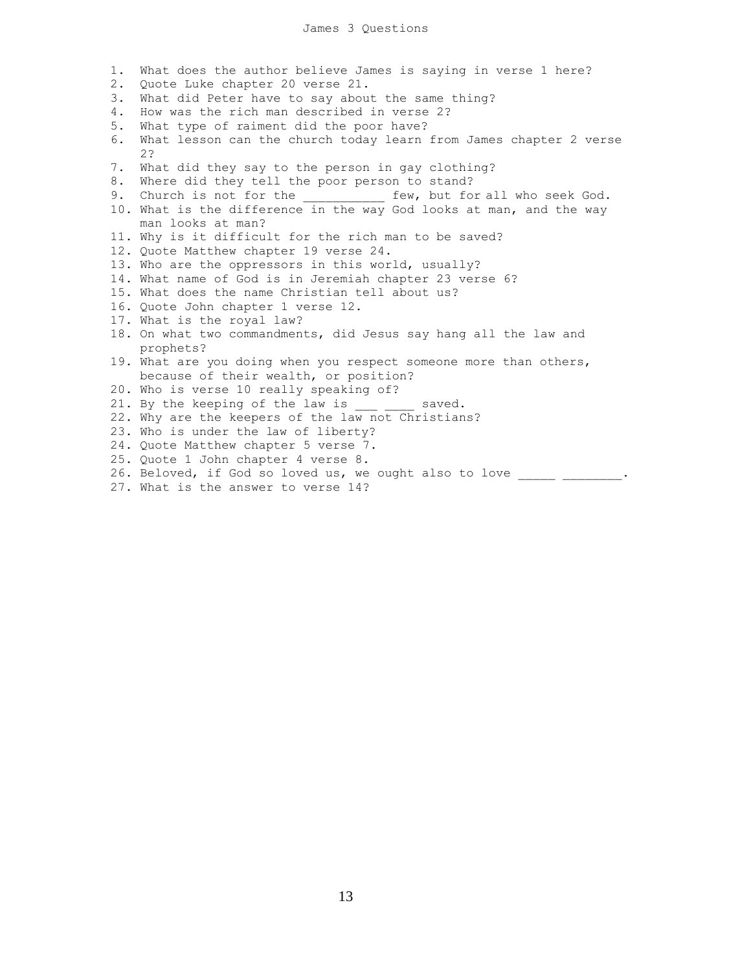- 1. What does the author believe James is saying in verse 1 here?
- 2. Quote Luke chapter 20 verse 21.
- 3. What did Peter have to say about the same thing?
- 4. How was the rich man described in verse 2?
- 5. What type of raiment did the poor have?
- 6. What lesson can the church today learn from James chapter 2 verse 2?
- 7. What did they say to the person in gay clothing?
- 8. Where did they tell the poor person to stand?
- 9. Church is not for the \_\_\_\_\_\_\_\_\_\_\_\_ few, but for all who seek God.
- 10. What is the difference in the way God looks at man, and the way man looks at man?
- 11. Why is it difficult for the rich man to be saved?
- 12. Quote Matthew chapter 19 verse 24.
- 13. Who are the oppressors in this world, usually?
- 14. What name of God is in Jeremiah chapter 23 verse 6?
- 15. What does the name Christian tell about us?
- 16. Quote John chapter 1 verse 12.
- 17. What is the royal law?
- 18. On what two commandments, did Jesus say hang all the law and prophets?
- 19. What are you doing when you respect someone more than others, because of their wealth, or position?
- 20. Who is verse 10 really speaking of?
- 21. By the keeping of the law is \_\_\_ \_\_\_ saved.
- 22. Why are the keepers of the law not Christians?
- 23. Who is under the law of liberty?
- 24. Quote Matthew chapter 5 verse 7.
- 25. Quote 1 John chapter 4 verse 8.
- 26. Beloved, if God so loved us, we ought also to love \_\_\_\_\_ \_\_\_\_\_\_\_.
- 27. What is the answer to verse 14?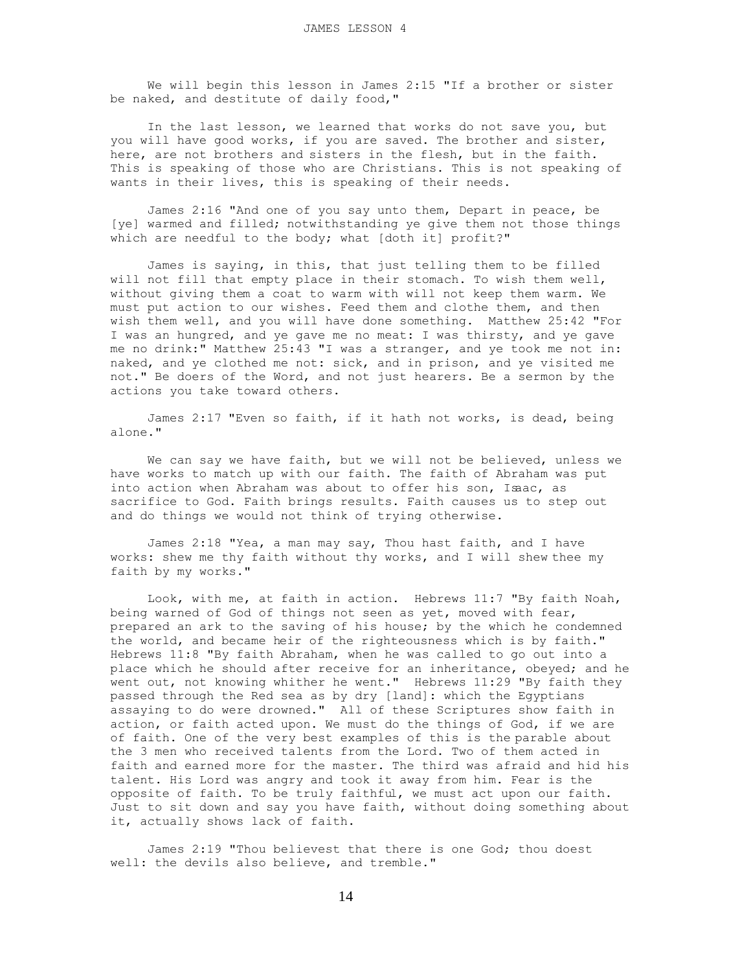We will begin this lesson in James 2:15 "If a brother or sister be naked, and destitute of daily food,"

 In the last lesson, we learned that works do not save you, but you will have good works, if you are saved. The brother and sister, here, are not brothers and sisters in the flesh, but in the faith. This is speaking of those who are Christians. This is not speaking of wants in their lives, this is speaking of their needs.

 James 2:16 "And one of you say unto them, Depart in peace, be [ye] warmed and filled; notwithstanding ye give them not those things which are needful to the body; what [doth it] profit?"

 James is saying, in this, that just telling them to be filled will not fill that empty place in their stomach. To wish them well, without giving them a coat to warm with will not keep them warm. We must put action to our wishes. Feed them and clothe them, and then wish them well, and you will have done something. Matthew 25:42 "For I was an hungred, and ye gave me no meat: I was thirsty, and ye gave me no drink:" Matthew 25:43 "I was a stranger, and ye took me not in: naked, and ye clothed me not: sick, and in prison, and ye visited me not." Be doers of the Word, and not just hearers. Be a sermon by the actions you take toward others.

 James 2:17 "Even so faith, if it hath not works, is dead, being alone."

 We can say we have faith, but we will not be believed, unless we have works to match up with our faith. The faith of Abraham was put into action when Abraham was about to offer his son, Isaac, as sacrifice to God. Faith brings results. Faith causes us to step out and do things we would not think of trying otherwise.

 James 2:18 "Yea, a man may say, Thou hast faith, and I have works: shew me thy faith without thy works, and I will shew thee my faith by my works."

 Look, with me, at faith in action. Hebrews 11:7 "By faith Noah, being warned of God of things not seen as yet, moved with fear, prepared an ark to the saving of his house; by the which he condemned the world, and became heir of the righteousness which is by faith." Hebrews 11:8 "By faith Abraham, when he was called to go out into a place which he should after receive for an inheritance, obeyed; and he went out, not knowing whither he went." Hebrews 11:29 "By faith they passed through the Red sea as by dry [land]: which the Egyptians assaying to do were drowned." All of these Scriptures show faith in action, or faith acted upon. We must do the things of God, if we are of faith. One of the very best examples of this is the parable about the 3 men who received talents from the Lord. Two of them acted in faith and earned more for the master. The third was afraid and hid his talent. His Lord was angry and took it away from him. Fear is the opposite of faith. To be truly faithful, we must act upon our faith. Just to sit down and say you have faith, without doing something about it, actually shows lack of faith.

 James 2:19 "Thou believest that there is one God; thou doest well: the devils also believe, and tremble."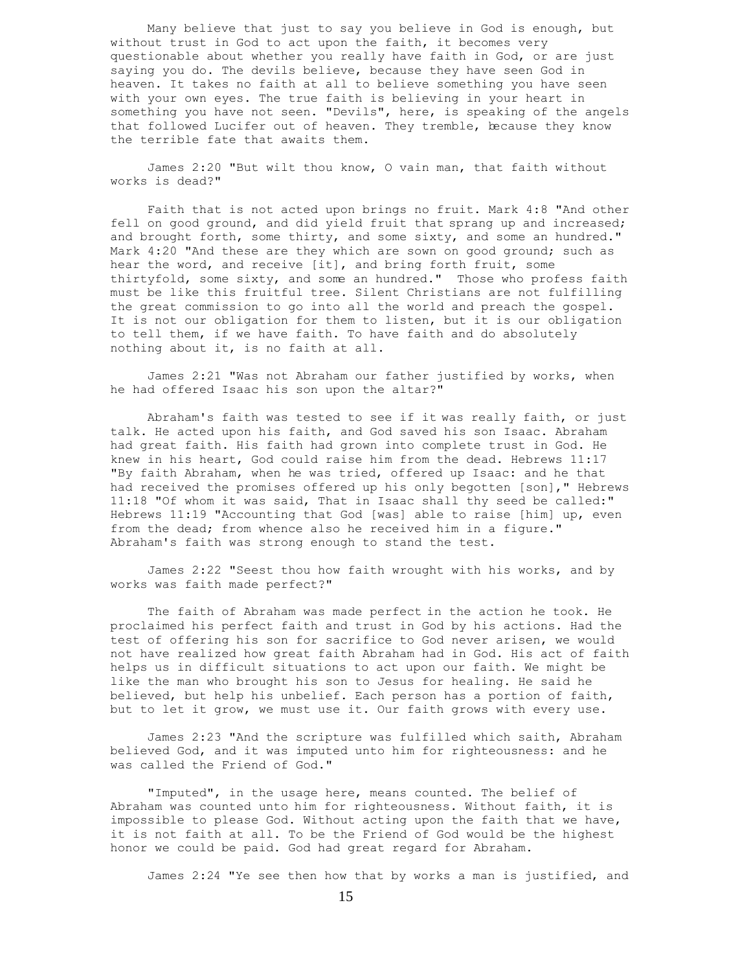Many believe that just to say you believe in God is enough, but without trust in God to act upon the faith, it becomes very questionable about whether you really have faith in God, or are just saying you do. The devils believe, because they have seen God in heaven. It takes no faith at all to believe something you have seen with your own eyes. The true faith is believing in your heart in something you have not seen. "Devils", here, is speaking of the angels that followed Lucifer out of heaven. They tremble, because they know the terrible fate that awaits them.

 James 2:20 "But wilt thou know, O vain man, that faith without works is dead?"

 Faith that is not acted upon brings no fruit. Mark 4:8 "And other fell on good ground, and did yield fruit that sprang up and increased; and brought forth, some thirty, and some sixty, and some an hundred." Mark 4:20 "And these are they which are sown on good ground; such as hear the word, and receive [it], and bring forth fruit, some thirtyfold, some sixty, and some an hundred." Those who profess faith must be like this fruitful tree. Silent Christians are not fulfilling the great commission to go into all the world and preach the gospel. It is not our obligation for them to listen, but it is our obligation to tell them, if we have faith. To have faith and do absolutely nothing about it, is no faith at all.

 James 2:21 "Was not Abraham our father justified by works, when he had offered Isaac his son upon the altar?"

 Abraham's faith was tested to see if it was really faith, or just talk. He acted upon his faith, and God saved his son Isaac. Abraham had great faith. His faith had grown into complete trust in God. He knew in his heart, God could raise him from the dead. Hebrews 11:17 "By faith Abraham, when he was tried, offered up Isaac: and he that had received the promises offered up his only begotten [son]," Hebrews 11:18 "Of whom it was said, That in Isaac shall thy seed be called:" Hebrews 11:19 "Accounting that God [was] able to raise [him] up, even from the dead; from whence also he received him in a figure." Abraham's faith was strong enough to stand the test.

 James 2:22 "Seest thou how faith wrought with his works, and by works was faith made perfect?"

 The faith of Abraham was made perfect in the action he took. He proclaimed his perfect faith and trust in God by his actions. Had the test of offering his son for sacrifice to God never arisen, we would not have realized how great faith Abraham had in God. His act of faith helps us in difficult situations to act upon our faith. We might be like the man who brought his son to Jesus for healing. He said he believed, but help his unbelief. Each person has a portion of faith, but to let it grow, we must use it. Our faith grows with every use.

 James 2:23 "And the scripture was fulfilled which saith, Abraham believed God, and it was imputed unto him for righteousness: and he was called the Friend of God."

 "Imputed", in the usage here, means counted. The belief of Abraham was counted unto him for righteousness. Without faith, it is impossible to please God. Without acting upon the faith that we have, it is not faith at all. To be the Friend of God would be the highest honor we could be paid. God had great regard for Abraham.

James 2:24 "Ye see then how that by works a man is justified, and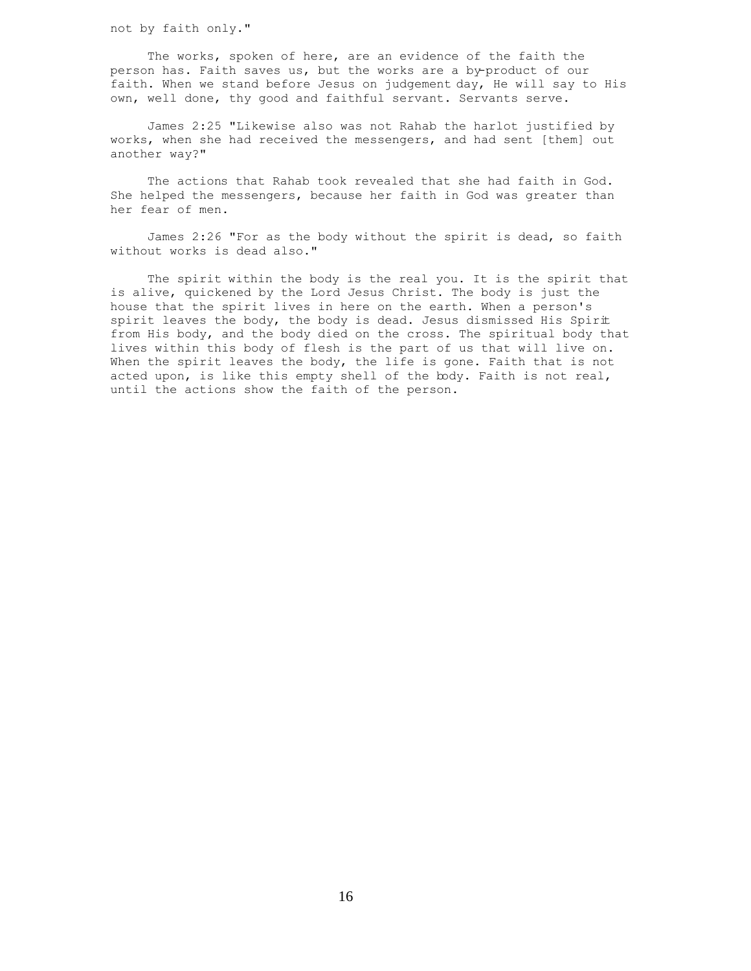not by faith only."

 The works, spoken of here, are an evidence of the faith the person has. Faith saves us, but the works are a by-product of our faith. When we stand before Jesus on judgement day, He will say to His own, well done, thy good and faithful servant. Servants serve.

 James 2:25 "Likewise also was not Rahab the harlot justified by works, when she had received the messengers, and had sent [them] out another way?"

 The actions that Rahab took revealed that she had faith in God. She helped the messengers, because her faith in God was greater than her fear of men.

 James 2:26 "For as the body without the spirit is dead, so faith without works is dead also."

 The spirit within the body is the real you. It is the spirit that is alive, quickened by the Lord Jesus Christ. The body is just the house that the spirit lives in here on the earth. When a person's spirit leaves the body, the body is dead. Jesus dismissed His Spirit from His body, and the body died on the cross. The spiritual body that lives within this body of flesh is the part of us that will live on. When the spirit leaves the body, the life is gone. Faith that is not acted upon, is like this empty shell of the body. Faith is not real, until the actions show the faith of the person.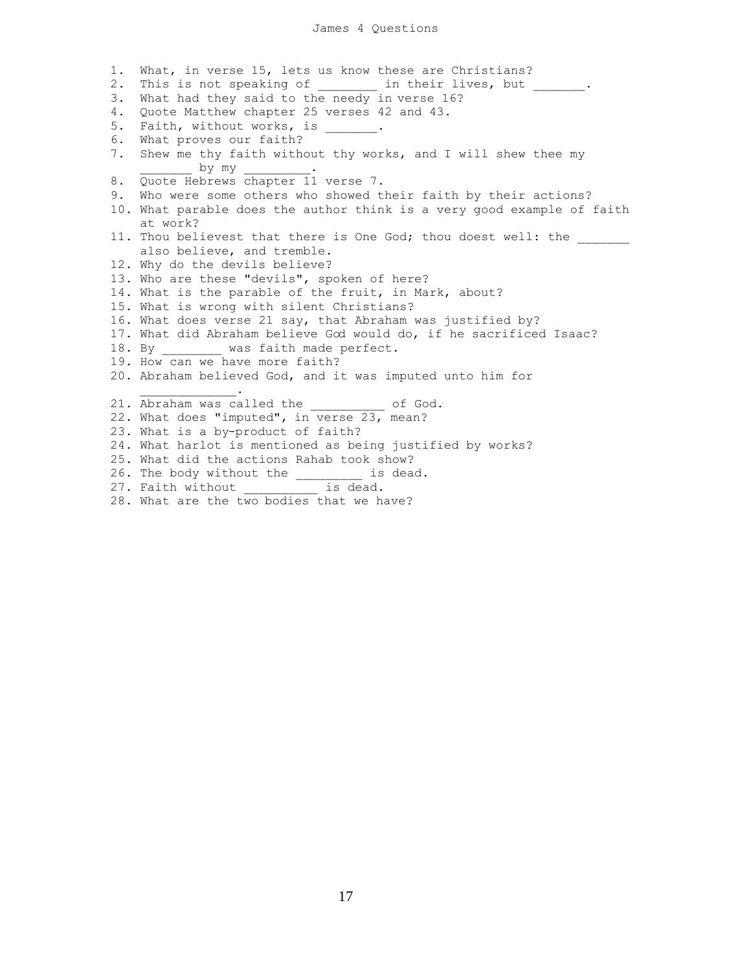## James 4 Questions

1. What, in verse 15, lets us know these are Christians? 2. This is not speaking of \_\_\_\_\_\_\_\_ in their lives, but \_\_\_\_\_\_\_. 3. What had they said to the needy in verse 16? 4. Quote Matthew chapter 25 verses 42 and 43. 5. Faith, without works, is \_\_\_\_\_\_\_. 6. What proves our faith? 7. Shew me thy faith without thy works, and I will shew thee my by my 8. Quote Hebrews chapter 11 verse 7. 9. Who were some others who showed their faith by their actions? 10. What parable does the author think is a very good example of faith at work? 11. Thou believest that there is One God; thou doest well: the also believe, and tremble. 12. Why do the devils believe? 13. Who are these "devils", spoken of here? 14. What is the parable of the fruit, in Mark, about? 15. What is wrong with silent Christians? 16. What does verse 21 say, that Abraham was justified by? 17. What did Abraham believe God would do, if he sacrificed Isaac? 18. By \_\_\_\_\_\_\_\_ was faith made perfect. 19. How can we have more faith? 20. Abraham believed God, and it was imputed unto him for  $\mathcal{L}=\mathcal{L}=\mathcal{L}=\mathcal{L}=\mathcal{L}=\mathcal{L}=\mathcal{L}$ 21. Abraham was called the  $\qquad \qquad$  of God. 22. What does "imputed", in verse 23, mean? 23. What is a by-product of faith? 24. What harlot is mentioned as being justified by works? 25. What did the actions Rahab took show? 26. The body without the  $\frac{1}{\sqrt{27}}$  is dead. 27. Faith without

28. What are the two bodies that we have?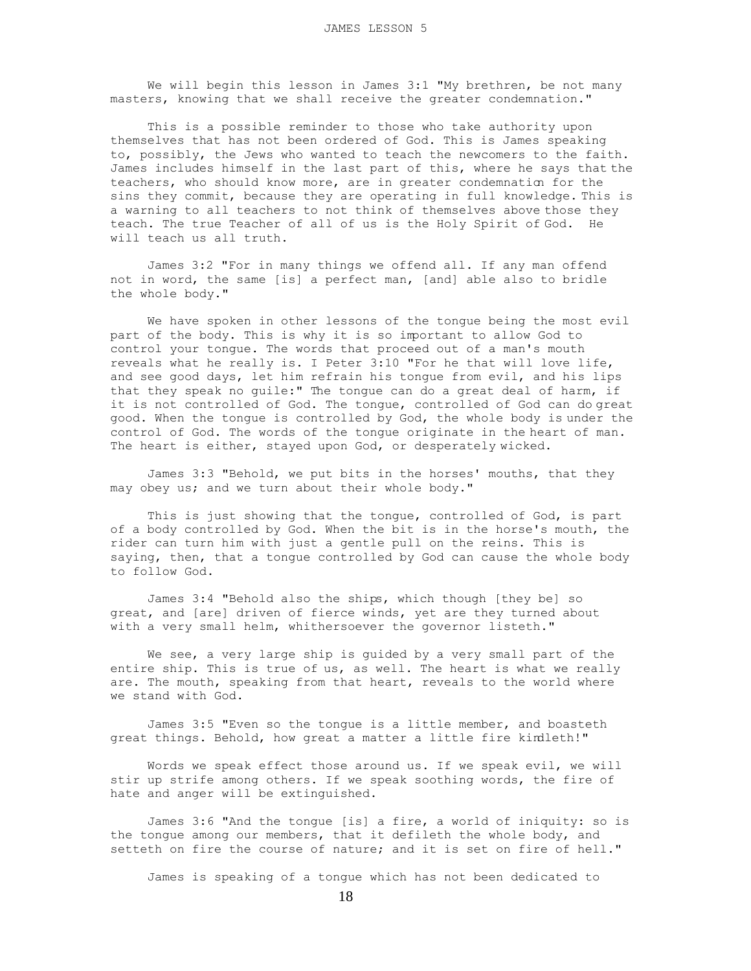We will begin this lesson in James 3:1 "My brethren, be not many masters, knowing that we shall receive the greater condemnation."

 This is a possible reminder to those who take authority upon themselves that has not been ordered of God. This is James speaking to, possibly, the Jews who wanted to teach the newcomers to the faith. James includes himself in the last part of this, where he says that the teachers, who should know more, are in greater condemnation for the sins they commit, because they are operating in full knowledge. This is a warning to all teachers to not think of themselves above those they teach. The true Teacher of all of us is the Holy Spirit of God. He will teach us all truth.

 James 3:2 "For in many things we offend all. If any man offend not in word, the same [is] a perfect man, [and] able also to bridle the whole body."

 We have spoken in other lessons of the tongue being the most evil part of the body. This is why it is so important to allow God to control your tongue. The words that proceed out of a man's mouth reveals what he really is. I Peter 3:10 "For he that will love life, and see good days, let him refrain his tongue from evil, and his lips that they speak no guile:" The tongue can do a great deal of harm, if it is not controlled of God. The tongue, controlled of God can do great good. When the tongue is controlled by God, the whole body is under the control of God. The words of the tongue originate in the heart of man. The heart is either, stayed upon God, or desperately wicked.

 James 3:3 "Behold, we put bits in the horses' mouths, that they may obey us; and we turn about their whole body."

 This is just showing that the tongue, controlled of God, is part of a body controlled by God. When the bit is in the horse's mouth, the rider can turn him with just a gentle pull on the reins. This is saying, then, that a tongue controlled by God can cause the whole body to follow God.

 James 3:4 "Behold also the ships, which though [they be] so great, and [are] driven of fierce winds, yet are they turned about with a very small helm, whithersoever the governor listeth."

 We see, a very large ship is guided by a very small part of the entire ship. This is true of us, as well. The heart is what we really are. The mouth, speaking from that heart, reveals to the world where we stand with God.

 James 3:5 "Even so the tongue is a little member, and boasteth great things. Behold, how great a matter a little fire kindleth!"

 Words we speak effect those around us. If we speak evil, we will stir up strife among others. If we speak soothing words, the fire of hate and anger will be extinguished.

 James 3:6 "And the tongue [is] a fire, a world of iniquity: so is the tongue among our members, that it defileth the whole body, and setteth on fire the course of nature; and it is set on fire of hell."

James is speaking of a tongue which has not been dedicated to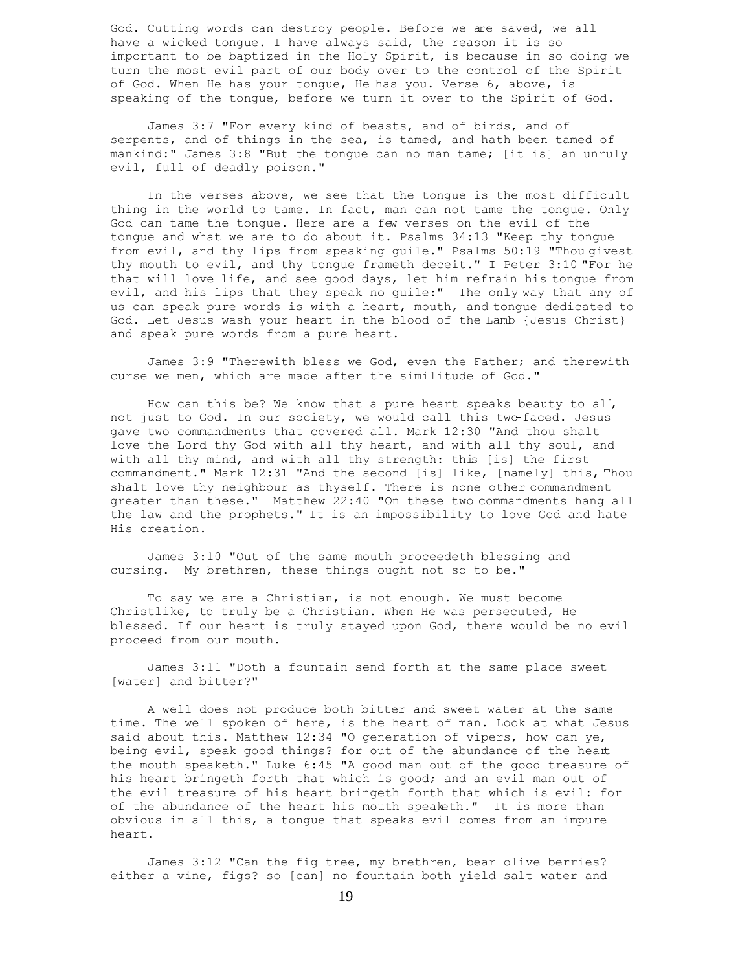God. Cutting words can destroy people. Before we are saved, we all have a wicked tongue. I have always said, the reason it is so important to be baptized in the Holy Spirit, is because in so doing we turn the most evil part of our body over to the control of the Spirit of God. When He has your tongue, He has you. Verse 6, above, is speaking of the tongue, before we turn it over to the Spirit of God.

 James 3:7 "For every kind of beasts, and of birds, and of serpents, and of things in the sea, is tamed, and hath been tamed of mankind:" James 3:8 "But the tongue can no man tame; [it is] an unruly evil, full of deadly poison."

 In the verses above, we see that the tongue is the most difficult thing in the world to tame. In fact, man can not tame the tongue. Only God can tame the tongue. Here are a few verses on the evil of the tongue and what we are to do about it. Psalms 34:13 "Keep thy tongue from evil, and thy lips from speaking guile." Psalms 50:19 "Thou givest thy mouth to evil, and thy tongue frameth deceit." I Peter 3:10 "For he that will love life, and see good days, let him refrain his tongue from evil, and his lips that they speak no guile:" The only way that any of us can speak pure words is with a heart, mouth, and tongue dedicated to God. Let Jesus wash your heart in the blood of the Lamb {Jesus Christ} and speak pure words from a pure heart.

 James 3:9 "Therewith bless we God, even the Father; and therewith curse we men, which are made after the similitude of God."

 How can this be? We know that a pure heart speaks beauty to all, not just to God. In our society, we would call this two-faced. Jesus gave two commandments that covered all. Mark 12:30 "And thou shalt love the Lord thy God with all thy heart, and with all thy soul, and with all thy mind, and with all thy strength: this [is] the first commandment." Mark 12:31 "And the second [is] like, [namely] this, Thou shalt love thy neighbour as thyself. There is none other commandment greater than these." Matthew 22:40 "On these two commandments hang all the law and the prophets." It is an impossibility to love God and hate His creation.

 James 3:10 "Out of the same mouth proceedeth blessing and cursing. My brethren, these things ought not so to be."

 To say we are a Christian, is not enough. We must become Christlike, to truly be a Christian. When He was persecuted, He blessed. If our heart is truly stayed upon God, there would be no evil proceed from our mouth.

 James 3:11 "Doth a fountain send forth at the same place sweet [water] and bitter?"

 A well does not produce both bitter and sweet water at the same time. The well spoken of here, is the heart of man. Look at what Jesus said about this. Matthew 12:34 "O generation of vipers, how can ye, being evil, speak good things? for out of the abundance of the heart the mouth speaketh." Luke 6:45 "A good man out of the good treasure of his heart bringeth forth that which is good; and an evil man out of the evil treasure of his heart bringeth forth that which is evil: for of the abundance of the heart his mouth speaketh." It is more than obvious in all this, a tongue that speaks evil comes from an impure heart.

 James 3:12 "Can the fig tree, my brethren, bear olive berries? either a vine, figs? so [can] no fountain both yield salt water and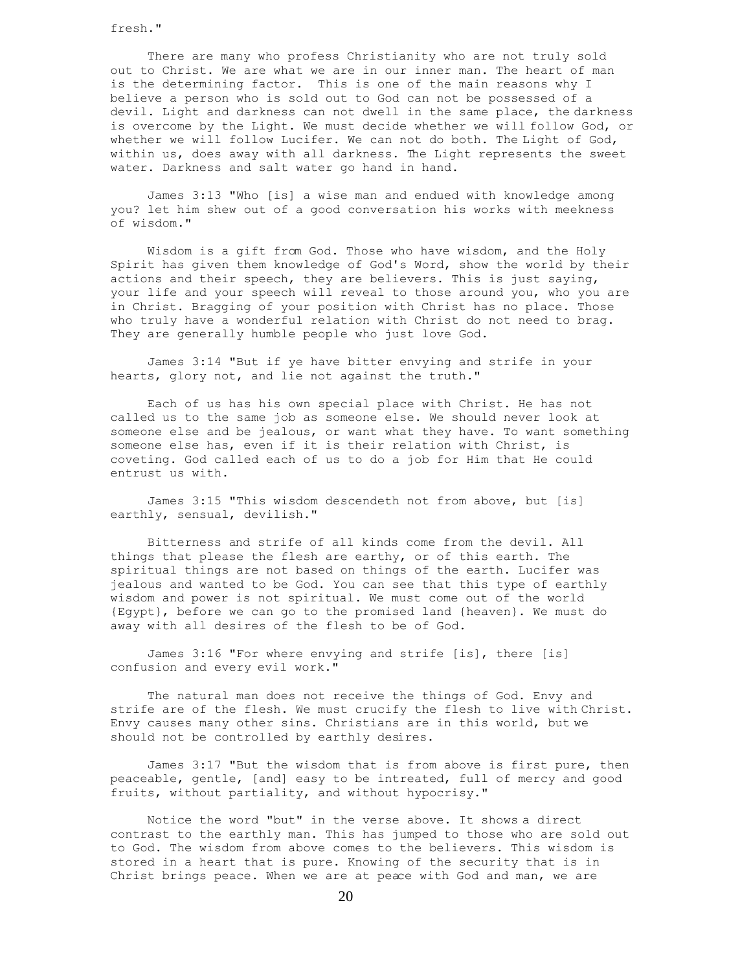fresh."

 There are many who profess Christianity who are not truly sold out to Christ. We are what we are in our inner man. The heart of man is the determining factor. This is one of the main reasons why I believe a person who is sold out to God can not be possessed of a devil. Light and darkness can not dwell in the same place, the darkness is overcome by the Light. We must decide whether we will follow God, or whether we will follow Lucifer. We can not do both. The Light of God, within us, does away with all darkness. The Light represents the sweet water. Darkness and salt water go hand in hand.

 James 3:13 "Who [is] a wise man and endued with knowledge among you? let him shew out of a good conversation his works with meekness of wisdom."

 Wisdom is a gift from God. Those who have wisdom, and the Holy Spirit has given them knowledge of God's Word, show the world by their actions and their speech, they are believers. This is just saying, your life and your speech will reveal to those around you, who you are in Christ. Bragging of your position with Christ has no place. Those who truly have a wonderful relation with Christ do not need to brag. They are generally humble people who just love God.

 James 3:14 "But if ye have bitter envying and strife in your hearts, glory not, and lie not against the truth."

 Each of us has his own special place with Christ. He has not called us to the same job as someone else. We should never look at someone else and be jealous, or want what they have. To want something someone else has, even if it is their relation with Christ, is coveting. God called each of us to do a job for Him that He could entrust us with.

 James 3:15 "This wisdom descendeth not from above, but [is] earthly, sensual, devilish."

 Bitterness and strife of all kinds come from the devil. All things that please the flesh are earthy, or of this earth. The spiritual things are not based on things of the earth. Lucifer was jealous and wanted to be God. You can see that this type of earthly wisdom and power is not spiritual. We must come out of the world {Egypt}, before we can go to the promised land {heaven}. We must do away with all desires of the flesh to be of God.

 James 3:16 "For where envying and strife [is], there [is] confusion and every evil work."

 The natural man does not receive the things of God. Envy and strife are of the flesh. We must crucify the flesh to live with Christ. Envy causes many other sins. Christians are in this world, but we should not be controlled by earthly desires.

 James 3:17 "But the wisdom that is from above is first pure, then peaceable, gentle, [and] easy to be intreated, full of mercy and good fruits, without partiality, and without hypocrisy."

 Notice the word "but" in the verse above. It shows a direct contrast to the earthly man. This has jumped to those who are sold out to God. The wisdom from above comes to the believers. This wisdom is stored in a heart that is pure. Knowing of the security that is in Christ brings peace. When we are at peace with God and man, we are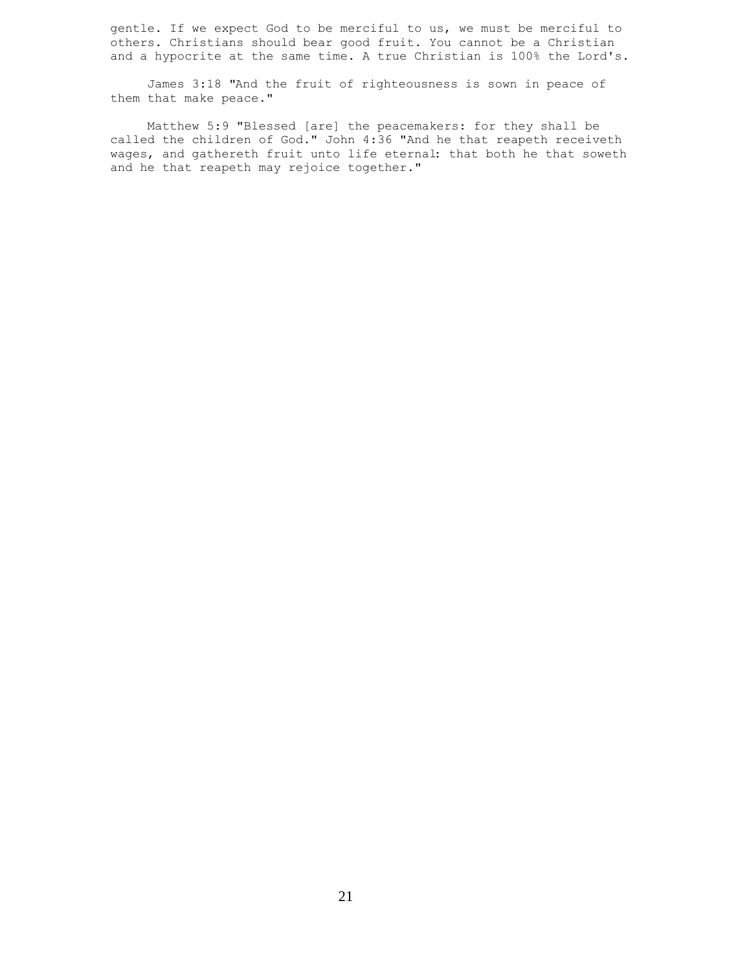gentle. If we expect God to be merciful to us, we must be merciful to others. Christians should bear good fruit. You cannot be a Christian and a hypocrite at the same time. A true Christian is 100% the Lord's.

 James 3:18 "And the fruit of righteousness is sown in peace of them that make peace."

 Matthew 5:9 "Blessed [are] the peacemakers: for they shall be called the children of God." John 4:36 "And he that reapeth receiveth wages, and gathereth fruit unto life eternal: that both he that soweth and he that reapeth may rejoice together."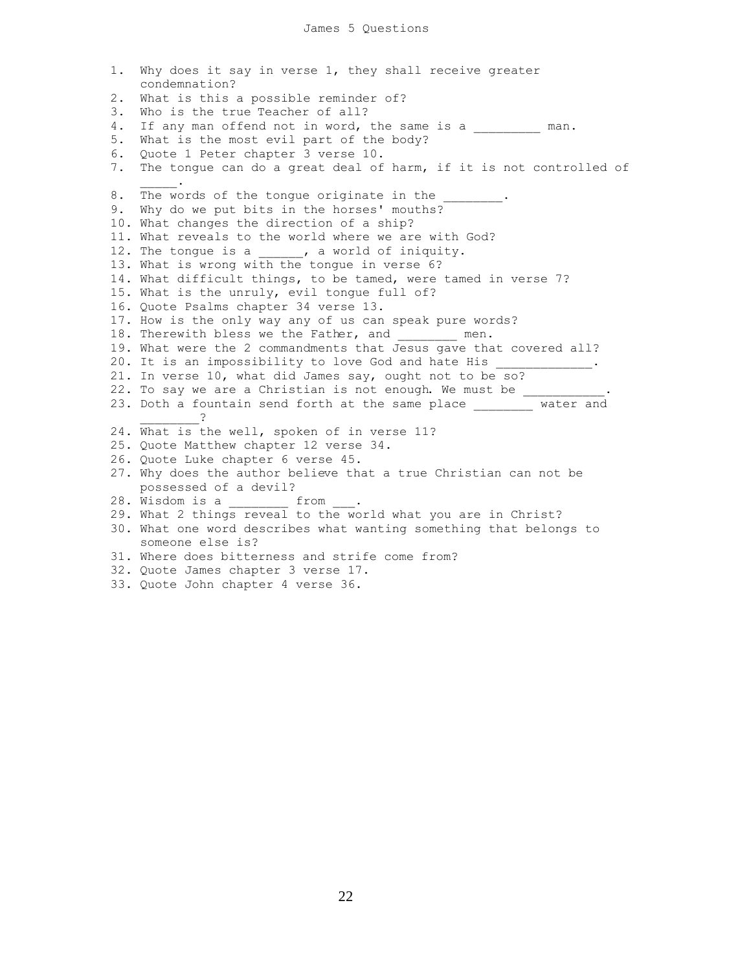1. Why does it say in verse 1, they shall receive greater condemnation? 2. What is this a possible reminder of? 3. Who is the true Teacher of all? 4. If any man offend not in word, the same is a \_\_\_\_\_\_\_\_\_ man. 5. What is the most evil part of the body? 6. Quote 1 Peter chapter 3 verse 10. 7. The tongue can do a great deal of harm, if it is not controlled of  $\mathcal{L}=\mathcal{L}^{\mathcal{L}}$ 8. The words of the tongue originate in the 9. Why do we put bits in the horses' mouths? 10. What changes the direction of a ship? 11. What reveals to the world where we are with God? 12. The tongue is a  $\blacksquare$ , a world of iniquity. 13. What is wrong with the tongue in verse 6? 14. What difficult things, to be tamed, were tamed in verse 7? 15. What is the unruly, evil tongue full of? 16. Quote Psalms chapter 34 verse 13. 17. How is the only way any of us can speak pure words? 18. Therewith bless we the Father, and \_\_\_\_\_\_\_\_ men. 19. What were the 2 commandments that Jesus gave that covered all? 20. It is an impossibility to love God and hate His 21. In verse 10, what did James say, ought not to be so? 22. To say we are a Christian is not enough. We must be 23. Doth a fountain send forth at the same place \_\_\_\_\_\_\_\_ water and  $\overline{2}$ 24. What is the well, spoken of in verse 11? 25. Quote Matthew chapter 12 verse 34. 26. Quote Luke chapter 6 verse 45. 27. Why does the author believe that a true Christian can not be possessed of a devil? 28. Wisdom is a \_\_\_\_\_\_\_ from 29. What 2 things reveal to the world what you are in Christ? 30. What one word describes what wanting something that belongs to someone else is? 31. Where does bitterness and strife come from? 32. Quote James chapter 3 verse 17.

33. Quote John chapter 4 verse 36.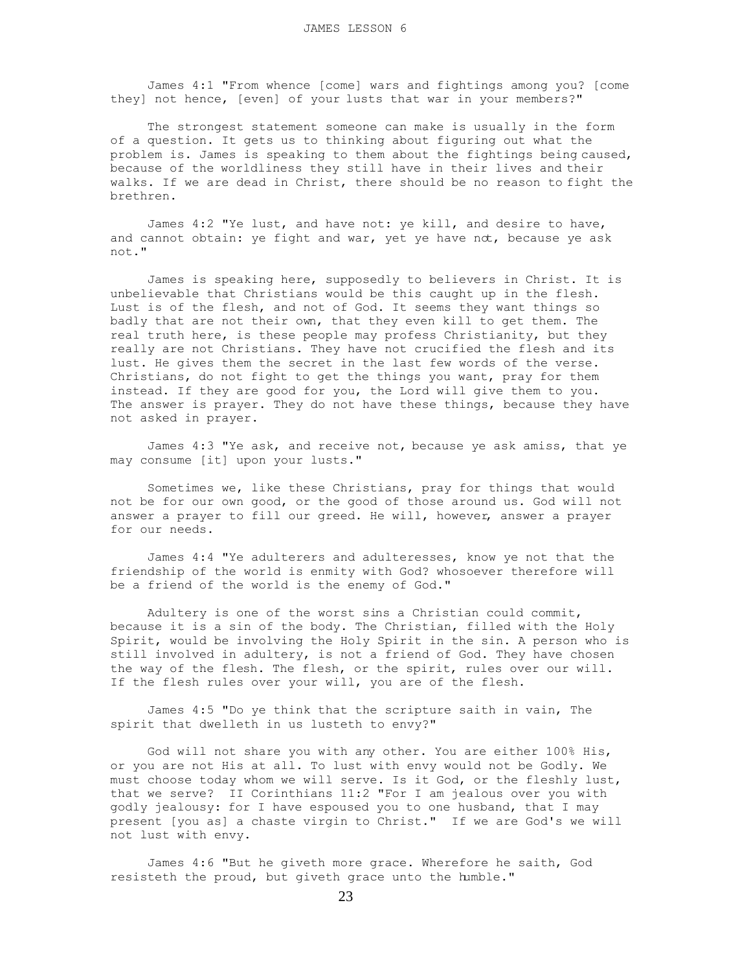James 4:1 "From whence [come] wars and fightings among you? [come they] not hence, [even] of your lusts that war in your members?"

 The strongest statement someone can make is usually in the form of a question. It gets us to thinking about figuring out what the problem is. James is speaking to them about the fightings being caused, because of the worldliness they still have in their lives and their walks. If we are dead in Christ, there should be no reason to fight the brethren.

 James 4:2 "Ye lust, and have not: ye kill, and desire to have, and cannot obtain: ye fight and war, yet ye have not, because ye ask not."

 James is speaking here, supposedly to believers in Christ. It is unbelievable that Christians would be this caught up in the flesh. Lust is of the flesh, and not of God. It seems they want things so badly that are not their own, that they even kill to get them. The real truth here, is these people may profess Christianity, but they really are not Christians. They have not crucified the flesh and its lust. He gives them the secret in the last few words of the verse. Christians, do not fight to get the things you want, pray for them instead. If they are good for you, the Lord will give them to you. The answer is prayer. They do not have these things, because they have not asked in prayer.

 James 4:3 "Ye ask, and receive not, because ye ask amiss, that ye may consume [it] upon your lusts."

 Sometimes we, like these Christians, pray for things that would not be for our own good, or the good of those around us. God will not answer a prayer to fill our greed. He will, however, answer a prayer for our needs.

 James 4:4 "Ye adulterers and adulteresses, know ye not that the friendship of the world is enmity with God? whosoever therefore will be a friend of the world is the enemy of God."

 Adultery is one of the worst sins a Christian could commit, because it is a sin of the body. The Christian, filled with the Holy Spirit, would be involving the Holy Spirit in the sin. A person who is still involved in adultery, is not a friend of God. They have chosen the way of the flesh. The flesh, or the spirit, rules over our will. If the flesh rules over your will, you are of the flesh.

 James 4:5 "Do ye think that the scripture saith in vain, The spirit that dwelleth in us lusteth to envy?"

 God will not share you with any other. You are either 100% His, or you are not His at all. To lust with envy would not be Godly. We must choose today whom we will serve. Is it God, or the fleshly lust, that we serve? II Corinthians 11:2 "For I am jealous over you with godly jealousy: for I have espoused you to one husband, that I may present [you as] a chaste virgin to Christ." If we are God's we will not lust with envy.

 James 4:6 "But he giveth more grace. Wherefore he saith, God resisteth the proud, but giveth grace unto the humble."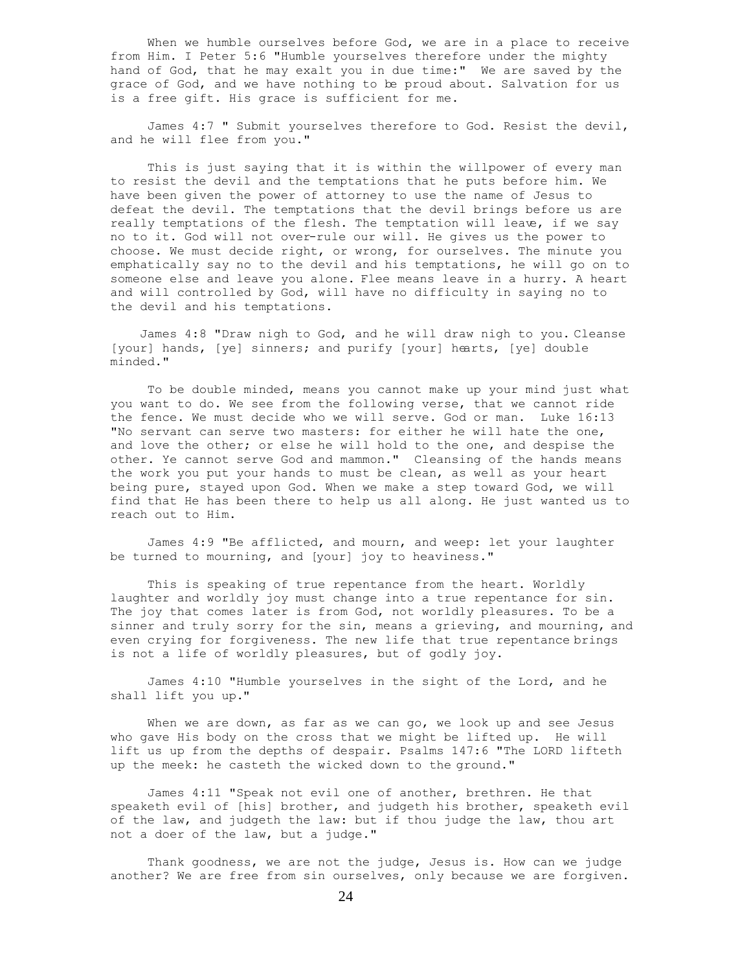When we humble ourselves before God, we are in a place to receive from Him. I Peter 5:6 "Humble yourselves therefore under the mighty hand of God, that he may exalt you in due time:" We are saved by the grace of God, and we have nothing to be proud about. Salvation for us is a free gift. His grace is sufficient for me.

 James 4:7 " Submit yourselves therefore to God. Resist the devil, and he will flee from you."

 This is just saying that it is within the willpower of every man to resist the devil and the temptations that he puts before him. We have been given the power of attorney to use the name of Jesus to defeat the devil. The temptations that the devil brings before us are really temptations of the flesh. The temptation will leave, if we say no to it. God will not over-rule our will. He gives us the power to choose. We must decide right, or wrong, for ourselves. The minute you emphatically say no to the devil and his temptations, he will go on to someone else and leave you alone. Flee means leave in a hurry. A heart and will controlled by God, will have no difficulty in saying no to the devil and his temptations.

 James 4:8 "Draw nigh to God, and he will draw nigh to you. Cleanse [your] hands, [ye] sinners; and purify [your] hearts, [ye] double minded."

 To be double minded, means you cannot make up your mind just what you want to do. We see from the following verse, that we cannot ride the fence. We must decide who we will serve. God or man. Luke 16:13 "No servant can serve two masters: for either he will hate the one, and love the other; or else he will hold to the one, and despise the other. Ye cannot serve God and mammon." Cleansing of the hands means the work you put your hands to must be clean, as well as your heart being pure, stayed upon God. When we make a step toward God, we will find that He has been there to help us all along. He just wanted us to reach out to Him.

 James 4:9 "Be afflicted, and mourn, and weep: let your laughter be turned to mourning, and [your] joy to heaviness."

 This is speaking of true repentance from the heart. Worldly laughter and worldly joy must change into a true repentance for sin. The joy that comes later is from God, not worldly pleasures. To be a sinner and truly sorry for the sin, means a grieving, and mourning, and even crying for forgiveness. The new life that true repentance brings is not a life of worldly pleasures, but of godly joy.

 James 4:10 "Humble yourselves in the sight of the Lord, and he shall lift you up."

When we are down, as far as we can go, we look up and see Jesus who gave His body on the cross that we might be lifted up. He will lift us up from the depths of despair. Psalms 147:6 "The LORD lifteth up the meek: he casteth the wicked down to the ground."

 James 4:11 "Speak not evil one of another, brethren. He that speaketh evil of [his] brother, and judgeth his brother, speaketh evil of the law, and judgeth the law: but if thou judge the law, thou art not a doer of the law, but a judge."

 Thank goodness, we are not the judge, Jesus is. How can we judge another? We are free from sin ourselves, only because we are forgiven.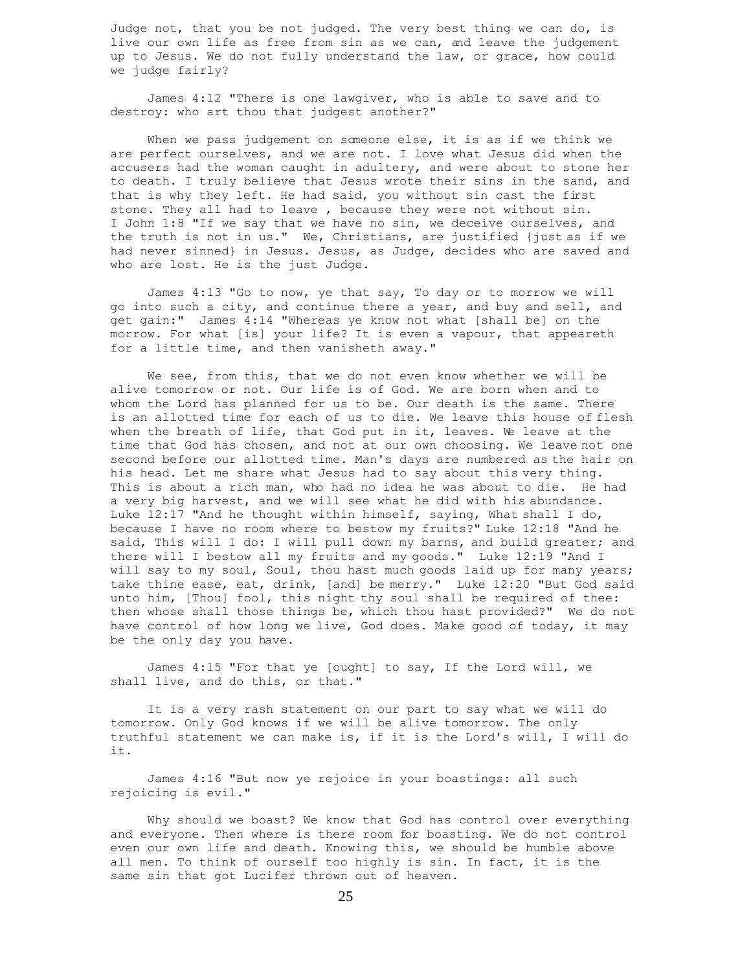Judge not, that you be not judged. The very best thing we can do, is live our own life as free from sin as we can, and leave the judgement up to Jesus. We do not fully understand the law, or grace, how could we judge fairly?

 James 4:12 "There is one lawgiver, who is able to save and to destroy: who art thou that judgest another?"

When we pass judgement on someone else, it is as if we think we are perfect ourselves, and we are not. I love what Jesus did when the accusers had the woman caught in adultery, and were about to stone her to death. I truly believe that Jesus wrote their sins in the sand, and that is why they left. He had said, you without sin cast the first stone. They all had to leave , because they were not without sin. I John 1:8 "If we say that we have no sin, we deceive ourselves, and the truth is not in us." We, Christians, are justified {just as if we had never sinned} in Jesus. Jesus, as Judge, decides who are saved and who are lost. He is the just Judge.

 James 4:13 "Go to now, ye that say, To day or to morrow we will go into such a city, and continue there a year, and buy and sell, and get gain:" James 4:14 "Whereas ye know not what [shall be] on the morrow. For what [is] your life? It is even a vapour, that appeareth for a little time, and then vanisheth away."

 We see, from this, that we do not even know whether we will be alive tomorrow or not. Our life is of God. We are born when and to whom the Lord has planned for us to be. Our death is the same. There is an allotted time for each of us to die. We leave this house of flesh when the breath of life, that God put in it, leaves. We leave at the time that God has chosen, and not at our own choosing. We leave not one second before our allotted time. Man's days are numbered as the hair on his head. Let me share what Jesus had to say about this very thing. This is about a rich man, who had no idea he was about to die. He had a very big harvest, and we will see what he did with his abundance. Luke 12:17 "And he thought within himself, saying, What shall I do, because I have no room where to bestow my fruits?" Luke 12:18 "And he said, This will I do: I will pull down my barns, and build greater; and there will I bestow all my fruits and my goods." Luke 12:19 "And I will say to my soul, Soul, thou hast much goods laid up for many years; take thine ease, eat, drink, [and] be merry." Luke 12:20 "But God said unto him, [Thou] fool, this night thy soul shall be required of thee: then whose shall those things be, which thou hast provided?" We do not have control of how long we live, God does. Make good of today, it may be the only day you have.

 James 4:15 "For that ye [ought] to say, If the Lord will, we shall live, and do this, or that."

 It is a very rash statement on our part to say what we will do tomorrow. Only God knows if we will be alive tomorrow. The only truthful statement we can make is, if it is the Lord's will, I will do it.

 James 4:16 "But now ye rejoice in your boastings: all such rejoicing is evil."

 Why should we boast? We know that God has control over everything and everyone. Then where is there room for boasting. We do not control even our own life and death. Knowing this, we should be humble above all men. To think of ourself too highly is sin. In fact, it is the same sin that got Lucifer thrown out of heaven.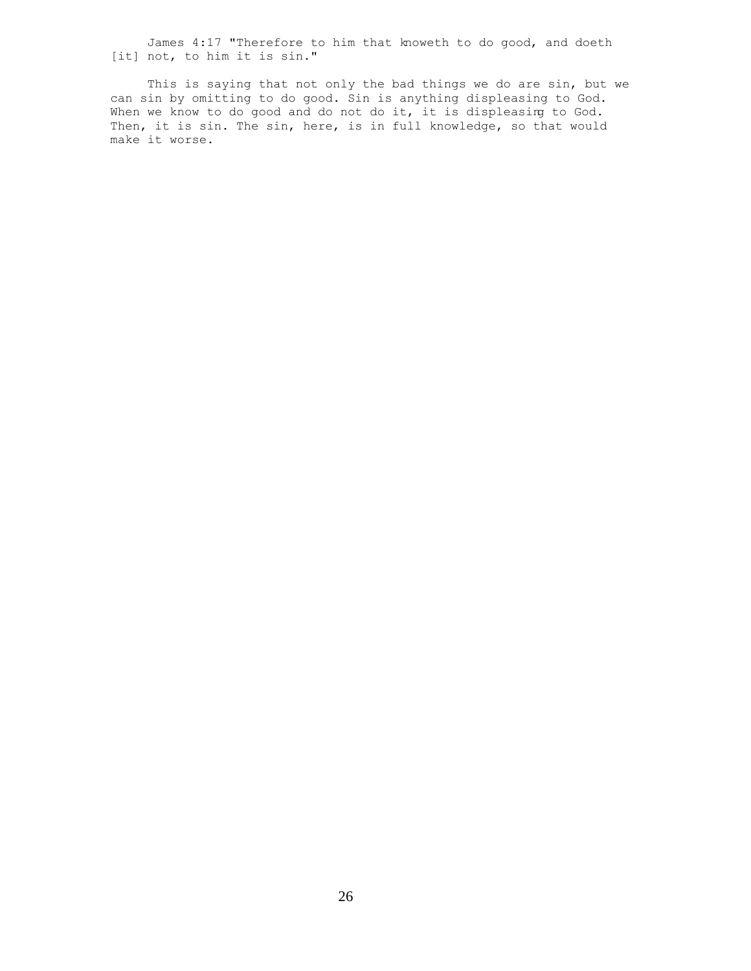James 4:17 "Therefore to him that knoweth to do good, and doeth [it] not, to him it is sin."

 This is saying that not only the bad things we do are sin, but we can sin by omitting to do good. Sin is anything displeasing to God. When we know to do good and do not do it, it is displeasing to God. Then, it is sin. The sin, here, is in full knowledge, so that would make it worse.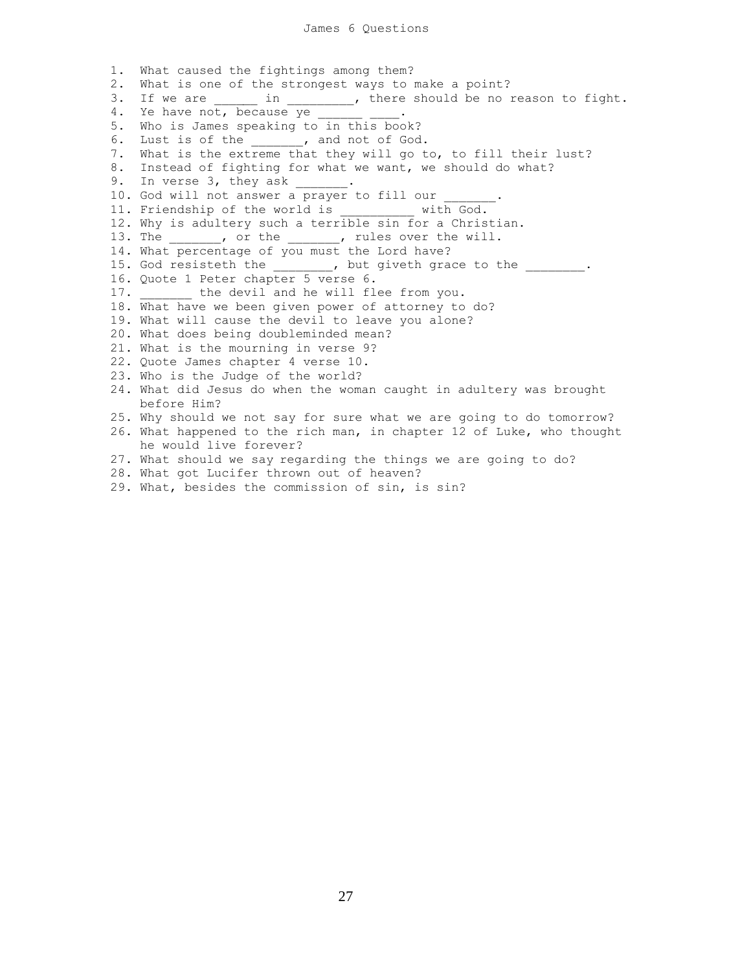1. What caused the fightings among them? 2. What is one of the strongest ways to make a point? 3. If we are \_\_\_\_\_\_ in \_\_\_\_\_\_\_\_, there should be no reason to fight. 4. Ye have not, because ye \_\_\_\_\_ 5. Who is James speaking to in this book? 6. Lust is of the  $\qquad \qquad$  , and not of God. 7. What is the extreme that they will go to, to fill their lust? 8. Instead of fighting for what we want, we should do what? 9. In verse 3, they ask \_\_ 10. God will not answer a prayer to fill our 11. Friendship of the world is with God. 12. Why is adultery such a terrible sin for a Christian. 13. The the the set over the will. 14. What percentage of you must the Lord have? 15. God resisteth the the the plus put giveth grace to the  $\cdots$ . 16. Quote 1 Peter chapter 5 verse 6. 17. the devil and he will flee from you. 18. What have we been given power of attorney to do? 19. What will cause the devil to leave you alone? 20. What does being doubleminded mean? 21. What is the mourning in verse 9? 22. Quote James chapter 4 verse 10. 23. Who is the Judge of the world? 24. What did Jesus do when the woman caught in adultery was brought before Him? 25. Why should we not say for sure what we are going to do tomorrow? 26. What happened to the rich man, in chapter 12 of Luke, who thought he would live forever? 27. What should we say regarding the things we are going to do? 28. What got Lucifer thrown out of heaven?

29. What, besides the commission of sin, is sin?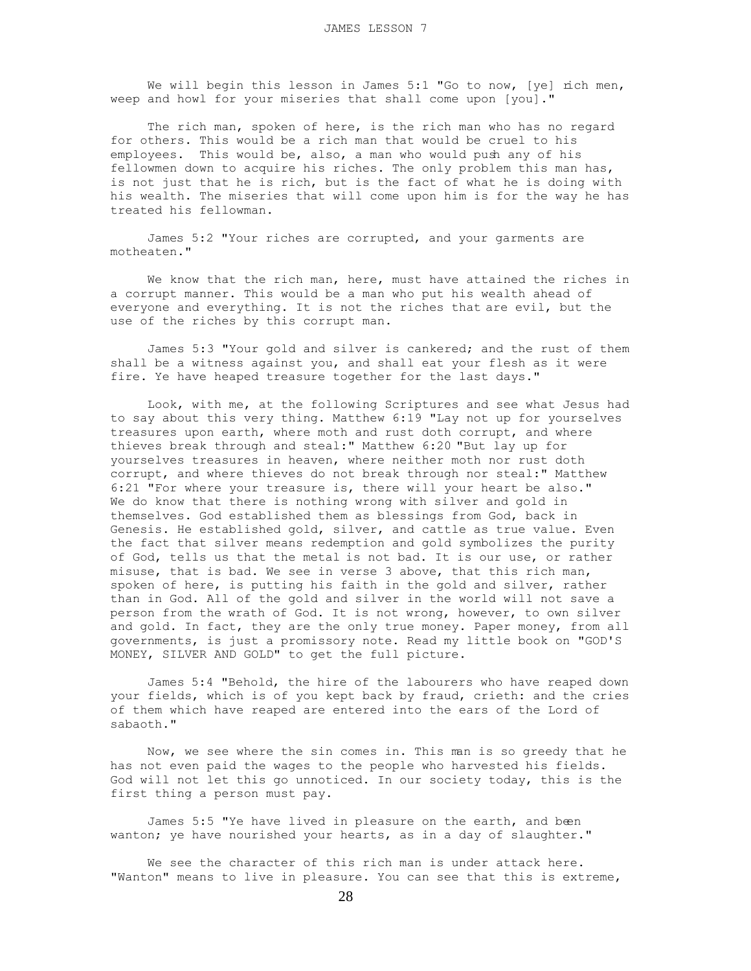We will begin this lesson in James 5:1 "Go to now, [ye] rich men, weep and howl for your miseries that shall come upon [you]."

 The rich man, spoken of here, is the rich man who has no regard for others. This would be a rich man that would be cruel to his employees. This would be, also, a man who would push any of his fellowmen down to acquire his riches. The only problem this man has, is not just that he is rich, but is the fact of what he is doing with his wealth. The miseries that will come upon him is for the way he has treated his fellowman.

 James 5:2 "Your riches are corrupted, and your garments are motheaten."

 We know that the rich man, here, must have attained the riches in a corrupt manner. This would be a man who put his wealth ahead of everyone and everything. It is not the riches that are evil, but the use of the riches by this corrupt man.

 James 5:3 "Your gold and silver is cankered; and the rust of them shall be a witness against you, and shall eat your flesh as it were fire. Ye have heaped treasure together for the last days."

 Look, with me, at the following Scriptures and see what Jesus had to say about this very thing. Matthew 6:19 "Lay not up for yourselves treasures upon earth, where moth and rust doth corrupt, and where thieves break through and steal:" Matthew 6:20 "But lay up for yourselves treasures in heaven, where neither moth nor rust doth corrupt, and where thieves do not break through nor steal:" Matthew 6:21 "For where your treasure is, there will your heart be also." We do know that there is nothing wrong with silver and gold in themselves. God established them as blessings from God, back in Genesis. He established gold, silver, and cattle as true value. Even the fact that silver means redemption and gold symbolizes the purity of God, tells us that the metal is not bad. It is our use, or rather misuse, that is bad. We see in verse 3 above, that this rich man, spoken of here, is putting his faith in the gold and silver, rather than in God. All of the gold and silver in the world will not save a person from the wrath of God. It is not wrong, however, to own silver and gold. In fact, they are the only true money. Paper money, from all governments, is just a promissory note. Read my little book on "GOD'S MONEY, SILVER AND GOLD" to get the full picture.

 James 5:4 "Behold, the hire of the labourers who have reaped down your fields, which is of you kept back by fraud, crieth: and the cries of them which have reaped are entered into the ears of the Lord of sabaoth."

 Now, we see where the sin comes in. This man is so greedy that he has not even paid the wages to the people who harvested his fields. God will not let this go unnoticed. In our society today, this is the first thing a person must pay.

James 5:5 "Ye have lived in pleasure on the earth, and been wanton; ye have nourished your hearts, as in a day of slaughter."

We see the character of this rich man is under attack here. "Wanton" means to live in pleasure. You can see that this is extreme,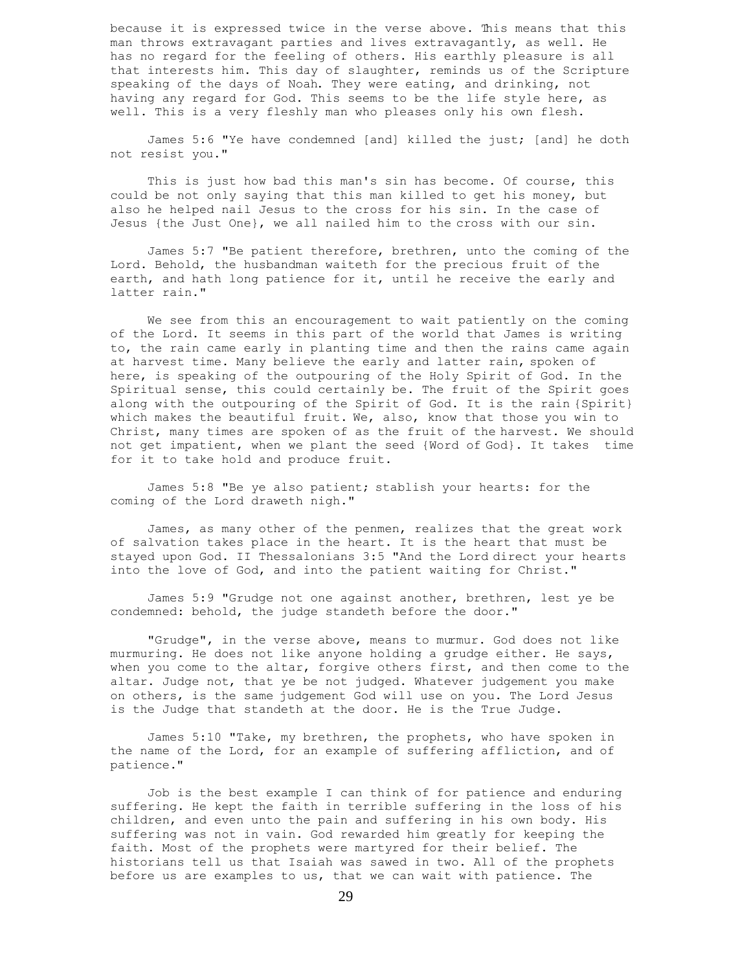because it is expressed twice in the verse above. This means that this man throws extravagant parties and lives extravagantly, as well. He has no regard for the feeling of others. His earthly pleasure is all that interests him. This day of slaughter, reminds us of the Scripture speaking of the days of Noah. They were eating, and drinking, not having any regard for God. This seems to be the life style here, as well. This is a very fleshly man who pleases only his own flesh.

 James 5:6 "Ye have condemned [and] killed the just; [and] he doth not resist you."

 This is just how bad this man's sin has become. Of course, this could be not only saying that this man killed to get his money, but also he helped nail Jesus to the cross for his sin. In the case of Jesus {the Just One}, we all nailed him to the cross with our sin.

 James 5:7 "Be patient therefore, brethren, unto the coming of the Lord. Behold, the husbandman waiteth for the precious fruit of the earth, and hath long patience for it, until he receive the early and latter rain."

 We see from this an encouragement to wait patiently on the coming of the Lord. It seems in this part of the world that James is writing to, the rain came early in planting time and then the rains came again at harvest time. Many believe the early and latter rain, spoken of here, is speaking of the outpouring of the Holy Spirit of God. In the Spiritual sense, this could certainly be. The fruit of the Spirit goes along with the outpouring of the Spirit of God. It is the rain {Spirit} which makes the beautiful fruit. We, also, know that those you win to Christ, many times are spoken of as the fruit of the harvest. We should not get impatient, when we plant the seed {Word of God}. It takes time for it to take hold and produce fruit.

 James 5:8 "Be ye also patient; stablish your hearts: for the coming of the Lord draweth nigh."

 James, as many other of the penmen, realizes that the great work of salvation takes place in the heart. It is the heart that must be stayed upon God. II Thessalonians 3:5 "And the Lord direct your hearts into the love of God, and into the patient waiting for Christ."

 James 5:9 "Grudge not one against another, brethren, lest ye be condemned: behold, the judge standeth before the door."

 "Grudge", in the verse above, means to murmur. God does not like murmuring. He does not like anyone holding a grudge either. He says, when you come to the altar, forgive others first, and then come to the altar. Judge not, that ye be not judged. Whatever judgement you make on others, is the same judgement God will use on you. The Lord Jesus is the Judge that standeth at the door. He is the True Judge.

 James 5:10 "Take, my brethren, the prophets, who have spoken in the name of the Lord, for an example of suffering affliction, and of patience."

 Job is the best example I can think of for patience and enduring suffering. He kept the faith in terrible suffering in the loss of his children, and even unto the pain and suffering in his own body. His suffering was not in vain. God rewarded him greatly for keeping the faith. Most of the prophets were martyred for their belief. The historians tell us that Isaiah was sawed in two. All of the prophets before us are examples to us, that we can wait with patience. The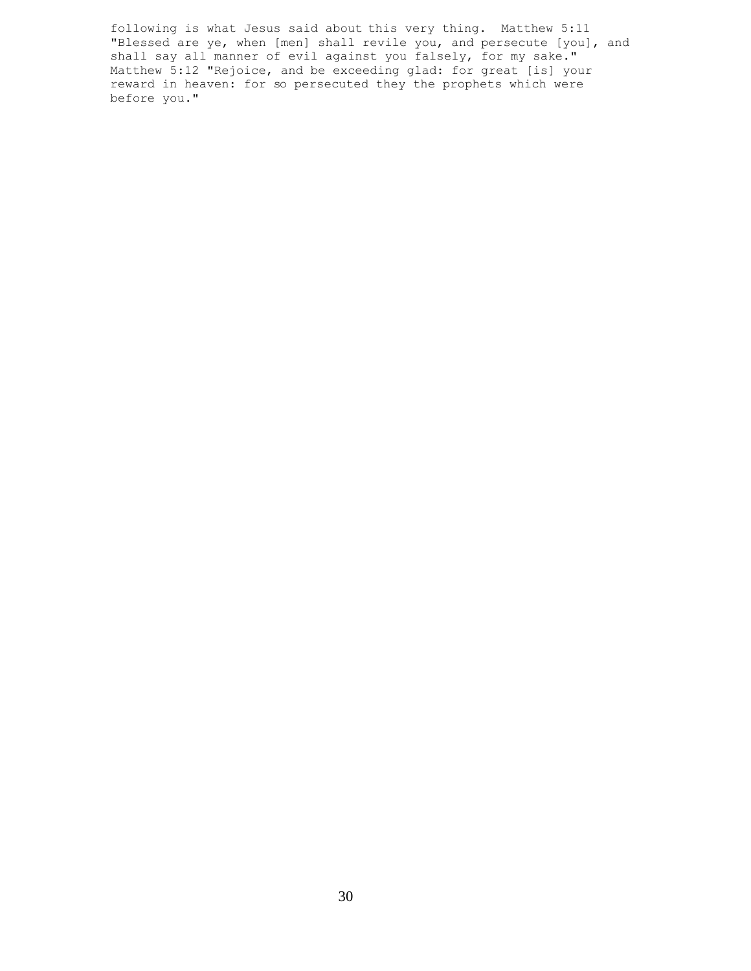following is what Jesus said about this very thing. Matthew 5:11 "Blessed are ye, when [men] shall revile you, and persecute [you], and shall say all manner of evil against you falsely, for my sake." Matthew 5:12 "Rejoice, and be exceeding glad: for great [is] your reward in heaven: for so persecuted they the prophets which were before you."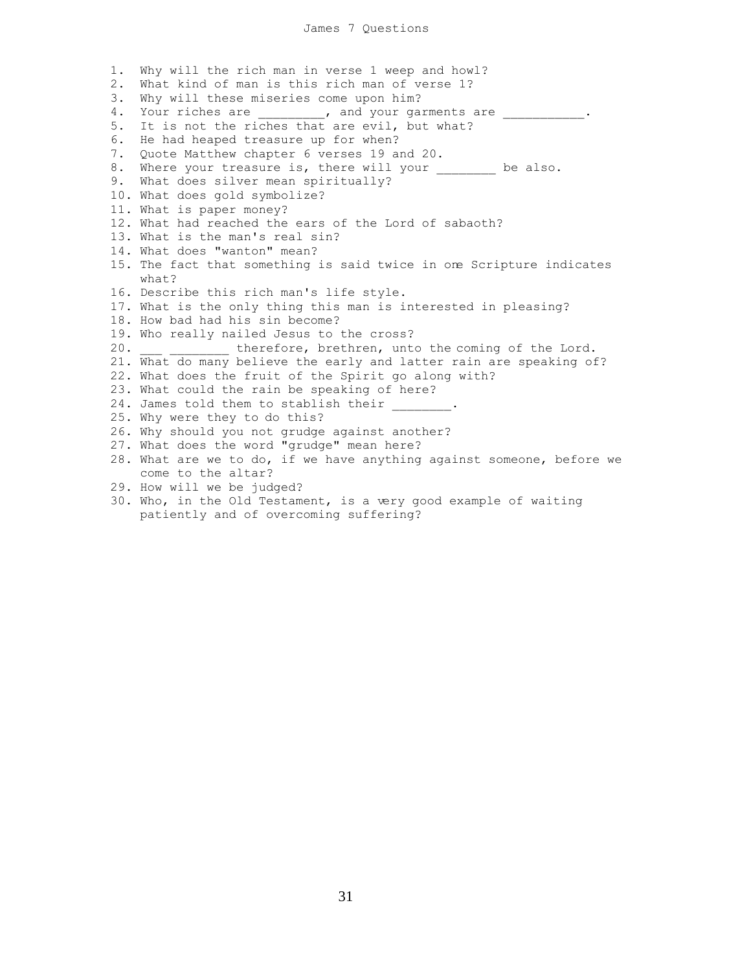1. Why will the rich man in verse 1 weep and howl? 2. What kind of man is this rich man of verse 1? 3. Why will these miseries come upon him? 4. Your riches are \_\_\_\_\_\_\_\_\_, and your garments are \_\_\_\_\_\_\_\_\_\_\_\_. 5. It is not the riches that are evil, but what? 6. He had heaped treasure up for when? 7. Quote Matthew chapter 6 verses 19 and 20. 8. Where your treasure is, there will your \_\_\_\_\_\_\_ be also. 9. What does silver mean spiritually? 10. What does gold symbolize? 11. What is paper money? 12. What had reached the ears of the Lord of sabaoth? 13. What is the man's real sin? 14. What does "wanton" mean? 15. The fact that something is said twice in one Scripture indicates what? 16. Describe this rich man's life style. 17. What is the only thing this man is interested in pleasing? 18. How bad had his sin become? 19. Who really nailed Jesus to the cross? 20. \_\_\_ \_\_\_\_\_\_\_\_ therefore, brethren, unto the coming of the Lord. 21. What do many believe the early and latter rain are speaking of? 22. What does the fruit of the Spirit go along with? 23. What could the rain be speaking of here? 24. James told them to stablish their 25. Why were they to do this? 26. Why should you not grudge against another? 27. What does the word "grudge" mean here? 28. What are we to do, if we have anything against someone, before we come to the altar? 29. How will we be judged? 30. Who, in the Old Testament, is a very good example of waiting

patiently and of overcoming suffering?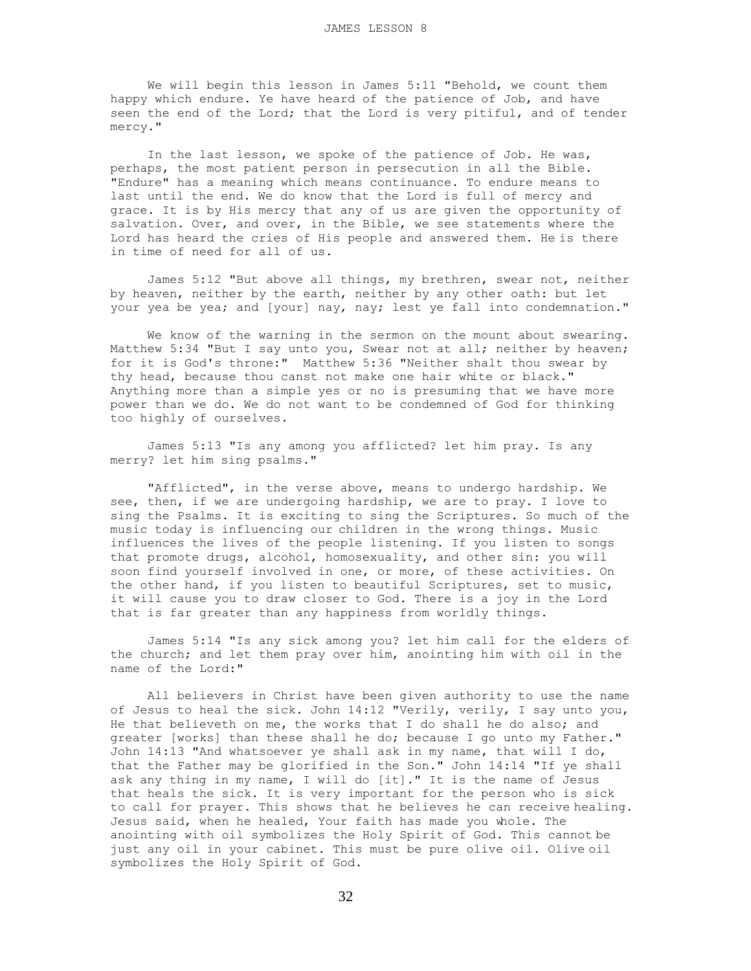We will begin this lesson in James 5:11 "Behold, we count them happy which endure. Ye have heard of the patience of Job, and have seen the end of the Lord; that the Lord is very pitiful, and of tender mercy."

 In the last lesson, we spoke of the patience of Job. He was, perhaps, the most patient person in persecution in all the Bible. "Endure" has a meaning which means continuance. To endure means to last until the end. We do know that the Lord is full of mercy and grace. It is by His mercy that any of us are given the opportunity of salvation. Over, and over, in the Bible, we see statements where the Lord has heard the cries of His people and answered them. He is there in time of need for all of us.

 James 5:12 "But above all things, my brethren, swear not, neither by heaven, neither by the earth, neither by any other oath: but let your yea be yea; and [your] nay, nay; lest ye fall into condemnation."

 We know of the warning in the sermon on the mount about swearing. Matthew 5:34 "But I say unto you, Swear not at all; neither by heaven; for it is God's throne:" Matthew 5:36 "Neither shalt thou swear by thy head, because thou canst not make one hair white or black." Anything more than a simple yes or no is presuming that we have more power than we do. We do not want to be condemned of God for thinking too highly of ourselves.

 James 5:13 "Is any among you afflicted? let him pray. Is any merry? let him sing psalms."

 "Afflicted", in the verse above, means to undergo hardship. We see, then, if we are undergoing hardship, we are to pray. I love to sing the Psalms. It is exciting to sing the Scriptures. So much of the music today is influencing our children in the wrong things. Music influences the lives of the people listening. If you listen to songs that promote drugs, alcohol, homosexuality, and other sin: you will soon find yourself involved in one, or more, of these activities. On the other hand, if you listen to beautiful Scriptures, set to music, it will cause you to draw closer to God. There is a joy in the Lord that is far greater than any happiness from worldly things.

 James 5:14 "Is any sick among you? let him call for the elders of the church; and let them pray over him, anointing him with oil in the name of the Lord:"

 All believers in Christ have been given authority to use the name of Jesus to heal the sick. John 14:12 "Verily, verily, I say unto you, He that believeth on me, the works that I do shall he do also; and greater [works] than these shall he do; because I go unto my Father." John 14:13 "And whatsoever ye shall ask in my name, that will I do, that the Father may be glorified in the Son." John 14:14 "If ye shall ask any thing in my name, I will do [it]." It is the name of Jesus that heals the sick. It is very important for the person who is sick to call for prayer. This shows that he believes he can receive healing. Jesus said, when he healed, Your faith has made you whole. The anointing with oil symbolizes the Holy Spirit of God. This cannot be just any oil in your cabinet. This must be pure olive oil. Olive oil symbolizes the Holy Spirit of God.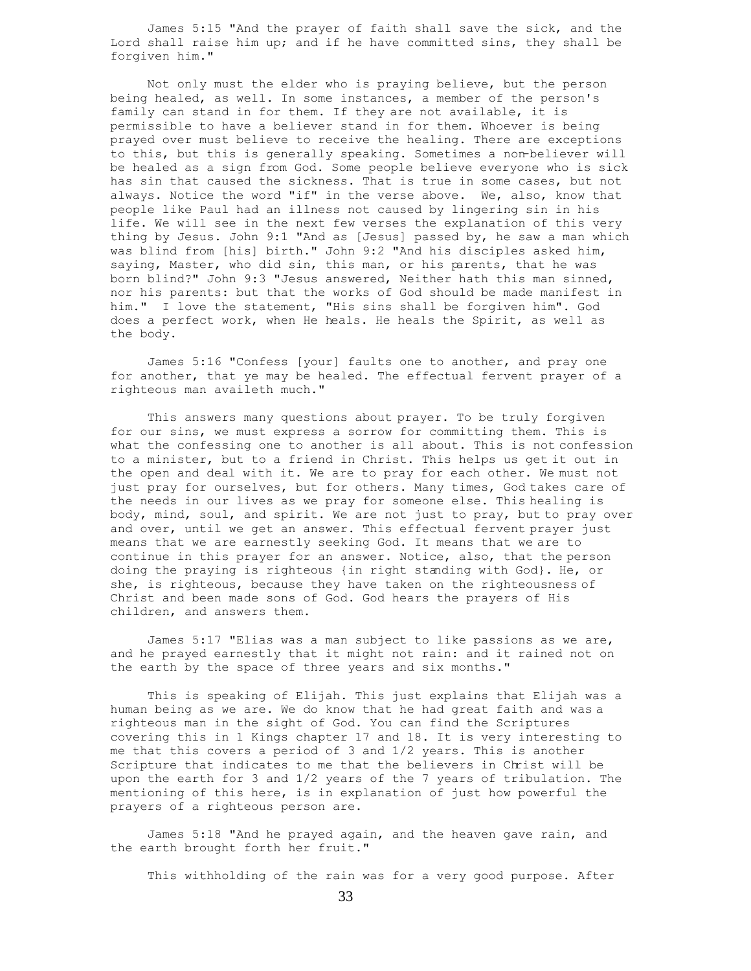James 5:15 "And the prayer of faith shall save the sick, and the Lord shall raise him up; and if he have committed sins, they shall be forgiven him."

 Not only must the elder who is praying believe, but the person being healed, as well. In some instances, a member of the person's family can stand in for them. If they are not available, it is permissible to have a believer stand in for them. Whoever is being prayed over must believe to receive the healing. There are exceptions to this, but this is generally speaking. Sometimes a non-believer will be healed as a sign from God. Some people believe everyone who is sick has sin that caused the sickness. That is true in some cases, but not always. Notice the word "if" in the verse above. We, also, know that people like Paul had an illness not caused by lingering sin in his life. We will see in the next few verses the explanation of this very thing by Jesus. John 9:1 "And as [Jesus] passed by, he saw a man which was blind from [his] birth." John 9:2 "And his disciples asked him, saying, Master, who did sin, this man, or his parents, that he was born blind?" John 9:3 "Jesus answered, Neither hath this man sinned, nor his parents: but that the works of God should be made manifest in him." I love the statement, "His sins shall be forgiven him". God does a perfect work, when He heals. He heals the Spirit, as well as the body.

 James 5:16 "Confess [your] faults one to another, and pray one for another, that ye may be healed. The effectual fervent prayer of a righteous man availeth much."

 This answers many questions about prayer. To be truly forgiven for our sins, we must express a sorrow for committing them. This is what the confessing one to another is all about. This is not confession to a minister, but to a friend in Christ. This helps us get it out in the open and deal with it. We are to pray for each other. We must not just pray for ourselves, but for others. Many times, God takes care of the needs in our lives as we pray for someone else. This healing is body, mind, soul, and spirit. We are not just to pray, but to pray over and over, until we get an answer. This effectual fervent prayer just means that we are earnestly seeking God. It means that we are to continue in this prayer for an answer. Notice, also, that the person doing the praying is righteous {in right standing with God}. He, or she, is righteous, because they have taken on the righteousness of Christ and been made sons of God. God hears the prayers of His children, and answers them.

 James 5:17 "Elias was a man subject to like passions as we are, and he prayed earnestly that it might not rain: and it rained not on the earth by the space of three years and six months."

 This is speaking of Elijah. This just explains that Elijah was a human being as we are. We do know that he had great faith and was a righteous man in the sight of God. You can find the Scriptures covering this in 1 Kings chapter 17 and 18. It is very interesting to me that this covers a period of 3 and 1/2 years. This is another Scripture that indicates to me that the believers in Christ will be upon the earth for 3 and 1/2 years of the 7 years of tribulation. The mentioning of this here, is in explanation of just how powerful the prayers of a righteous person are.

 James 5:18 "And he prayed again, and the heaven gave rain, and the earth brought forth her fruit."

This withholding of the rain was for a very good purpose. After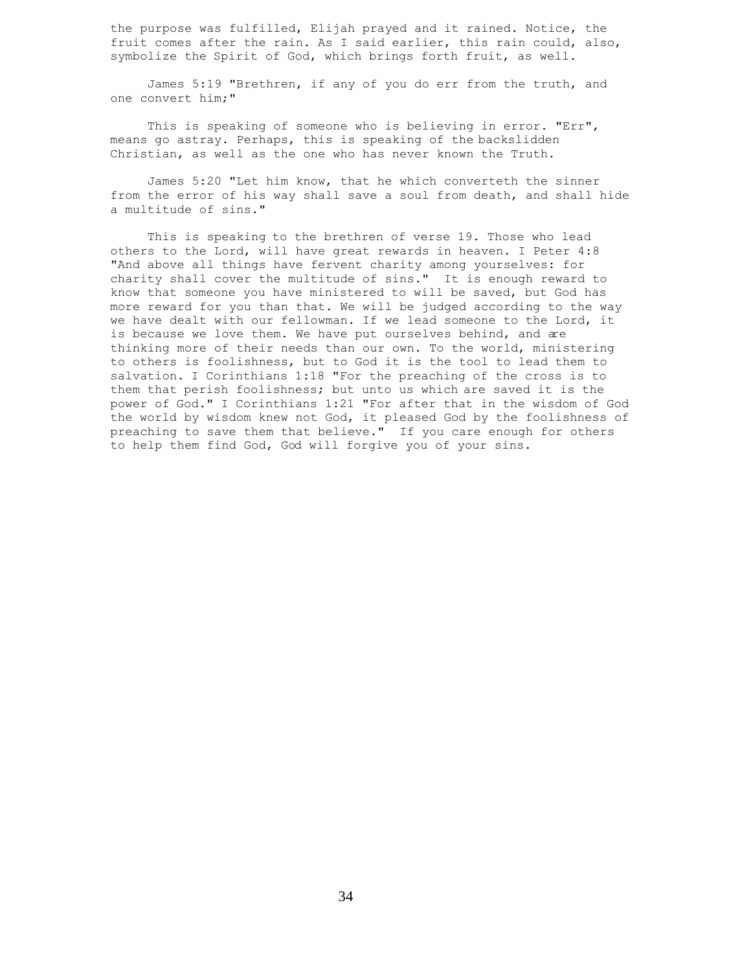the purpose was fulfilled, Elijah prayed and it rained. Notice, the fruit comes after the rain. As I said earlier, this rain could, also, symbolize the Spirit of God, which brings forth fruit, as well.

 James 5:19 "Brethren, if any of you do err from the truth, and one convert him;"

This is speaking of someone who is believing in error. "Err", means go astray. Perhaps, this is speaking of the backslidden Christian, as well as the one who has never known the Truth.

 James 5:20 "Let him know, that he which converteth the sinner from the error of his way shall save a soul from death, and shall hide a multitude of sins."

 This is speaking to the brethren of verse 19. Those who lead others to the Lord, will have great rewards in heaven. I Peter 4:8 "And above all things have fervent charity among yourselves: for charity shall cover the multitude of sins." It is enough reward to know that someone you have ministered to will be saved, but God has more reward for you than that. We will be judged according to the way we have dealt with our fellowman. If we lead someone to the Lord, it is because we love them. We have put ourselves behind, and are thinking more of their needs than our own. To the world, ministering to others is foolishness, but to God it is the tool to lead them to salvation. I Corinthians 1:18 "For the preaching of the cross is to them that perish foolishness; but unto us which are saved it is the power of God." I Corinthians 1:21 "For after that in the wisdom of God the world by wisdom knew not God, it pleased God by the foolishness of preaching to save them that believe." If you care enough for others to help them find God, God will forgive you of your sins.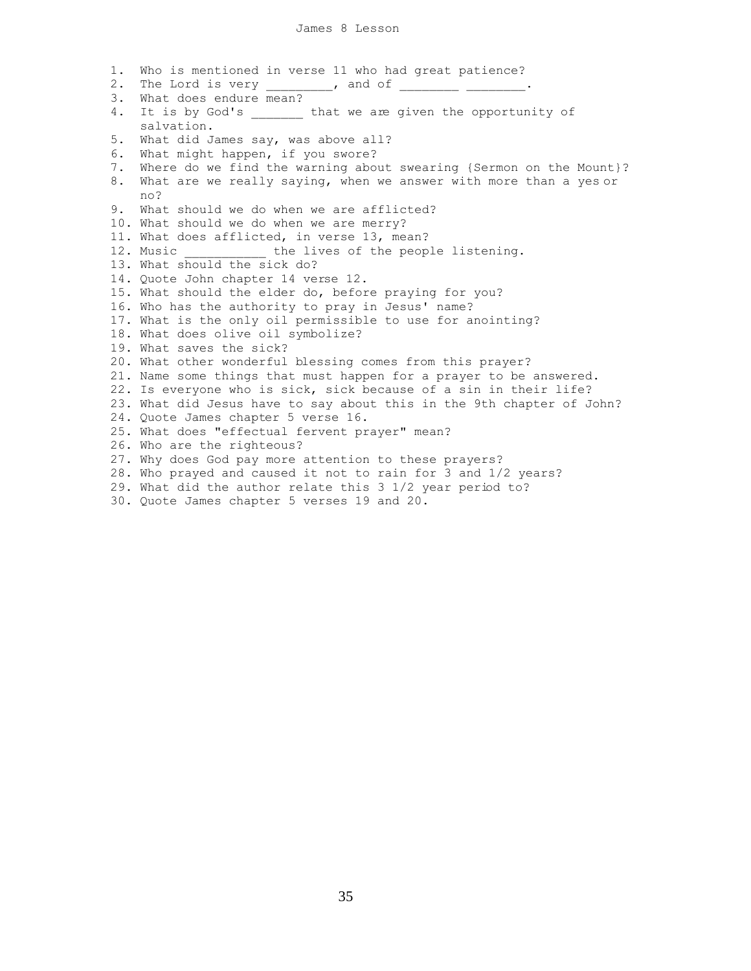1. Who is mentioned in verse 11 who had great patience? 2. The Lord is very \_\_\_\_\_\_\_\_, and of \_\_\_\_\_\_\_\_\_ \_\_\_\_\_\_\_\_. 3. What does endure mean? 4. It is by God's \_\_\_\_\_\_\_ that we are given the opportunity of salvation. 5. What did James say, was above all? 6. What might happen, if you swore? 7. Where do we find the warning about swearing {Sermon on the Mount}? 8. What are we really saying, when we answer with more than a yes or no? 9. What should we do when we are afflicted? 10. What should we do when we are merry? 11. What does afflicted, in verse 13, mean? 12. Music The lives of the people listening. 13. What should the sick do? 14. Quote John chapter 14 verse 12. 15. What should the elder do, before praying for you? 16. Who has the authority to pray in Jesus' name? 17. What is the only oil permissible to use for anointing? 18. What does olive oil symbolize? 19. What saves the sick? 20. What other wonderful blessing comes from this prayer? 21. Name some things that must happen for a prayer to be answered. 22. Is everyone who is sick, sick because of a sin in their life? 23. What did Jesus have to say about this in the 9th chapter of John? 24. Quote James chapter 5 verse 16. 25. What does "effectual fervent prayer" mean? 26. Who are the righteous? 27. Why does God pay more attention to these prayers? 28. Who prayed and caused it not to rain for 3 and 1/2 years? 29. What did the author relate this 3 1/2 year period to?

30. Quote James chapter 5 verses 19 and 20.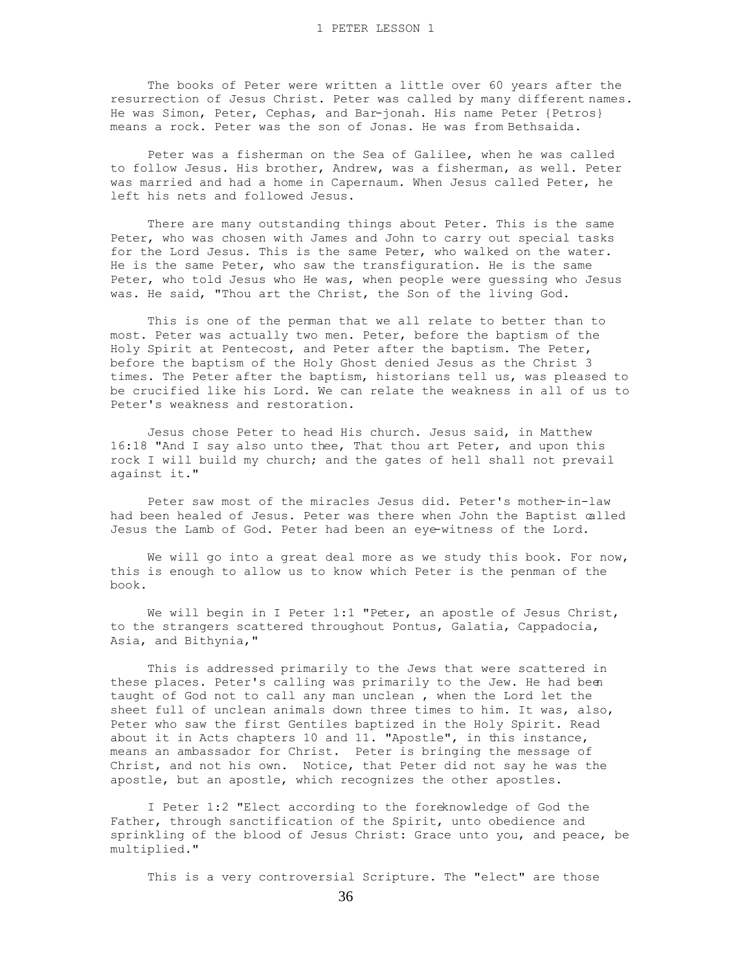The books of Peter were written a little over 60 years after the resurrection of Jesus Christ. Peter was called by many different names. He was Simon, Peter, Cephas, and Bar-jonah. His name Peter {Petros} means a rock. Peter was the son of Jonas. He was from Bethsaida.

 Peter was a fisherman on the Sea of Galilee, when he was called to follow Jesus. His brother, Andrew, was a fisherman, as well. Peter was married and had a home in Capernaum. When Jesus called Peter, he left his nets and followed Jesus.

 There are many outstanding things about Peter. This is the same Peter, who was chosen with James and John to carry out special tasks for the Lord Jesus. This is the same Peter, who walked on the water. He is the same Peter, who saw the transfiguration. He is the same Peter, who told Jesus who He was, when people were guessing who Jesus was. He said, "Thou art the Christ, the Son of the living God.

 This is one of the penman that we all relate to better than to most. Peter was actually two men. Peter, before the baptism of the Holy Spirit at Pentecost, and Peter after the baptism. The Peter, before the baptism of the Holy Ghost denied Jesus as the Christ 3 times. The Peter after the baptism, historians tell us, was pleased to be crucified like his Lord. We can relate the weakness in all of us to Peter's weakness and restoration.

 Jesus chose Peter to head His church. Jesus said, in Matthew 16:18 "And I say also unto thee, That thou art Peter, and upon this rock I will build my church; and the gates of hell shall not prevail against it."

Peter saw most of the miracles Jesus did. Peter's mother-in-law had been healed of Jesus. Peter was there when John the Baptist called Jesus the Lamb of God. Peter had been an eye-witness of the Lord.

We will go into a great deal more as we study this book. For now, this is enough to allow us to know which Peter is the penman of the book.

 We will begin in I Peter 1:1 "Peter, an apostle of Jesus Christ, to the strangers scattered throughout Pontus, Galatia, Cappadocia, Asia, and Bithynia,"

 This is addressed primarily to the Jews that were scattered in these places. Peter's calling was primarily to the Jew. He had been taught of God not to call any man unclean , when the Lord let the sheet full of unclean animals down three times to him. It was, also, Peter who saw the first Gentiles baptized in the Holy Spirit. Read about it in Acts chapters 10 and 11. "Apostle", in this instance, means an ambassador for Christ. Peter is bringing the message of Christ, and not his own. Notice, that Peter did not say he was the apostle, but an apostle, which recognizes the other apostles.

 I Peter 1:2 "Elect according to the foreknowledge of God the Father, through sanctification of the Spirit, unto obedience and sprinkling of the blood of Jesus Christ: Grace unto you, and peace, be multiplied."

This is a very controversial Scripture. The "elect" are those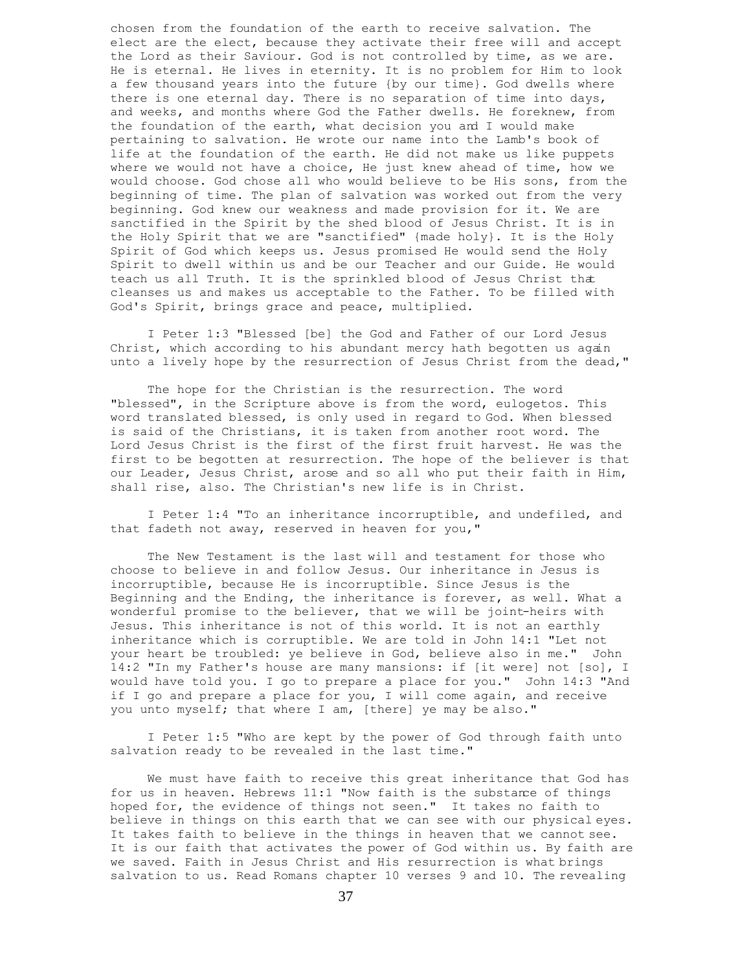chosen from the foundation of the earth to receive salvation. The elect are the elect, because they activate their free will and accept the Lord as their Saviour. God is not controlled by time, as we are. He is eternal. He lives in eternity. It is no problem for Him to look a few thousand years into the future {by our time}. God dwells where there is one eternal day. There is no separation of time into days, and weeks, and months where God the Father dwells. He foreknew, from the foundation of the earth, what decision you and I would make pertaining to salvation. He wrote our name into the Lamb's book of life at the foundation of the earth. He did not make us like puppets where we would not have a choice, He just knew ahead of time, how we would choose. God chose all who would believe to be His sons, from the beginning of time. The plan of salvation was worked out from the very beginning. God knew our weakness and made provision for it. We are sanctified in the Spirit by the shed blood of Jesus Christ. It is in the Holy Spirit that we are "sanctified" {made holy}. It is the Holy Spirit of God which keeps us. Jesus promised He would send the Holy Spirit to dwell within us and be our Teacher and our Guide. He would teach us all Truth. It is the sprinkled blood of Jesus Christ that cleanses us and makes us acceptable to the Father. To be filled with God's Spirit, brings grace and peace, multiplied.

 I Peter 1:3 "Blessed [be] the God and Father of our Lord Jesus Christ, which according to his abundant mercy hath begotten us again unto a lively hope by the resurrection of Jesus Christ from the dead,"

 The hope for the Christian is the resurrection. The word "blessed", in the Scripture above is from the word, eulogetos. This word translated blessed, is only used in regard to God. When blessed is said of the Christians, it is taken from another root word. The Lord Jesus Christ is the first of the first fruit harvest. He was the first to be begotten at resurrection. The hope of the believer is that our Leader, Jesus Christ, arose and so all who put their faith in Him, shall rise, also. The Christian's new life is in Christ.

 I Peter 1:4 "To an inheritance incorruptible, and undefiled, and that fadeth not away, reserved in heaven for you,"

 The New Testament is the last will and testament for those who choose to believe in and follow Jesus. Our inheritance in Jesus is incorruptible, because He is incorruptible. Since Jesus is the Beginning and the Ending, the inheritance is forever, as well. What a wonderful promise to the believer, that we will be joint-heirs with Jesus. This inheritance is not of this world. It is not an earthly inheritance which is corruptible. We are told in John 14:1 "Let not your heart be troubled: ye believe in God, believe also in me." John 14:2 "In my Father's house are many mansions: if [it were] not [so], I would have told you. I go to prepare a place for you." John 14:3 "And if I go and prepare a place for you, I will come again, and receive you unto myself; that where I am, [there] ye may be also."

 I Peter 1:5 "Who are kept by the power of God through faith unto salvation ready to be revealed in the last time."

 We must have faith to receive this great inheritance that God has for us in heaven. Hebrews 11:1 "Now faith is the substance of things hoped for, the evidence of things not seen." It takes no faith to believe in things on this earth that we can see with our physical eyes. It takes faith to believe in the things in heaven that we cannot see. It is our faith that activates the power of God within us. By faith are we saved. Faith in Jesus Christ and His resurrection is what brings salvation to us. Read Romans chapter 10 verses 9 and 10. The revealing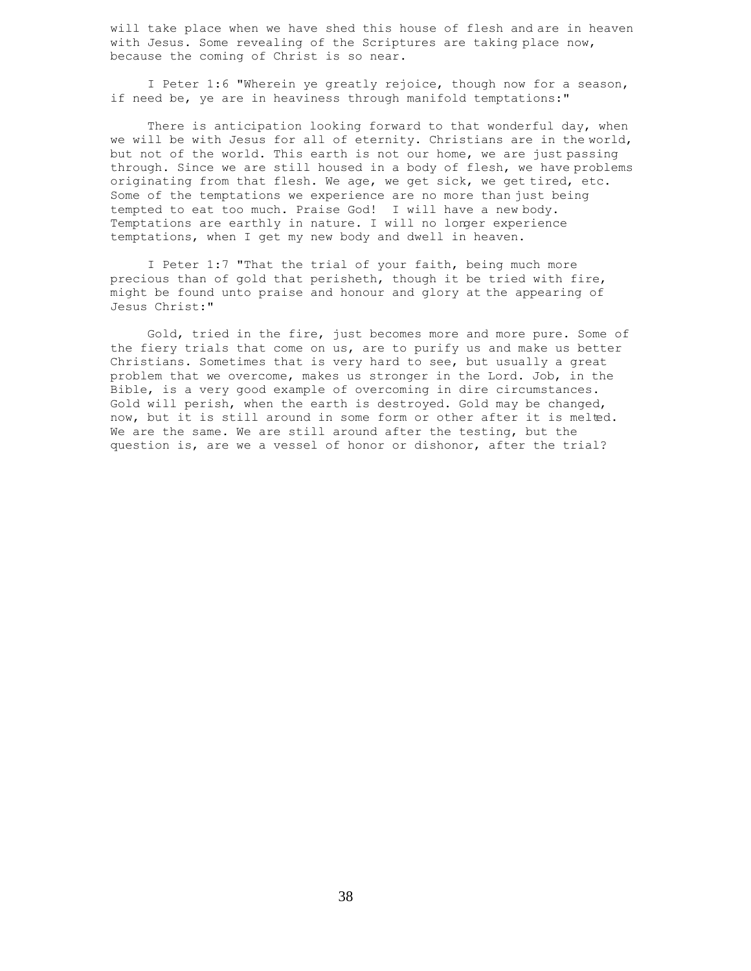will take place when we have shed this house of flesh and are in heaven with Jesus. Some revealing of the Scriptures are taking place now, because the coming of Christ is so near.

 I Peter 1:6 "Wherein ye greatly rejoice, though now for a season, if need be, ye are in heaviness through manifold temptations:"

There is anticipation looking forward to that wonderful day, when we will be with Jesus for all of eternity. Christians are in the world, but not of the world. This earth is not our home, we are just passing through. Since we are still housed in a body of flesh, we have problems originating from that flesh. We age, we get sick, we get tired, etc. Some of the temptations we experience are no more than just being tempted to eat too much. Praise God! I will have a new body. Temptations are earthly in nature. I will no longer experience temptations, when I get my new body and dwell in heaven.

 I Peter 1:7 "That the trial of your faith, being much more precious than of gold that perisheth, though it be tried with fire, might be found unto praise and honour and glory at the appearing of Jesus Christ:"

 Gold, tried in the fire, just becomes more and more pure. Some of the fiery trials that come on us, are to purify us and make us better Christians. Sometimes that is very hard to see, but usually a great problem that we overcome, makes us stronger in the Lord. Job, in the Bible, is a very good example of overcoming in dire circumstances. Gold will perish, when the earth is destroyed. Gold may be changed, now, but it is still around in some form or other after it is melted. We are the same. We are still around after the testing, but the question is, are we a vessel of honor or dishonor, after the trial?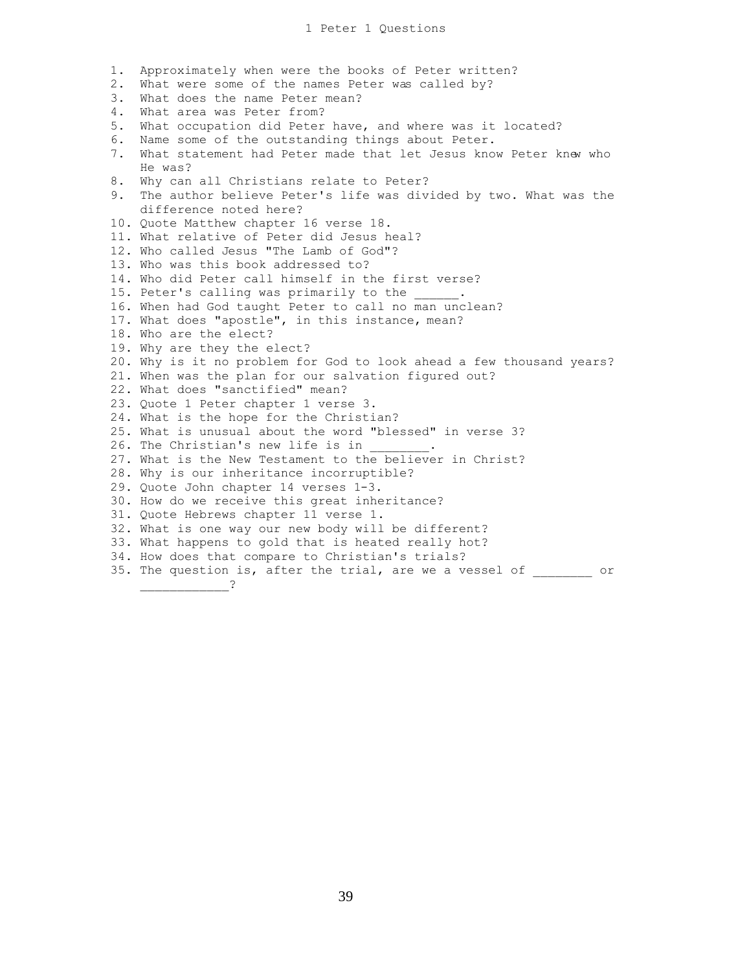1. Approximately when were the books of Peter written? 2. What were some of the names Peter was called by? 3. What does the name Peter mean? 4. What area was Peter from? 5. What occupation did Peter have, and where was it located? 6. Name some of the outstanding things about Peter. 7. What statement had Peter made that let Jesus know Peter knew who He was? 8. Why can all Christians relate to Peter? 9. The author believe Peter's life was divided by two. What was the difference noted here? 10. Quote Matthew chapter 16 verse 18. 11. What relative of Peter did Jesus heal? 12. Who called Jesus "The Lamb of God"? 13. Who was this book addressed to? 14. Who did Peter call himself in the first verse? 15. Peter's calling was primarily to the 16. When had God taught Peter to call no man unclean? 17. What does "apostle", in this instance, mean? 18. Who are the elect? 19. Why are they the elect? 20. Why is it no problem for God to look ahead a few thousand years? 21. When was the plan for our salvation figured out? 22. What does "sanctified" mean? 23. Quote 1 Peter chapter 1 verse 3. 24. What is the hope for the Christian? 25. What is unusual about the word "blessed" in verse 3? 26. The Christian's new life is in 27. What is the New Testament to the believer in Christ? 28. Why is our inheritance incorruptible? 29. Quote John chapter 14 verses 1-3. 30. How do we receive this great inheritance? 31. Quote Hebrews chapter 11 verse 1. 32. What is one way our new body will be different? 33. What happens to gold that is heated really hot? 34. How does that compare to Christian's trials? 35. The question is, after the trial, are we a vessel of or \_\_\_\_\_\_\_\_\_\_\_\_?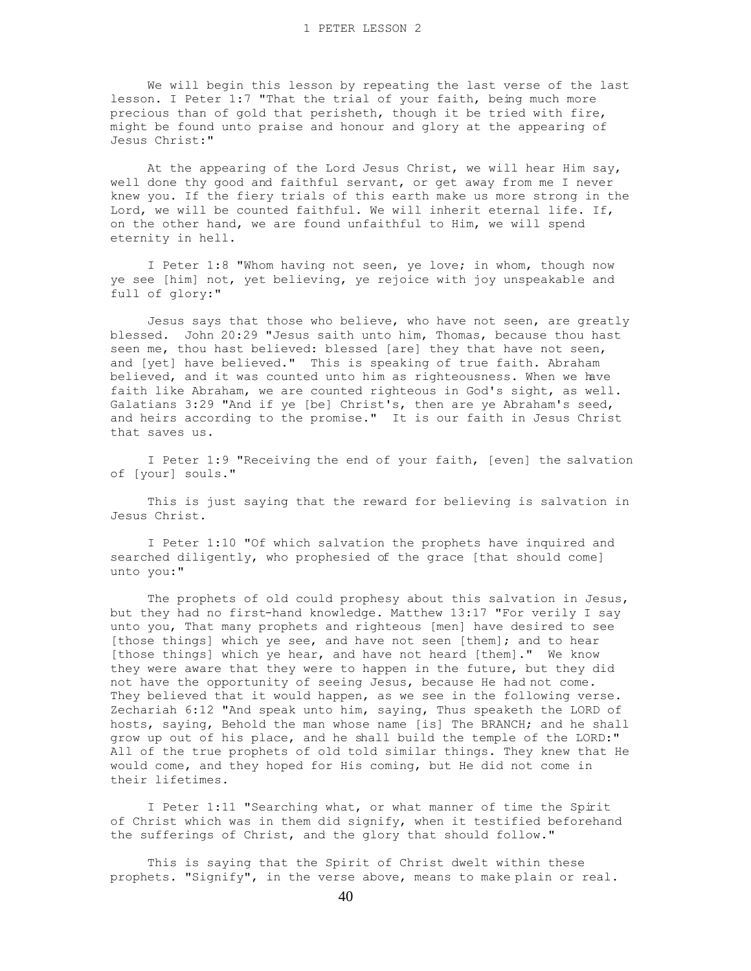We will begin this lesson by repeating the last verse of the last lesson. I Peter 1:7 "That the trial of your faith, being much more precious than of gold that perisheth, though it be tried with fire, might be found unto praise and honour and glory at the appearing of Jesus Christ:"

 At the appearing of the Lord Jesus Christ, we will hear Him say, well done thy good and faithful servant, or get away from me I never knew you. If the fiery trials of this earth make us more strong in the Lord, we will be counted faithful. We will inherit eternal life. If, on the other hand, we are found unfaithful to Him, we will spend eternity in hell.

 I Peter 1:8 "Whom having not seen, ye love; in whom, though now ye see [him] not, yet believing, ye rejoice with joy unspeakable and full of glory:"

 Jesus says that those who believe, who have not seen, are greatly blessed. John 20:29 "Jesus saith unto him, Thomas, because thou hast seen me, thou hast believed: blessed [are] they that have not seen, and [yet] have believed." This is speaking of true faith. Abraham believed, and it was counted unto him as righteousness. When we have faith like Abraham, we are counted righteous in God's sight, as well. Galatians 3:29 "And if ye [be] Christ's, then are ye Abraham's seed, and heirs according to the promise." It is our faith in Jesus Christ that saves us.

 I Peter 1:9 "Receiving the end of your faith, [even] the salvation of [your] souls."

 This is just saying that the reward for believing is salvation in Jesus Christ.

 I Peter 1:10 "Of which salvation the prophets have inquired and searched diligently, who prophesied of the grace [that should come] unto you:"

The prophets of old could prophesy about this salvation in Jesus, but they had no first-hand knowledge. Matthew 13:17 "For verily I say unto you, That many prophets and righteous [men] have desired to see [those things] which ye see, and have not seen [them]; and to hear [those things] which ye hear, and have not heard [them]." We know they were aware that they were to happen in the future, but they did not have the opportunity of seeing Jesus, because He had not come. They believed that it would happen, as we see in the following verse. Zechariah 6:12 "And speak unto him, saying, Thus speaketh the LORD of hosts, saying, Behold the man whose name [is] The BRANCH; and he shall grow up out of his place, and he shall build the temple of the LORD:" All of the true prophets of old told similar things. They knew that He would come, and they hoped for His coming, but He did not come in their lifetimes.

 I Peter 1:11 "Searching what, or what manner of time the Spirit of Christ which was in them did signify, when it testified beforehand the sufferings of Christ, and the glory that should follow."

 This is saying that the Spirit of Christ dwelt within these prophets. "Signify", in the verse above, means to make plain or real.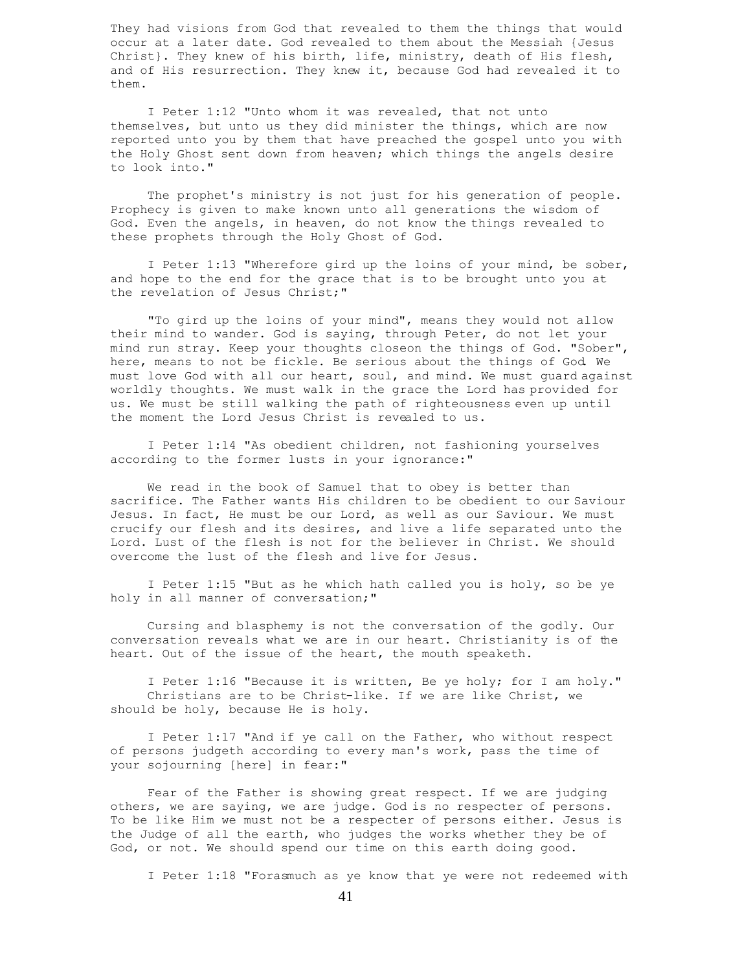They had visions from God that revealed to them the things that would occur at a later date. God revealed to them about the Messiah {Jesus Christ}. They knew of his birth, life, ministry, death of His flesh, and of His resurrection. They knew it, because God had revealed it to them.

 I Peter 1:12 "Unto whom it was revealed, that not unto themselves, but unto us they did minister the things, which are now reported unto you by them that have preached the gospel unto you with the Holy Ghost sent down from heaven; which things the angels desire to look into."

 The prophet's ministry is not just for his generation of people. Prophecy is given to make known unto all generations the wisdom of God. Even the angels, in heaven, do not know the things revealed to these prophets through the Holy Ghost of God.

 I Peter 1:13 "Wherefore gird up the loins of your mind, be sober, and hope to the end for the grace that is to be brought unto you at the revelation of Jesus Christ;"

 "To gird up the loins of your mind", means they would not allow their mind to wander. God is saying, through Peter, do not let your mind run stray. Keep your thoughts closeon the things of God. "Sober", here, means to not be fickle. Be serious about the things of God. We must love God with all our heart, soul, and mind. We must guard against worldly thoughts. We must walk in the grace the Lord has provided for us. We must be still walking the path of righteousness even up until the moment the Lord Jesus Christ is revealed to us.

 I Peter 1:14 "As obedient children, not fashioning yourselves according to the former lusts in your ignorance:"

 We read in the book of Samuel that to obey is better than sacrifice. The Father wants His children to be obedient to our Saviour Jesus. In fact, He must be our Lord, as well as our Saviour. We must crucify our flesh and its desires, and live a life separated unto the Lord. Lust of the flesh is not for the believer in Christ. We should overcome the lust of the flesh and live for Jesus.

 I Peter 1:15 "But as he which hath called you is holy, so be ye holy in all manner of conversation;"

 Cursing and blasphemy is not the conversation of the godly. Our conversation reveals what we are in our heart. Christianity is of the heart. Out of the issue of the heart, the mouth speaketh.

 I Peter 1:16 "Because it is written, Be ye holy; for I am holy." Christians are to be Christ-like. If we are like Christ, we should be holy, because He is holy.

 I Peter 1:17 "And if ye call on the Father, who without respect of persons judgeth according to every man's work, pass the time of your sojourning [here] in fear:"

 Fear of the Father is showing great respect. If we are judging others, we are saying, we are judge. God is no respecter of persons. To be like Him we must not be a respecter of persons either. Jesus is the Judge of all the earth, who judges the works whether they be of God, or not. We should spend our time on this earth doing good.

I Peter 1:18 "Forasmuch as ye know that ye were not redeemed with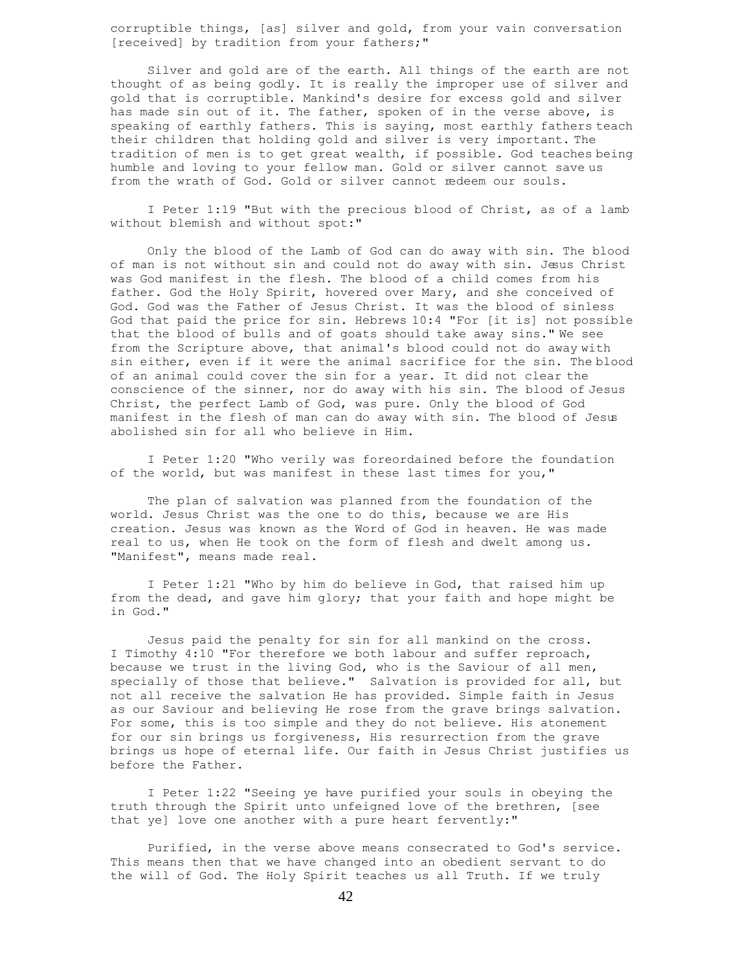corruptible things, [as] silver and gold, from your vain conversation [received] by tradition from your fathers;"

 Silver and gold are of the earth. All things of the earth are not thought of as being godly. It is really the improper use of silver and gold that is corruptible. Mankind's desire for excess gold and silver has made sin out of it. The father, spoken of in the verse above, is speaking of earthly fathers. This is saying, most earthly fathers teach their children that holding gold and silver is very important. The tradition of men is to get great wealth, if possible. God teaches being humble and loving to your fellow man. Gold or silver cannot save us from the wrath of God. Gold or silver cannot redeem our souls.

 I Peter 1:19 "But with the precious blood of Christ, as of a lamb without blemish and without spot:"

 Only the blood of the Lamb of God can do away with sin. The blood of man is not without sin and could not do away with sin. Jesus Christ was God manifest in the flesh. The blood of a child comes from his father. God the Holy Spirit, hovered over Mary, and she conceived of God. God was the Father of Jesus Christ. It was the blood of sinless God that paid the price for sin. Hebrews 10:4 "For [it is] not possible that the blood of bulls and of goats should take away sins." We see from the Scripture above, that animal's blood could not do away with sin either, even if it were the animal sacrifice for the sin. The blood of an animal could cover the sin for a year. It did not clear the conscience of the sinner, nor do away with his sin. The blood of Jesus Christ, the perfect Lamb of God, was pure. Only the blood of God manifest in the flesh of man can do away with sin. The blood of Jesus abolished sin for all who believe in Him.

 I Peter 1:20 "Who verily was foreordained before the foundation of the world, but was manifest in these last times for you,"

 The plan of salvation was planned from the foundation of the world. Jesus Christ was the one to do this, because we are His creation. Jesus was known as the Word of God in heaven. He was made real to us, when He took on the form of flesh and dwelt among us. "Manifest", means made real.

 I Peter 1:21 "Who by him do believe in God, that raised him up from the dead, and gave him glory; that your faith and hope might be in God."

 Jesus paid the penalty for sin for all mankind on the cross. I Timothy 4:10 "For therefore we both labour and suffer reproach, because we trust in the living God, who is the Saviour of all men, specially of those that believe." Salvation is provided for all, but not all receive the salvation He has provided. Simple faith in Jesus as our Saviour and believing He rose from the grave brings salvation. For some, this is too simple and they do not believe. His atonement for our sin brings us forgiveness, His resurrection from the grave brings us hope of eternal life. Our faith in Jesus Christ justifies us before the Father.

 I Peter 1:22 "Seeing ye have purified your souls in obeying the truth through the Spirit unto unfeigned love of the brethren, [see that ye] love one another with a pure heart fervently:"

 Purified, in the verse above means consecrated to God's service. This means then that we have changed into an obedient servant to do the will of God. The Holy Spirit teaches us all Truth. If we truly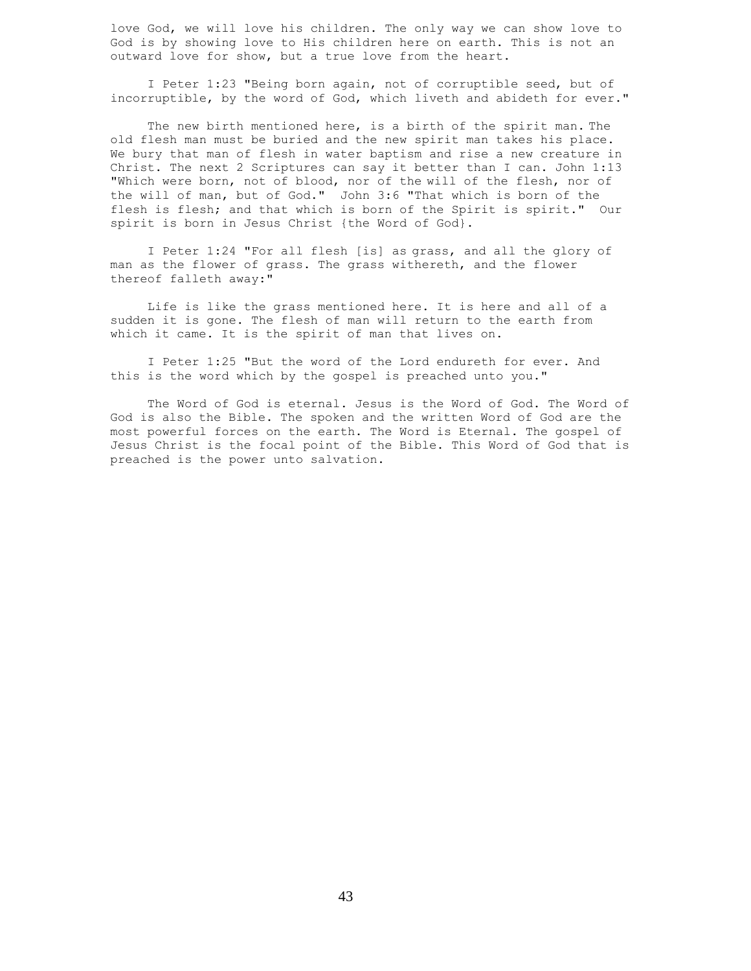love God, we will love his children. The only way we can show love to God is by showing love to His children here on earth. This is not an outward love for show, but a true love from the heart.

 I Peter 1:23 "Being born again, not of corruptible seed, but of incorruptible, by the word of God, which liveth and abideth for ever."

 The new birth mentioned here, is a birth of the spirit man. The old flesh man must be buried and the new spirit man takes his place. We bury that man of flesh in water baptism and rise a new creature in Christ. The next 2 Scriptures can say it better than I can. John 1:13 "Which were born, not of blood, nor of the will of the flesh, nor of the will of man, but of God." John 3:6 "That which is born of the flesh is flesh; and that which is born of the Spirit is spirit." Our spirit is born in Jesus Christ {the Word of God}.

 I Peter 1:24 "For all flesh [is] as grass, and all the glory of man as the flower of grass. The grass withereth, and the flower thereof falleth away:"

 Life is like the grass mentioned here. It is here and all of a sudden it is gone. The flesh of man will return to the earth from which it came. It is the spirit of man that lives on.

 I Peter 1:25 "But the word of the Lord endureth for ever. And this is the word which by the gospel is preached unto you."

 The Word of God is eternal. Jesus is the Word of God. The Word of God is also the Bible. The spoken and the written Word of God are the most powerful forces on the earth. The Word is Eternal. The gospel of Jesus Christ is the focal point of the Bible. This Word of God that is preached is the power unto salvation.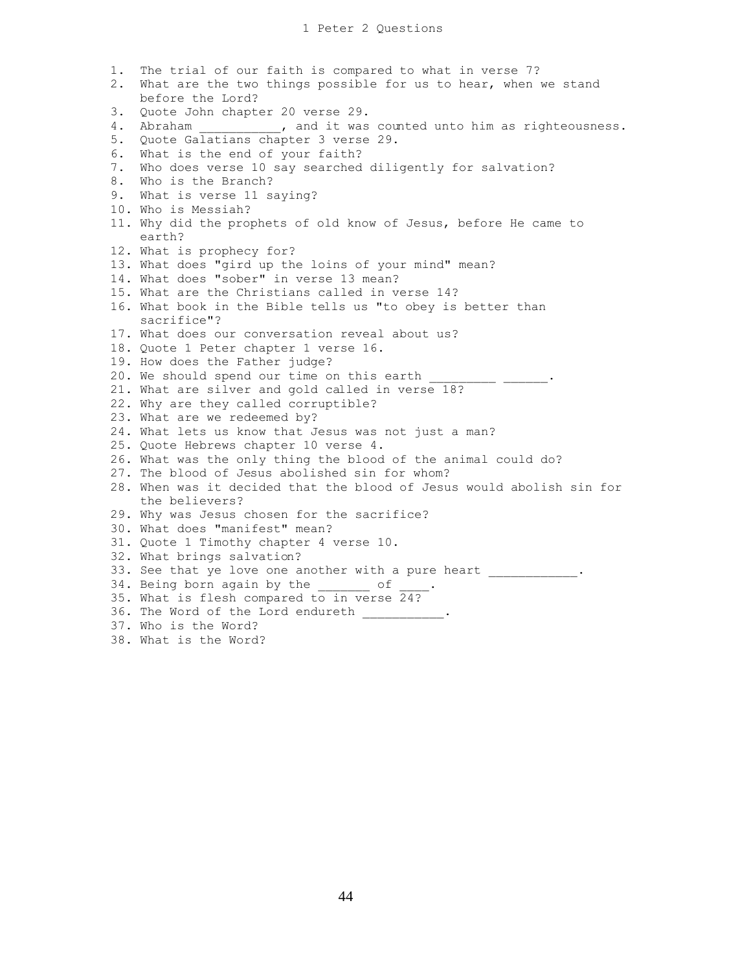1. The trial of our faith is compared to what in verse 7? 2. What are the two things possible for us to hear, when we stand before the Lord? 3. Quote John chapter 20 verse 29. 4. Abraham \_\_\_\_\_\_\_\_\_\_, and it was counted unto him as righteousness. 5. Quote Galatians chapter 3 verse 29. 6. What is the end of your faith? 7. Who does verse 10 say searched diligently for salvation? 8. Who is the Branch? 9. What is verse 11 saying? 10. Who is Messiah? 11. Why did the prophets of old know of Jesus, before He came to earth? 12. What is prophecy for? 13. What does "gird up the loins of your mind" mean? 14. What does "sober" in verse 13 mean? 15. What are the Christians called in verse 14? 16. What book in the Bible tells us "to obey is better than sacrifice"? 17. What does our conversation reveal about us? 18. Quote 1 Peter chapter 1 verse 16. 19. How does the Father judge? 20. We should spend our time on this earth 21. What are silver and gold called in verse 18? 22. Why are they called corruptible? 23. What are we redeemed by? 24. What lets us know that Jesus was not just a man? 25. Quote Hebrews chapter 10 verse 4. 26. What was the only thing the blood of the animal could do? 27. The blood of Jesus abolished sin for whom? 28. When was it decided that the blood of Jesus would abolish sin for the believers? 29. Why was Jesus chosen for the sacrifice? 30. What does "manifest" mean? 31. Quote 1 Timothy chapter 4 verse 10. 32. What brings salvation? 33. See that ye love one another with a pure heart \_\_\_\_\_\_\_\_\_\_\_. 34. Being born again by the of 35. What is flesh compared to in verse 24? 36. The Word of the Lord endureth \_\_\_\_\_\_\_\_\_\_\_ 37. Who is the Word?

38. What is the Word?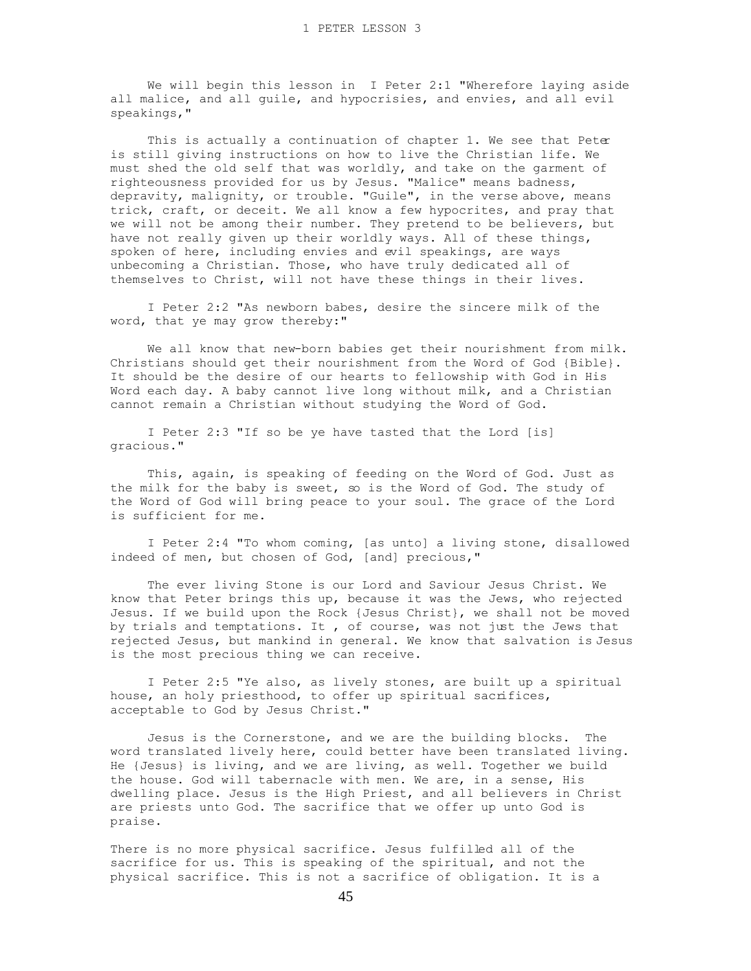We will begin this lesson in I Peter 2:1 "Wherefore laying aside all malice, and all guile, and hypocrisies, and envies, and all evil speakings,"

This is actually a continuation of chapter 1. We see that Peter is still giving instructions on how to live the Christian life. We must shed the old self that was worldly, and take on the garment of righteousness provided for us by Jesus. "Malice" means badness, depravity, malignity, or trouble. "Guile", in the verse above, means trick, craft, or deceit. We all know a few hypocrites, and pray that we will not be among their number. They pretend to be believers, but have not really given up their worldly ways. All of these things, spoken of here, including envies and evil speakings, are ways unbecoming a Christian. Those, who have truly dedicated all of themselves to Christ, will not have these things in their lives.

 I Peter 2:2 "As newborn babes, desire the sincere milk of the word, that ye may grow thereby:"

 We all know that new-born babies get their nourishment from milk. Christians should get their nourishment from the Word of God {Bible}. It should be the desire of our hearts to fellowship with God in His Word each day. A baby cannot live long without milk, and a Christian cannot remain a Christian without studying the Word of God.

 I Peter 2:3 "If so be ye have tasted that the Lord [is] gracious."

 This, again, is speaking of feeding on the Word of God. Just as the milk for the baby is sweet, so is the Word of God. The study of the Word of God will bring peace to your soul. The grace of the Lord is sufficient for me.

 I Peter 2:4 "To whom coming, [as unto] a living stone, disallowed indeed of men, but chosen of God, [and] precious,"

 The ever living Stone is our Lord and Saviour Jesus Christ. We know that Peter brings this up, because it was the Jews, who rejected Jesus. If we build upon the Rock {Jesus Christ}, we shall not be moved by trials and temptations. It , of course, was not just the Jews that rejected Jesus, but mankind in general. We know that salvation is Jesus is the most precious thing we can receive.

 I Peter 2:5 "Ye also, as lively stones, are built up a spiritual house, an holy priesthood, to offer up spiritual sacrifices, acceptable to God by Jesus Christ."

 Jesus is the Cornerstone, and we are the building blocks. The word translated lively here, could better have been translated living. He {Jesus} is living, and we are living, as well. Together we build the house. God will tabernacle with men. We are, in a sense, His dwelling place. Jesus is the High Priest, and all believers in Christ are priests unto God. The sacrifice that we offer up unto God is praise.

There is no more physical sacrifice. Jesus fulfilled all of the sacrifice for us. This is speaking of the spiritual, and not the physical sacrifice. This is not a sacrifice of obligation. It is a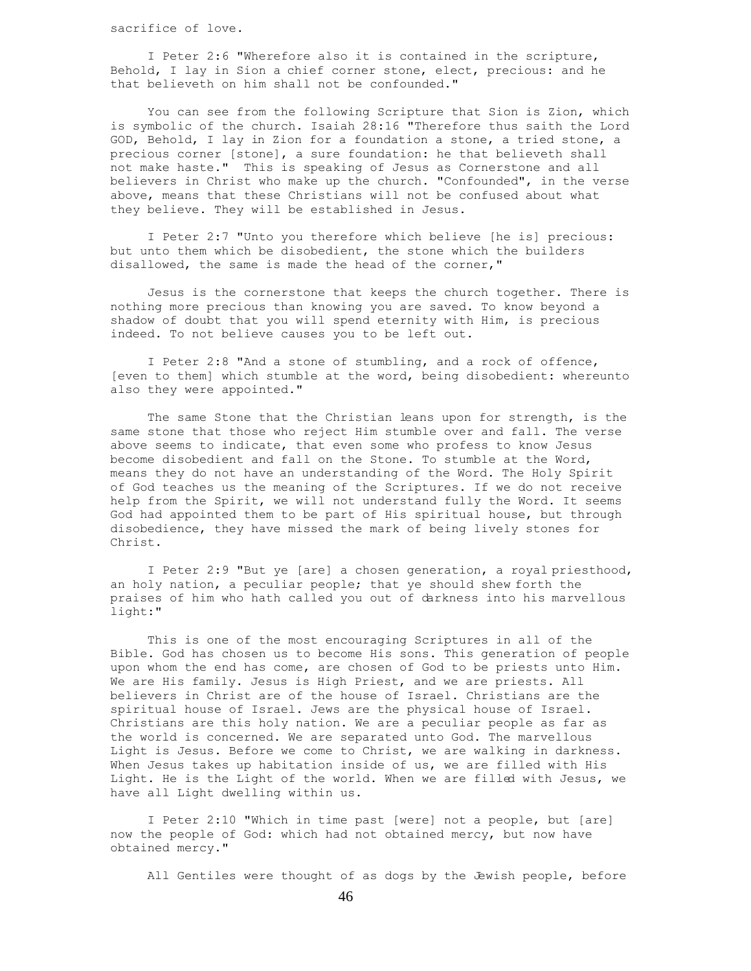sacrifice of love.

 I Peter 2:6 "Wherefore also it is contained in the scripture, Behold, I lay in Sion a chief corner stone, elect, precious: and he that believeth on him shall not be confounded."

 You can see from the following Scripture that Sion is Zion, which is symbolic of the church. Isaiah 28:16 "Therefore thus saith the Lord GOD, Behold, I lay in Zion for a foundation a stone, a tried stone, a precious corner [stone], a sure foundation: he that believeth shall not make haste." This is speaking of Jesus as Cornerstone and all believers in Christ who make up the church. "Confounded", in the verse above, means that these Christians will not be confused about what they believe. They will be established in Jesus.

 I Peter 2:7 "Unto you therefore which believe [he is] precious: but unto them which be disobedient, the stone which the builders disallowed, the same is made the head of the corner,"

 Jesus is the cornerstone that keeps the church together. There is nothing more precious than knowing you are saved. To know beyond a shadow of doubt that you will spend eternity with Him, is precious indeed. To not believe causes you to be left out.

 I Peter 2:8 "And a stone of stumbling, and a rock of offence, [even to them] which stumble at the word, being disobedient: whereunto also they were appointed."

 The same Stone that the Christian leans upon for strength, is the same stone that those who reject Him stumble over and fall. The verse above seems to indicate, that even some who profess to know Jesus become disobedient and fall on the Stone. To stumble at the Word, means they do not have an understanding of the Word. The Holy Spirit of God teaches us the meaning of the Scriptures. If we do not receive help from the Spirit, we will not understand fully the Word. It seems God had appointed them to be part of His spiritual house, but through disobedience, they have missed the mark of being lively stones for Christ.

 I Peter 2:9 "But ye [are] a chosen generation, a royal priesthood, an holy nation, a peculiar people; that ye should shew forth the praises of him who hath called you out of darkness into his marvellous light:"

 This is one of the most encouraging Scriptures in all of the Bible. God has chosen us to become His sons. This generation of people upon whom the end has come, are chosen of God to be priests unto Him. We are His family. Jesus is High Priest, and we are priests. All believers in Christ are of the house of Israel. Christians are the spiritual house of Israel. Jews are the physical house of Israel. Christians are this holy nation. We are a peculiar people as far as the world is concerned. We are separated unto God. The marvellous Light is Jesus. Before we come to Christ, we are walking in darkness. When Jesus takes up habitation inside of us, we are filled with His Light. He is the Light of the world. When we are filled with Jesus, we have all Light dwelling within us.

 I Peter 2:10 "Which in time past [were] not a people, but [are] now the people of God: which had not obtained mercy, but now have obtained mercy."

All Gentiles were thought of as dogs by the Jewish people, before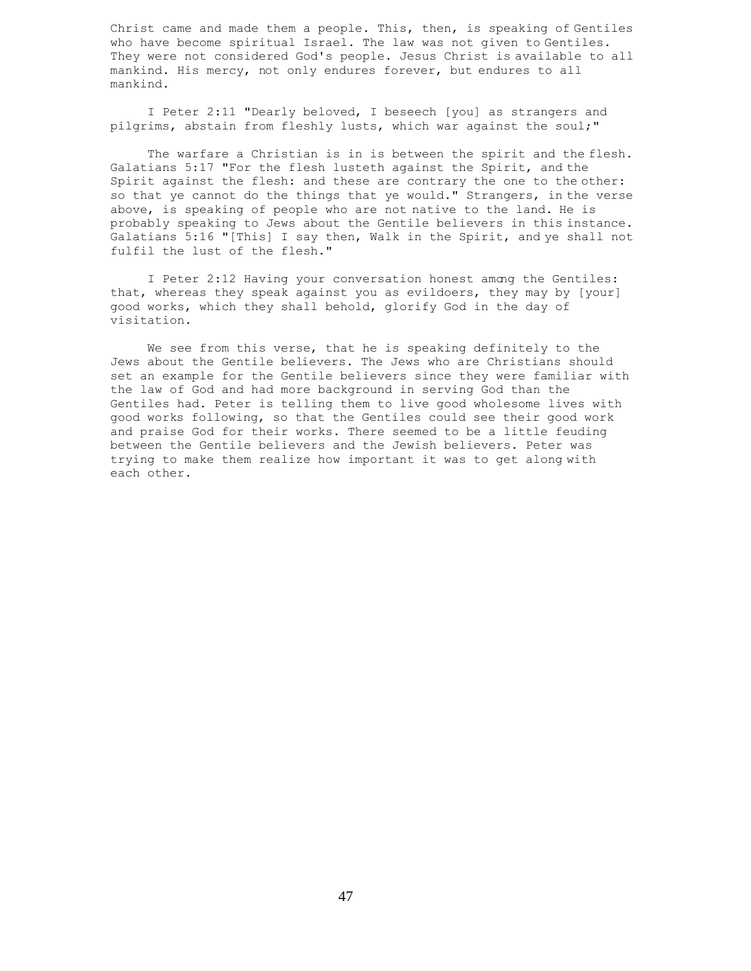Christ came and made them a people. This, then, is speaking of Gentiles who have become spiritual Israel. The law was not given to Gentiles. They were not considered God's people. Jesus Christ is available to all mankind. His mercy, not only endures forever, but endures to all mankind.

 I Peter 2:11 "Dearly beloved, I beseech [you] as strangers and pilgrims, abstain from fleshly lusts, which war against the soul;"

 The warfare a Christian is in is between the spirit and the flesh. Galatians 5:17 "For the flesh lusteth against the Spirit, and the Spirit against the flesh: and these are contrary the one to the other: so that ye cannot do the things that ye would." Strangers, in the verse above, is speaking of people who are not native to the land. He is probably speaking to Jews about the Gentile believers in this instance. Galatians 5:16 "[This] I say then, Walk in the Spirit, and ye shall not fulfil the lust of the flesh."

I Peter 2:12 Having your conversation honest among the Gentiles: that, whereas they speak against you as evildoers, they may by [your] good works, which they shall behold, glorify God in the day of visitation.

 We see from this verse, that he is speaking definitely to the Jews about the Gentile believers. The Jews who are Christians should set an example for the Gentile believers since they were familiar with the law of God and had more background in serving God than the Gentiles had. Peter is telling them to live good wholesome lives with good works following, so that the Gentiles could see their good work and praise God for their works. There seemed to be a little feuding between the Gentile believers and the Jewish believers. Peter was trying to make them realize how important it was to get along with each other.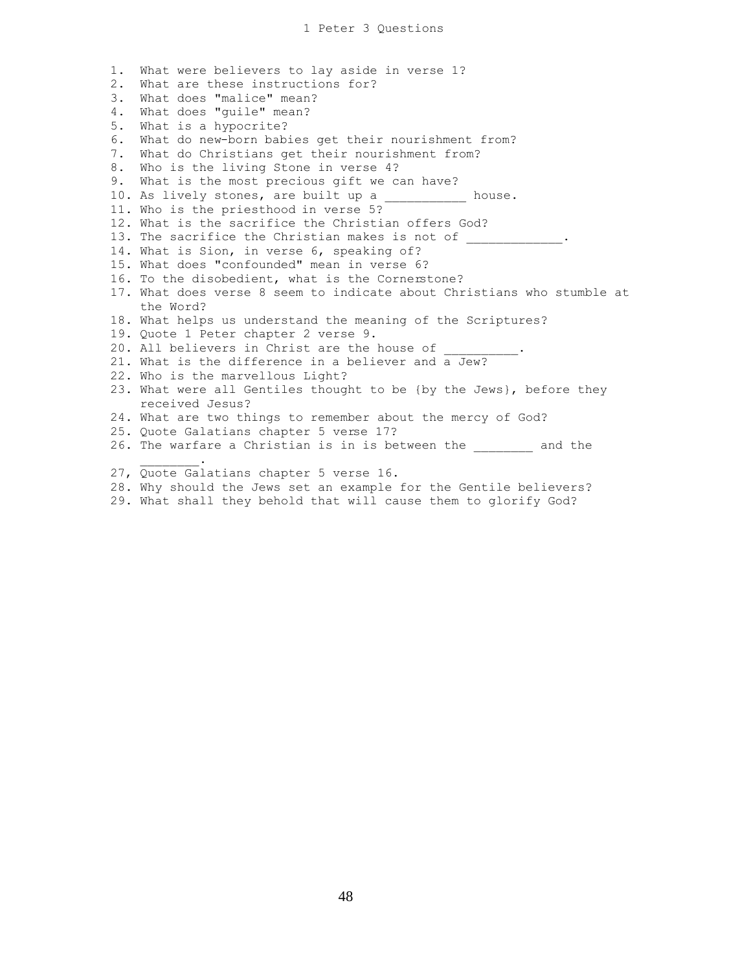1. What were believers to lay aside in verse 1? 2. What are these instructions for? 3. What does "malice" mean? 4. What does "guile" mean? 5. What is a hypocrite? 6. What do new-born babies get their nourishment from? 7. What do Christians get their nourishment from? 8. Who is the living Stone in verse 4? 9. What is the most precious gift we can have? 10. As lively stones, are built up a house. 11. Who is the priesthood in verse 5? 12. What is the sacrifice the Christian offers God? 13. The sacrifice the Christian makes is not of 14. What is Sion, in verse 6, speaking of? 15. What does "confounded" mean in verse 6? 16. To the disobedient, what is the Cornerstone? 17. What does verse 8 seem to indicate about Christians who stumble at the Word? 18. What helps us understand the meaning of the Scriptures? 19. Quote 1 Peter chapter 2 verse 9. 20. All believers in Christ are the house of 21. What is the difference in a believer and a Jew? 22. Who is the marvellous Light? 23. What were all Gentiles thought to be {by the Jews}, before they received Jesus? 24. What are two things to remember about the mercy of God? 25. Quote Galatians chapter 5 verse 17? 26. The warfare a Christian is in is between the \_\_\_\_\_\_\_\_ and the  $\mathcal{L}$  and  $\mathcal{L}$  and  $\mathcal{L}$ 27, Quote Galatians chapter 5 verse 16.

- 28. Why should the Jews set an example for the Gentile believers?
- 29. What shall they behold that will cause them to glorify God?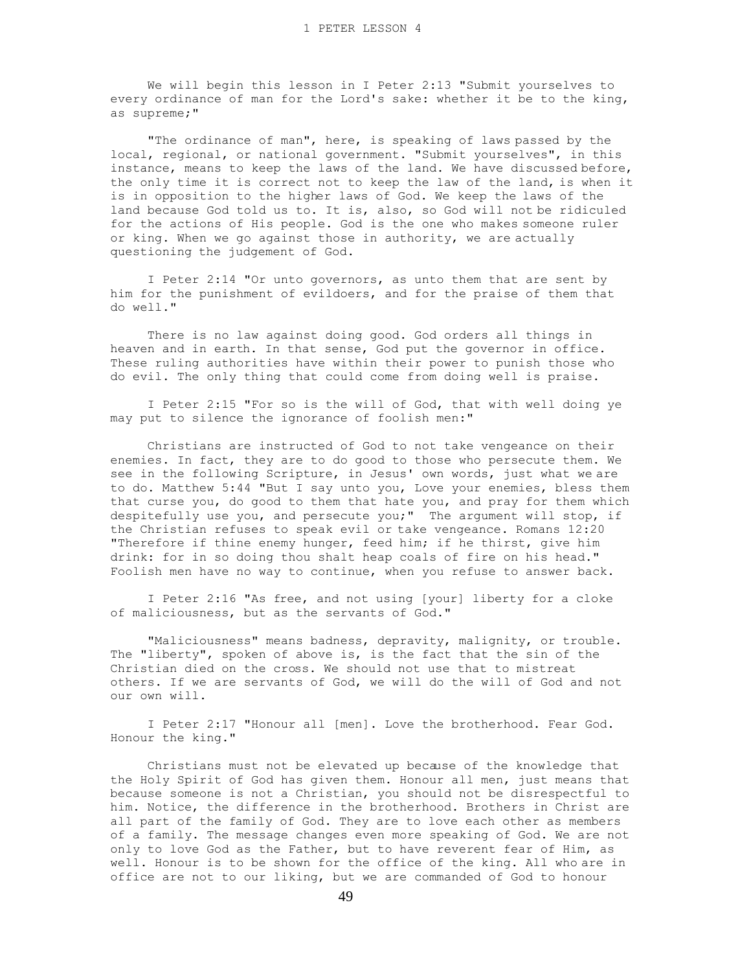We will begin this lesson in I Peter 2:13 "Submit yourselves to every ordinance of man for the Lord's sake: whether it be to the king, as supreme;"

 "The ordinance of man", here, is speaking of laws passed by the local, regional, or national government. "Submit yourselves", in this instance, means to keep the laws of the land. We have discussed before, the only time it is correct not to keep the law of the land, is when it is in opposition to the higher laws of God. We keep the laws of the land because God told us to. It is, also, so God will not be ridiculed for the actions of His people. God is the one who makes someone ruler or king. When we go against those in authority, we are actually questioning the judgement of God.

 I Peter 2:14 "Or unto governors, as unto them that are sent by him for the punishment of evildoers, and for the praise of them that do well."

 There is no law against doing good. God orders all things in heaven and in earth. In that sense, God put the governor in office. These ruling authorities have within their power to punish those who do evil. The only thing that could come from doing well is praise.

 I Peter 2:15 "For so is the will of God, that with well doing ye may put to silence the ignorance of foolish men:"

 Christians are instructed of God to not take vengeance on their enemies. In fact, they are to do good to those who persecute them. We see in the following Scripture, in Jesus' own words, just what we are to do. Matthew 5:44 "But I say unto you, Love your enemies, bless them that curse you, do good to them that hate you, and pray for them which despitefully use you, and persecute you;" The argument will stop, if the Christian refuses to speak evil or take vengeance. Romans 12:20 "Therefore if thine enemy hunger, feed him; if he thirst, give him drink: for in so doing thou shalt heap coals of fire on his head." Foolish men have no way to continue, when you refuse to answer back.

 I Peter 2:16 "As free, and not using [your] liberty for a cloke of maliciousness, but as the servants of God."

 "Maliciousness" means badness, depravity, malignity, or trouble. The "liberty", spoken of above is, is the fact that the sin of the Christian died on the cross. We should not use that to mistreat others. If we are servants of God, we will do the will of God and not our own will.

 I Peter 2:17 "Honour all [men]. Love the brotherhood. Fear God. Honour the king."

 Christians must not be elevated up because of the knowledge that the Holy Spirit of God has given them. Honour all men, just means that because someone is not a Christian, you should not be disrespectful to him. Notice, the difference in the brotherhood. Brothers in Christ are all part of the family of God. They are to love each other as members of a family. The message changes even more speaking of God. We are not only to love God as the Father, but to have reverent fear of Him, as well. Honour is to be shown for the office of the king. All who are in office are not to our liking, but we are commanded of God to honour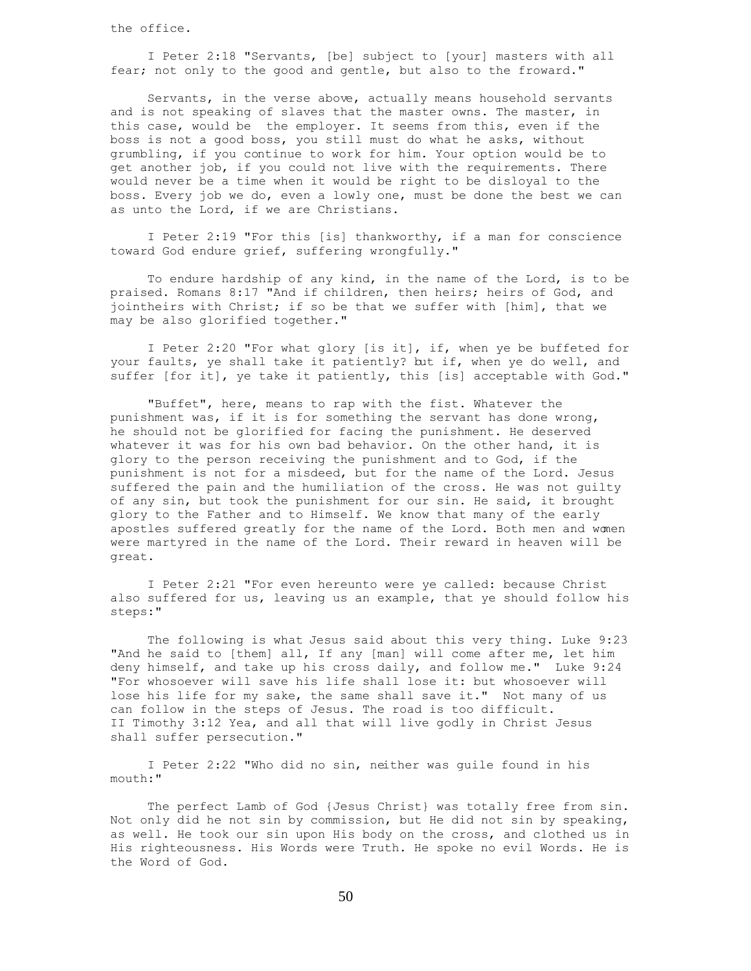the office.

 I Peter 2:18 "Servants, [be] subject to [your] masters with all fear; not only to the good and gentle, but also to the froward."

 Servants, in the verse above, actually means household servants and is not speaking of slaves that the master owns. The master, in this case, would be the employer. It seems from this, even if the boss is not a good boss, you still must do what he asks, without grumbling, if you continue to work for him. Your option would be to get another job, if you could not live with the requirements. There would never be a time when it would be right to be disloyal to the boss. Every job we do, even a lowly one, must be done the best we can as unto the Lord, if we are Christians.

 I Peter 2:19 "For this [is] thankworthy, if a man for conscience toward God endure grief, suffering wrongfully."

 To endure hardship of any kind, in the name of the Lord, is to be praised. Romans 8:17 "And if children, then heirs; heirs of God, and jointheirs with Christ; if so be that we suffer with [him], that we may be also glorified together."

 I Peter 2:20 "For what glory [is it], if, when ye be buffeted for your faults, ye shall take it patiently? but if, when ye do well, and suffer [for it], ye take it patiently, this [is] acceptable with God."

 "Buffet", here, means to rap with the fist. Whatever the punishment was, if it is for something the servant has done wrong, he should not be glorified for facing the punishment. He deserved whatever it was for his own bad behavior. On the other hand, it is glory to the person receiving the punishment and to God, if the punishment is not for a misdeed, but for the name of the Lord. Jesus suffered the pain and the humiliation of the cross. He was not guilty of any sin, but took the punishment for our sin. He said, it brought glory to the Father and to Himself. We know that many of the early apostles suffered greatly for the name of the Lord. Both men and women were martyred in the name of the Lord. Their reward in heaven will be great.

 I Peter 2:21 "For even hereunto were ye called: because Christ also suffered for us, leaving us an example, that ye should follow his steps:"

 The following is what Jesus said about this very thing. Luke 9:23 "And he said to [them] all, If any [man] will come after me, let him deny himself, and take up his cross daily, and follow me." Luke 9:24 "For whosoever will save his life shall lose it: but whosoever will lose his life for my sake, the same shall save it." Not many of us can follow in the steps of Jesus. The road is too difficult. II Timothy 3:12 Yea, and all that will live godly in Christ Jesus shall suffer persecution."

 I Peter 2:22 "Who did no sin, neither was guile found in his mouth:"

 The perfect Lamb of God {Jesus Christ} was totally free from sin. Not only did he not sin by commission, but He did not sin by speaking, as well. He took our sin upon His body on the cross, and clothed us in His righteousness. His Words were Truth. He spoke no evil Words. He is the Word of God.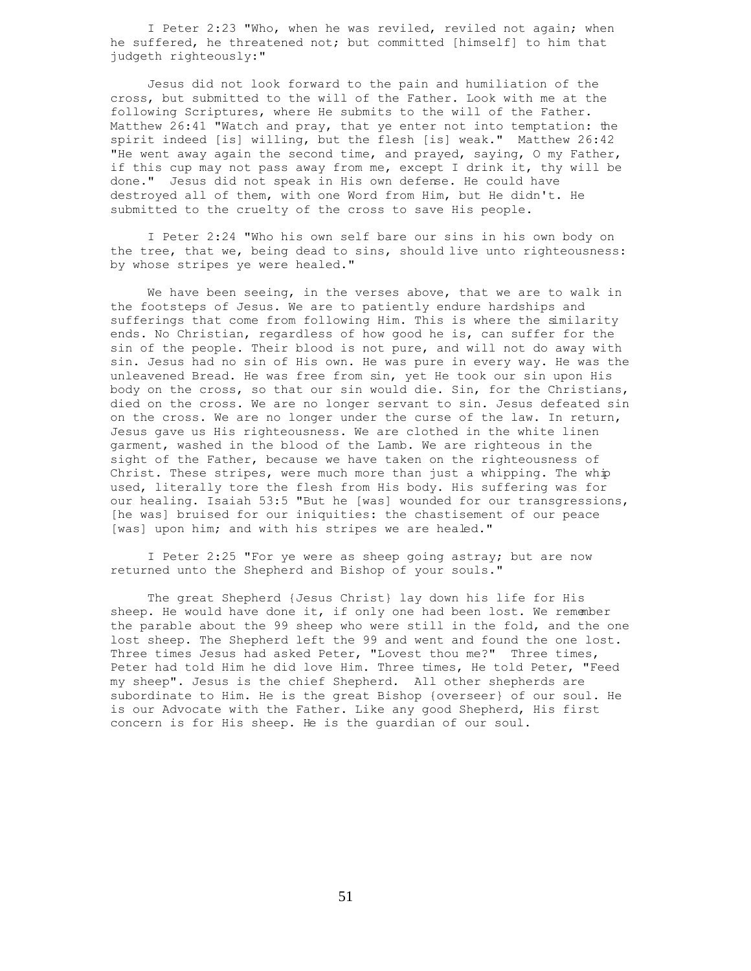I Peter 2:23 "Who, when he was reviled, reviled not again; when he suffered, he threatened not; but committed [himself] to him that judgeth righteously:"

 Jesus did not look forward to the pain and humiliation of the cross, but submitted to the will of the Father. Look with me at the following Scriptures, where He submits to the will of the Father. Matthew 26:41 "Watch and pray, that ye enter not into temptation: the spirit indeed [is] willing, but the flesh [is] weak." Matthew 26:42 "He went away again the second time, and prayed, saying, O my Father, if this cup may not pass away from me, except I drink it, thy will be done." Jesus did not speak in His own defense. He could have destroyed all of them, with one Word from Him, but He didn't. He submitted to the cruelty of the cross to save His people.

 I Peter 2:24 "Who his own self bare our sins in his own body on the tree, that we, being dead to sins, should live unto righteousness: by whose stripes ye were healed."

We have been seeing, in the verses above, that we are to walk in the footsteps of Jesus. We are to patiently endure hardships and sufferings that come from following Him. This is where the similarity ends. No Christian, regardless of how good he is, can suffer for the sin of the people. Their blood is not pure, and will not do away with sin. Jesus had no sin of His own. He was pure in every way. He was the unleavened Bread. He was free from sin, yet He took our sin upon His body on the cross, so that our sin would die. Sin, for the Christians, died on the cross. We are no longer servant to sin. Jesus defeated sin on the cross. We are no longer under the curse of the law. In return, Jesus gave us His righteousness. We are clothed in the white linen garment, washed in the blood of the Lamb. We are righteous in the sight of the Father, because we have taken on the righteousness of Christ. These stripes, were much more than just a whipping. The whip used, literally tore the flesh from His body. His suffering was for our healing. Isaiah 53:5 "But he [was] wounded for our transgressions, [he was] bruised for our iniquities: the chastisement of our peace [was] upon him; and with his stripes we are healed."

 I Peter 2:25 "For ye were as sheep going astray; but are now returned unto the Shepherd and Bishop of your souls."

 The great Shepherd {Jesus Christ} lay down his life for His sheep. He would have done it, if only one had been lost. We remember the parable about the 99 sheep who were still in the fold, and the one lost sheep. The Shepherd left the 99 and went and found the one lost. Three times Jesus had asked Peter, "Lovest thou me?" Three times, Peter had told Him he did love Him. Three times, He told Peter, "Feed my sheep". Jesus is the chief Shepherd. All other shepherds are subordinate to Him. He is the great Bishop {overseer} of our soul. He is our Advocate with the Father. Like any good Shepherd, His first concern is for His sheep. He is the guardian of our soul.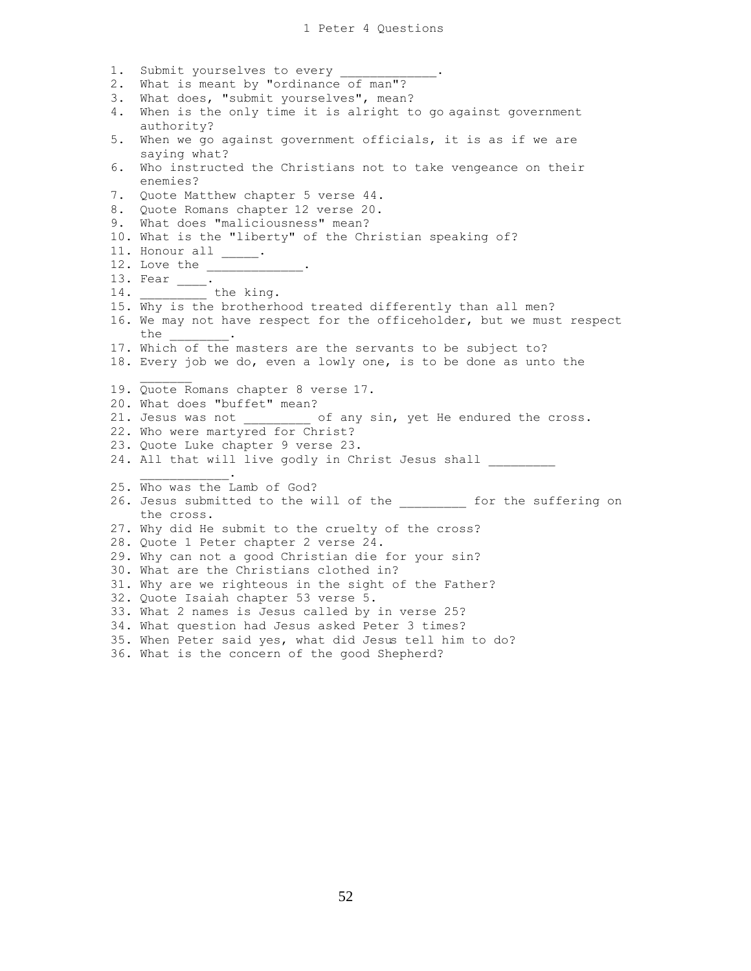1. Submit yourselves to every \_ 2. What is meant by "ordinance of man"? 3. What does, "submit yourselves", mean? 4. When is the only time it is alright to go against government authority? 5. When we go against government officials, it is as if we are saying what? 6. Who instructed the Christians not to take vengeance on their enemies? 7. Quote Matthew chapter 5 verse 44. 8. Quote Romans chapter 12 verse 20. 9. What does "maliciousness" mean? 10. What is the "liberty" of the Christian speaking of? 11. Honour all \_\_\_\_\_. 12. Love the \_\_\_\_\_\_\_\_\_\_\_\_\_. 13. Fear \_\_\_\_\_. 14. \_\_\_\_\_\_\_\_\_\_\_\_ the king. 15. Why is the brotherhood treated differently than all men? 16. We may not have respect for the officeholder, but we must respect the \_\_\_\_\_\_\_\_. 17. Which of the masters are the servants to be subject to? 18. Every job we do, even a lowly one, is to be done as unto the 19. Quote Romans chapter 8 verse 17. 20. What does "buffet" mean? 21. Jesus was not  $\qquad \qquad$  of any sin, yet He endured the cross. 22. Who were martyred for Christ? 23. Quote Luke chapter 9 verse 23. 24. All that will live godly in Christ Jesus shall  $\mathcal{L}_\text{max}$  and  $\mathcal{L}_\text{max}$  and  $\mathcal{L}_\text{max}$ 25. Who was the Lamb of God? 26. Jesus submitted to the will of the the for the suffering on the cross. 27. Why did He submit to the cruelty of the cross? 28. Quote 1 Peter chapter 2 verse 24. 29. Why can not a good Christian die for your sin? 30. What are the Christians clothed in? 31. Why are we righteous in the sight of the Father? 32. Quote Isaiah chapter 53 verse 5. 33. What 2 names is Jesus called by in verse 25? 34. What question had Jesus asked Peter 3 times? 35. When Peter said yes, what did Jesus tell him to do? 36. What is the concern of the good Shepherd?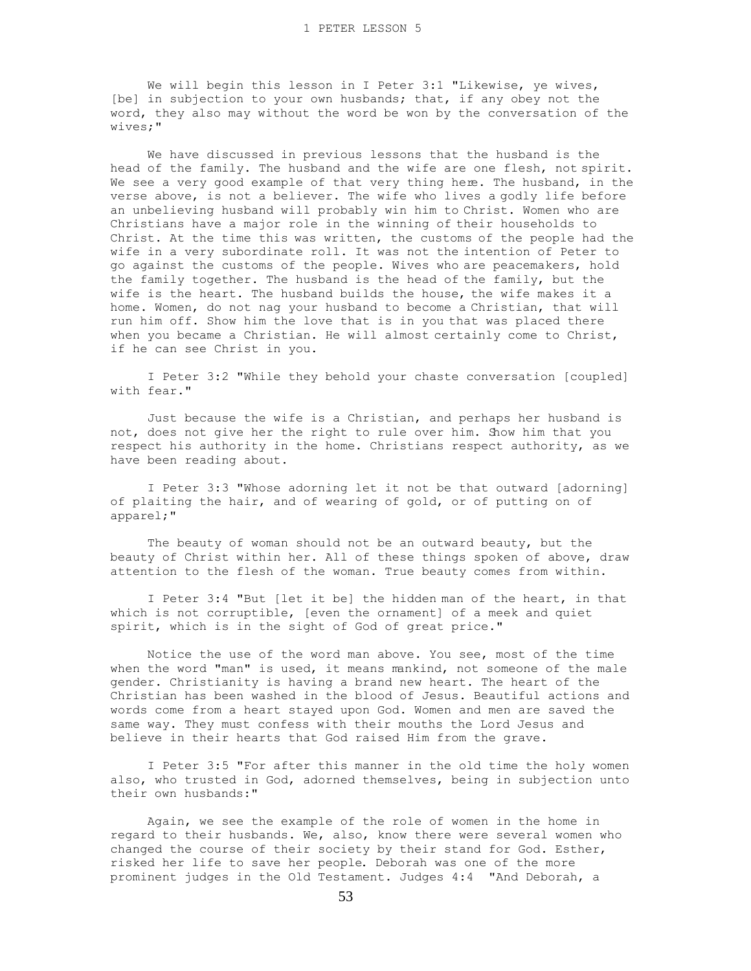We will begin this lesson in I Peter 3:1 "Likewise, ye wives, [be] in subjection to your own husbands; that, if any obey not the word, they also may without the word be won by the conversation of the wives;"

 We have discussed in previous lessons that the husband is the head of the family. The husband and the wife are one flesh, not spirit. We see a very good example of that very thing here. The husband, in the verse above, is not a believer. The wife who lives a godly life before an unbelieving husband will probably win him to Christ. Women who are Christians have a major role in the winning of their households to Christ. At the time this was written, the customs of the people had the wife in a very subordinate roll. It was not the intention of Peter to go against the customs of the people. Wives who are peacemakers, hold the family together. The husband is the head of the family, but the wife is the heart. The husband builds the house, the wife makes it a home. Women, do not nag your husband to become a Christian, that will run him off. Show him the love that is in you that was placed there when you became a Christian. He will almost certainly come to Christ, if he can see Christ in you.

 I Peter 3:2 "While they behold your chaste conversation [coupled] with fear."

 Just because the wife is a Christian, and perhaps her husband is not, does not give her the right to rule over him. Show him that you respect his authority in the home. Christians respect authority, as we have been reading about.

 I Peter 3:3 "Whose adorning let it not be that outward [adorning] of plaiting the hair, and of wearing of gold, or of putting on of apparel;"

 The beauty of woman should not be an outward beauty, but the beauty of Christ within her. All of these things spoken of above, draw attention to the flesh of the woman. True beauty comes from within.

 I Peter 3:4 "But [let it be] the hidden man of the heart, in that which is not corruptible, [even the ornament] of a meek and quiet spirit, which is in the sight of God of great price."

 Notice the use of the word man above. You see, most of the time when the word "man" is used, it means mankind, not someone of the male gender. Christianity is having a brand new heart. The heart of the Christian has been washed in the blood of Jesus. Beautiful actions and words come from a heart stayed upon God. Women and men are saved the same way. They must confess with their mouths the Lord Jesus and believe in their hearts that God raised Him from the grave.

 I Peter 3:5 "For after this manner in the old time the holy women also, who trusted in God, adorned themselves, being in subjection unto their own husbands:"

 Again, we see the example of the role of women in the home in regard to their husbands. We, also, know there were several women who changed the course of their society by their stand for God. Esther, risked her life to save her people. Deborah was one of the more prominent judges in the Old Testament. Judges 4:4 "And Deborah, a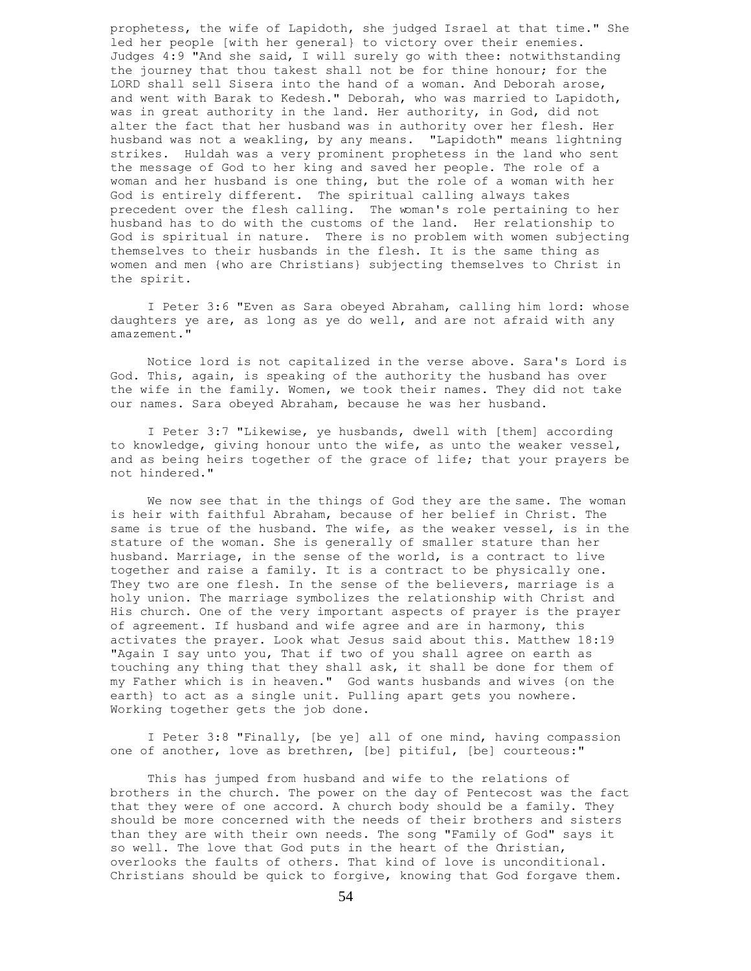prophetess, the wife of Lapidoth, she judged Israel at that time." She led her people [with her general} to victory over their enemies. Judges 4:9 "And she said, I will surely go with thee: notwithstanding the journey that thou takest shall not be for thine honour; for the LORD shall sell Sisera into the hand of a woman. And Deborah arose, and went with Barak to Kedesh." Deborah, who was married to Lapidoth, was in great authority in the land. Her authority, in God, did not alter the fact that her husband was in authority over her flesh. Her husband was not a weakling, by any means. "Lapidoth" means lightning strikes. Huldah was a very prominent prophetess in the land who sent the message of God to her king and saved her people. The role of a woman and her husband is one thing, but the role of a woman with her God is entirely different. The spiritual calling always takes precedent over the flesh calling. The woman's role pertaining to her husband has to do with the customs of the land. Her relationship to God is spiritual in nature. There is no problem with women subjecting themselves to their husbands in the flesh. It is the same thing as women and men {who are Christians} subjecting themselves to Christ in the spirit.

 I Peter 3:6 "Even as Sara obeyed Abraham, calling him lord: whose daughters ye are, as long as ye do well, and are not afraid with any amazement."

 Notice lord is not capitalized in the verse above. Sara's Lord is God. This, again, is speaking of the authority the husband has over the wife in the family. Women, we took their names. They did not take our names. Sara obeyed Abraham, because he was her husband.

 I Peter 3:7 "Likewise, ye husbands, dwell with [them] according to knowledge, giving honour unto the wife, as unto the weaker vessel, and as being heirs together of the grace of life; that your prayers be not hindered."

 We now see that in the things of God they are the same. The woman is heir with faithful Abraham, because of her belief in Christ. The same is true of the husband. The wife, as the weaker vessel, is in the stature of the woman. She is generally of smaller stature than her husband. Marriage, in the sense of the world, is a contract to live together and raise a family. It is a contract to be physically one. They two are one flesh. In the sense of the believers, marriage is a holy union. The marriage symbolizes the relationship with Christ and His church. One of the very important aspects of prayer is the prayer of agreement. If husband and wife agree and are in harmony, this activates the prayer. Look what Jesus said about this. Matthew 18:19 "Again I say unto you, That if two of you shall agree on earth as touching any thing that they shall ask, it shall be done for them of my Father which is in heaven." God wants husbands and wives {on the earth} to act as a single unit. Pulling apart gets you nowhere. Working together gets the job done.

 I Peter 3:8 "Finally, [be ye] all of one mind, having compassion one of another, love as brethren, [be] pitiful, [be] courteous:"

 This has jumped from husband and wife to the relations of brothers in the church. The power on the day of Pentecost was the fact that they were of one accord. A church body should be a family. They should be more concerned with the needs of their brothers and sisters than they are with their own needs. The song "Family of God" says it so well. The love that God puts in the heart of the Christian, overlooks the faults of others. That kind of love is unconditional. Christians should be quick to forgive, knowing that God forgave them.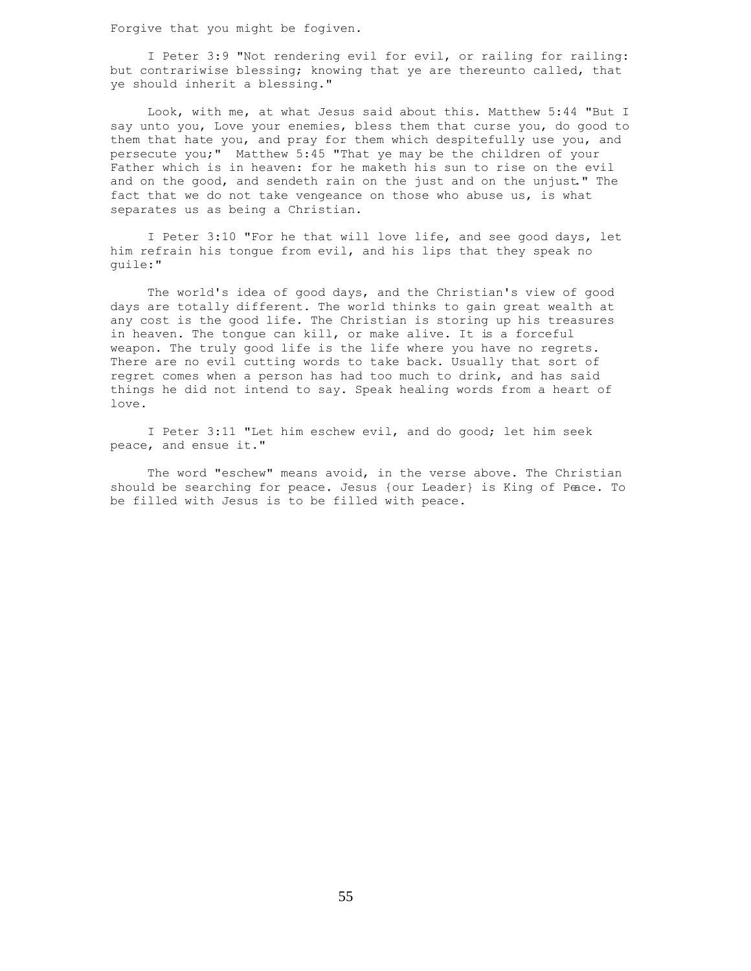Forgive that you might be fogiven.

 I Peter 3:9 "Not rendering evil for evil, or railing for railing: but contrariwise blessing; knowing that ye are thereunto called, that ye should inherit a blessing."

 Look, with me, at what Jesus said about this. Matthew 5:44 "But I say unto you, Love your enemies, bless them that curse you, do good to them that hate you, and pray for them which despitefully use you, and persecute you;" Matthew 5:45 "That ye may be the children of your Father which is in heaven: for he maketh his sun to rise on the evil and on the good, and sendeth rain on the just and on the unjust." The fact that we do not take vengeance on those who abuse us, is what separates us as being a Christian.

 I Peter 3:10 "For he that will love life, and see good days, let him refrain his tongue from evil, and his lips that they speak no guile:"

 The world's idea of good days, and the Christian's view of good days are totally different. The world thinks to gain great wealth at any cost is the good life. The Christian is storing up his treasures in heaven. The tongue can kill, or make alive. It is a forceful weapon. The truly good life is the life where you have no regrets. There are no evil cutting words to take back. Usually that sort of regret comes when a person has had too much to drink, and has said things he did not intend to say. Speak healing words from a heart of love.

 I Peter 3:11 "Let him eschew evil, and do good; let him seek peace, and ensue it."

 The word "eschew" means avoid, in the verse above. The Christian should be searching for peace. Jesus {our Leader} is King of Peace. To be filled with Jesus is to be filled with peace.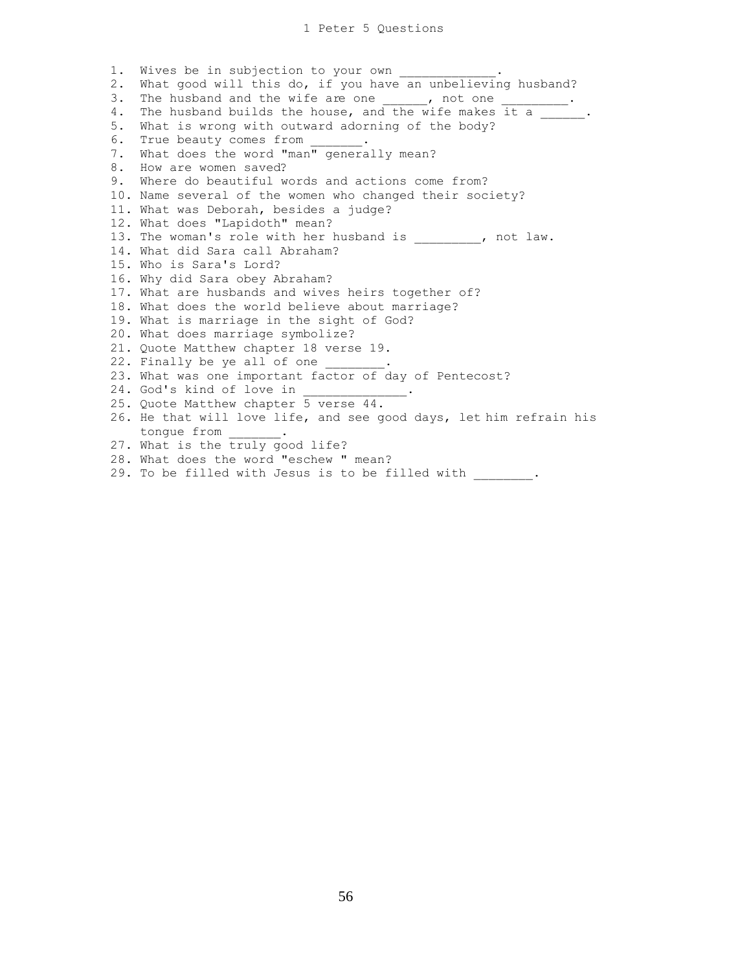1. Wives be in subjection to your own 2. What good will this do, if you have an unbelieving husband? 3. The husband and the wife are one \_\_\_\_\_\_, not one 4. The husband builds the house, and the wife makes it a 5. What is wrong with outward adorning of the body? 6. True beauty comes from 7. What does the word "man" generally mean? 8. How are women saved? 9. Where do beautiful words and actions come from? 10. Name several of the women who changed their society? 11. What was Deborah, besides a judge? 12. What does "Lapidoth" mean? 13. The woman's role with her husband is  $\qquad \qquad$ , not law. 14. What did Sara call Abraham? 15. Who is Sara's Lord? 16. Why did Sara obey Abraham? 17. What are husbands and wives heirs together of? 18. What does the world believe about marriage? 19. What is marriage in the sight of God? 20. What does marriage symbolize? 21. Quote Matthew chapter 18 verse 19. 22. Finally be ye all of one 23. What was one important factor of day of Pentecost? 24. God's kind of love in 25. Quote Matthew chapter 5 verse 44. 26. He that will love life, and see good days, let him refrain his tongue from \_\_\_\_\_\_\_. 27. What is the truly good life? 28. What does the word "eschew " mean? 29. To be filled with Jesus is to be filled with .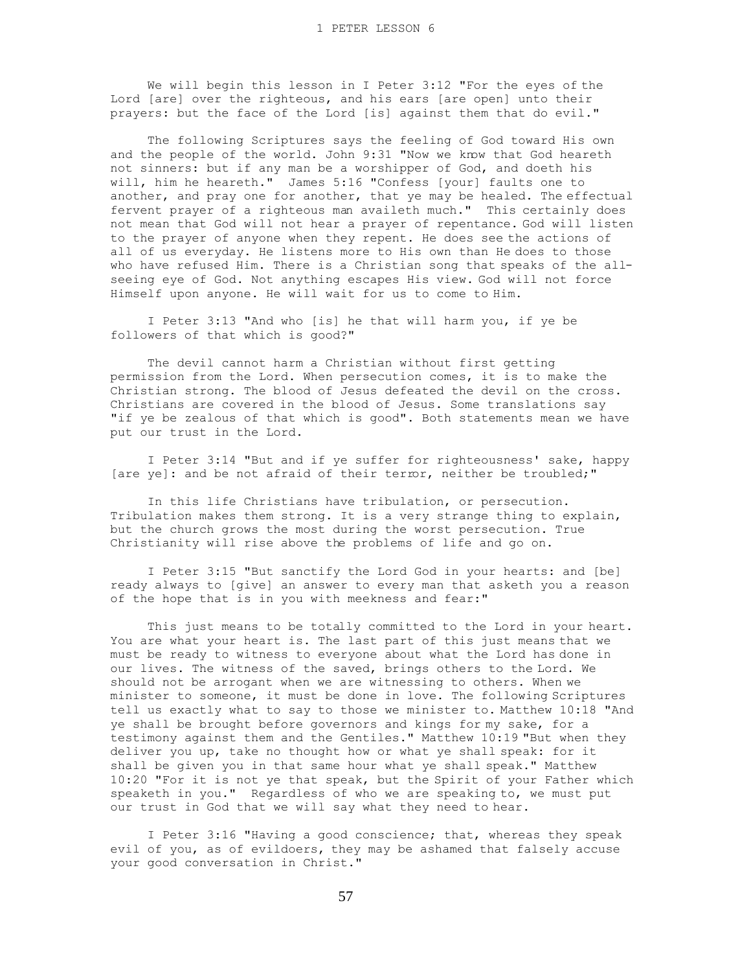We will begin this lesson in I Peter 3:12 "For the eyes of the Lord [are] over the righteous, and his ears [are open] unto their prayers: but the face of the Lord [is] against them that do evil."

 The following Scriptures says the feeling of God toward His own and the people of the world. John 9:31 "Now we know that God heareth not sinners: but if any man be a worshipper of God, and doeth his will, him he heareth." James 5:16 "Confess [your] faults one to another, and pray one for another, that ye may be healed. The effectual fervent prayer of a righteous man availeth much." This certainly does not mean that God will not hear a prayer of repentance. God will listen to the prayer of anyone when they repent. He does see the actions of all of us everyday. He listens more to His own than He does to those who have refused Him. There is a Christian song that speaks of the allseeing eye of God. Not anything escapes His view. God will not force Himself upon anyone. He will wait for us to come to Him.

 I Peter 3:13 "And who [is] he that will harm you, if ye be followers of that which is good?"

 The devil cannot harm a Christian without first getting permission from the Lord. When persecution comes, it is to make the Christian strong. The blood of Jesus defeated the devil on the cross. Christians are covered in the blood of Jesus. Some translations say "if ye be zealous of that which is good". Both statements mean we have put our trust in the Lord.

 I Peter 3:14 "But and if ye suffer for righteousness' sake, happy [are ye]: and be not afraid of their terror, neither be troubled;"

 In this life Christians have tribulation, or persecution. Tribulation makes them strong. It is a very strange thing to explain, but the church grows the most during the worst persecution. True Christianity will rise above the problems of life and go on.

 I Peter 3:15 "But sanctify the Lord God in your hearts: and [be] ready always to [give] an answer to every man that asketh you a reason of the hope that is in you with meekness and fear:"

 This just means to be totally committed to the Lord in your heart. You are what your heart is. The last part of this just means that we must be ready to witness to everyone about what the Lord has done in our lives. The witness of the saved, brings others to the Lord. We should not be arrogant when we are witnessing to others. When we minister to someone, it must be done in love. The following Scriptures tell us exactly what to say to those we minister to. Matthew 10:18 "And ye shall be brought before governors and kings for my sake, for a testimony against them and the Gentiles." Matthew 10:19 "But when they deliver you up, take no thought how or what ye shall speak: for it shall be given you in that same hour what ye shall speak." Matthew 10:20 "For it is not ye that speak, but the Spirit of your Father which speaketh in you." Regardless of who we are speaking to, we must put our trust in God that we will say what they need to hear.

 I Peter 3:16 "Having a good conscience; that, whereas they speak evil of you, as of evildoers, they may be ashamed that falsely accuse your good conversation in Christ."

57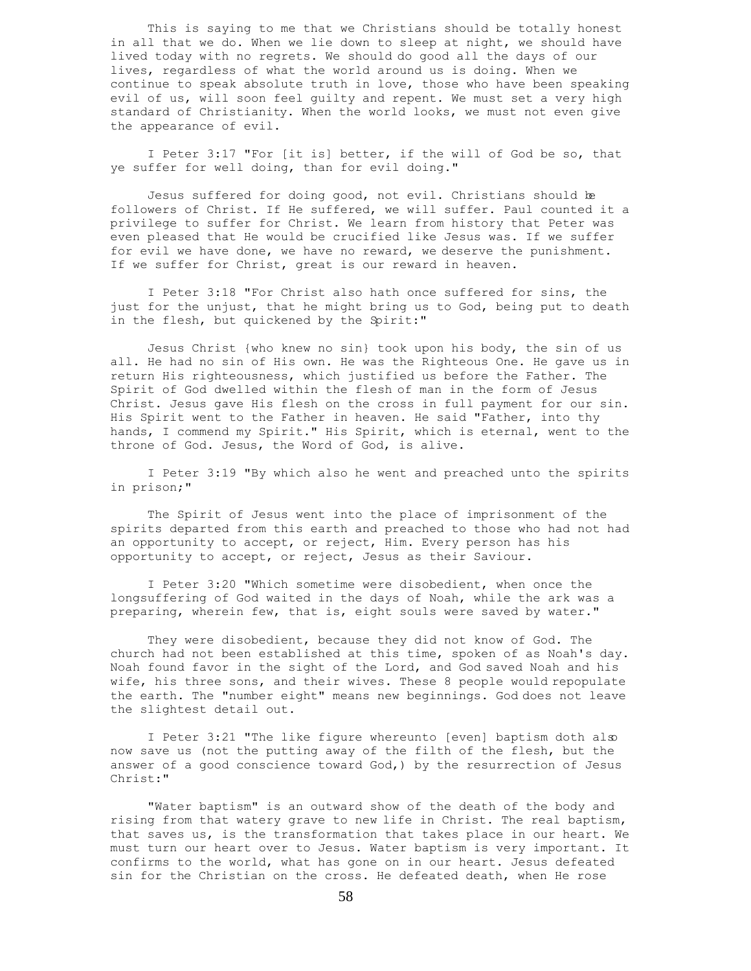This is saying to me that we Christians should be totally honest in all that we do. When we lie down to sleep at night, we should have lived today with no regrets. We should do good all the days of our lives, regardless of what the world around us is doing. When we continue to speak absolute truth in love, those who have been speaking evil of us, will soon feel guilty and repent. We must set a very high standard of Christianity. When the world looks, we must not even give the appearance of evil.

 I Peter 3:17 "For [it is] better, if the will of God be so, that ye suffer for well doing, than for evil doing."

 Jesus suffered for doing good, not evil. Christians should be followers of Christ. If He suffered, we will suffer. Paul counted it a privilege to suffer for Christ. We learn from history that Peter was even pleased that He would be crucified like Jesus was. If we suffer for evil we have done, we have no reward, we deserve the punishment. If we suffer for Christ, great is our reward in heaven.

 I Peter 3:18 "For Christ also hath once suffered for sins, the just for the unjust, that he might bring us to God, being put to death in the flesh, but quickened by the Spirit:"

 Jesus Christ {who knew no sin} took upon his body, the sin of us all. He had no sin of His own. He was the Righteous One. He gave us in return His righteousness, which justified us before the Father. The Spirit of God dwelled within the flesh of man in the form of Jesus Christ. Jesus gave His flesh on the cross in full payment for our sin. His Spirit went to the Father in heaven. He said "Father, into thy hands, I commend my Spirit." His Spirit, which is eternal, went to the throne of God. Jesus, the Word of God, is alive.

 I Peter 3:19 "By which also he went and preached unto the spirits in prison;"

 The Spirit of Jesus went into the place of imprisonment of the spirits departed from this earth and preached to those who had not had an opportunity to accept, or reject, Him. Every person has his opportunity to accept, or reject, Jesus as their Saviour.

 I Peter 3:20 "Which sometime were disobedient, when once the longsuffering of God waited in the days of Noah, while the ark was a preparing, wherein few, that is, eight souls were saved by water."

 They were disobedient, because they did not know of God. The church had not been established at this time, spoken of as Noah's day. Noah found favor in the sight of the Lord, and God saved Noah and his wife, his three sons, and their wives. These 8 people would repopulate the earth. The "number eight" means new beginnings. God does not leave the slightest detail out.

 I Peter 3:21 "The like figure whereunto [even] baptism doth also now save us (not the putting away of the filth of the flesh, but the answer of a good conscience toward God,) by the resurrection of Jesus Christ:"

 "Water baptism" is an outward show of the death of the body and rising from that watery grave to new life in Christ. The real baptism, that saves us, is the transformation that takes place in our heart. We must turn our heart over to Jesus. Water baptism is very important. It confirms to the world, what has gone on in our heart. Jesus defeated sin for the Christian on the cross. He defeated death, when He rose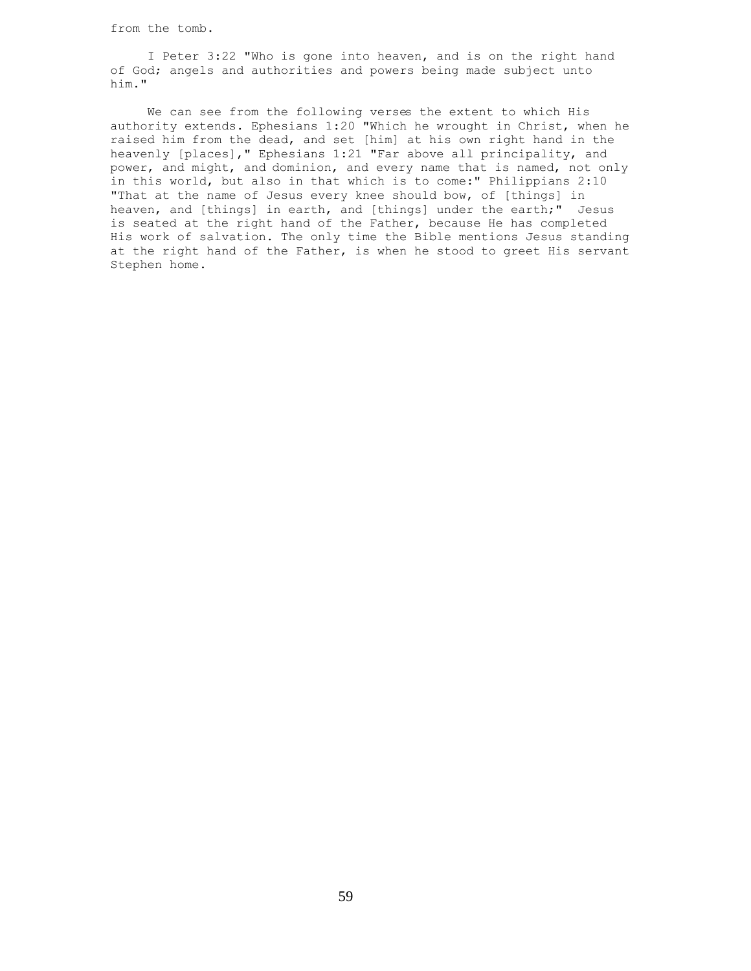from the tomb.

 I Peter 3:22 "Who is gone into heaven, and is on the right hand of God; angels and authorities and powers being made subject unto him."

 We can see from the following verses the extent to which His authority extends. Ephesians 1:20 "Which he wrought in Christ, when he raised him from the dead, and set [him] at his own right hand in the heavenly [places]," Ephesians 1:21 "Far above all principality, and power, and might, and dominion, and every name that is named, not only in this world, but also in that which is to come:" Philippians 2:10 "That at the name of Jesus every knee should bow, of [things] in heaven, and [things] in earth, and [things] under the earth;" Jesus is seated at the right hand of the Father, because He has completed His work of salvation. The only time the Bible mentions Jesus standing at the right hand of the Father, is when he stood to greet His servant Stephen home.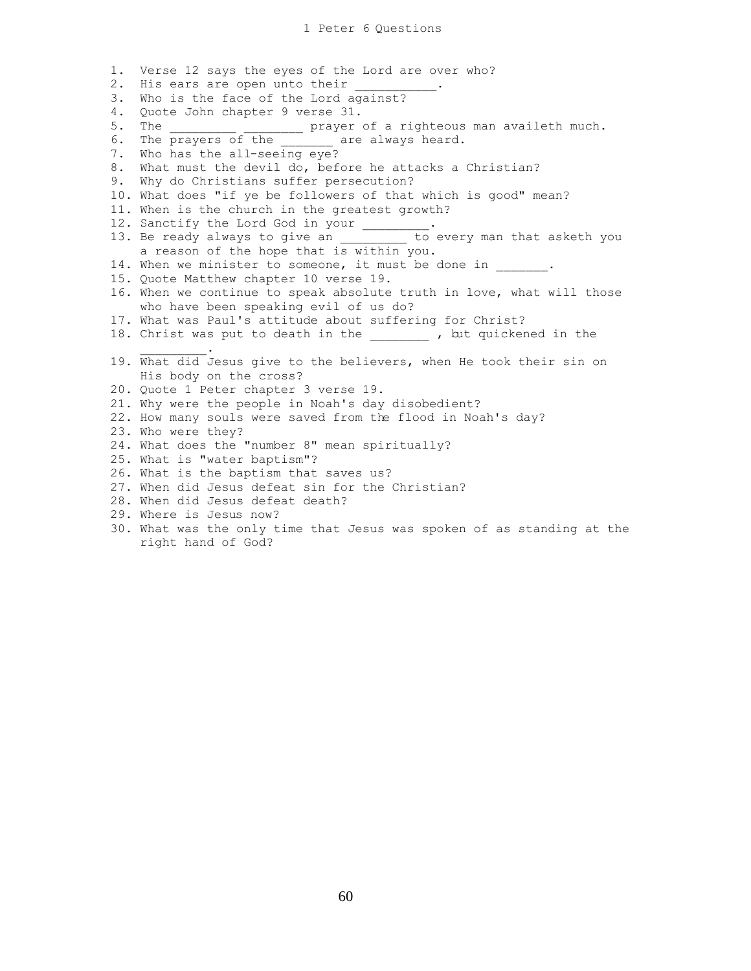1. Verse 12 says the eyes of the Lord are over who? 2. His ears are open unto their \_\_\_\_ 3. Who is the face of the Lord against? 4. Quote John chapter 9 verse 31. \_\_\_\_\_\_\_\_ prayer of a righteous man availeth much. 6. The prayers of the \_\_\_\_\_\_\_ are always heard. 7. Who has the all-seeing eye? 8. What must the devil do, before he attacks a Christian? 9. Why do Christians suffer persecution? 10. What does "if ye be followers of that which is good" mean? 11. When is the church in the greatest growth? 12. Sanctify the Lord God in your \_\_\_\_\_\_\_\_. 13. Be ready always to give an Theodo every man that asketh you a reason of the hope that is within you. 14. When we minister to someone, it must be done in  $\qquad \qquad$ . 15. Quote Matthew chapter 10 verse 19. 16. When we continue to speak absolute truth in love, what will those who have been speaking evil of us do? 17. What was Paul's attitude about suffering for Christ? 18. Christ was put to death in the  $\qquad \qquad \_$ , but quickened in the  $\frac{1}{2}$  and  $\frac{1}{2}$  and  $\frac{1}{2}$  and  $\frac{1}{2}$ 19. What did Jesus give to the believers, when He took their sin on His body on the cross? 20. Quote 1 Peter chapter 3 verse 19. 21. Why were the people in Noah's day disobedient? 22. How many souls were saved from the flood in Noah's day? 23. Who were they? 24. What does the "number 8" mean spiritually? 25. What is "water baptism"? 26. What is the baptism that saves us? 27. When did Jesus defeat sin for the Christian? 28. When did Jesus defeat death? 29. Where is Jesus now?

30. What was the only time that Jesus was spoken of as standing at the right hand of God?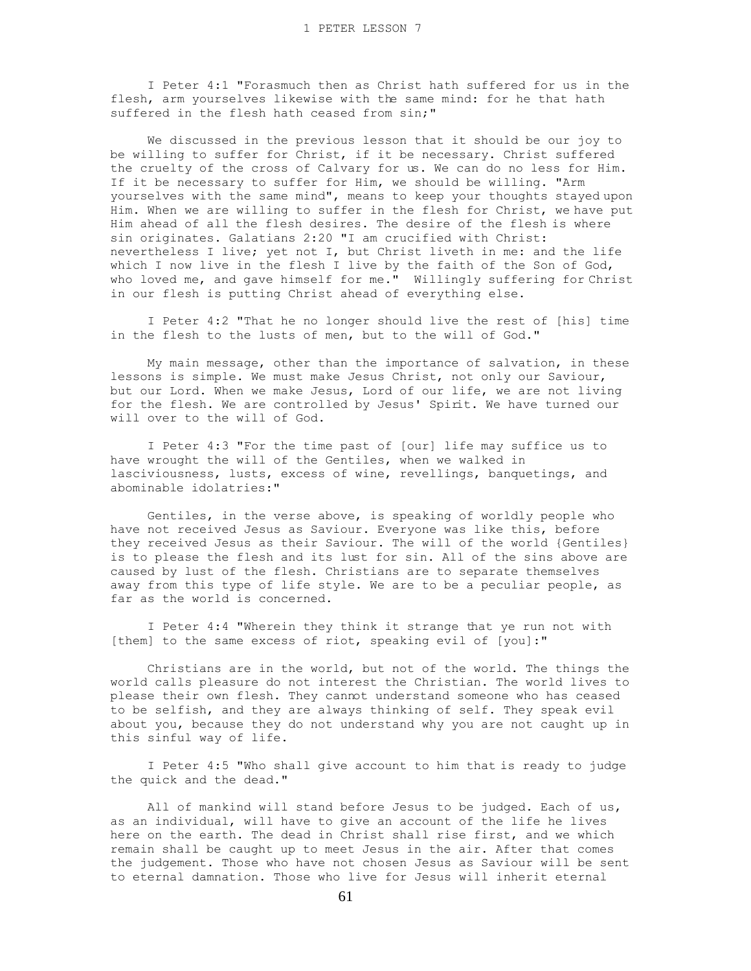I Peter 4:1 "Forasmuch then as Christ hath suffered for us in the flesh, arm yourselves likewise with the same mind: for he that hath suffered in the flesh hath ceased from sin;"

 We discussed in the previous lesson that it should be our joy to be willing to suffer for Christ, if it be necessary. Christ suffered the cruelty of the cross of Calvary for us. We can do no less for Him. If it be necessary to suffer for Him, we should be willing. "Arm yourselves with the same mind", means to keep your thoughts stayed upon Him. When we are willing to suffer in the flesh for Christ, we have put Him ahead of all the flesh desires. The desire of the flesh is where sin originates. Galatians 2:20 "I am crucified with Christ: nevertheless I live; yet not I, but Christ liveth in me: and the life which I now live in the flesh I live by the faith of the Son of God, who loved me, and gave himself for me." Willingly suffering for Christ in our flesh is putting Christ ahead of everything else.

 I Peter 4:2 "That he no longer should live the rest of [his] time in the flesh to the lusts of men, but to the will of God."

 My main message, other than the importance of salvation, in these lessons is simple. We must make Jesus Christ, not only our Saviour, but our Lord. When we make Jesus, Lord of our life, we are not living for the flesh. We are controlled by Jesus' Spirit. We have turned our will over to the will of God.

 I Peter 4:3 "For the time past of [our] life may suffice us to have wrought the will of the Gentiles, when we walked in lasciviousness, lusts, excess of wine, revellings, banquetings, and abominable idolatries:"

 Gentiles, in the verse above, is speaking of worldly people who have not received Jesus as Saviour. Everyone was like this, before they received Jesus as their Saviour. The will of the world {Gentiles} is to please the flesh and its lust for sin. All of the sins above are caused by lust of the flesh. Christians are to separate themselves away from this type of life style. We are to be a peculiar people, as far as the world is concerned.

 I Peter 4:4 "Wherein they think it strange that ye run not with [them] to the same excess of riot, speaking evil of [you]:"

 Christians are in the world, but not of the world. The things the world calls pleasure do not interest the Christian. The world lives to please their own flesh. They cannot understand someone who has ceased to be selfish, and they are always thinking of self. They speak evil about you, because they do not understand why you are not caught up in this sinful way of life.

 I Peter 4:5 "Who shall give account to him that is ready to judge the quick and the dead."

 All of mankind will stand before Jesus to be judged. Each of us, as an individual, will have to give an account of the life he lives here on the earth. The dead in Christ shall rise first, and we which remain shall be caught up to meet Jesus in the air. After that comes the judgement. Those who have not chosen Jesus as Saviour will be sent to eternal damnation. Those who live for Jesus will inherit eternal

61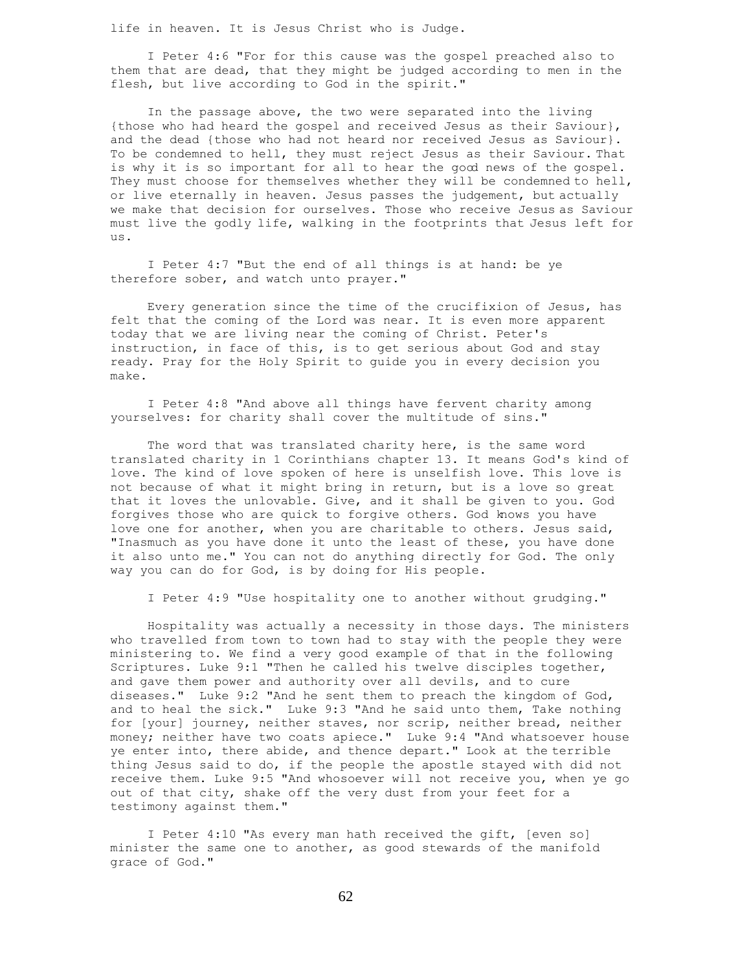life in heaven. It is Jesus Christ who is Judge.

 I Peter 4:6 "For for this cause was the gospel preached also to them that are dead, that they might be judged according to men in the flesh, but live according to God in the spirit."

 In the passage above, the two were separated into the living {those who had heard the gospel and received Jesus as their Saviour}, and the dead {those who had not heard nor received Jesus as Saviour}. To be condemned to hell, they must reject Jesus as their Saviour. That is why it is so important for all to hear the good news of the gospel. They must choose for themselves whether they will be condemned to hell, or live eternally in heaven. Jesus passes the judgement, but actually we make that decision for ourselves. Those who receive Jesus as Saviour must live the godly life, walking in the footprints that Jesus left for us.

 I Peter 4:7 "But the end of all things is at hand: be ye therefore sober, and watch unto prayer."

 Every generation since the time of the crucifixion of Jesus, has felt that the coming of the Lord was near. It is even more apparent today that we are living near the coming of Christ. Peter's instruction, in face of this, is to get serious about God and stay ready. Pray for the Holy Spirit to guide you in every decision you make.

 I Peter 4:8 "And above all things have fervent charity among yourselves: for charity shall cover the multitude of sins."

The word that was translated charity here, is the same word translated charity in 1 Corinthians chapter 13. It means God's kind of love. The kind of love spoken of here is unselfish love. This love is not because of what it might bring in return, but is a love so great that it loves the unlovable. Give, and it shall be given to you. God forgives those who are quick to forgive others. God knows you have love one for another, when you are charitable to others. Jesus said, "Inasmuch as you have done it unto the least of these, you have done it also unto me." You can not do anything directly for God. The only way you can do for God, is by doing for His people.

I Peter 4:9 "Use hospitality one to another without grudging."

 Hospitality was actually a necessity in those days. The ministers who travelled from town to town had to stay with the people they were ministering to. We find a very good example of that in the following Scriptures. Luke 9:1 "Then he called his twelve disciples together, and gave them power and authority over all devils, and to cure diseases." Luke 9:2 "And he sent them to preach the kingdom of God, and to heal the sick." Luke 9:3 "And he said unto them, Take nothing for [your] journey, neither staves, nor scrip, neither bread, neither money; neither have two coats apiece." Luke 9:4 "And whatsoever house ye enter into, there abide, and thence depart." Look at the terrible thing Jesus said to do, if the people the apostle stayed with did not receive them. Luke 9:5 "And whosoever will not receive you, when ye go out of that city, shake off the very dust from your feet for a testimony against them."

 I Peter 4:10 "As every man hath received the gift, [even so] minister the same one to another, as good stewards of the manifold grace of God."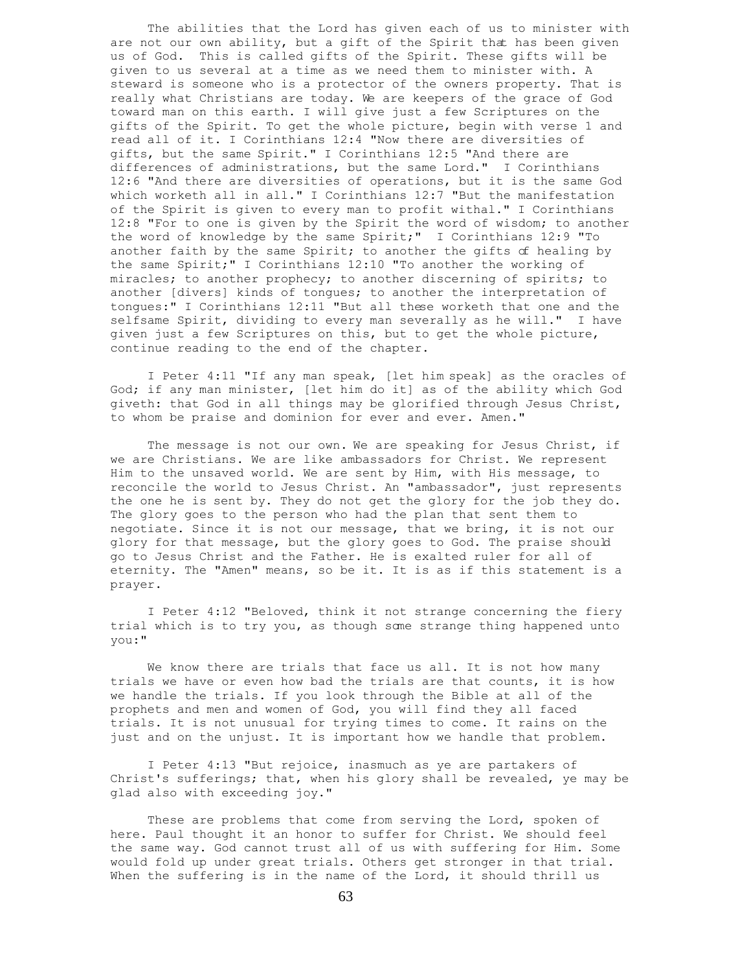The abilities that the Lord has given each of us to minister with are not our own ability, but a gift of the Spirit that has been given us of God. This is called gifts of the Spirit. These gifts will be given to us several at a time as we need them to minister with. A steward is someone who is a protector of the owners property. That is really what Christians are today. We are keepers of the grace of God toward man on this earth. I will give just a few Scriptures on the gifts of the Spirit. To get the whole picture, begin with verse 1 and read all of it. I Corinthians 12:4 "Now there are diversities of gifts, but the same Spirit." I Corinthians 12:5 "And there are differences of administrations, but the same Lord." I Corinthians 12:6 "And there are diversities of operations, but it is the same God which worketh all in all." I Corinthians 12:7 "But the manifestation of the Spirit is given to every man to profit withal." I Corinthians 12:8 "For to one is given by the Spirit the word of wisdom; to another the word of knowledge by the same Spirit;" I Corinthians 12:9 "To another faith by the same Spirit; to another the gifts of healing by the same Spirit;" I Corinthians 12:10 "To another the working of miracles; to another prophecy; to another discerning of spirits; to another [divers] kinds of tongues; to another the interpretation of tongues:" I Corinthians 12:11 "But all these worketh that one and the selfsame Spirit, dividing to every man severally as he will." I have given just a few Scriptures on this, but to get the whole picture, continue reading to the end of the chapter.

 I Peter 4:11 "If any man speak, [let him speak] as the oracles of God; if any man minister, [let him do it] as of the ability which God giveth: that God in all things may be glorified through Jesus Christ, to whom be praise and dominion for ever and ever. Amen."

 The message is not our own. We are speaking for Jesus Christ, if we are Christians. We are like ambassadors for Christ. We represent Him to the unsaved world. We are sent by Him, with His message, to reconcile the world to Jesus Christ. An "ambassador", just represents the one he is sent by. They do not get the glory for the job they do. The glory goes to the person who had the plan that sent them to negotiate. Since it is not our message, that we bring, it is not our glory for that message, but the glory goes to God. The praise should go to Jesus Christ and the Father. He is exalted ruler for all of eternity. The "Amen" means, so be it. It is as if this statement is a prayer.

 I Peter 4:12 "Beloved, think it not strange concerning the fiery trial which is to try you, as though some strange thing happened unto you:"

We know there are trials that face us all. It is not how many trials we have or even how bad the trials are that counts, it is how we handle the trials. If you look through the Bible at all of the prophets and men and women of God, you will find they all faced trials. It is not unusual for trying times to come. It rains on the just and on the unjust. It is important how we handle that problem.

 I Peter 4:13 "But rejoice, inasmuch as ye are partakers of Christ's sufferings; that, when his glory shall be revealed, ye may be glad also with exceeding joy."

These are problems that come from serving the Lord, spoken of here. Paul thought it an honor to suffer for Christ. We should feel the same way. God cannot trust all of us with suffering for Him. Some would fold up under great trials. Others get stronger in that trial. When the suffering is in the name of the Lord, it should thrill us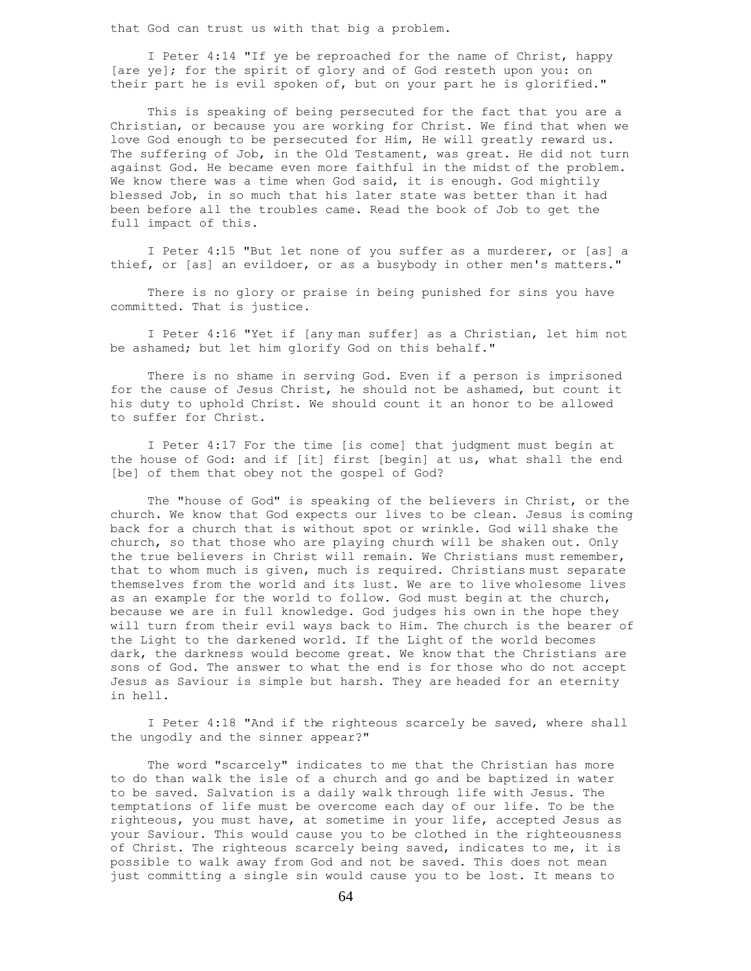that God can trust us with that big a problem.

 I Peter 4:14 "If ye be reproached for the name of Christ, happy [are ye]; for the spirit of glory and of God resteth upon you: on their part he is evil spoken of, but on your part he is glorified."

 This is speaking of being persecuted for the fact that you are a Christian, or because you are working for Christ. We find that when we love God enough to be persecuted for Him, He will greatly reward us. The suffering of Job, in the Old Testament, was great. He did not turn against God. He became even more faithful in the midst of the problem. We know there was a time when God said, it is enough. God mightily blessed Job, in so much that his later state was better than it had been before all the troubles came. Read the book of Job to get the full impact of this.

 I Peter 4:15 "But let none of you suffer as a murderer, or [as] a thief, or [as] an evildoer, or as a busybody in other men's matters."

 There is no glory or praise in being punished for sins you have committed. That is justice.

 I Peter 4:16 "Yet if [any man suffer] as a Christian, let him not be ashamed; but let him glorify God on this behalf."

 There is no shame in serving God. Even if a person is imprisoned for the cause of Jesus Christ, he should not be ashamed, but count it his duty to uphold Christ. We should count it an honor to be allowed to suffer for Christ.

 I Peter 4:17 For the time [is come] that judgment must begin at the house of God: and if [it] first [begin] at us, what shall the end [be] of them that obey not the gospel of God?

 The "house of God" is speaking of the believers in Christ, or the church. We know that God expects our lives to be clean. Jesus is coming back for a church that is without spot or wrinkle. God will shake the church, so that those who are playing church will be shaken out. Only the true believers in Christ will remain. We Christians must remember, that to whom much is given, much is required. Christians must separate themselves from the world and its lust. We are to live wholesome lives as an example for the world to follow. God must begin at the church, because we are in full knowledge. God judges his own in the hope they will turn from their evil ways back to Him. The church is the bearer of the Light to the darkened world. If the Light of the world becomes dark, the darkness would become great. We know that the Christians are sons of God. The answer to what the end is for those who do not accept Jesus as Saviour is simple but harsh. They are headed for an eternity in hell.

 I Peter 4:18 "And if the righteous scarcely be saved, where shall the ungodly and the sinner appear?"

 The word "scarcely" indicates to me that the Christian has more to do than walk the isle of a church and go and be baptized in water to be saved. Salvation is a daily walk through life with Jesus. The temptations of life must be overcome each day of our life. To be the righteous, you must have, at sometime in your life, accepted Jesus as your Saviour. This would cause you to be clothed in the righteousness of Christ. The righteous scarcely being saved, indicates to me, it is possible to walk away from God and not be saved. This does not mean just committing a single sin would cause you to be lost. It means to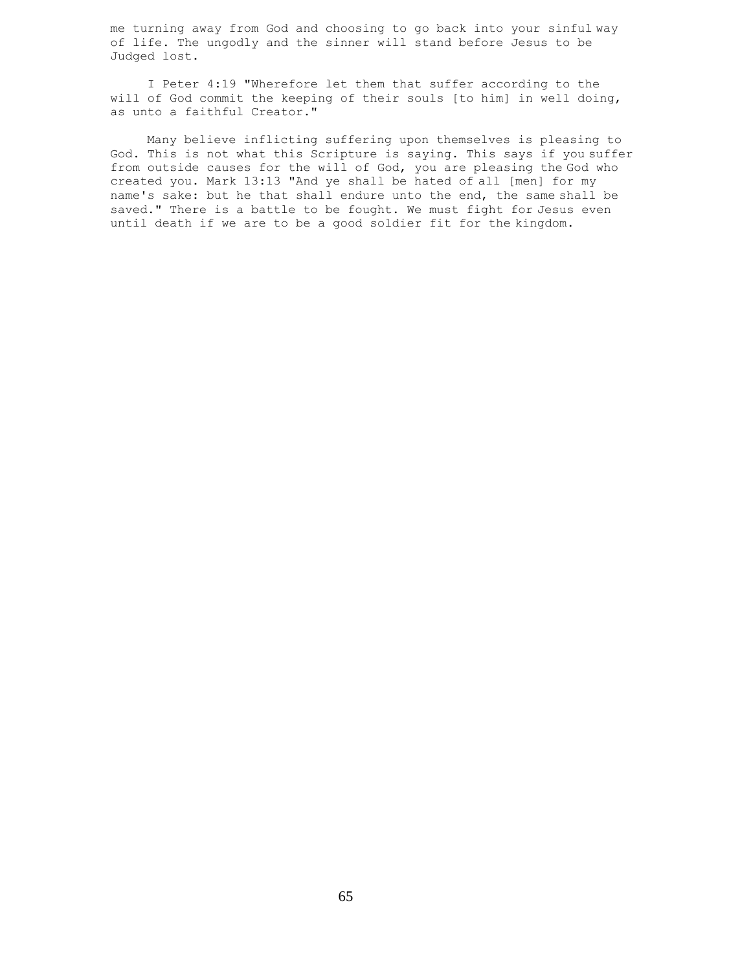me turning away from God and choosing to go back into your sinful way of life. The ungodly and the sinner will stand before Jesus to be Judged lost.

 I Peter 4:19 "Wherefore let them that suffer according to the will of God commit the keeping of their souls [to him] in well doing, as unto a faithful Creator."

 Many believe inflicting suffering upon themselves is pleasing to God. This is not what this Scripture is saying. This says if you suffer from outside causes for the will of God, you are pleasing the God who created you. Mark 13:13 "And ye shall be hated of all [men] for my name's sake: but he that shall endure unto the end, the same shall be saved." There is a battle to be fought. We must fight for Jesus even until death if we are to be a good soldier fit for the kingdom.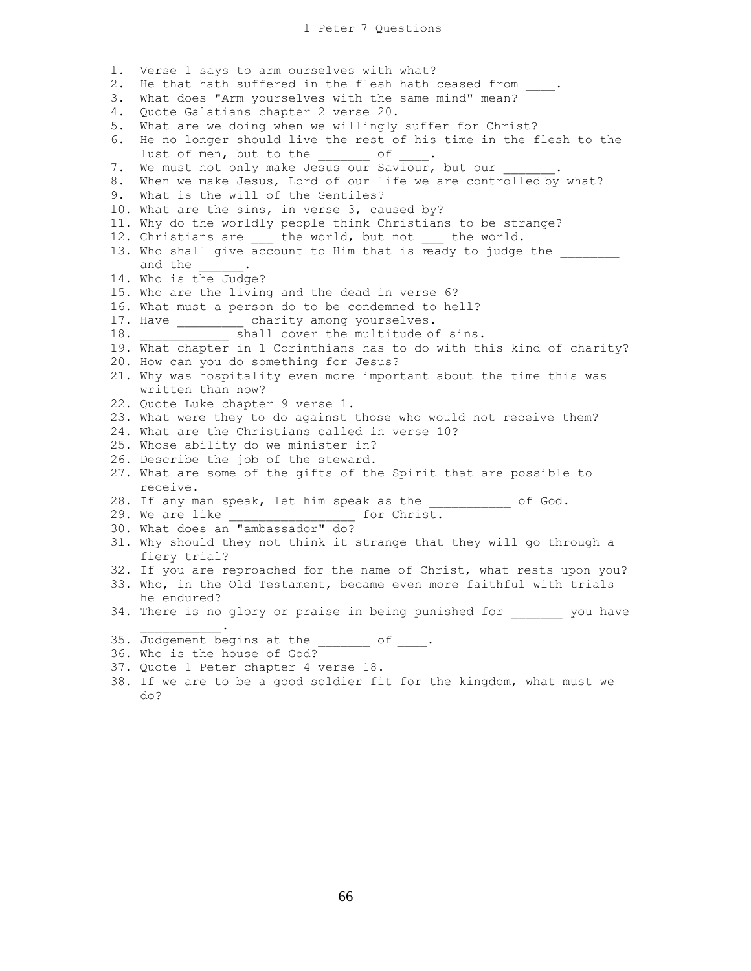1. Verse 1 says to arm ourselves with what? 2. He that hath suffered in the flesh hath ceased from 3. What does "Arm yourselves with the same mind" mean? 4. Quote Galatians chapter 2 verse 20. 5. What are we doing when we willingly suffer for Christ? 6. He no longer should live the rest of his time in the flesh to the lust of men, but to the of 7. We must not only make Jesus our Saviour, but our 8. When we make Jesus, Lord of our life we are controlled by what? 9. What is the will of the Gentiles? 10. What are the sins, in verse 3, caused by? 11. Why do the worldly people think Christians to be strange? 12. Christians are \_\_\_ the world, but not \_\_\_ the world. 13. Who shall give account to Him that is ready to judge the and the  $\qquad \qquad .$ and the \_\_\_\_\_\_.<br>14. Who is the Judge? 15. Who are the living and the dead in verse 6? 16. What must a person do to be condemned to hell? 17. Have \_\_\_\_\_\_\_\_\_\_ charity among yourselves. 18. \_\_\_\_\_\_\_\_\_\_\_\_\_\_\_\_ shall cover the multitude of sins. 19. What chapter in 1 Corinthians has to do with this kind of charity? 20. How can you do something for Jesus? 21. Why was hospitality even more important about the time this was written than now? 22. Quote Luke chapter 9 verse 1. 23. What were they to do against those who would not receive them? 24. What are the Christians called in verse 10? 25. Whose ability do we minister in? 26. Describe the job of the steward. 27. What are some of the gifts of the Spirit that are possible to receive. 28. If any man speak, let him speak as the \_\_\_\_\_\_\_\_\_\_\_\_\_ of God. 29. We are like  $\qquad \qquad$  for Christ. 30. What does an "ambassador" do? 31. Why should they not think it strange that they will go through a fiery trial? 32. If you are reproached for the name of Christ, what rests upon you? 33. Who, in the Old Testament, became even more faithful with trials he endured? 34. There is no glory or praise in being punished for you have  $\mathcal{L}_\text{max}$  and  $\mathcal{L}_\text{max}$  and  $\mathcal{L}_\text{max}$ 35. Judgement begins at the \_\_\_\_\_\_\_ of \_\_\_\_. 36. Who is the house of God? 37. Quote 1 Peter chapter 4 verse 18.

38. If we are to be a good soldier fit for the kingdom, what must we do?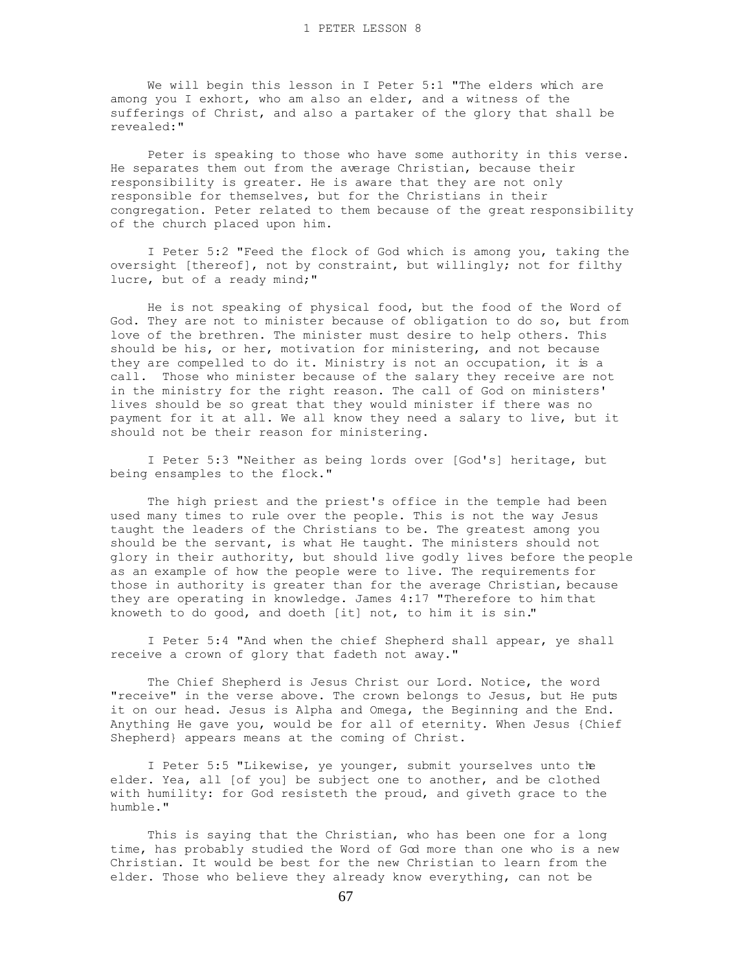We will begin this lesson in I Peter 5:1 "The elders which are among you I exhort, who am also an elder, and a witness of the sufferings of Christ, and also a partaker of the glory that shall be revealed:"

 Peter is speaking to those who have some authority in this verse. He separates them out from the average Christian, because their responsibility is greater. He is aware that they are not only responsible for themselves, but for the Christians in their congregation. Peter related to them because of the great responsibility of the church placed upon him.

 I Peter 5:2 "Feed the flock of God which is among you, taking the oversight [thereof], not by constraint, but willingly; not for filthy lucre, but of a ready mind;"

 He is not speaking of physical food, but the food of the Word of God. They are not to minister because of obligation to do so, but from love of the brethren. The minister must desire to help others. This should be his, or her, motivation for ministering, and not because they are compelled to do it. Ministry is not an occupation, it is a call. Those who minister because of the salary they receive are not in the ministry for the right reason. The call of God on ministers' lives should be so great that they would minister if there was no payment for it at all. We all know they need a salary to live, but it should not be their reason for ministering.

 I Peter 5:3 "Neither as being lords over [God's] heritage, but being ensamples to the flock."

 The high priest and the priest's office in the temple had been used many times to rule over the people. This is not the way Jesus taught the leaders of the Christians to be. The greatest among you should be the servant, is what He taught. The ministers should not glory in their authority, but should live godly lives before the people as an example of how the people were to live. The requirements for those in authority is greater than for the average Christian, because they are operating in knowledge. James 4:17 "Therefore to him that knoweth to do good, and doeth [it] not, to him it is sin."

 I Peter 5:4 "And when the chief Shepherd shall appear, ye shall receive a crown of glory that fadeth not away."

 The Chief Shepherd is Jesus Christ our Lord. Notice, the word "receive" in the verse above. The crown belongs to Jesus, but He puts it on our head. Jesus is Alpha and Omega, the Beginning and the End. Anything He gave you, would be for all of eternity. When Jesus {Chief Shepherd} appears means at the coming of Christ.

 I Peter 5:5 "Likewise, ye younger, submit yourselves unto the elder. Yea, all [of you] be subject one to another, and be clothed with humility: for God resisteth the proud, and giveth grace to the humble."

 This is saying that the Christian, who has been one for a long time, has probably studied the Word of God more than one who is a new Christian. It would be best for the new Christian to learn from the elder. Those who believe they already know everything, can not be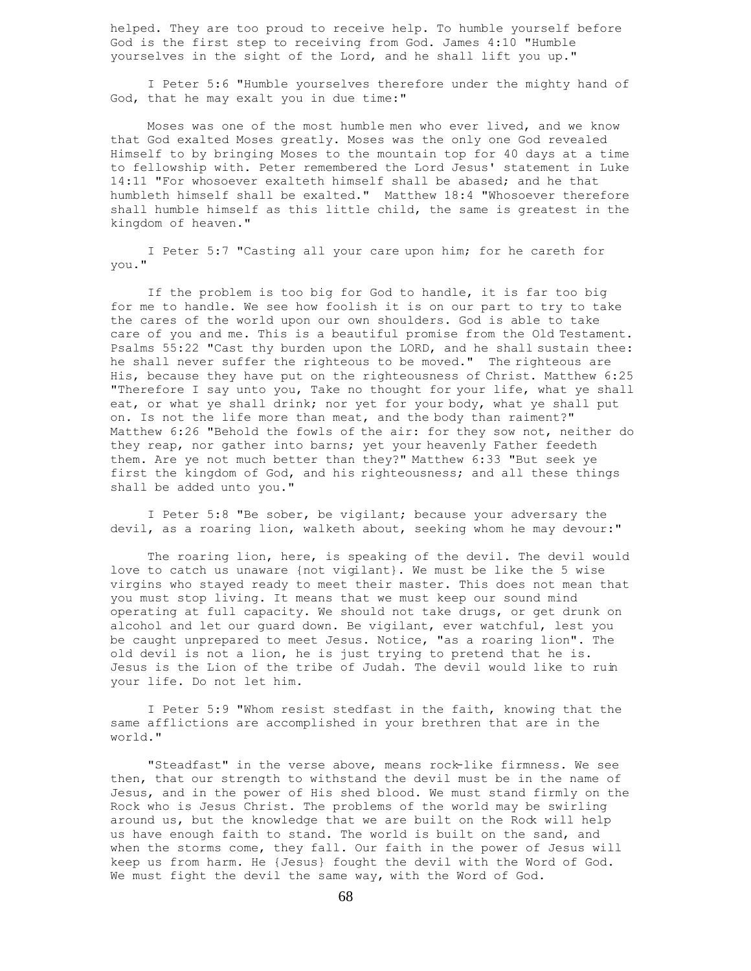helped. They are too proud to receive help. To humble yourself before God is the first step to receiving from God. James 4:10 "Humble yourselves in the sight of the Lord, and he shall lift you up."

 I Peter 5:6 "Humble yourselves therefore under the mighty hand of God, that he may exalt you in due time:"

 Moses was one of the most humble men who ever lived, and we know that God exalted Moses greatly. Moses was the only one God revealed Himself to by bringing Moses to the mountain top for 40 days at a time to fellowship with. Peter remembered the Lord Jesus' statement in Luke 14:11 "For whosoever exalteth himself shall be abased; and he that humbleth himself shall be exalted." Matthew 18:4 "Whosoever therefore shall humble himself as this little child, the same is greatest in the kingdom of heaven."

 I Peter 5:7 "Casting all your care upon him; for he careth for you."

 If the problem is too big for God to handle, it is far too big for me to handle. We see how foolish it is on our part to try to take the cares of the world upon our own shoulders. God is able to take care of you and me. This is a beautiful promise from the Old Testament. Psalms 55:22 "Cast thy burden upon the LORD, and he shall sustain thee: he shall never suffer the righteous to be moved." The righteous are His, because they have put on the righteousness of Christ. Matthew 6:25 "Therefore I say unto you, Take no thought for your life, what ye shall eat, or what ye shall drink; nor yet for your body, what ye shall put on. Is not the life more than meat, and the body than raiment?" Matthew 6:26 "Behold the fowls of the air: for they sow not, neither do they reap, nor gather into barns; yet your heavenly Father feedeth them. Are ye not much better than they?" Matthew 6:33 "But seek ye first the kingdom of God, and his righteousness; and all these things shall be added unto you."

 I Peter 5:8 "Be sober, be vigilant; because your adversary the devil, as a roaring lion, walketh about, seeking whom he may devour:"

 The roaring lion, here, is speaking of the devil. The devil would love to catch us unaware {not vigilant}. We must be like the 5 wise virgins who stayed ready to meet their master. This does not mean that you must stop living. It means that we must keep our sound mind operating at full capacity. We should not take drugs, or get drunk on alcohol and let our guard down. Be vigilant, ever watchful, lest you be caught unprepared to meet Jesus. Notice, "as a roaring lion". The old devil is not a lion, he is just trying to pretend that he is. Jesus is the Lion of the tribe of Judah. The devil would like to ruin your life. Do not let him.

 I Peter 5:9 "Whom resist stedfast in the faith, knowing that the same afflictions are accomplished in your brethren that are in the world."

 "Steadfast" in the verse above, means rock-like firmness. We see then, that our strength to withstand the devil must be in the name of Jesus, and in the power of His shed blood. We must stand firmly on the Rock who is Jesus Christ. The problems of the world may be swirling around us, but the knowledge that we are built on the Rock will help us have enough faith to stand. The world is built on the sand, and when the storms come, they fall. Our faith in the power of Jesus will keep us from harm. He {Jesus} fought the devil with the Word of God. We must fight the devil the same way, with the Word of God.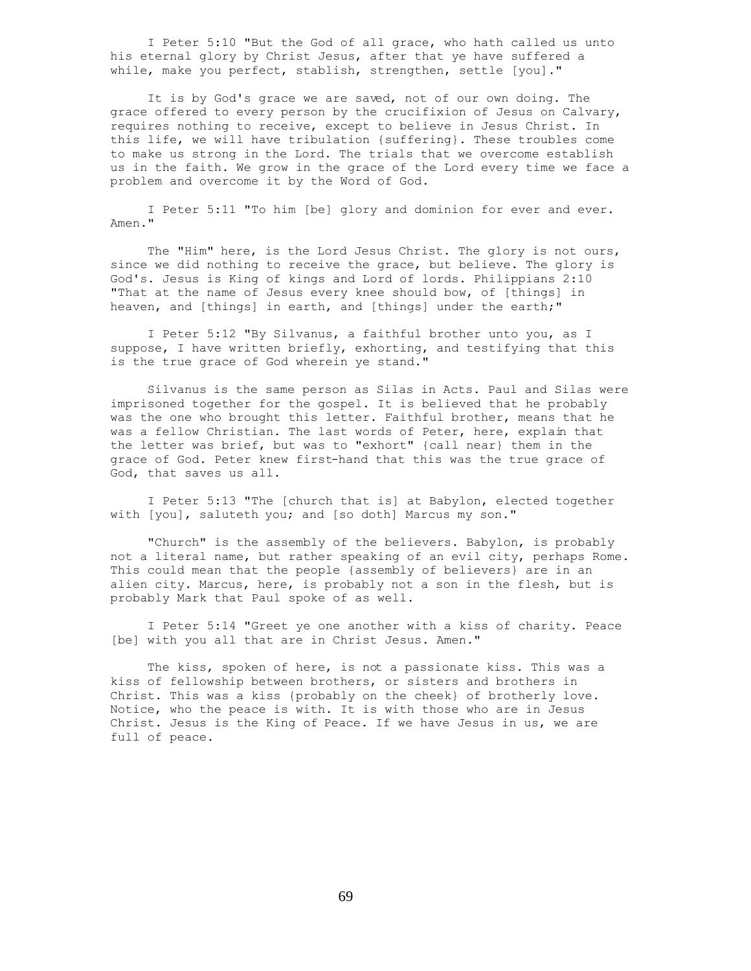I Peter 5:10 "But the God of all grace, who hath called us unto his eternal glory by Christ Jesus, after that ye have suffered a while, make you perfect, stablish, strengthen, settle [you]."

 It is by God's grace we are saved, not of our own doing. The grace offered to every person by the crucifixion of Jesus on Calvary, requires nothing to receive, except to believe in Jesus Christ. In this life, we will have tribulation {suffering}. These troubles come to make us strong in the Lord. The trials that we overcome establish us in the faith. We grow in the grace of the Lord every time we face a problem and overcome it by the Word of God.

 I Peter 5:11 "To him [be] glory and dominion for ever and ever. Amen."

 The "Him" here, is the Lord Jesus Christ. The glory is not ours, since we did nothing to receive the grace, but believe. The glory is God's. Jesus is King of kings and Lord of lords. Philippians 2:10 "That at the name of Jesus every knee should bow, of [things] in heaven, and [things] in earth, and [things] under the earth;"

 I Peter 5:12 "By Silvanus, a faithful brother unto you, as I suppose, I have written briefly, exhorting, and testifying that this is the true grace of God wherein ye stand."

 Silvanus is the same person as Silas in Acts. Paul and Silas were imprisoned together for the gospel. It is believed that he probably was the one who brought this letter. Faithful brother, means that he was a fellow Christian. The last words of Peter, here, explain that the letter was brief, but was to "exhort" {call near} them in the grace of God. Peter knew first-hand that this was the true grace of God, that saves us all.

 I Peter 5:13 "The [church that is] at Babylon, elected together with [you], saluteth you; and [so doth] Marcus my son."

 "Church" is the assembly of the believers. Babylon, is probably not a literal name, but rather speaking of an evil city, perhaps Rome. This could mean that the people {assembly of believers} are in an alien city. Marcus, here, is probably not a son in the flesh, but is probably Mark that Paul spoke of as well.

 I Peter 5:14 "Greet ye one another with a kiss of charity. Peace [be] with you all that are in Christ Jesus. Amen."

The kiss, spoken of here, is not a passionate kiss. This was a kiss of fellowship between brothers, or sisters and brothers in Christ. This was a kiss {probably on the cheek} of brotherly love. Notice, who the peace is with. It is with those who are in Jesus Christ. Jesus is the King of Peace. If we have Jesus in us, we are full of peace.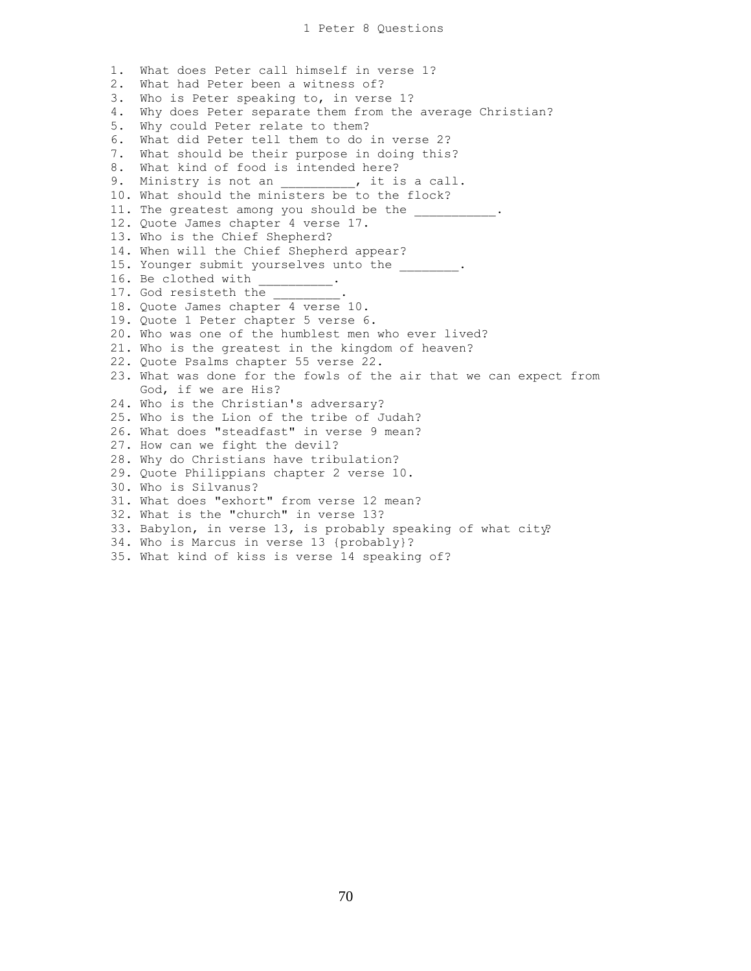1. What does Peter call himself in verse 1? 2. What had Peter been a witness of? 3. Who is Peter speaking to, in verse 1? 4. Why does Peter separate them from the average Christian? 5. Why could Peter relate to them? 6. What did Peter tell them to do in verse 2? 7. What should be their purpose in doing this? 8. What kind of food is intended here? 9. Ministry is not an \_\_\_\_\_\_\_\_, it is a call. 10. What should the ministers be to the flock? 11. The greatest among you should be the \_\_\_\_\_\_\_\_\_\_\_. 12. Quote James chapter 4 verse 17. 13. Who is the Chief Shepherd? 14. When will the Chief Shepherd appear? 15. Younger submit yourselves unto the  $\cdots$ 16. Be clothed with  $\frac{1}{12}$ . 17. God resisteth the 18. Quote James chapter 4 verse 10. 19. Quote 1 Peter chapter 5 verse 6. 20. Who was one of the humblest men who ever lived? 21. Who is the greatest in the kingdom of heaven? 22. Quote Psalms chapter 55 verse 22. 23. What was done for the fowls of the air that we can expect from God, if we are His? 24. Who is the Christian's adversary? 25. Who is the Lion of the tribe of Judah? 26. What does "steadfast" in verse 9 mean? 27. How can we fight the devil? 28. Why do Christians have tribulation? 29. Quote Philippians chapter 2 verse 10. 30. Who is Silvanus? 31. What does "exhort" from verse 12 mean? 32. What is the "church" in verse 13? 33. Babylon, in verse 13, is probably speaking of what city? 34. Who is Marcus in verse 13 {probably}? 35. What kind of kiss is verse 14 speaking of?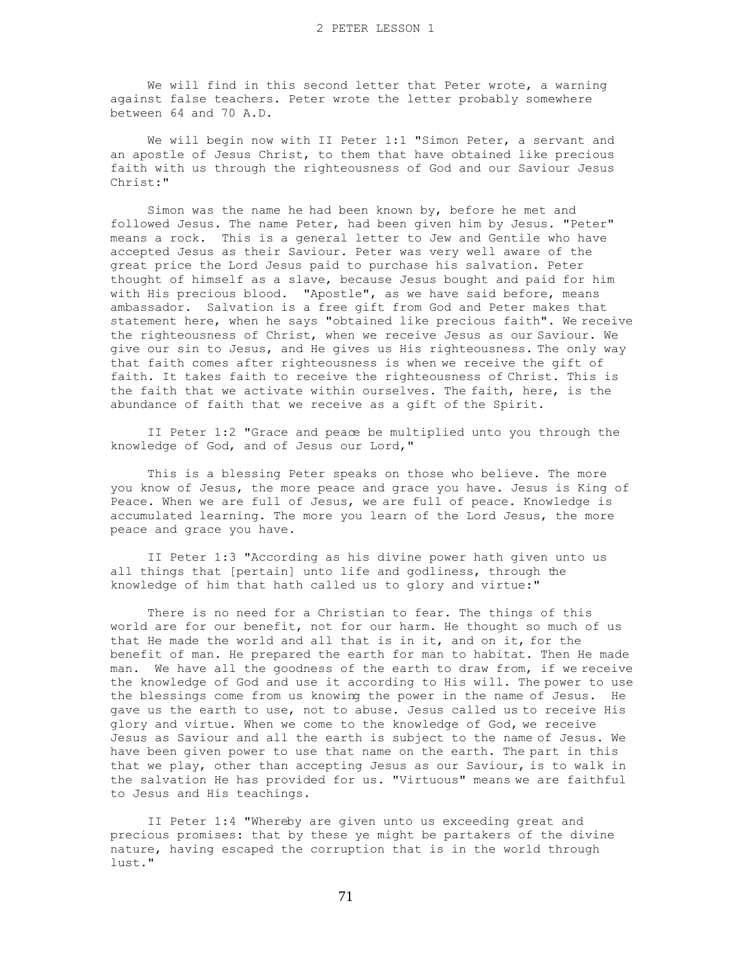We will find in this second letter that Peter wrote, a warning against false teachers. Peter wrote the letter probably somewhere between 64 and 70 A.D.

 We will begin now with II Peter 1:1 "Simon Peter, a servant and an apostle of Jesus Christ, to them that have obtained like precious faith with us through the righteousness of God and our Saviour Jesus Christ:"

 Simon was the name he had been known by, before he met and followed Jesus. The name Peter, had been given him by Jesus. "Peter" means a rock. This is a general letter to Jew and Gentile who have accepted Jesus as their Saviour. Peter was very well aware of the great price the Lord Jesus paid to purchase his salvation. Peter thought of himself as a slave, because Jesus bought and paid for him with His precious blood. "Apostle", as we have said before, means ambassador. Salvation is a free gift from God and Peter makes that statement here, when he says "obtained like precious faith". We receive the righteousness of Christ, when we receive Jesus as our Saviour. We give our sin to Jesus, and He gives us His righteousness. The only way that faith comes after righteousness is when we receive the gift of faith. It takes faith to receive the righteousness of Christ. This is the faith that we activate within ourselves. The faith, here, is the abundance of faith that we receive as a gift of the Spirit.

 II Peter 1:2 "Grace and peace be multiplied unto you through the knowledge of God, and of Jesus our Lord,"

 This is a blessing Peter speaks on those who believe. The more you know of Jesus, the more peace and grace you have. Jesus is King of Peace. When we are full of Jesus, we are full of peace. Knowledge is accumulated learning. The more you learn of the Lord Jesus, the more peace and grace you have.

 II Peter 1:3 "According as his divine power hath given unto us all things that [pertain] unto life and godliness, through the knowledge of him that hath called us to glory and virtue:"

 There is no need for a Christian to fear. The things of this world are for our benefit, not for our harm. He thought so much of us that He made the world and all that is in it, and on it, for the benefit of man. He prepared the earth for man to habitat. Then He made man. We have all the goodness of the earth to draw from, if we receive the knowledge of God and use it according to His will. The power to use the blessings come from us knowing the power in the name of Jesus. He gave us the earth to use, not to abuse. Jesus called us to receive His glory and virtue. When we come to the knowledge of God, we receive Jesus as Saviour and all the earth is subject to the name of Jesus. We have been given power to use that name on the earth. The part in this that we play, other than accepting Jesus as our Saviour, is to walk in the salvation He has provided for us. "Virtuous" means we are faithful to Jesus and His teachings.

 II Peter 1:4 "Whereby are given unto us exceeding great and precious promises: that by these ye might be partakers of the divine nature, having escaped the corruption that is in the world through lust."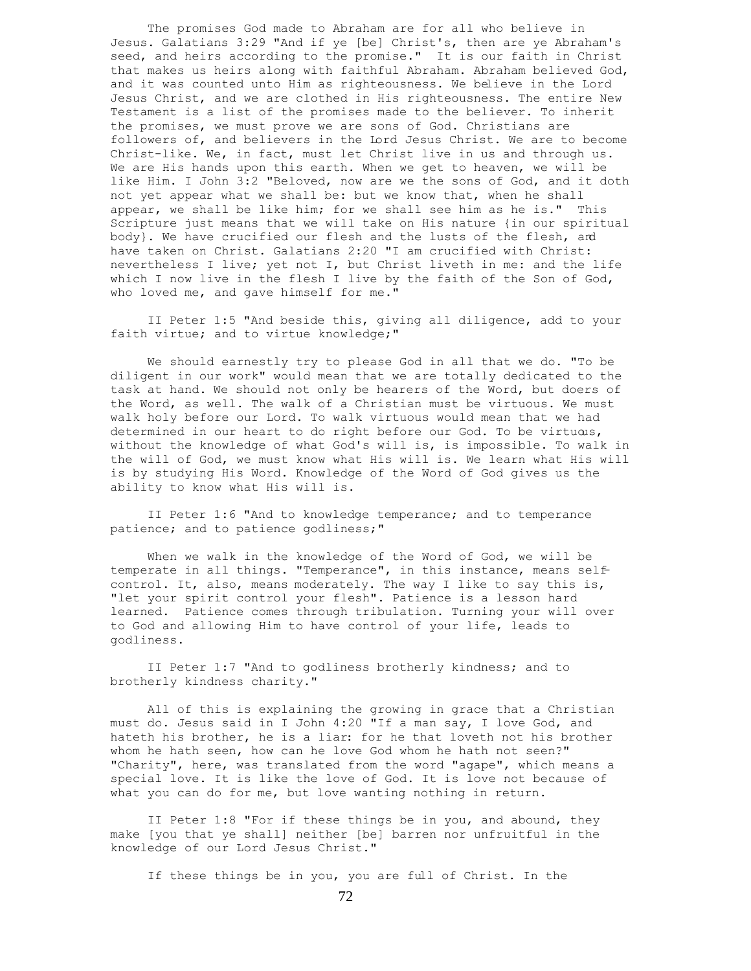The promises God made to Abraham are for all who believe in Jesus. Galatians 3:29 "And if ye [be] Christ's, then are ye Abraham's seed, and heirs according to the promise." It is our faith in Christ that makes us heirs along with faithful Abraham. Abraham believed God, and it was counted unto Him as righteousness. We believe in the Lord Jesus Christ, and we are clothed in His righteousness. The entire New Testament is a list of the promises made to the believer. To inherit the promises, we must prove we are sons of God. Christians are followers of, and believers in the Lord Jesus Christ. We are to become Christ-like. We, in fact, must let Christ live in us and through us. We are His hands upon this earth. When we get to heaven, we will be like Him. I John 3:2 "Beloved, now are we the sons of God, and it doth not yet appear what we shall be: but we know that, when he shall appear, we shall be like him; for we shall see him as he is." This Scripture just means that we will take on His nature {in our spiritual body}. We have crucified our flesh and the lusts of the flesh, and have taken on Christ. Galatians 2:20 "I am crucified with Christ: nevertheless I live; yet not I, but Christ liveth in me: and the life which I now live in the flesh I live by the faith of the Son of God, who loved me, and gave himself for me."

 II Peter 1:5 "And beside this, giving all diligence, add to your faith virtue; and to virtue knowledge;"

 We should earnestly try to please God in all that we do. "To be diligent in our work" would mean that we are totally dedicated to the task at hand. We should not only be hearers of the Word, but doers of the Word, as well. The walk of a Christian must be virtuous. We must walk holy before our Lord. To walk virtuous would mean that we had determined in our heart to do right before our God. To be virtuous, without the knowledge of what God's will is, is impossible. To walk in the will of God, we must know what His will is. We learn what His will is by studying His Word. Knowledge of the Word of God gives us the ability to know what His will is.

 II Peter 1:6 "And to knowledge temperance; and to temperance patience; and to patience godliness;"

 When we walk in the knowledge of the Word of God, we will be temperate in all things. "Temperance", in this instance, means selfcontrol. It, also, means moderately. The way I like to say this is, "let your spirit control your flesh". Patience is a lesson hard learned. Patience comes through tribulation. Turning your will over to God and allowing Him to have control of your life, leads to godliness.

 II Peter 1:7 "And to godliness brotherly kindness; and to brotherly kindness charity."

 All of this is explaining the growing in grace that a Christian must do. Jesus said in I John 4:20 "If a man say, I love God, and hateth his brother, he is a liar: for he that loveth not his brother whom he hath seen, how can he love God whom he hath not seen?" "Charity", here, was translated from the word "agape", which means a special love. It is like the love of God. It is love not because of what you can do for me, but love wanting nothing in return.

 II Peter 1:8 "For if these things be in you, and abound, they make [you that ye shall] neither [be] barren nor unfruitful in the knowledge of our Lord Jesus Christ."

If these things be in you, you are full of Christ. In the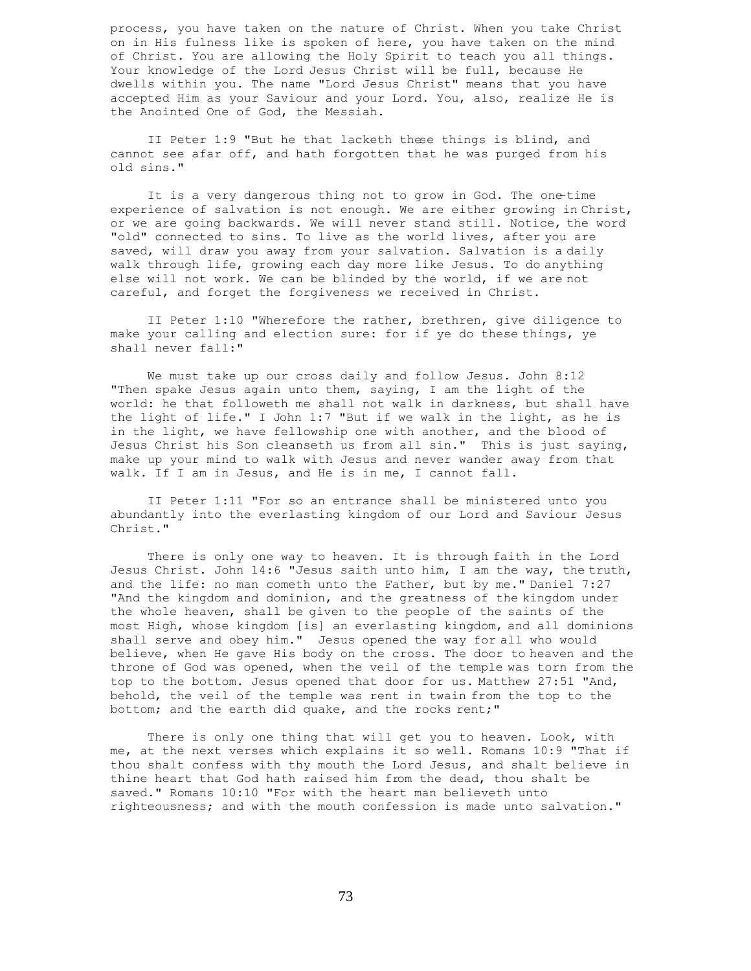process, you have taken on the nature of Christ. When you take Christ on in His fulness like is spoken of here, you have taken on the mind of Christ. You are allowing the Holy Spirit to teach you all things. Your knowledge of the Lord Jesus Christ will be full, because He dwells within you. The name "Lord Jesus Christ" means that you have accepted Him as your Saviour and your Lord. You, also, realize He is the Anointed One of God, the Messiah.

 II Peter 1:9 "But he that lacketh these things is blind, and cannot see afar off, and hath forgotten that he was purged from his old sins."

It is a very dangerous thing not to grow in God. The one-time experience of salvation is not enough. We are either growing in Christ, or we are going backwards. We will never stand still. Notice, the word "old" connected to sins. To live as the world lives, after you are saved, will draw you away from your salvation. Salvation is a daily walk through life, growing each day more like Jesus. To do anything else will not work. We can be blinded by the world, if we are not careful, and forget the forgiveness we received in Christ.

 II Peter 1:10 "Wherefore the rather, brethren, give diligence to make your calling and election sure: for if ye do these things, ye shall never fall:"

 We must take up our cross daily and follow Jesus. John 8:12 "Then spake Jesus again unto them, saying, I am the light of the world: he that followeth me shall not walk in darkness, but shall have the light of life." I John 1:7 "But if we walk in the light, as he is in the light, we have fellowship one with another, and the blood of Jesus Christ his Son cleanseth us from all sin." This is just saying, make up your mind to walk with Jesus and never wander away from that walk. If I am in Jesus, and He is in me, I cannot fall.

 II Peter 1:11 "For so an entrance shall be ministered unto you abundantly into the everlasting kingdom of our Lord and Saviour Jesus Christ."

 There is only one way to heaven. It is through faith in the Lord Jesus Christ. John 14:6 "Jesus saith unto him, I am the way, the truth, and the life: no man cometh unto the Father, but by me." Daniel 7:27 "And the kingdom and dominion, and the greatness of the kingdom under the whole heaven, shall be given to the people of the saints of the most High, whose kingdom [is] an everlasting kingdom, and all dominions shall serve and obey him." Jesus opened the way for all who would believe, when He gave His body on the cross. The door to heaven and the throne of God was opened, when the veil of the temple was torn from the top to the bottom. Jesus opened that door for us. Matthew 27:51 "And, behold, the veil of the temple was rent in twain from the top to the bottom; and the earth did quake, and the rocks rent;"

There is only one thing that will get you to heaven. Look, with me, at the next verses which explains it so well. Romans 10:9 "That if thou shalt confess with thy mouth the Lord Jesus, and shalt believe in thine heart that God hath raised him from the dead, thou shalt be saved." Romans 10:10 "For with the heart man believeth unto righteousness; and with the mouth confession is made unto salvation."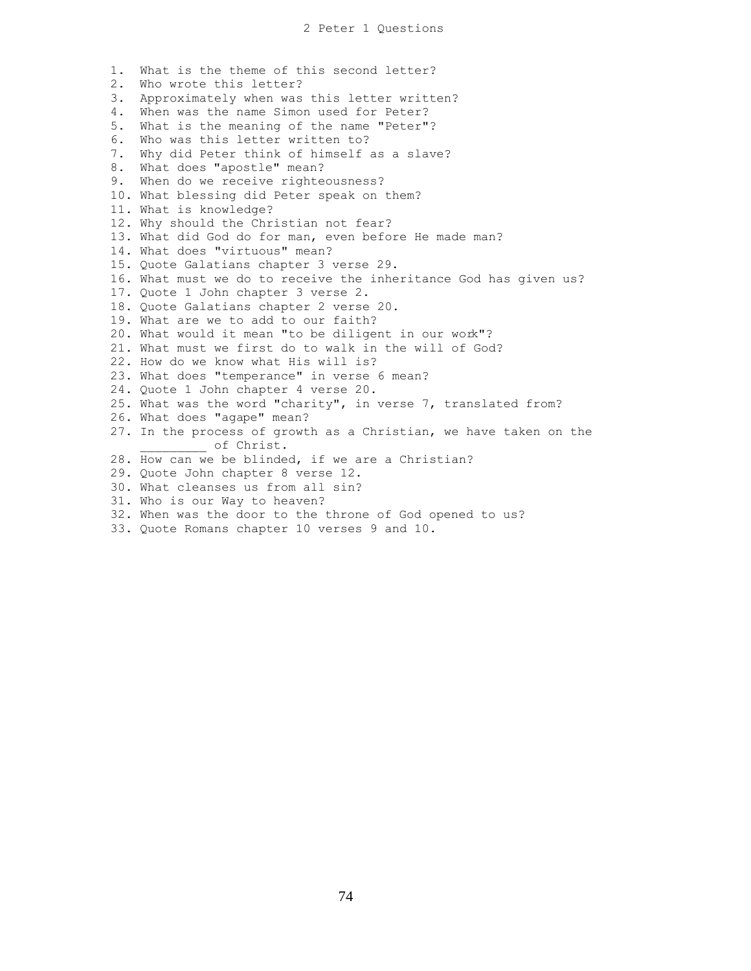1. What is the theme of this second letter? 2. Who wrote this letter? 3. Approximately when was this letter written? 4. When was the name Simon used for Peter? 5. What is the meaning of the name "Peter"? 6. Who was this letter written to? 7. Why did Peter think of himself as a slave? 8. What does "apostle" mean? 9. When do we receive righteousness? 10. What blessing did Peter speak on them? 11. What is knowledge? 12. Why should the Christian not fear? 13. What did God do for man, even before He made man? 14. What does "virtuous" mean? 15. Quote Galatians chapter 3 verse 29. 16. What must we do to receive the inheritance God has given us? 17. Quote 1 John chapter 3 verse 2. 18. Quote Galatians chapter 2 verse 20. 19. What are we to add to our faith? 20. What would it mean "to be diligent in our work"? 21. What must we first do to walk in the will of God? 22. How do we know what His will is? 23. What does "temperance" in verse 6 mean? 24. Quote 1 John chapter 4 verse 20. 25. What was the word "charity", in verse 7, translated from? 26. What does "agape" mean? 27. In the process of growth as a Christian, we have taken on the of Christ. 28. How can we be blinded, if we are a Christian? 29. Quote John chapter 8 verse 12. 30. What cleanses us from all sin? 31. Who is our Way to heaven? 32. When was the door to the throne of God opened to us?

33. Quote Romans chapter 10 verses 9 and 10.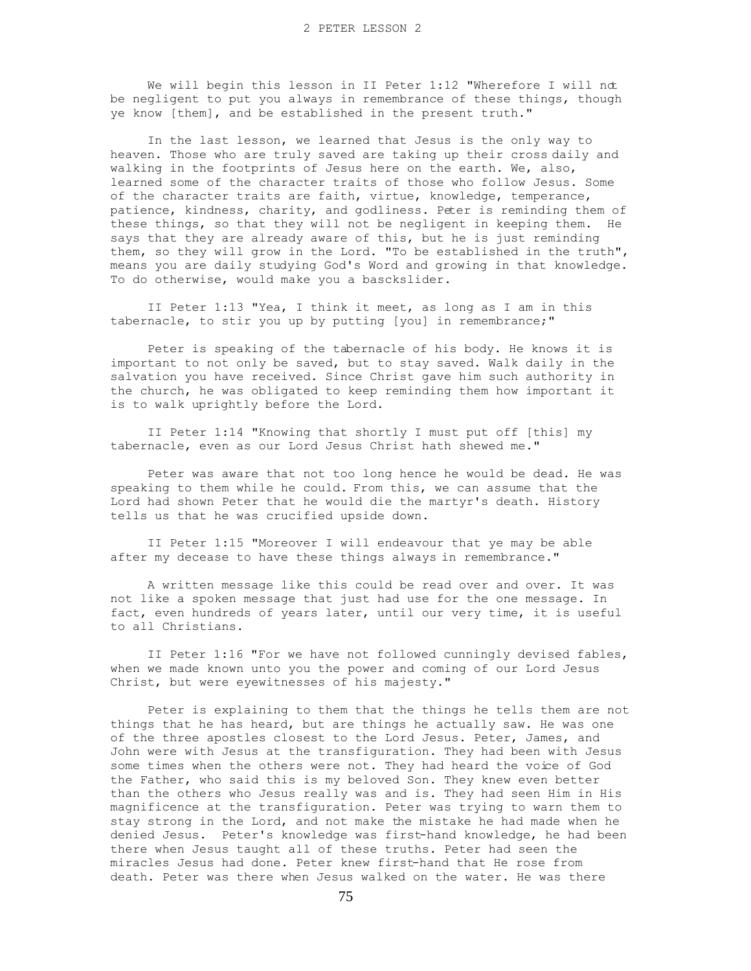We will begin this lesson in II Peter 1:12 "Wherefore I will not be negligent to put you always in remembrance of these things, though ye know [them], and be established in the present truth."

 In the last lesson, we learned that Jesus is the only way to heaven. Those who are truly saved are taking up their cross daily and walking in the footprints of Jesus here on the earth. We, also, learned some of the character traits of those who follow Jesus. Some of the character traits are faith, virtue, knowledge, temperance, patience, kindness, charity, and godliness. Peter is reminding them of these things, so that they will not be negligent in keeping them. He says that they are already aware of this, but he is just reminding them, so they will grow in the Lord. "To be established in the truth", means you are daily studying God's Word and growing in that knowledge. To do otherwise, would make you a basckslider.

 II Peter 1:13 "Yea, I think it meet, as long as I am in this tabernacle, to stir you up by putting [you] in remembrance;"

 Peter is speaking of the tabernacle of his body. He knows it is important to not only be saved, but to stay saved. Walk daily in the salvation you have received. Since Christ gave him such authority in the church, he was obligated to keep reminding them how important it is to walk uprightly before the Lord.

 II Peter 1:14 "Knowing that shortly I must put off [this] my tabernacle, even as our Lord Jesus Christ hath shewed me."

 Peter was aware that not too long hence he would be dead. He was speaking to them while he could. From this, we can assume that the Lord had shown Peter that he would die the martyr's death. History tells us that he was crucified upside down.

 II Peter 1:15 "Moreover I will endeavour that ye may be able after my decease to have these things always in remembrance."

 A written message like this could be read over and over. It was not like a spoken message that just had use for the one message. In fact, even hundreds of years later, until our very time, it is useful to all Christians.

 II Peter 1:16 "For we have not followed cunningly devised fables, when we made known unto you the power and coming of our Lord Jesus Christ, but were eyewitnesses of his majesty."

 Peter is explaining to them that the things he tells them are not things that he has heard, but are things he actually saw. He was one of the three apostles closest to the Lord Jesus. Peter, James, and John were with Jesus at the transfiguration. They had been with Jesus some times when the others were not. They had heard the voice of God the Father, who said this is my beloved Son. They knew even better than the others who Jesus really was and is. They had seen Him in His magnificence at the transfiguration. Peter was trying to warn them to stay strong in the Lord, and not make the mistake he had made when he denied Jesus. Peter's knowledge was first-hand knowledge, he had been there when Jesus taught all of these truths. Peter had seen the miracles Jesus had done. Peter knew first-hand that He rose from death. Peter was there when Jesus walked on the water. He was there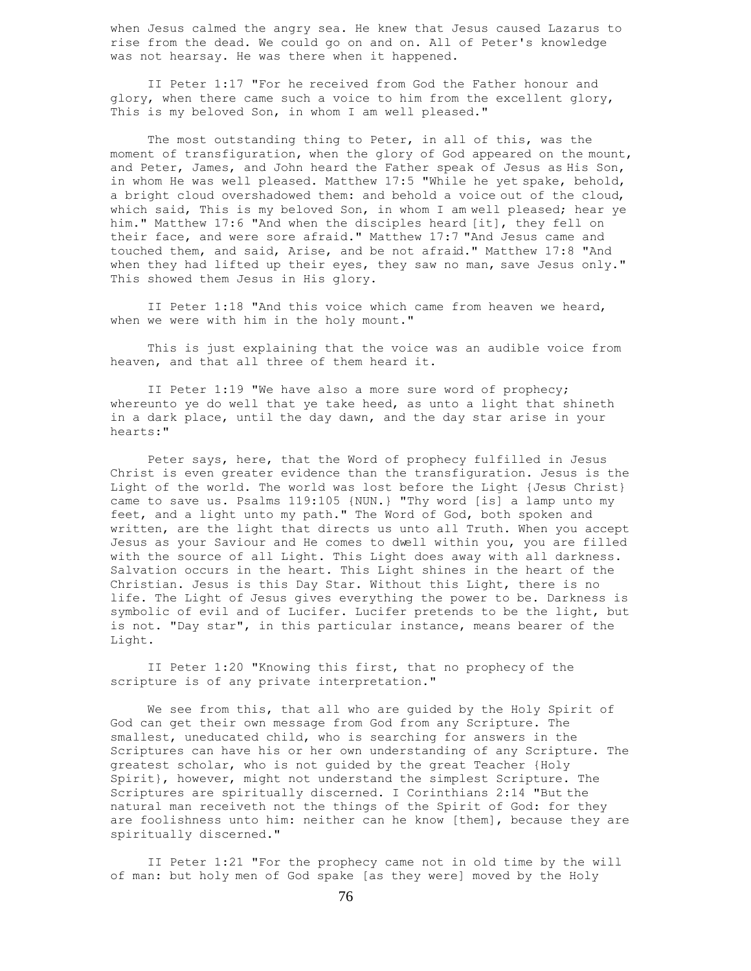when Jesus calmed the angry sea. He knew that Jesus caused Lazarus to rise from the dead. We could go on and on. All of Peter's knowledge was not hearsay. He was there when it happened.

 II Peter 1:17 "For he received from God the Father honour and glory, when there came such a voice to him from the excellent glory, This is my beloved Son, in whom I am well pleased."

The most outstanding thing to Peter, in all of this, was the moment of transfiguration, when the glory of God appeared on the mount, and Peter, James, and John heard the Father speak of Jesus as His Son, in whom He was well pleased. Matthew 17:5 "While he yet spake, behold, a bright cloud overshadowed them: and behold a voice out of the cloud, which said, This is my beloved Son, in whom I am well pleased; hear ye him." Matthew 17:6 "And when the disciples heard [it], they fell on their face, and were sore afraid." Matthew 17:7 "And Jesus came and touched them, and said, Arise, and be not afraid." Matthew 17:8 "And when they had lifted up their eyes, they saw no man, save Jesus only." This showed them Jesus in His glory.

 II Peter 1:18 "And this voice which came from heaven we heard, when we were with him in the holy mount."

 This is just explaining that the voice was an audible voice from heaven, and that all three of them heard it.

 II Peter 1:19 "We have also a more sure word of prophecy; whereunto ye do well that ye take heed, as unto a light that shineth in a dark place, until the day dawn, and the day star arise in your hearts:"

 Peter says, here, that the Word of prophecy fulfilled in Jesus Christ is even greater evidence than the transfiguration. Jesus is the Light of the world. The world was lost before the Light {Jesus Christ} came to save us. Psalms 119:105 {NUN.} "Thy word [is] a lamp unto my feet, and a light unto my path." The Word of God, both spoken and written, are the light that directs us unto all Truth. When you accept Jesus as your Saviour and He comes to dwell within you, you are filled with the source of all Light. This Light does away with all darkness. Salvation occurs in the heart. This Light shines in the heart of the Christian. Jesus is this Day Star. Without this Light, there is no life. The Light of Jesus gives everything the power to be. Darkness is symbolic of evil and of Lucifer. Lucifer pretends to be the light, but is not. "Day star", in this particular instance, means bearer of the Light.

 II Peter 1:20 "Knowing this first, that no prophecy of the scripture is of any private interpretation."

 We see from this, that all who are guided by the Holy Spirit of God can get their own message from God from any Scripture. The smallest, uneducated child, who is searching for answers in the Scriptures can have his or her own understanding of any Scripture. The greatest scholar, who is not guided by the great Teacher {Holy Spirit}, however, might not understand the simplest Scripture. The Scriptures are spiritually discerned. I Corinthians 2:14 "But the natural man receiveth not the things of the Spirit of God: for they are foolishness unto him: neither can he know [them], because they are spiritually discerned."

 II Peter 1:21 "For the prophecy came not in old time by the will of man: but holy men of God spake [as they were] moved by the Holy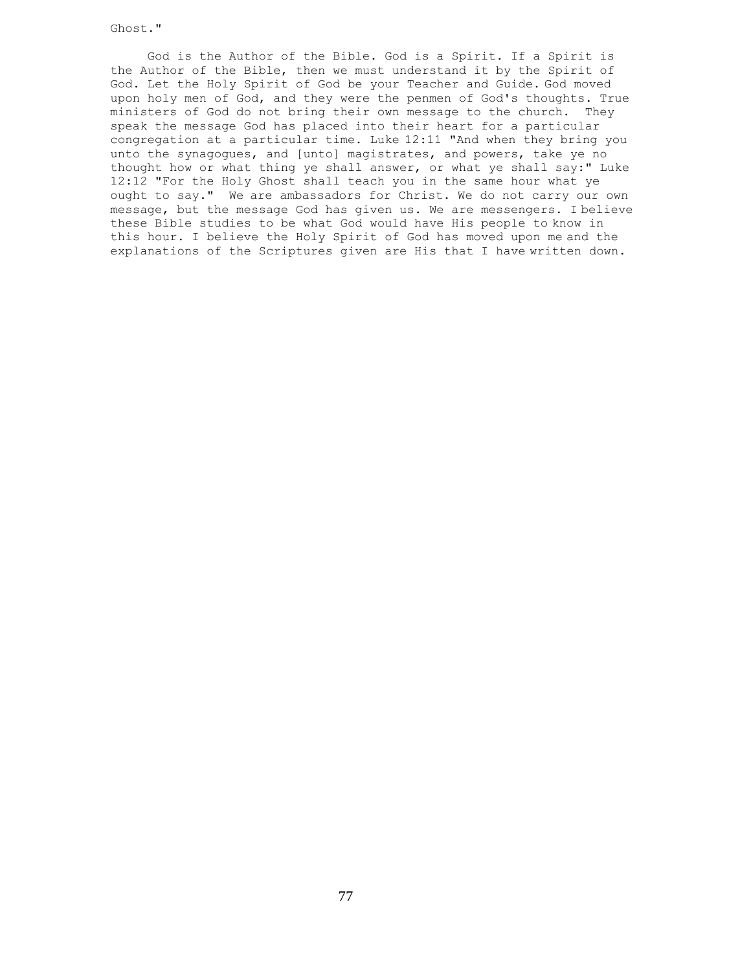Ghost."

 God is the Author of the Bible. God is a Spirit. If a Spirit is the Author of the Bible, then we must understand it by the Spirit of God. Let the Holy Spirit of God be your Teacher and Guide. God moved upon holy men of God, and they were the penmen of God's thoughts. True ministers of God do not bring their own message to the church. They speak the message God has placed into their heart for a particular congregation at a particular time. Luke 12:11 "And when they bring you unto the synagogues, and [unto] magistrates, and powers, take ye no thought how or what thing ye shall answer, or what ye shall say:" Luke 12:12 "For the Holy Ghost shall teach you in the same hour what ye ought to say." We are ambassadors for Christ. We do not carry our own message, but the message God has given us. We are messengers. I believe these Bible studies to be what God would have His people to know in this hour. I believe the Holy Spirit of God has moved upon me and the explanations of the Scriptures given are His that I have written down.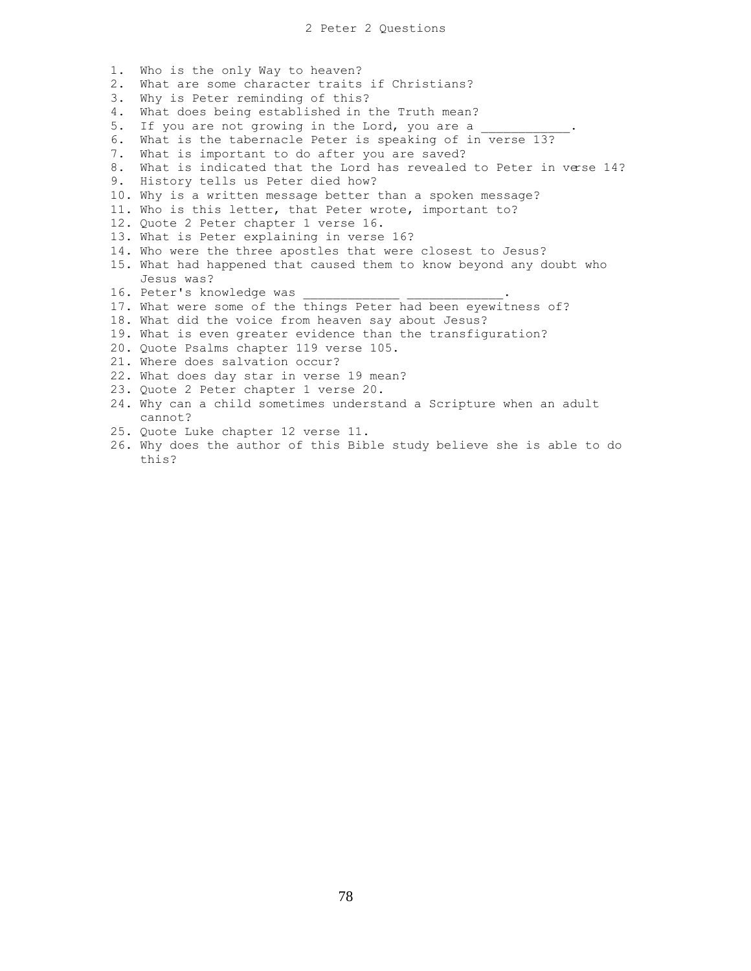- 1. Who is the only Way to heaven?
- 2. What are some character traits if Christians?
- 3. Why is Peter reminding of this?
- 4. What does being established in the Truth mean?
- 5. If you are not growing in the Lord, you are a
- 6. What is the tabernacle Peter is speaking of in verse 13?
- 7. What is important to do after you are saved?
- 8. What is indicated that the Lord has revealed to Peter in verse 14?
- 9. History tells us Peter died how?
- 10. Why is a written message better than a spoken message?
- 11. Who is this letter, that Peter wrote, important to?
- 12. Quote 2 Peter chapter 1 verse 16.
- 13. What is Peter explaining in verse 16?
- 14. Who were the three apostles that were closest to Jesus?
- 15. What had happened that caused them to know beyond any doubt who Jesus was?
- 16. Peter's knowledge was
- 17. What were some of the things Peter had been eyewitness of?
- 18. What did the voice from heaven say about Jesus?
- 19. What is even greater evidence than the transfiguration?
- 20. Quote Psalms chapter 119 verse 105.
- 21. Where does salvation occur?
- 22. What does day star in verse 19 mean?
- 23. Quote 2 Peter chapter 1 verse 20.
- 24. Why can a child sometimes understand a Scripture when an adult cannot?
- 25. Quote Luke chapter 12 verse 11.
- 26. Why does the author of this Bible study believe she is able to do this?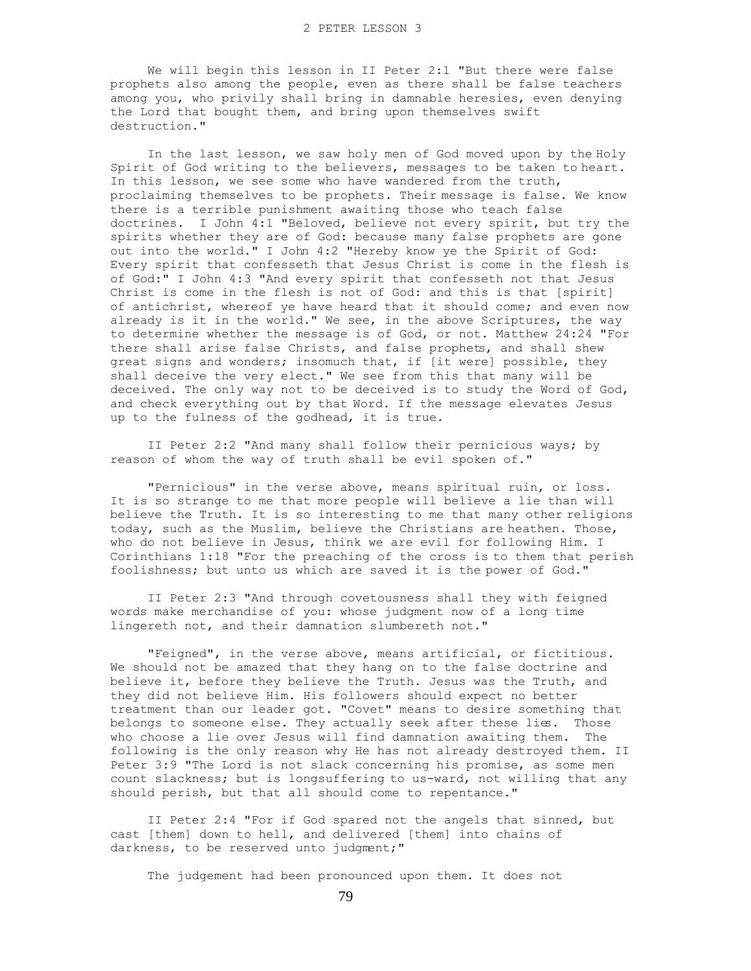We will begin this lesson in II Peter 2:1 "But there were false prophets also among the people, even as there shall be false teachers among you, who privily shall bring in damnable heresies, even denying the Lord that bought them, and bring upon themselves swift destruction."

 In the last lesson, we saw holy men of God moved upon by the Holy Spirit of God writing to the believers, messages to be taken to heart. In this lesson, we see some who have wandered from the truth, proclaiming themselves to be prophets. Their message is false. We know there is a terrible punishment awaiting those who teach false doctrines. I John 4:1 "Beloved, believe not every spirit, but try the spirits whether they are of God: because many false prophets are gone out into the world." I John 4:2 "Hereby know ye the Spirit of God: Every spirit that confesseth that Jesus Christ is come in the flesh is of God:" I John 4:3 "And every spirit that confesseth not that Jesus Christ is come in the flesh is not of God: and this is that [spirit] of antichrist, whereof ye have heard that it should come; and even now already is it in the world." We see, in the above Scriptures, the way to determine whether the message is of God, or not. Matthew 24:24 "For there shall arise false Christs, and false prophets, and shall shew great signs and wonders; insomuch that, if [it were] possible, they shall deceive the very elect." We see from this that many will be deceived. The only way not to be deceived is to study the Word of God, and check everything out by that Word. If the message elevates Jesus up to the fulness of the godhead, it is true.

 II Peter 2:2 "And many shall follow their pernicious ways; by reason of whom the way of truth shall be evil spoken of."

 "Pernicious" in the verse above, means spiritual ruin, or loss. It is so strange to me that more people will believe a lie than will believe the Truth. It is so interesting to me that many other religions today, such as the Muslim, believe the Christians are heathen. Those, who do not believe in Jesus, think we are evil for following Him. I Corinthians 1:18 "For the preaching of the cross is to them that perish foolishness; but unto us which are saved it is the power of God."

 II Peter 2:3 "And through covetousness shall they with feigned words make merchandise of you: whose judgment now of a long time lingereth not, and their damnation slumbereth not."

 "Feigned", in the verse above, means artificial, or fictitious. We should not be amazed that they hang on to the false doctrine and believe it, before they believe the Truth. Jesus was the Truth, and they did not believe Him. His followers should expect no better treatment than our leader got. "Covet" means to desire something that belongs to someone else. They actually seek after these lies. Those who choose a lie over Jesus will find damnation awaiting them. The following is the only reason why He has not already destroyed them. II Peter 3:9 "The Lord is not slack concerning his promise, as some men count slackness; but is longsuffering to us-ward, not willing that any should perish, but that all should come to repentance."

 II Peter 2:4 "For if God spared not the angels that sinned, but cast [them] down to hell, and delivered [them] into chains of darkness, to be reserved unto judgment;"

The judgement had been pronounced upon them. It does not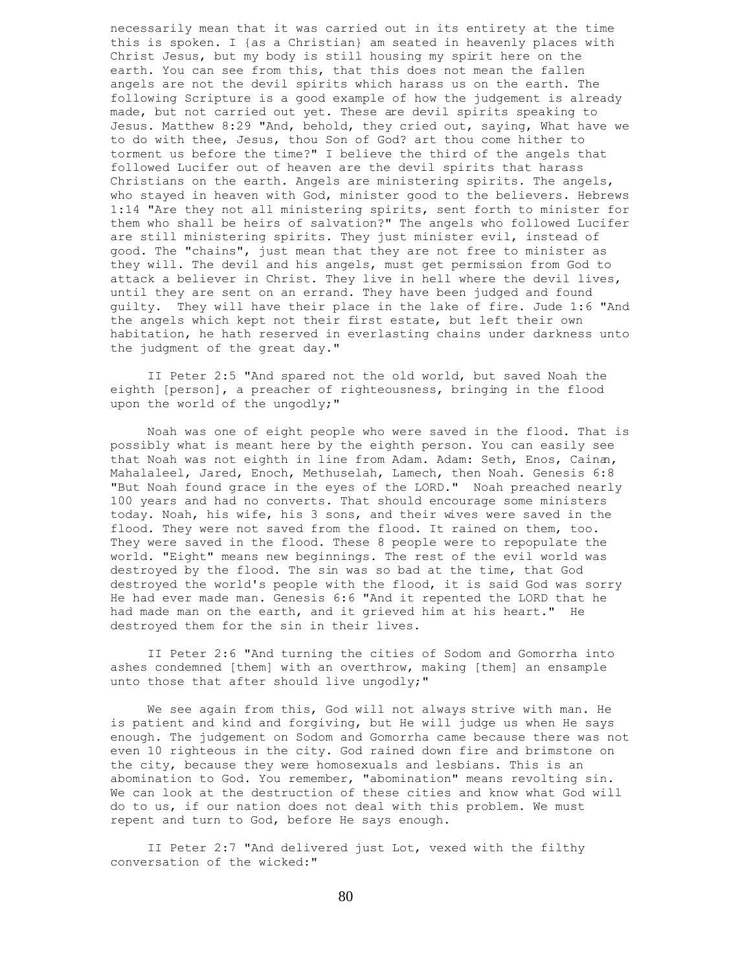necessarily mean that it was carried out in its entirety at the time this is spoken. I {as a Christian} am seated in heavenly places with Christ Jesus, but my body is still housing my spirit here on the earth. You can see from this, that this does not mean the fallen angels are not the devil spirits which harass us on the earth. The following Scripture is a good example of how the judgement is already made, but not carried out yet. These are devil spirits speaking to Jesus. Matthew 8:29 "And, behold, they cried out, saying, What have we to do with thee, Jesus, thou Son of God? art thou come hither to torment us before the time?" I believe the third of the angels that followed Lucifer out of heaven are the devil spirits that harass Christians on the earth. Angels are ministering spirits. The angels, who stayed in heaven with God, minister good to the believers. Hebrews 1:14 "Are they not all ministering spirits, sent forth to minister for them who shall be heirs of salvation?" The angels who followed Lucifer are still ministering spirits. They just minister evil, instead of good. The "chains", just mean that they are not free to minister as they will. The devil and his angels, must get permission from God to attack a believer in Christ. They live in hell where the devil lives, until they are sent on an errand. They have been judged and found guilty. They will have their place in the lake of fire. Jude 1:6 "And the angels which kept not their first estate, but left their own habitation, he hath reserved in everlasting chains under darkness unto the judgment of the great day."

 II Peter 2:5 "And spared not the old world, but saved Noah the eighth [person], a preacher of righteousness, bringing in the flood upon the world of the ungodly;"

 Noah was one of eight people who were saved in the flood. That is possibly what is meant here by the eighth person. You can easily see that Noah was not eighth in line from Adam. Adam: Seth, Enos, Cainan, Mahalaleel, Jared, Enoch, Methuselah, Lamech, then Noah. Genesis 6:8 "But Noah found grace in the eyes of the LORD." Noah preached nearly 100 years and had no converts. That should encourage some ministers today. Noah, his wife, his 3 sons, and their wives were saved in the flood. They were not saved from the flood. It rained on them, too. They were saved in the flood. These 8 people were to repopulate the world. "Eight" means new beginnings. The rest of the evil world was destroyed by the flood. The sin was so bad at the time, that God destroyed the world's people with the flood, it is said God was sorry He had ever made man. Genesis 6:6 "And it repented the LORD that he had made man on the earth, and it grieved him at his heart." He destroyed them for the sin in their lives.

 II Peter 2:6 "And turning the cities of Sodom and Gomorrha into ashes condemned [them] with an overthrow, making [them] an ensample unto those that after should live ungodly;"

 We see again from this, God will not always strive with man. He is patient and kind and forgiving, but He will judge us when He says enough. The judgement on Sodom and Gomorrha came because there was not even 10 righteous in the city. God rained down fire and brimstone on the city, because they were homosexuals and lesbians. This is an abomination to God. You remember, "abomination" means revolting sin. We can look at the destruction of these cities and know what God will do to us, if our nation does not deal with this problem. We must repent and turn to God, before He says enough.

 II Peter 2:7 "And delivered just Lot, vexed with the filthy conversation of the wicked:"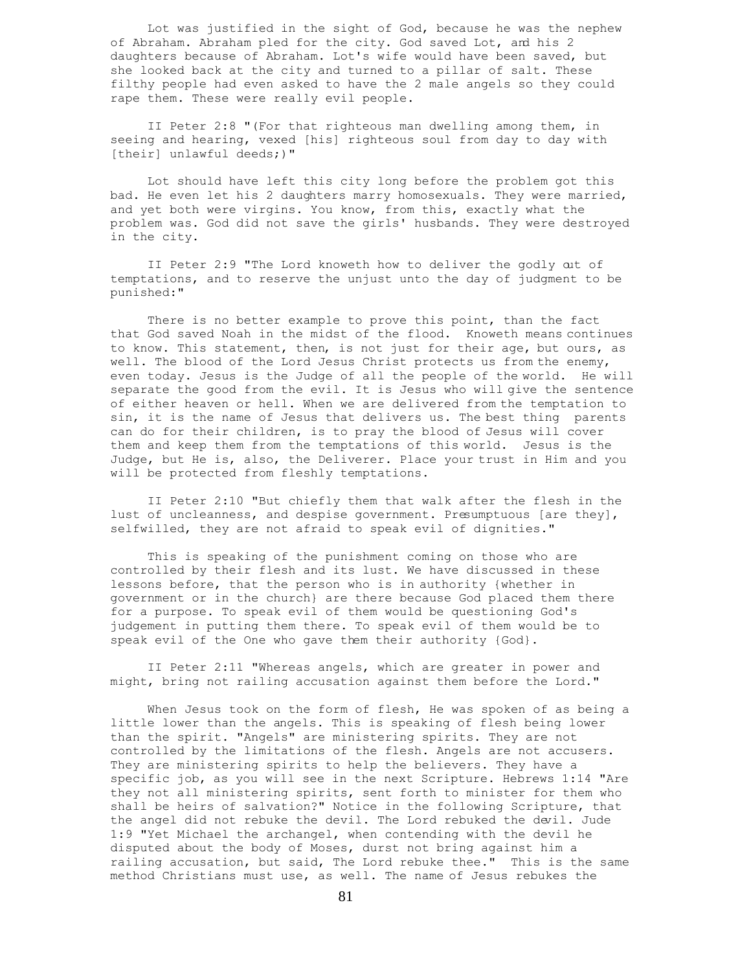Lot was justified in the sight of God, because he was the nephew of Abraham. Abraham pled for the city. God saved Lot, and his 2 daughters because of Abraham. Lot's wife would have been saved, but she looked back at the city and turned to a pillar of salt. These filthy people had even asked to have the 2 male angels so they could rape them. These were really evil people.

 II Peter 2:8 "(For that righteous man dwelling among them, in seeing and hearing, vexed [his] righteous soul from day to day with [their] unlawful deeds;)"

 Lot should have left this city long before the problem got this bad. He even let his 2 daughters marry homosexuals. They were married, and yet both were virgins. You know, from this, exactly what the problem was. God did not save the girls' husbands. They were destroyed in the city.

 II Peter 2:9 "The Lord knoweth how to deliver the godly out of temptations, and to reserve the unjust unto the day of judgment to be punished:"

There is no better example to prove this point, than the fact that God saved Noah in the midst of the flood. Knoweth means continues to know. This statement, then, is not just for their age, but ours, as well. The blood of the Lord Jesus Christ protects us from the enemy, even today. Jesus is the Judge of all the people of the world. He will separate the good from the evil. It is Jesus who will give the sentence of either heaven or hell. When we are delivered from the temptation to sin, it is the name of Jesus that delivers us. The best thing parents can do for their children, is to pray the blood of Jesus will cover them and keep them from the temptations of this world. Jesus is the Judge, but He is, also, the Deliverer. Place your trust in Him and you will be protected from fleshly temptations.

 II Peter 2:10 "But chiefly them that walk after the flesh in the lust of uncleanness, and despise government. Presumptuous [are they], selfwilled, they are not afraid to speak evil of dignities."

 This is speaking of the punishment coming on those who are controlled by their flesh and its lust. We have discussed in these lessons before, that the person who is in authority {whether in government or in the church} are there because God placed them there for a purpose. To speak evil of them would be questioning God's judgement in putting them there. To speak evil of them would be to speak evil of the One who gave them their authority {God}.

 II Peter 2:11 "Whereas angels, which are greater in power and might, bring not railing accusation against them before the Lord."

 When Jesus took on the form of flesh, He was spoken of as being a little lower than the angels. This is speaking of flesh being lower than the spirit. "Angels" are ministering spirits. They are not controlled by the limitations of the flesh. Angels are not accusers. They are ministering spirits to help the believers. They have a specific job, as you will see in the next Scripture. Hebrews 1:14 "Are they not all ministering spirits, sent forth to minister for them who shall be heirs of salvation?" Notice in the following Scripture, that the angel did not rebuke the devil. The Lord rebuked the devil. Jude 1:9 "Yet Michael the archangel, when contending with the devil he disputed about the body of Moses, durst not bring against him a railing accusation, but said, The Lord rebuke thee." This is the same method Christians must use, as well. The name of Jesus rebukes the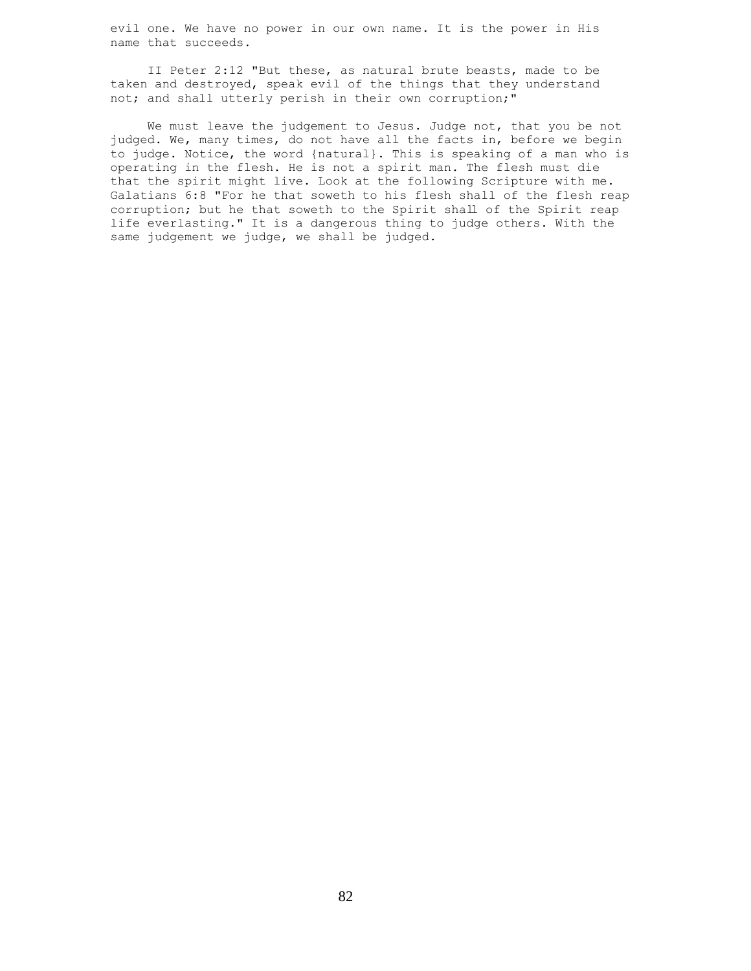evil one. We have no power in our own name. It is the power in His name that succeeds.

 II Peter 2:12 "But these, as natural brute beasts, made to be taken and destroyed, speak evil of the things that they understand not; and shall utterly perish in their own corruption;"

 We must leave the judgement to Jesus. Judge not, that you be not judged. We, many times, do not have all the facts in, before we begin to judge. Notice, the word {natural}. This is speaking of a man who is operating in the flesh. He is not a spirit man. The flesh must die that the spirit might live. Look at the following Scripture with me. Galatians 6:8 "For he that soweth to his flesh shall of the flesh reap corruption; but he that soweth to the Spirit shall of the Spirit reap life everlasting." It is a dangerous thing to judge others. With the same judgement we judge, we shall be judged.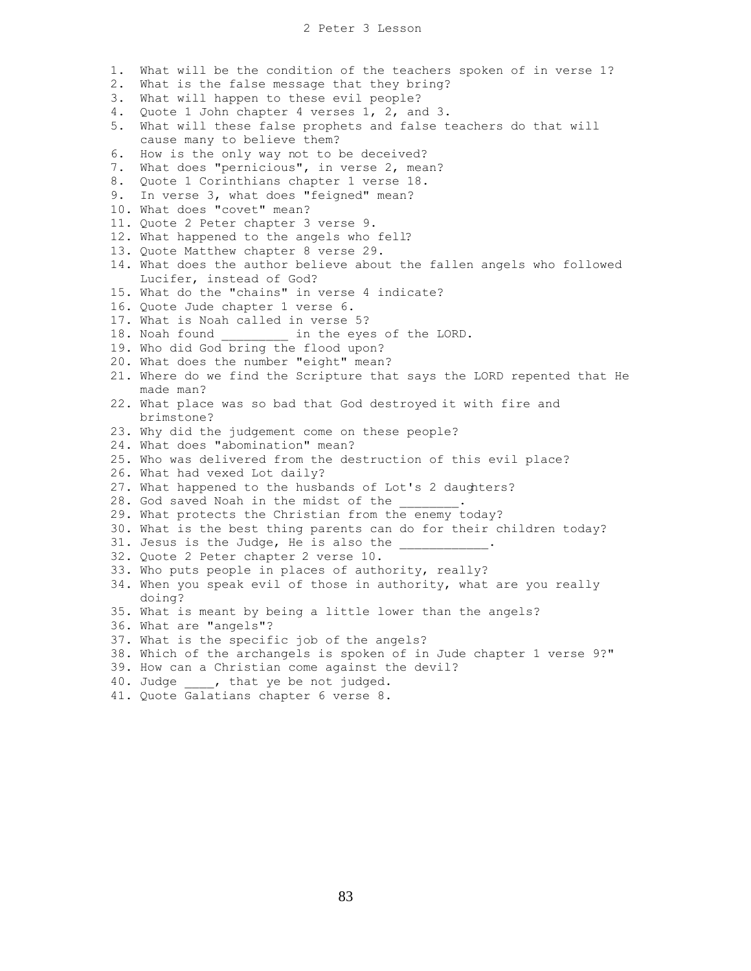- 1. What will be the condition of the teachers spoken of in verse 1?
- 2. What is the false message that they bring?
- 3. What will happen to these evil people?
- 4. Quote 1 John chapter 4 verses 1, 2, and 3.
- 5. What will these false prophets and false teachers do that will cause many to believe them?
- 6. How is the only way not to be deceived?
- 7. What does "pernicious", in verse 2, mean?
- 8. Quote 1 Corinthians chapter 1 verse 18.
- 9. In verse 3, what does "feigned" mean?
- 10. What does "covet" mean?
- 11. Quote 2 Peter chapter 3 verse 9.
- 12. What happened to the angels who fell?
- 13. Quote Matthew chapter 8 verse 29.
- 14. What does the author believe about the fallen angels who followed Lucifer, instead of God?
- 15. What do the "chains" in verse 4 indicate?
- 16. Quote Jude chapter 1 verse 6.
- 17. What is Noah called in verse 5?
- 18. Noah found \_\_\_\_\_\_\_\_\_ in the eyes of the LORD.
- 19. Who did God bring the flood upon?
- 20. What does the number "eight" mean?
- 21. Where do we find the Scripture that says the LORD repented that He made man?
- 22. What place was so bad that God destroyed it with fire and brimstone?
- 23. Why did the judgement come on these people?
- 24. What does "abomination" mean?
- 25. Who was delivered from the destruction of this evil place?
- 26. What had vexed Lot daily?
- 27. What happened to the husbands of Lot's 2 daughters?
- 28. God saved Noah in the midst of the
- 29. What protects the Christian from the enemy today?
- 30. What is the best thing parents can do for their children today?
- 31. Jesus is the Judge, He is also the
- 32. Quote 2 Peter chapter 2 verse 10.
- 33. Who puts people in places of authority, really?
- 34. When you speak evil of those in authority, what are you really doing?
- 35. What is meant by being a little lower than the angels?
- 36. What are "angels"?
- 37. What is the specific job of the angels?
- 38. Which of the archangels is spoken of in Jude chapter 1 verse 9?"
- 39. How can a Christian come against the devil?
- 40. Judge , that ye be not judged.
- 41. Quote Galatians chapter 6 verse 8.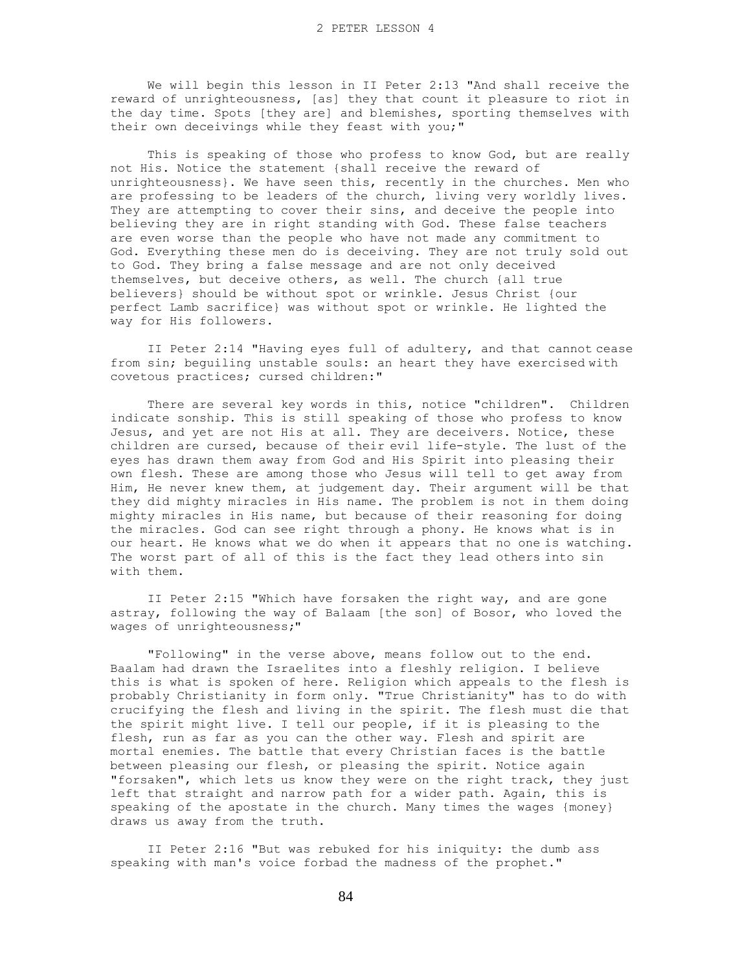We will begin this lesson in II Peter 2:13 "And shall receive the reward of unrighteousness, [as] they that count it pleasure to riot in the day time. Spots [they are] and blemishes, sporting themselves with their own deceivings while they feast with you;"

 This is speaking of those who profess to know God, but are really not His. Notice the statement {shall receive the reward of unrighteousness}. We have seen this, recently in the churches. Men who are professing to be leaders of the church, living very worldly lives. They are attempting to cover their sins, and deceive the people into believing they are in right standing with God. These false teachers are even worse than the people who have not made any commitment to God. Everything these men do is deceiving. They are not truly sold out to God. They bring a false message and are not only deceived themselves, but deceive others, as well. The church {all true believers} should be without spot or wrinkle. Jesus Christ {our perfect Lamb sacrifice} was without spot or wrinkle. He lighted the way for His followers.

 II Peter 2:14 "Having eyes full of adultery, and that cannot cease from sin; beguiling unstable souls: an heart they have exercised with covetous practices; cursed children:"

 There are several key words in this, notice "children". Children indicate sonship. This is still speaking of those who profess to know Jesus, and yet are not His at all. They are deceivers. Notice, these children are cursed, because of their evil life-style. The lust of the eyes has drawn them away from God and His Spirit into pleasing their own flesh. These are among those who Jesus will tell to get away from Him, He never knew them, at judgement day. Their argument will be that they did mighty miracles in His name. The problem is not in them doing mighty miracles in His name, but because of their reasoning for doing the miracles. God can see right through a phony. He knows what is in our heart. He knows what we do when it appears that no one is watching. The worst part of all of this is the fact they lead others into sin with them.

 II Peter 2:15 "Which have forsaken the right way, and are gone astray, following the way of Balaam [the son] of Bosor, who loved the wages of unrighteousness;"

 "Following" in the verse above, means follow out to the end. Baalam had drawn the Israelites into a fleshly religion. I believe this is what is spoken of here. Religion which appeals to the flesh is probably Christianity in form only. "True Christianity" has to do with crucifying the flesh and living in the spirit. The flesh must die that the spirit might live. I tell our people, if it is pleasing to the flesh, run as far as you can the other way. Flesh and spirit are mortal enemies. The battle that every Christian faces is the battle between pleasing our flesh, or pleasing the spirit. Notice again "forsaken", which lets us know they were on the right track, they just left that straight and narrow path for a wider path. Again, this is speaking of the apostate in the church. Many times the wages {money} draws us away from the truth.

 II Peter 2:16 "But was rebuked for his iniquity: the dumb ass speaking with man's voice forbad the madness of the prophet."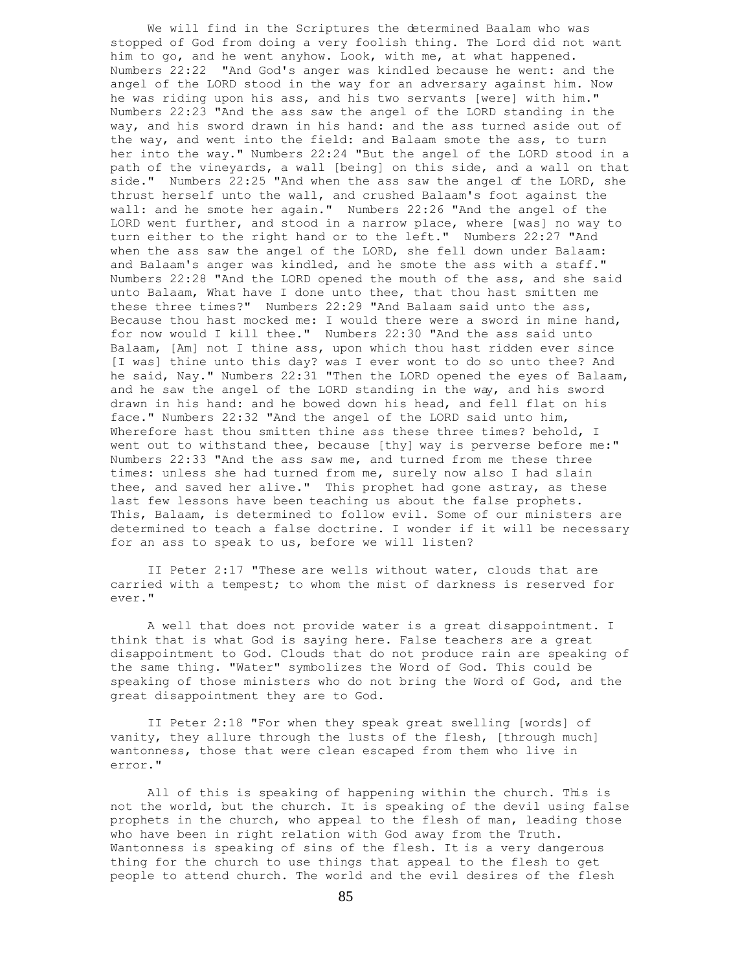We will find in the Scriptures the determined Baalam who was stopped of God from doing a very foolish thing. The Lord did not want him to go, and he went anyhow. Look, with me, at what happened. Numbers 22:22 "And God's anger was kindled because he went: and the angel of the LORD stood in the way for an adversary against him. Now he was riding upon his ass, and his two servants [were] with him." Numbers 22:23 "And the ass saw the angel of the LORD standing in the way, and his sword drawn in his hand: and the ass turned aside out of the way, and went into the field: and Balaam smote the ass, to turn her into the way." Numbers 22:24 "But the angel of the LORD stood in a path of the vineyards, a wall [being] on this side, and a wall on that side." Numbers 22:25 "And when the ass saw the angel of the LORD, she thrust herself unto the wall, and crushed Balaam's foot against the wall: and he smote her again." Numbers 22:26 "And the angel of the LORD went further, and stood in a narrow place, where [was] no way to turn either to the right hand or to the left." Numbers 22:27 "And when the ass saw the angel of the LORD, she fell down under Balaam: and Balaam's anger was kindled, and he smote the ass with a staff." Numbers 22:28 "And the LORD opened the mouth of the ass, and she said unto Balaam, What have I done unto thee, that thou hast smitten me these three times?" Numbers 22:29 "And Balaam said unto the ass, Because thou hast mocked me: I would there were a sword in mine hand, for now would I kill thee." Numbers 22:30 "And the ass said unto Balaam, [Am] not I thine ass, upon which thou hast ridden ever since [I was] thine unto this day? was I ever wont to do so unto thee? And he said, Nay." Numbers 22:31 "Then the LORD opened the eyes of Balaam, and he saw the angel of the LORD standing in the way, and his sword drawn in his hand: and he bowed down his head, and fell flat on his face." Numbers 22:32 "And the angel of the LORD said unto him, Wherefore hast thou smitten thine ass these three times? behold, I went out to withstand thee, because [thy] way is perverse before me:" Numbers 22:33 "And the ass saw me, and turned from me these three times: unless she had turned from me, surely now also I had slain thee, and saved her alive." This prophet had gone astray, as these last few lessons have been teaching us about the false prophets. This, Balaam, is determined to follow evil. Some of our ministers are determined to teach a false doctrine. I wonder if it will be necessary for an ass to speak to us, before we will listen?

 II Peter 2:17 "These are wells without water, clouds that are carried with a tempest; to whom the mist of darkness is reserved for ever."

 A well that does not provide water is a great disappointment. I think that is what God is saying here. False teachers are a great disappointment to God. Clouds that do not produce rain are speaking of the same thing. "Water" symbolizes the Word of God. This could be speaking of those ministers who do not bring the Word of God, and the great disappointment they are to God.

 II Peter 2:18 "For when they speak great swelling [words] of vanity, they allure through the lusts of the flesh, [through much] wantonness, those that were clean escaped from them who live in error."

 All of this is speaking of happening within the church. This is not the world, but the church. It is speaking of the devil using false prophets in the church, who appeal to the flesh of man, leading those who have been in right relation with God away from the Truth. Wantonness is speaking of sins of the flesh. It is a very dangerous thing for the church to use things that appeal to the flesh to get people to attend church. The world and the evil desires of the flesh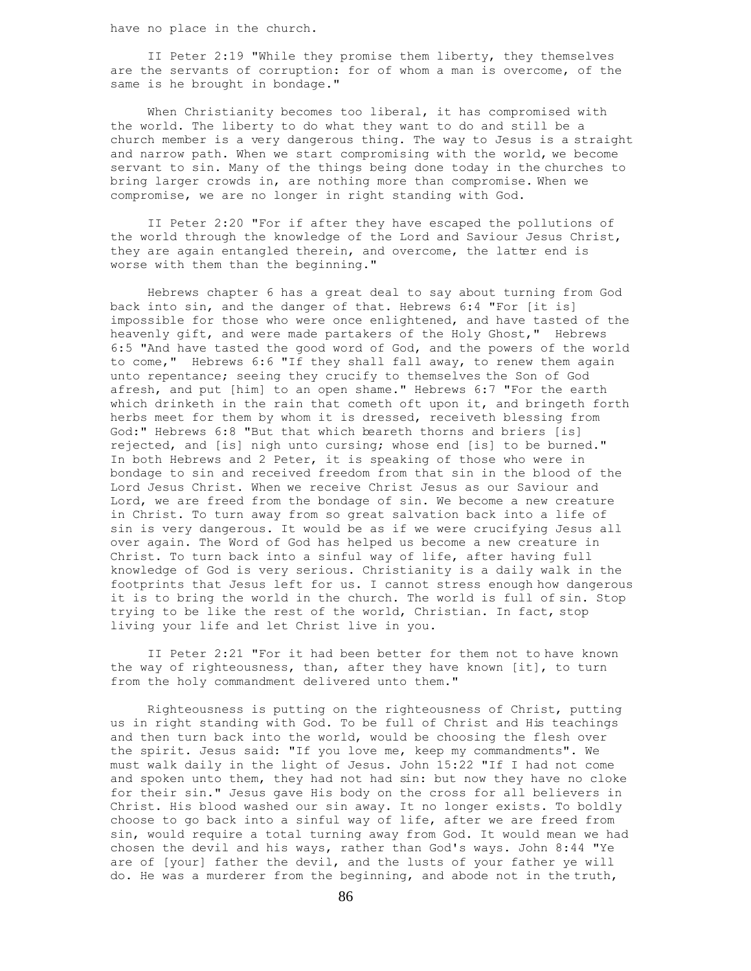have no place in the church.

 II Peter 2:19 "While they promise them liberty, they themselves are the servants of corruption: for of whom a man is overcome, of the same is he brought in bondage."

 When Christianity becomes too liberal, it has compromised with the world. The liberty to do what they want to do and still be a church member is a very dangerous thing. The way to Jesus is a straight and narrow path. When we start compromising with the world, we become servant to sin. Many of the things being done today in the churches to bring larger crowds in, are nothing more than compromise. When we compromise, we are no longer in right standing with God.

 II Peter 2:20 "For if after they have escaped the pollutions of the world through the knowledge of the Lord and Saviour Jesus Christ, they are again entangled therein, and overcome, the latter end is worse with them than the beginning."

 Hebrews chapter 6 has a great deal to say about turning from God back into sin, and the danger of that. Hebrews 6:4 "For [it is] impossible for those who were once enlightened, and have tasted of the heavenly gift, and were made partakers of the Holy Ghost," Hebrews 6:5 "And have tasted the good word of God, and the powers of the world to come," Hebrews 6:6 "If they shall fall away, to renew them again unto repentance; seeing they crucify to themselves the Son of God afresh, and put [him] to an open shame." Hebrews 6:7 "For the earth which drinketh in the rain that cometh oft upon it, and bringeth forth herbs meet for them by whom it is dressed, receiveth blessing from God:" Hebrews 6:8 "But that which beareth thorns and briers [is] rejected, and [is] nigh unto cursing; whose end [is] to be burned." In both Hebrews and 2 Peter, it is speaking of those who were in bondage to sin and received freedom from that sin in the blood of the Lord Jesus Christ. When we receive Christ Jesus as our Saviour and Lord, we are freed from the bondage of sin. We become a new creature in Christ. To turn away from so great salvation back into a life of sin is very dangerous. It would be as if we were crucifying Jesus all over again. The Word of God has helped us become a new creature in Christ. To turn back into a sinful way of life, after having full knowledge of God is very serious. Christianity is a daily walk in the footprints that Jesus left for us. I cannot stress enough how dangerous it is to bring the world in the church. The world is full of sin. Stop trying to be like the rest of the world, Christian. In fact, stop living your life and let Christ live in you.

 II Peter 2:21 "For it had been better for them not to have known the way of righteousness, than, after they have known [it], to turn from the holy commandment delivered unto them."

 Righteousness is putting on the righteousness of Christ, putting us in right standing with God. To be full of Christ and His teachings and then turn back into the world, would be choosing the flesh over the spirit. Jesus said: "If you love me, keep my commandments". We must walk daily in the light of Jesus. John 15:22 "If I had not come and spoken unto them, they had not had sin: but now they have no cloke for their sin." Jesus gave His body on the cross for all believers in Christ. His blood washed our sin away. It no longer exists. To boldly choose to go back into a sinful way of life, after we are freed from sin, would require a total turning away from God. It would mean we had chosen the devil and his ways, rather than God's ways. John 8:44 "Ye are of [your] father the devil, and the lusts of your father ye will do. He was a murderer from the beginning, and abode not in the truth,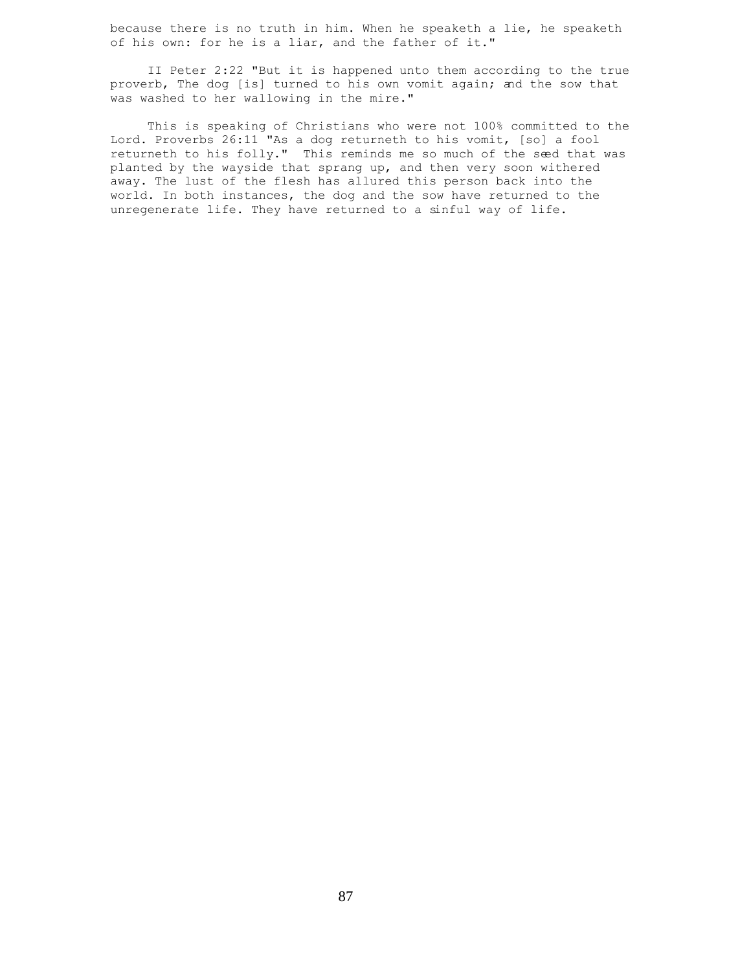because there is no truth in him. When he speaketh a lie, he speaketh of his own: for he is a liar, and the father of it."

 II Peter 2:22 "But it is happened unto them according to the true proverb, The dog [is] turned to his own vomit again; and the sow that was washed to her wallowing in the mire."

 This is speaking of Christians who were not 100% committed to the Lord. Proverbs 26:11 "As a dog returneth to his vomit, [so] a fool returneth to his folly." This reminds me so much of the seed that was planted by the wayside that sprang up, and then very soon withered away. The lust of the flesh has allured this person back into the world. In both instances, the dog and the sow have returned to the unregenerate life. They have returned to a sinful way of life.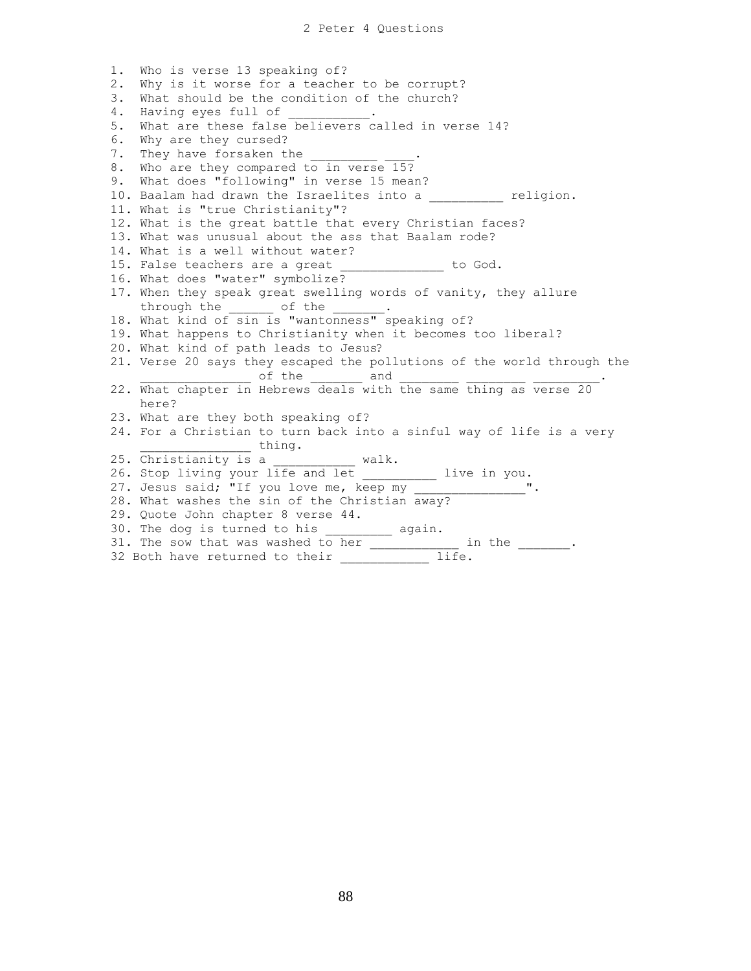1. Who is verse 13 speaking of? 2. Why is it worse for a teacher to be corrupt? 3. What should be the condition of the church? 4. Having eyes full of 5. What are these false believers called in verse 14? 6. Why are they cursed? 7. They have forsaken the 8. Who are they compared to in verse 15? 9. What does "following" in verse 15 mean? 10. Baalam had drawn the Israelites into a whistled religion. 11. What is "true Christianity"? 12. What is the great battle that every Christian faces? 13. What was unusual about the ass that Baalam rode? 14. What is a well without water? 15. False teachers are a great Theorem is to God. 16. What does "water" symbolize? 17. When they speak great swelling words of vanity, they allure through the \_\_\_\_\_\_\_\_ of the \_ 18. What kind of sin is "wantonness" speaking of? 19. What happens to Christianity when it becomes too liberal? 20. What kind of path leads to Jesus? 21. Verse 20 says they escaped the pollutions of the world through the \_\_\_\_\_\_\_\_\_\_\_\_\_\_\_ of the \_\_\_\_\_\_\_ and \_\_\_\_\_\_\_\_ \_\_\_\_\_\_\_\_ \_\_\_\_\_\_\_\_\_. 22. What chapter in Hebrews deals with the same thing as verse 20 here? 23. What are they both speaking of? 24. For a Christian to turn back into a sinful way of life is a very \_\_\_\_\_\_\_\_\_\_\_\_ thing. 25. Christianity is a \_\_\_\_\_\_\_\_\_\_ walk. 26. Stop living your life and let \_\_\_\_\_\_\_\_\_\_ live in you. 27. Jesus said; "If you love me, keep my \_\_\_\_\_ 28. What washes the sin of the Christian away? 29. Quote John chapter 8 verse 44. 30. The dog is turned to his equin. 31. The sow that was washed to her \_\_\_\_\_\_\_\_\_\_\_\_ in the \_\_\_\_\_\_\_. 32 Both have returned to their \_\_\_\_\_\_\_\_\_\_\_\_ life.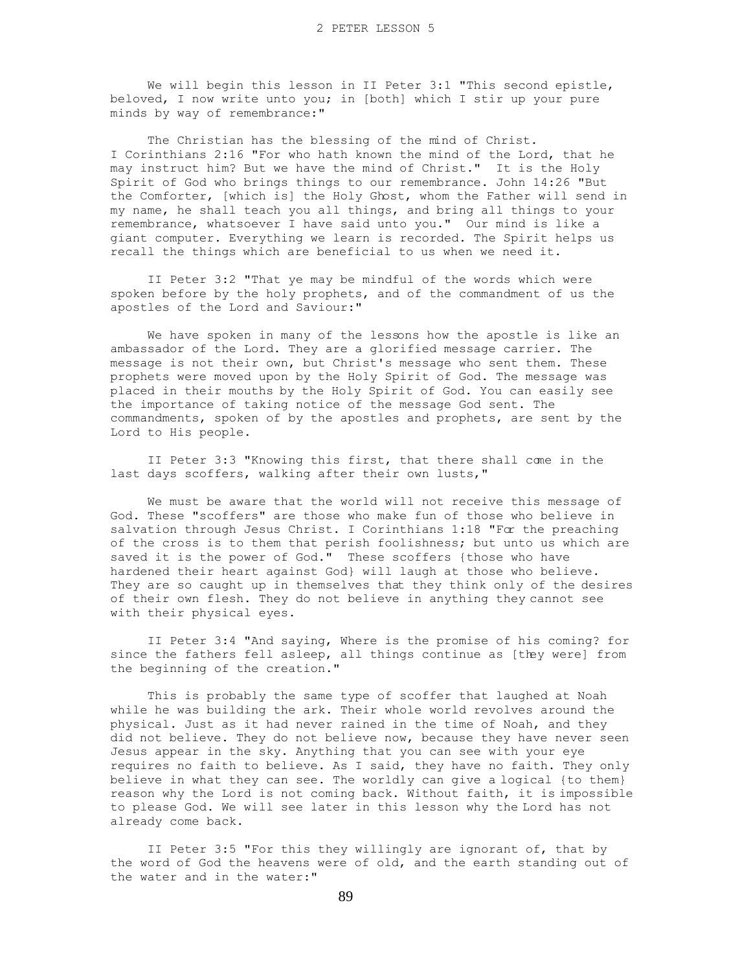We will begin this lesson in II Peter 3:1 "This second epistle, beloved, I now write unto you; in [both] which I stir up your pure minds by way of remembrance:"

The Christian has the blessing of the mind of Christ. I Corinthians 2:16 "For who hath known the mind of the Lord, that he may instruct him? But we have the mind of Christ." It is the Holy Spirit of God who brings things to our remembrance. John 14:26 "But the Comforter, [which is] the Holy Ghost, whom the Father will send in my name, he shall teach you all things, and bring all things to your remembrance, whatsoever I have said unto you." Our mind is like a giant computer. Everything we learn is recorded. The Spirit helps us recall the things which are beneficial to us when we need it.

 II Peter 3:2 "That ye may be mindful of the words which were spoken before by the holy prophets, and of the commandment of us the apostles of the Lord and Saviour:"

 We have spoken in many of the lessons how the apostle is like an ambassador of the Lord. They are a glorified message carrier. The message is not their own, but Christ's message who sent them. These prophets were moved upon by the Holy Spirit of God. The message was placed in their mouths by the Holy Spirit of God. You can easily see the importance of taking notice of the message God sent. The commandments, spoken of by the apostles and prophets, are sent by the Lord to His people.

 II Peter 3:3 "Knowing this first, that there shall come in the last days scoffers, walking after their own lusts,"

 We must be aware that the world will not receive this message of God. These "scoffers" are those who make fun of those who believe in salvation through Jesus Christ. I Corinthians 1:18 "For the preaching of the cross is to them that perish foolishness; but unto us which are saved it is the power of God." These scoffers {those who have hardened their heart against God} will laugh at those who believe. They are so caught up in themselves that they think only of the desires of their own flesh. They do not believe in anything they cannot see with their physical eyes.

 II Peter 3:4 "And saying, Where is the promise of his coming? for since the fathers fell asleep, all things continue as [they were] from the beginning of the creation."

 This is probably the same type of scoffer that laughed at Noah while he was building the ark. Their whole world revolves around the physical. Just as it had never rained in the time of Noah, and they did not believe. They do not believe now, because they have never seen Jesus appear in the sky. Anything that you can see with your eye requires no faith to believe. As I said, they have no faith. They only believe in what they can see. The worldly can give a logical {to them} reason why the Lord is not coming back. Without faith, it is impossible to please God. We will see later in this lesson why the Lord has not already come back.

 II Peter 3:5 "For this they willingly are ignorant of, that by the word of God the heavens were of old, and the earth standing out of the water and in the water:"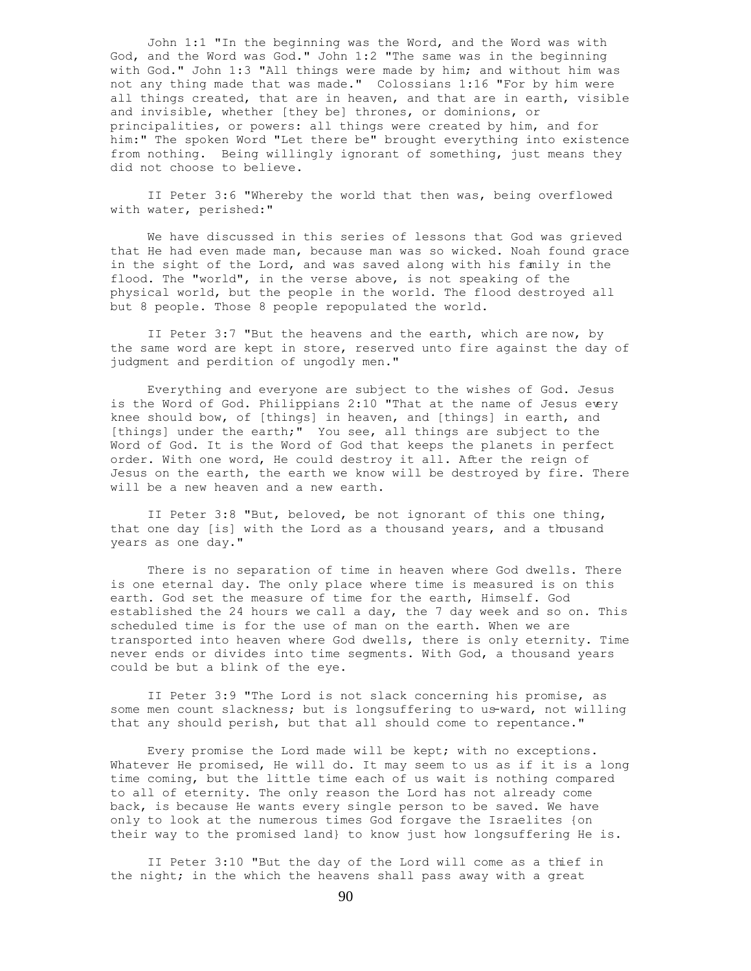John 1:1 "In the beginning was the Word, and the Word was with God, and the Word was God." John 1:2 "The same was in the beginning with God." John 1:3 "All things were made by him; and without him was not any thing made that was made." Colossians 1:16 "For by him were all things created, that are in heaven, and that are in earth, visible and invisible, whether [they be] thrones, or dominions, or principalities, or powers: all things were created by him, and for him:" The spoken Word "Let there be" brought everything into existence from nothing. Being willingly ignorant of something, just means they did not choose to believe.

 II Peter 3:6 "Whereby the world that then was, being overflowed with water, perished:"

 We have discussed in this series of lessons that God was grieved that He had even made man, because man was so wicked. Noah found grace in the sight of the Lord, and was saved along with his family in the flood. The "world", in the verse above, is not speaking of the physical world, but the people in the world. The flood destroyed all but 8 people. Those 8 people repopulated the world.

 II Peter 3:7 "But the heavens and the earth, which are now, by the same word are kept in store, reserved unto fire against the day of judgment and perdition of ungodly men."

 Everything and everyone are subject to the wishes of God. Jesus is the Word of God. Philippians 2:10 "That at the name of Jesus every knee should bow, of [things] in heaven, and [things] in earth, and [things] under the earth;" You see, all things are subject to the Word of God. It is the Word of God that keeps the planets in perfect order. With one word, He could destroy it all. After the reign of Jesus on the earth, the earth we know will be destroyed by fire. There will be a new heaven and a new earth.

 II Peter 3:8 "But, beloved, be not ignorant of this one thing, that one day [is] with the Lord as a thousand years, and a thousand years as one day."

 There is no separation of time in heaven where God dwells. There is one eternal day. The only place where time is measured is on this earth. God set the measure of time for the earth, Himself. God established the 24 hours we call a day, the 7 day week and so on. This scheduled time is for the use of man on the earth. When we are transported into heaven where God dwells, there is only eternity. Time never ends or divides into time segments. With God, a thousand years could be but a blink of the eye.

 II Peter 3:9 "The Lord is not slack concerning his promise, as some men count slackness; but is longsuffering to us-ward, not willing that any should perish, but that all should come to repentance."

 Every promise the Lord made will be kept; with no exceptions. Whatever He promised, He will do. It may seem to us as if it is a long time coming, but the little time each of us wait is nothing compared to all of eternity. The only reason the Lord has not already come back, is because He wants every single person to be saved. We have only to look at the numerous times God forgave the Israelites {on their way to the promised land} to know just how longsuffering He is.

 II Peter 3:10 "But the day of the Lord will come as a thief in the night; in the which the heavens shall pass away with a great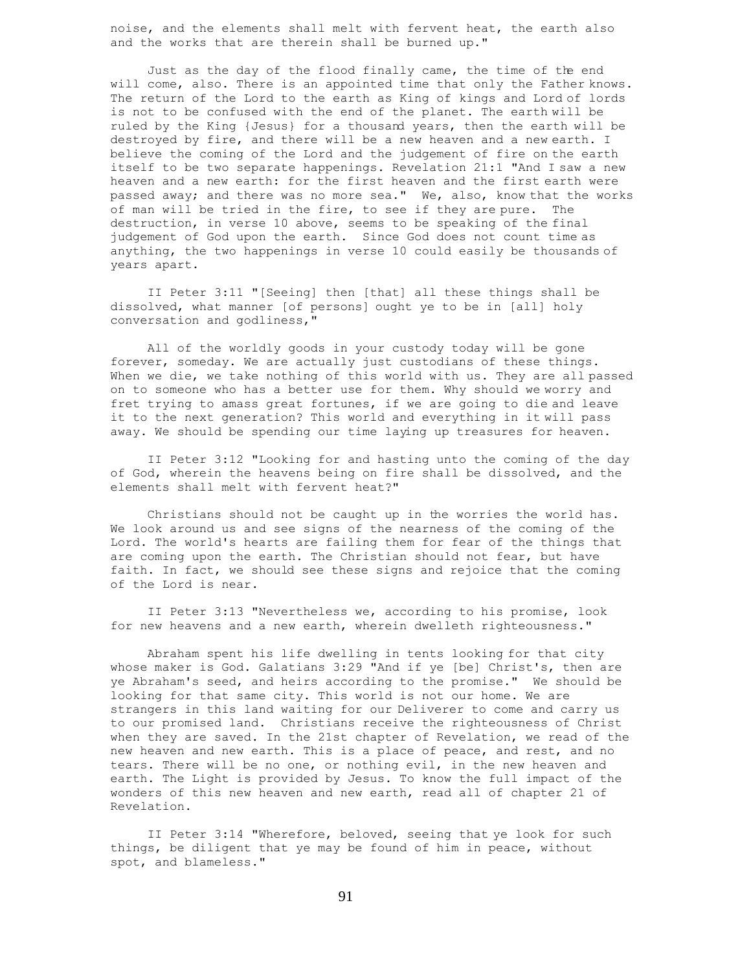noise, and the elements shall melt with fervent heat, the earth also and the works that are therein shall be burned up."

 Just as the day of the flood finally came, the time of the end will come, also. There is an appointed time that only the Father knows. The return of the Lord to the earth as King of kings and Lord of lords is not to be confused with the end of the planet. The earth will be ruled by the King {Jesus} for a thousand years, then the earth will be destroyed by fire, and there will be a new heaven and a new earth. I believe the coming of the Lord and the judgement of fire on the earth itself to be two separate happenings. Revelation 21:1 "And I saw a new heaven and a new earth: for the first heaven and the first earth were passed away; and there was no more sea." We, also, know that the works of man will be tried in the fire, to see if they are pure. The destruction, in verse 10 above, seems to be speaking of the final judgement of God upon the earth. Since God does not count time as anything, the two happenings in verse 10 could easily be thousands of years apart.

 II Peter 3:11 "[Seeing] then [that] all these things shall be dissolved, what manner [of persons] ought ye to be in [all] holy conversation and godliness,"

 All of the worldly goods in your custody today will be gone forever, someday. We are actually just custodians of these things. When we die, we take nothing of this world with us. They are all passed on to someone who has a better use for them. Why should we worry and fret trying to amass great fortunes, if we are going to die and leave it to the next generation? This world and everything in it will pass away. We should be spending our time laying up treasures for heaven.

 II Peter 3:12 "Looking for and hasting unto the coming of the day of God, wherein the heavens being on fire shall be dissolved, and the elements shall melt with fervent heat?"

 Christians should not be caught up in the worries the world has. We look around us and see signs of the nearness of the coming of the Lord. The world's hearts are failing them for fear of the things that are coming upon the earth. The Christian should not fear, but have faith. In fact, we should see these signs and rejoice that the coming of the Lord is near.

 II Peter 3:13 "Nevertheless we, according to his promise, look for new heavens and a new earth, wherein dwelleth righteousness."

 Abraham spent his life dwelling in tents looking for that city whose maker is God. Galatians 3:29 "And if ye [be] Christ's, then are ye Abraham's seed, and heirs according to the promise." We should be looking for that same city. This world is not our home. We are strangers in this land waiting for our Deliverer to come and carry us to our promised land. Christians receive the righteousness of Christ when they are saved. In the 21st chapter of Revelation, we read of the new heaven and new earth. This is a place of peace, and rest, and no tears. There will be no one, or nothing evil, in the new heaven and earth. The Light is provided by Jesus. To know the full impact of the wonders of this new heaven and new earth, read all of chapter 21 of Revelation.

 II Peter 3:14 "Wherefore, beloved, seeing that ye look for such things, be diligent that ye may be found of him in peace, without spot, and blameless."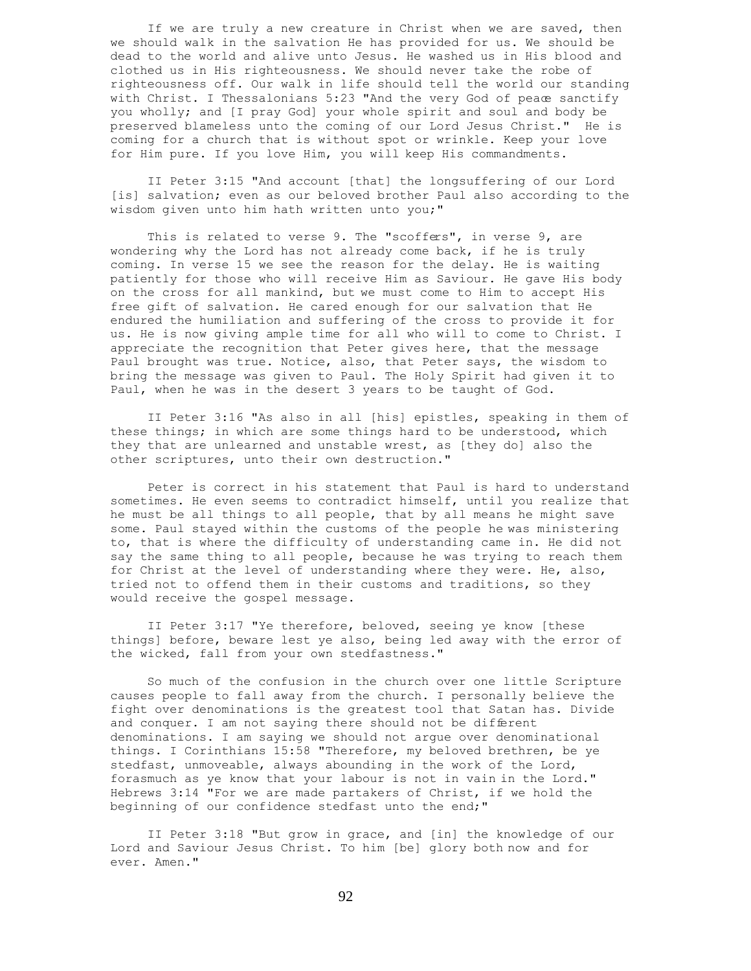If we are truly a new creature in Christ when we are saved, then we should walk in the salvation He has provided for us. We should be dead to the world and alive unto Jesus. He washed us in His blood and clothed us in His righteousness. We should never take the robe of righteousness off. Our walk in life should tell the world our standing with Christ. I Thessalonians 5:23 "And the very God of peace sanctify you wholly; and [I pray God] your whole spirit and soul and body be preserved blameless unto the coming of our Lord Jesus Christ." He is coming for a church that is without spot or wrinkle. Keep your love for Him pure. If you love Him, you will keep His commandments.

 II Peter 3:15 "And account [that] the longsuffering of our Lord [is] salvation; even as our beloved brother Paul also according to the wisdom given unto him hath written unto you;"

This is related to verse 9. The "scoffers", in verse 9, are wondering why the Lord has not already come back, if he is truly coming. In verse 15 we see the reason for the delay. He is waiting patiently for those who will receive Him as Saviour. He gave His body on the cross for all mankind, but we must come to Him to accept His free gift of salvation. He cared enough for our salvation that He endured the humiliation and suffering of the cross to provide it for us. He is now giving ample time for all who will to come to Christ. I appreciate the recognition that Peter gives here, that the message Paul brought was true. Notice, also, that Peter says, the wisdom to bring the message was given to Paul. The Holy Spirit had given it to Paul, when he was in the desert 3 years to be taught of God.

 II Peter 3:16 "As also in all [his] epistles, speaking in them of these things; in which are some things hard to be understood, which they that are unlearned and unstable wrest, as [they do] also the other scriptures, unto their own destruction."

 Peter is correct in his statement that Paul is hard to understand sometimes. He even seems to contradict himself, until you realize that he must be all things to all people, that by all means he might save some. Paul stayed within the customs of the people he was ministering to, that is where the difficulty of understanding came in. He did not say the same thing to all people, because he was trying to reach them for Christ at the level of understanding where they were. He, also, tried not to offend them in their customs and traditions, so they would receive the gospel message.

 II Peter 3:17 "Ye therefore, beloved, seeing ye know [these things] before, beware lest ye also, being led away with the error of the wicked, fall from your own stedfastness."

 So much of the confusion in the church over one little Scripture causes people to fall away from the church. I personally believe the fight over denominations is the greatest tool that Satan has. Divide and conquer. I am not saying there should not be different denominations. I am saying we should not argue over denominational things. I Corinthians 15:58 "Therefore, my beloved brethren, be ye stedfast, unmoveable, always abounding in the work of the Lord, forasmuch as ye know that your labour is not in vain in the Lord." Hebrews 3:14 "For we are made partakers of Christ, if we hold the beginning of our confidence stedfast unto the end;"

 II Peter 3:18 "But grow in grace, and [in] the knowledge of our Lord and Saviour Jesus Christ. To him [be] glory both now and for ever. Amen."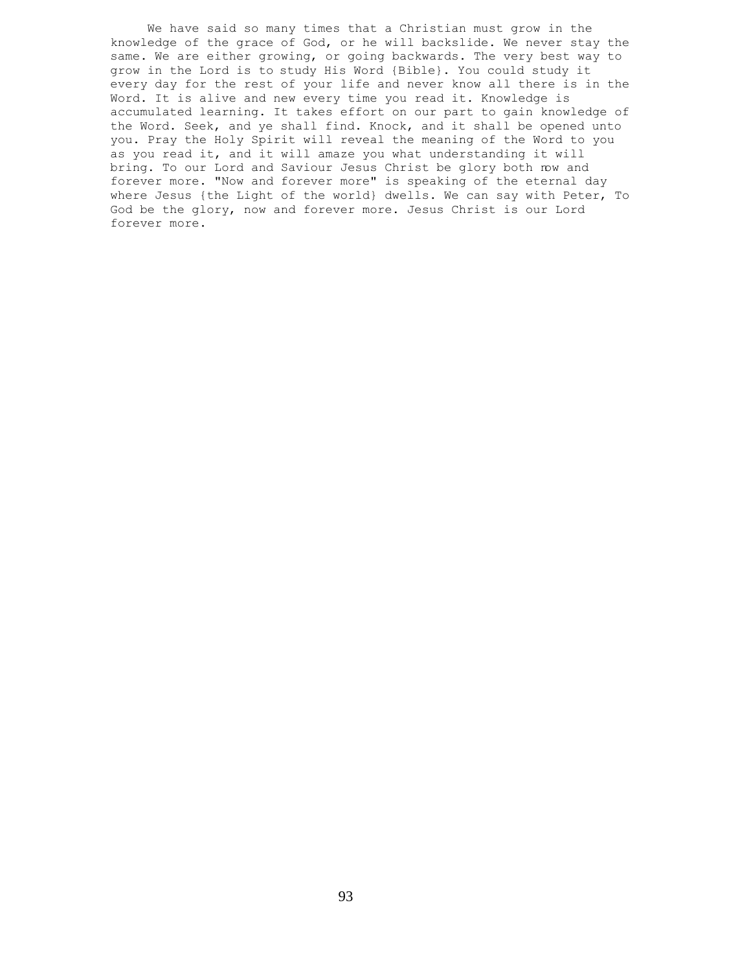We have said so many times that a Christian must grow in the knowledge of the grace of God, or he will backslide. We never stay the same. We are either growing, or going backwards. The very best way to grow in the Lord is to study His Word {Bible}. You could study it every day for the rest of your life and never know all there is in the Word. It is alive and new every time you read it. Knowledge is accumulated learning. It takes effort on our part to gain knowledge of the Word. Seek, and ye shall find. Knock, and it shall be opened unto you. Pray the Holy Spirit will reveal the meaning of the Word to you as you read it, and it will amaze you what understanding it will bring. To our Lord and Saviour Jesus Christ be glory both now and forever more. "Now and forever more" is speaking of the eternal day where Jesus {the Light of the world} dwells. We can say with Peter, To God be the glory, now and forever more. Jesus Christ is our Lord forever more.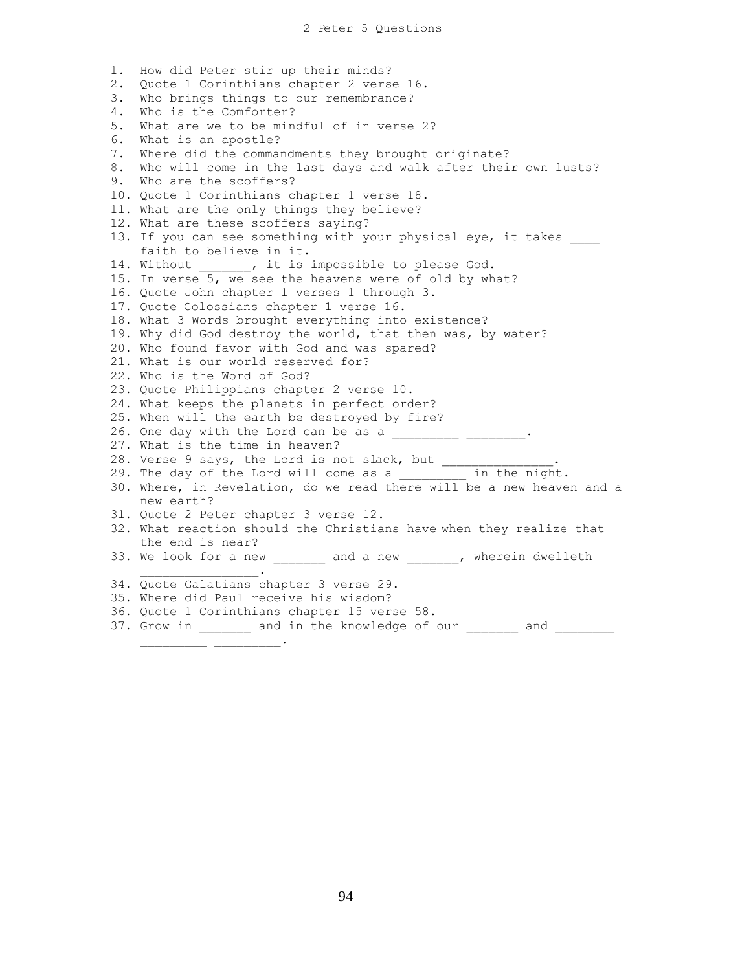1. How did Peter stir up their minds? 2. Quote 1 Corinthians chapter 2 verse 16. 3. Who brings things to our remembrance? 4. Who is the Comforter? 5. What are we to be mindful of in verse 2? 6. What is an apostle? 7. Where did the commandments they brought originate? 8. Who will come in the last days and walk after their own lusts? 9. Who are the scoffers? 10. Quote 1 Corinthians chapter 1 verse 18. 11. What are the only things they believe? 12. What are these scoffers saying? 13. If you can see something with your physical eye, it takes faith to believe in it. 14. Without . it is impossible to please God. 15. In verse 5, we see the heavens were of old by what? 16. Quote John chapter 1 verses 1 through 3. 17. Quote Colossians chapter 1 verse 16. 18. What 3 Words brought everything into existence? 19. Why did God destroy the world, that then was, by water? 20. Who found favor with God and was spared? 21. What is our world reserved for? 22. Who is the Word of God? 23. Quote Philippians chapter 2 verse 10. 24. What keeps the planets in perfect order? 25. When will the earth be destroyed by fire? 26. One day with the Lord can be as a  $\frac{1}{\sqrt{2}}$  . 27. What is the time in heaven? 28. Verse 9 says, the Lord is not slack, but  $\qquad \qquad .$ 29. The day of the Lord will come as a common in the night. 30. Where, in Revelation, do we read there will be a new heaven and a new earth? 31. Quote 2 Peter chapter 3 verse 12. 32. What reaction should the Christians have when they realize that the end is near? 33. We look for a new \_\_\_\_\_\_\_ and a new \_\_\_\_\_\_, wherein dwelleth  $\mathcal{L}=\mathcal{L}^{\mathcal{L}}$  , where  $\mathcal{L}^{\mathcal{L}}$  is the set of the set of the set of the set of the set of the set of the set of the set of the set of the set of the set of the set of the set of the set of the set of the set 34. Quote Galatians chapter 3 verse 29. 35. Where did Paul receive his wisdom? 36. Quote 1 Corinthians chapter 15 verse 58.

37. Grow in \_\_\_\_\_\_\_ and in the knowledge of our \_\_\_\_\_\_\_ and \_\_\_\_\_\_\_\_

 $\mathcal{L}=\mathcal{L}=\mathcal{L}$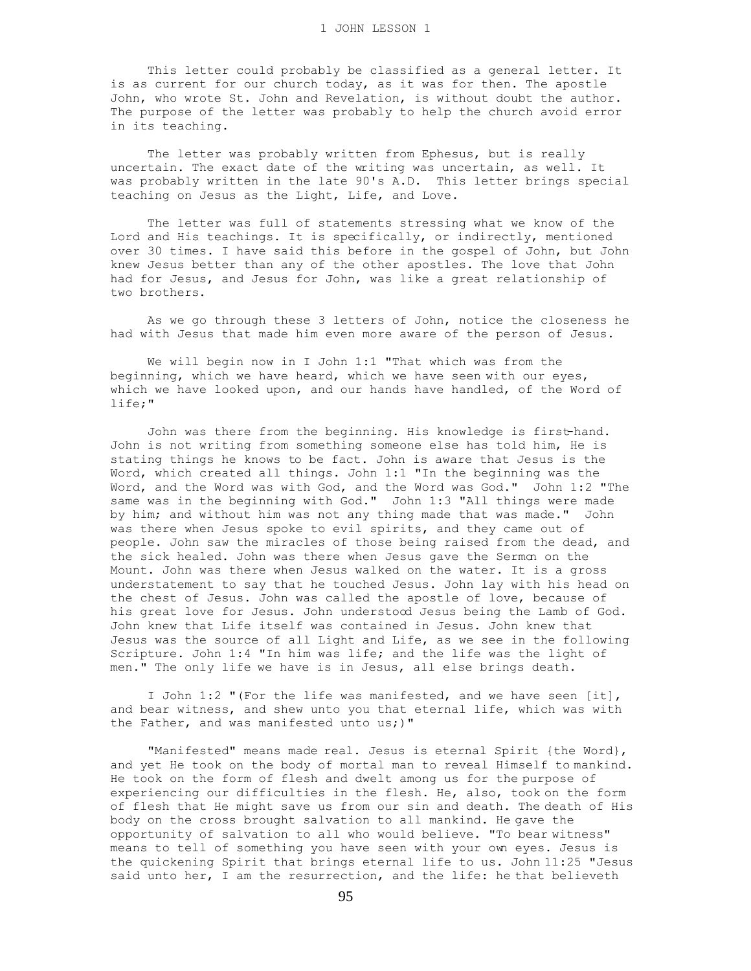This letter could probably be classified as a general letter. It is as current for our church today, as it was for then. The apostle John, who wrote St. John and Revelation, is without doubt the author. The purpose of the letter was probably to help the church avoid error in its teaching.

 The letter was probably written from Ephesus, but is really uncertain. The exact date of the writing was uncertain, as well. It was probably written in the late 90's A.D. This letter brings special teaching on Jesus as the Light, Life, and Love.

 The letter was full of statements stressing what we know of the Lord and His teachings. It is specifically, or indirectly, mentioned over 30 times. I have said this before in the gospel of John, but John knew Jesus better than any of the other apostles. The love that John had for Jesus, and Jesus for John, was like a great relationship of two brothers.

 As we go through these 3 letters of John, notice the closeness he had with Jesus that made him even more aware of the person of Jesus.

We will begin now in I John 1:1 "That which was from the beginning, which we have heard, which we have seen with our eyes, which we have looked upon, and our hands have handled, of the Word of life;"

 John was there from the beginning. His knowledge is first-hand. John is not writing from something someone else has told him, He is stating things he knows to be fact. John is aware that Jesus is the Word, which created all things. John 1:1 "In the beginning was the Word, and the Word was with God, and the Word was God." John 1:2 "The same was in the beginning with God." John 1:3 "All things were made by him; and without him was not any thing made that was made." John was there when Jesus spoke to evil spirits, and they came out of people. John saw the miracles of those being raised from the dead, and the sick healed. John was there when Jesus gave the Sermon on the Mount. John was there when Jesus walked on the water. It is a gross understatement to say that he touched Jesus. John lay with his head on the chest of Jesus. John was called the apostle of love, because of his great love for Jesus. John understood Jesus being the Lamb of God. John knew that Life itself was contained in Jesus. John knew that Jesus was the source of all Light and Life, as we see in the following Scripture. John 1:4 "In him was life; and the life was the light of men." The only life we have is in Jesus, all else brings death.

 I John 1:2 "(For the life was manifested, and we have seen [it], and bear witness, and shew unto you that eternal life, which was with the Father, and was manifested unto us;)"

 "Manifested" means made real. Jesus is eternal Spirit {the Word}, and yet He took on the body of mortal man to reveal Himself to mankind. He took on the form of flesh and dwelt among us for the purpose of experiencing our difficulties in the flesh. He, also, took on the form of flesh that He might save us from our sin and death. The death of His body on the cross brought salvation to all mankind. He gave the opportunity of salvation to all who would believe. "To bear witness" means to tell of something you have seen with your own eyes. Jesus is the quickening Spirit that brings eternal life to us. John 11:25 "Jesus said unto her, I am the resurrection, and the life: he that believeth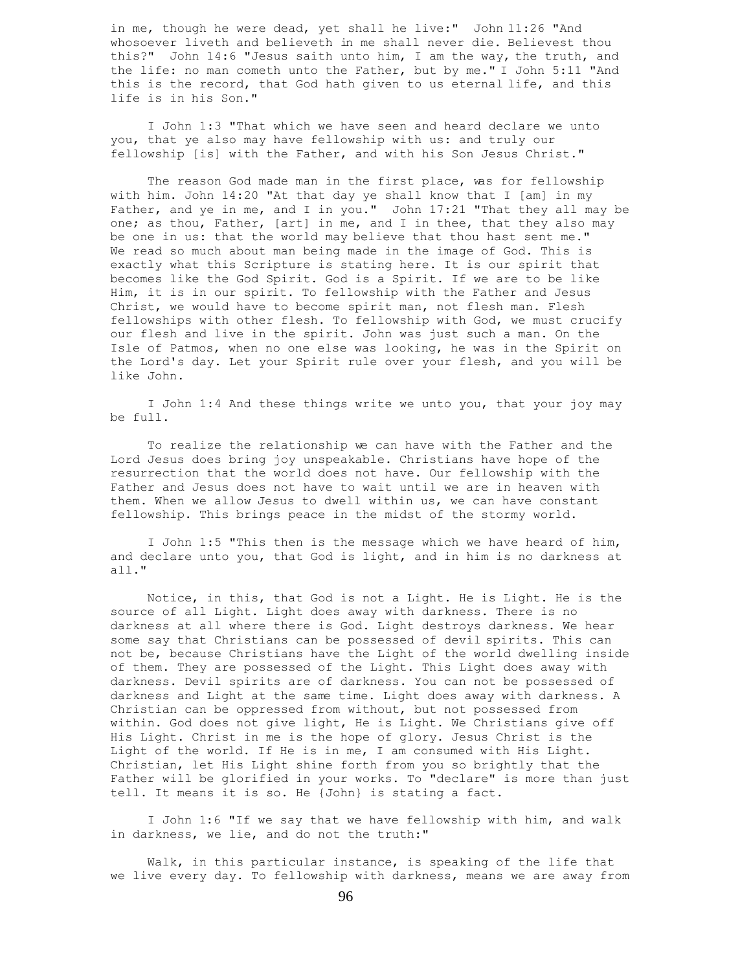in me, though he were dead, yet shall he live:" John 11:26 "And whosoever liveth and believeth in me shall never die. Believest thou this?" John 14:6 "Jesus saith unto him, I am the way, the truth, and the life: no man cometh unto the Father, but by me." I John 5:11 "And this is the record, that God hath given to us eternal life, and this life is in his Son."

 I John 1:3 "That which we have seen and heard declare we unto you, that ye also may have fellowship with us: and truly our fellowship [is] with the Father, and with his Son Jesus Christ."

The reason God made man in the first place, was for fellowship with him. John 14:20 "At that day ye shall know that I [am] in my Father, and ye in me, and I in you." John 17:21 "That they all may be one; as thou, Father, [art] in me, and I in thee, that they also may be one in us: that the world may believe that thou hast sent me." We read so much about man being made in the image of God. This is exactly what this Scripture is stating here. It is our spirit that becomes like the God Spirit. God is a Spirit. If we are to be like Him, it is in our spirit. To fellowship with the Father and Jesus Christ, we would have to become spirit man, not flesh man. Flesh fellowships with other flesh. To fellowship with God, we must crucify our flesh and live in the spirit. John was just such a man. On the Isle of Patmos, when no one else was looking, he was in the Spirit on the Lord's day. Let your Spirit rule over your flesh, and you will be like John.

 I John 1:4 And these things write we unto you, that your joy may be full.

 To realize the relationship we can have with the Father and the Lord Jesus does bring joy unspeakable. Christians have hope of the resurrection that the world does not have. Our fellowship with the Father and Jesus does not have to wait until we are in heaven with them. When we allow Jesus to dwell within us, we can have constant fellowship. This brings peace in the midst of the stormy world.

 I John 1:5 "This then is the message which we have heard of him, and declare unto you, that God is light, and in him is no darkness at all."

 Notice, in this, that God is not a Light. He is Light. He is the source of all Light. Light does away with darkness. There is no darkness at all where there is God. Light destroys darkness. We hear some say that Christians can be possessed of devil spirits. This can not be, because Christians have the Light of the world dwelling inside of them. They are possessed of the Light. This Light does away with darkness. Devil spirits are of darkness. You can not be possessed of darkness and Light at the same time. Light does away with darkness. A Christian can be oppressed from without, but not possessed from within. God does not give light, He is Light. We Christians give off His Light. Christ in me is the hope of glory. Jesus Christ is the Light of the world. If He is in me, I am consumed with His Light. Christian, let His Light shine forth from you so brightly that the Father will be glorified in your works. To "declare" is more than just tell. It means it is so. He {John} is stating a fact.

 I John 1:6 "If we say that we have fellowship with him, and walk in darkness, we lie, and do not the truth:"

 Walk, in this particular instance, is speaking of the life that we live every day. To fellowship with darkness, means we are away from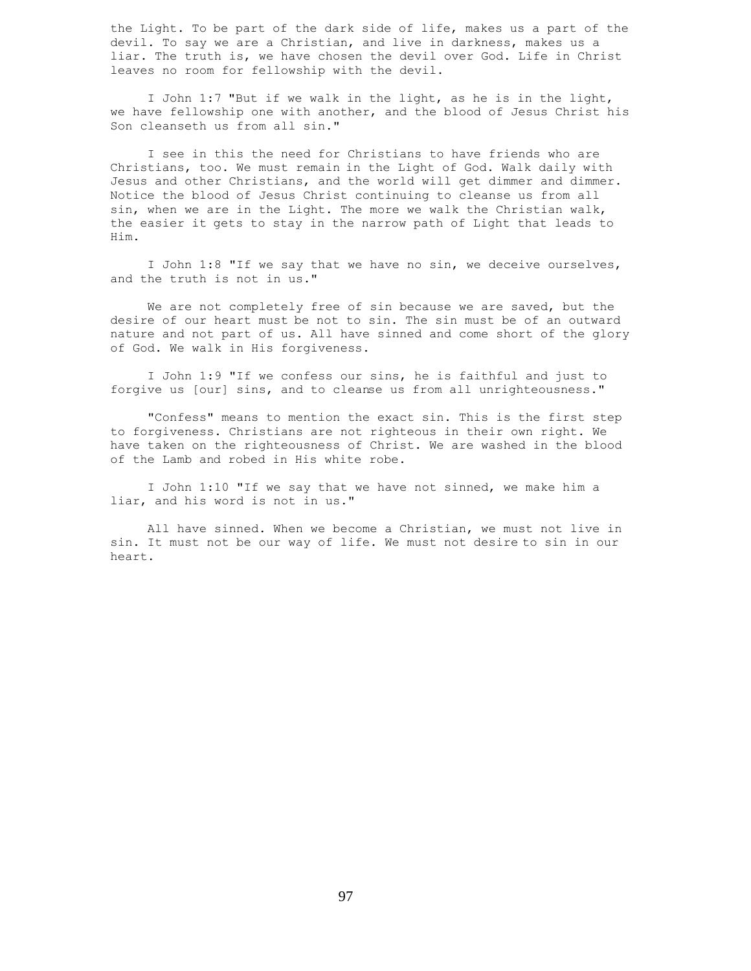the Light. To be part of the dark side of life, makes us a part of the devil. To say we are a Christian, and live in darkness, makes us a liar. The truth is, we have chosen the devil over God. Life in Christ leaves no room for fellowship with the devil.

 I John 1:7 "But if we walk in the light, as he is in the light, we have fellowship one with another, and the blood of Jesus Christ his Son cleanseth us from all sin."

 I see in this the need for Christians to have friends who are Christians, too. We must remain in the Light of God. Walk daily with Jesus and other Christians, and the world will get dimmer and dimmer. Notice the blood of Jesus Christ continuing to cleanse us from all sin, when we are in the Light. The more we walk the Christian walk, the easier it gets to stay in the narrow path of Light that leads to Him.

 I John 1:8 "If we say that we have no sin, we deceive ourselves, and the truth is not in us."

 We are not completely free of sin because we are saved, but the desire of our heart must be not to sin. The sin must be of an outward nature and not part of us. All have sinned and come short of the glory of God. We walk in His forgiveness.

 I John 1:9 "If we confess our sins, he is faithful and just to forgive us [our] sins, and to cleanse us from all unrighteousness."

 "Confess" means to mention the exact sin. This is the first step to forgiveness. Christians are not righteous in their own right. We have taken on the righteousness of Christ. We are washed in the blood of the Lamb and robed in His white robe.

 I John 1:10 "If we say that we have not sinned, we make him a liar, and his word is not in us."

 All have sinned. When we become a Christian, we must not live in sin. It must not be our way of life. We must not desire to sin in our heart.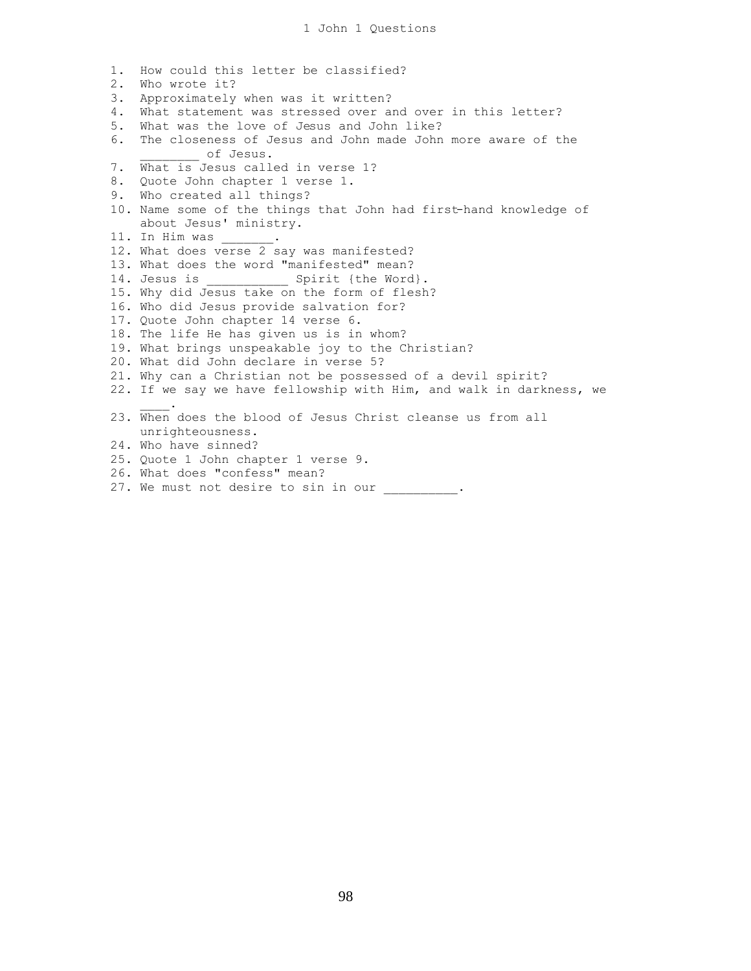1. How could this letter be classified? 2. Who wrote it? 3. Approximately when was it written? 4. What statement was stressed over and over in this letter? 5. What was the love of Jesus and John like? 6. The closeness of Jesus and John made John more aware of the of Jesus. 7. What is Jesus called in verse 1? 8. Quote John chapter 1 verse 1. 9. Who created all things? 10. Name some of the things that John had first-hand knowledge of about Jesus' ministry. 11. In Him was 12. What does verse 2 say was manifested? 13. What does the word "manifested" mean? 14. Jesus is \_\_\_\_\_\_\_\_\_\_\_\_\_\_ Spirit {the Word}. 15. Why did Jesus take on the form of flesh? 16. Who did Jesus provide salvation for? 17. Quote John chapter 14 verse 6. 18. The life He has given us is in whom? 19. What brings unspeakable joy to the Christian? 20. What did John declare in verse 5? 21. Why can a Christian not be possessed of a devil spirit? 22. If we say we have fellowship with Him, and walk in darkness, we  $\mathcal{L}$ 23. When does the blood of Jesus Christ cleanse us from all unrighteousness. 24. Who have sinned? 25. Quote 1 John chapter 1 verse 9. 26. What does "confess" mean?

27. We must not desire to sin in our .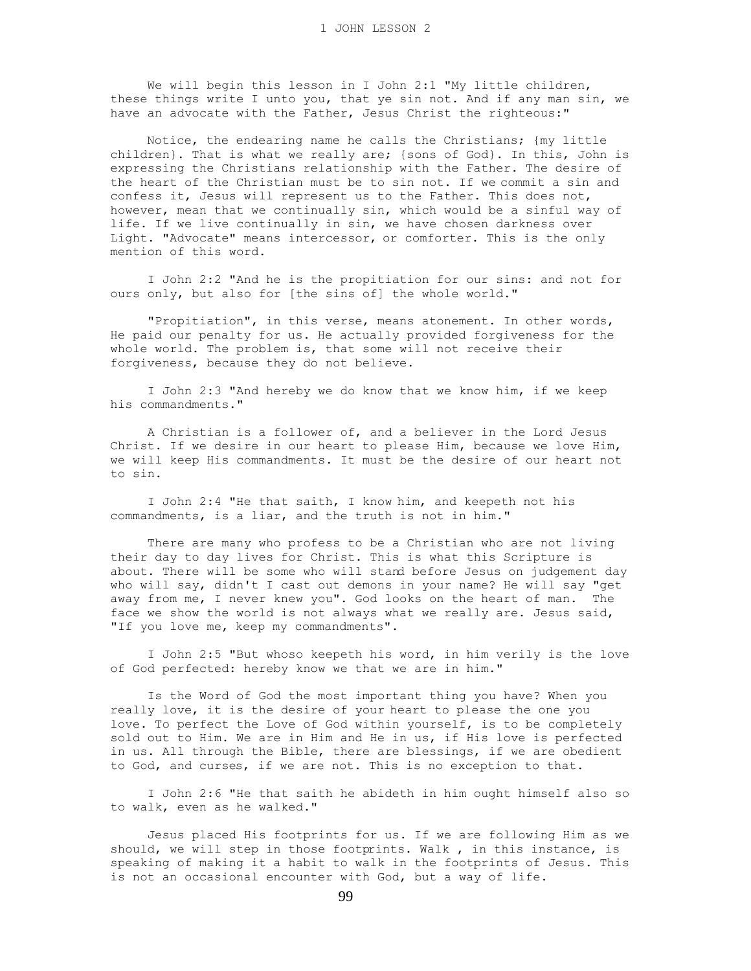We will begin this lesson in I John 2:1 "My little children, these things write I unto you, that ye sin not. And if any man sin, we have an advocate with the Father, Jesus Christ the righteous:"

 Notice, the endearing name he calls the Christians; {my little children}. That is what we really are; {sons of God}. In this, John is expressing the Christians relationship with the Father. The desire of the heart of the Christian must be to sin not. If we commit a sin and confess it, Jesus will represent us to the Father. This does not, however, mean that we continually sin, which would be a sinful way of life. If we live continually in sin, we have chosen darkness over Light. "Advocate" means intercessor, or comforter. This is the only mention of this word.

 I John 2:2 "And he is the propitiation for our sins: and not for ours only, but also for [the sins of] the whole world."

 "Propitiation", in this verse, means atonement. In other words, He paid our penalty for us. He actually provided forgiveness for the whole world. The problem is, that some will not receive their forgiveness, because they do not believe.

 I John 2:3 "And hereby we do know that we know him, if we keep his commandments."

 A Christian is a follower of, and a believer in the Lord Jesus Christ. If we desire in our heart to please Him, because we love Him, we will keep His commandments. It must be the desire of our heart not to sin.

 I John 2:4 "He that saith, I know him, and keepeth not his commandments, is a liar, and the truth is not in him."

 There are many who profess to be a Christian who are not living their day to day lives for Christ. This is what this Scripture is about. There will be some who will stand before Jesus on judgement day who will say, didn't I cast out demons in your name? He will say "get away from me, I never knew you". God looks on the heart of man. The face we show the world is not always what we really are. Jesus said, "If you love me, keep my commandments".

 I John 2:5 "But whoso keepeth his word, in him verily is the love of God perfected: hereby know we that we are in him."

 Is the Word of God the most important thing you have? When you really love, it is the desire of your heart to please the one you love. To perfect the Love of God within yourself, is to be completely sold out to Him. We are in Him and He in us, if His love is perfected in us. All through the Bible, there are blessings, if we are obedient to God, and curses, if we are not. This is no exception to that.

 I John 2:6 "He that saith he abideth in him ought himself also so to walk, even as he walked."

 Jesus placed His footprints for us. If we are following Him as we should, we will step in those footprints. Walk , in this instance, is speaking of making it a habit to walk in the footprints of Jesus. This is not an occasional encounter with God, but a way of life.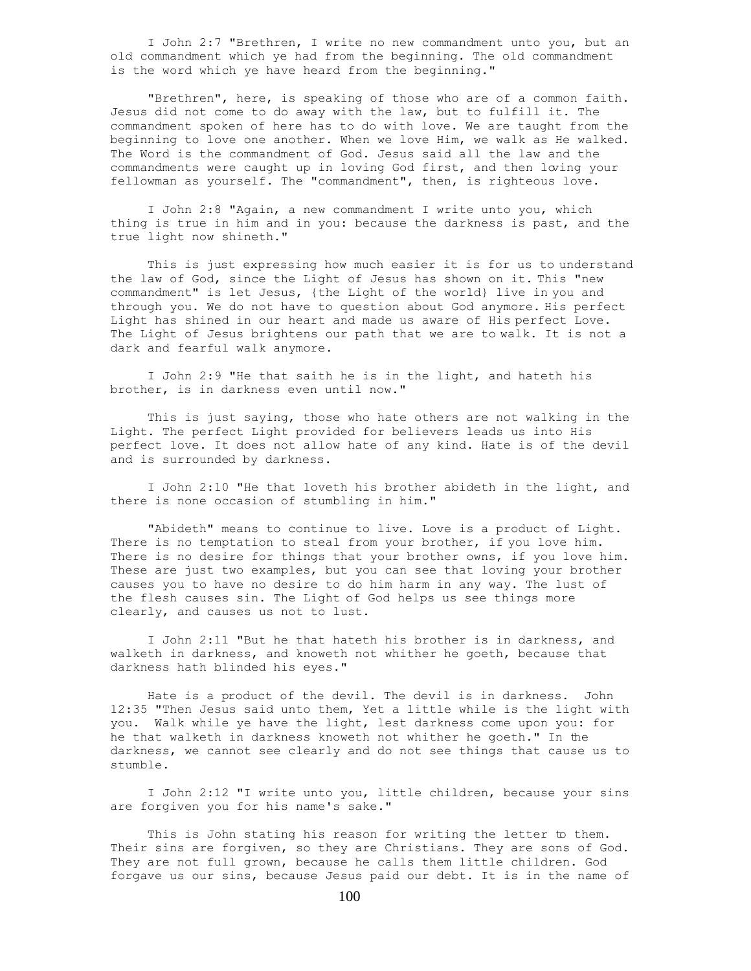I John 2:7 "Brethren, I write no new commandment unto you, but an old commandment which ye had from the beginning. The old commandment is the word which ye have heard from the beginning."

 "Brethren", here, is speaking of those who are of a common faith. Jesus did not come to do away with the law, but to fulfill it. The commandment spoken of here has to do with love. We are taught from the beginning to love one another. When we love Him, we walk as He walked. The Word is the commandment of God. Jesus said all the law and the commandments were caught up in loving God first, and then loving your fellowman as yourself. The "commandment", then, is righteous love.

 I John 2:8 "Again, a new commandment I write unto you, which thing is true in him and in you: because the darkness is past, and the true light now shineth."

 This is just expressing how much easier it is for us to understand the law of God, since the Light of Jesus has shown on it. This "new commandment" is let Jesus, {the Light of the world} live in you and through you. We do not have to question about God anymore. His perfect Light has shined in our heart and made us aware of His perfect Love. The Light of Jesus brightens our path that we are to walk. It is not a dark and fearful walk anymore.

 I John 2:9 "He that saith he is in the light, and hateth his brother, is in darkness even until now."

 This is just saying, those who hate others are not walking in the Light. The perfect Light provided for believers leads us into His perfect love. It does not allow hate of any kind. Hate is of the devil and is surrounded by darkness.

 I John 2:10 "He that loveth his brother abideth in the light, and there is none occasion of stumbling in him."

 "Abideth" means to continue to live. Love is a product of Light. There is no temptation to steal from your brother, if you love him. There is no desire for things that your brother owns, if you love him. These are just two examples, but you can see that loving your brother causes you to have no desire to do him harm in any way. The lust of the flesh causes sin. The Light of God helps us see things more clearly, and causes us not to lust.

 I John 2:11 "But he that hateth his brother is in darkness, and walketh in darkness, and knoweth not whither he goeth, because that darkness hath blinded his eyes."

 Hate is a product of the devil. The devil is in darkness. John 12:35 "Then Jesus said unto them, Yet a little while is the light with you. Walk while ye have the light, lest darkness come upon you: for he that walketh in darkness knoweth not whither he goeth." In the darkness, we cannot see clearly and do not see things that cause us to stumble.

 I John 2:12 "I write unto you, little children, because your sins are forgiven you for his name's sake."

This is John stating his reason for writing the letter to them. Their sins are forgiven, so they are Christians. They are sons of God. They are not full grown, because he calls them little children. God forgave us our sins, because Jesus paid our debt. It is in the name of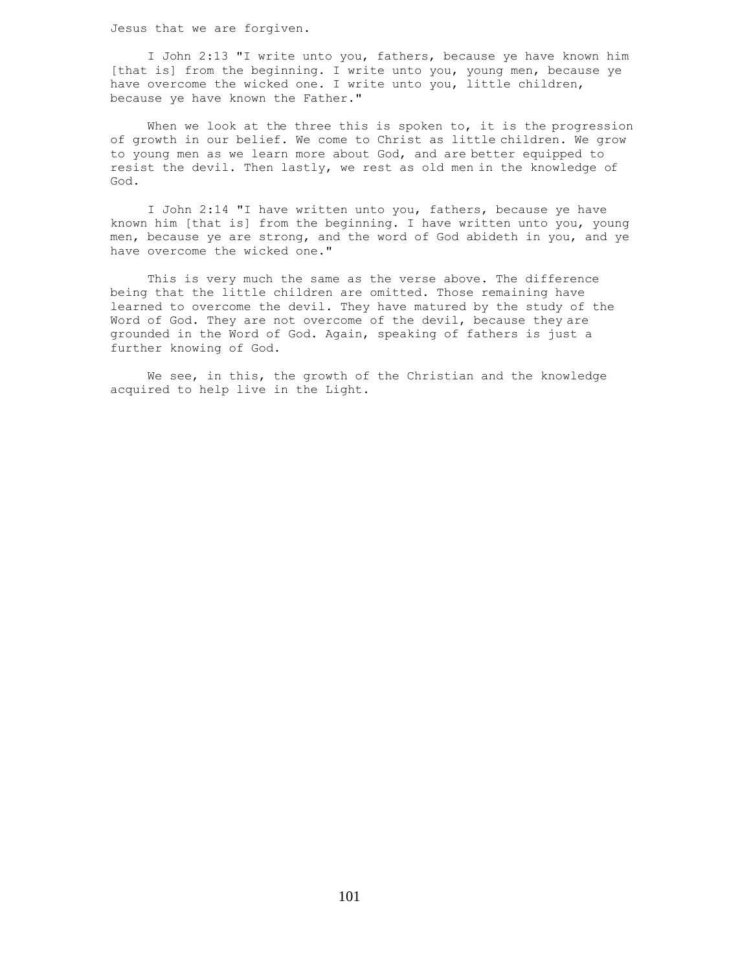Jesus that we are forgiven.

 I John 2:13 "I write unto you, fathers, because ye have known him [that is] from the beginning. I write unto you, young men, because ye have overcome the wicked one. I write unto you, little children, because ye have known the Father."

When we look at the three this is spoken to, it is the progression of growth in our belief. We come to Christ as little children. We grow to young men as we learn more about God, and are better equipped to resist the devil. Then lastly, we rest as old men in the knowledge of God.

 I John 2:14 "I have written unto you, fathers, because ye have known him [that is] from the beginning. I have written unto you, young men, because ye are strong, and the word of God abideth in you, and ye have overcome the wicked one."

 This is very much the same as the verse above. The difference being that the little children are omitted. Those remaining have learned to overcome the devil. They have matured by the study of the Word of God. They are not overcome of the devil, because they are grounded in the Word of God. Again, speaking of fathers is just a further knowing of God.

 We see, in this, the growth of the Christian and the knowledge acquired to help live in the Light.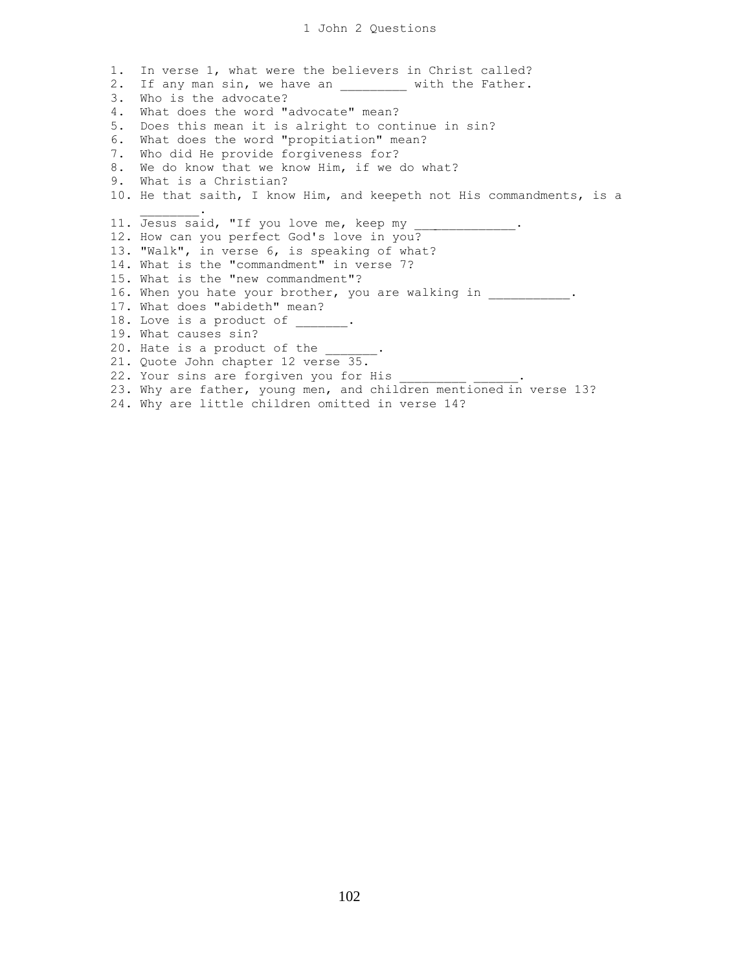1. In verse 1, what were the believers in Christ called? 2. If any man sin, we have an \_\_\_\_\_\_\_\_\_\_ with the Father. 3. Who is the advocate? 4. What does the word "advocate" mean? 5. Does this mean it is alright to continue in sin? 6. What does the word "propitiation" mean? 7. Who did He provide forgiveness for? 8. We do know that we know Him, if we do what? 9. What is a Christian? 10. He that saith, I know Him, and keepeth not His commandments, is a  $\frac{1}{2}$  and  $\frac{1}{2}$  and  $\frac{1}{2}$  and  $\frac{1}{2}$ 11. Jesus said, "If you love me, keep my 12. How can you perfect God's love in you? 13. "Walk", in verse 6, is speaking of what? 14. What is the "commandment" in verse 7? 15. What is the "new commandment"? 16. When you hate your brother, you are walking in  $\qquad \qquad$ 17. What does "abideth" mean? 18. Love is a product of \_\_\_\_\_\_. 19. What causes sin? 20. Hate is a product of the 21. Quote John chapter 12 verse 35. 22. Your sins are forgiven you for His 23. Why are father, young men, and children mentioned in verse 13? 24. Why are little children omitted in verse 14?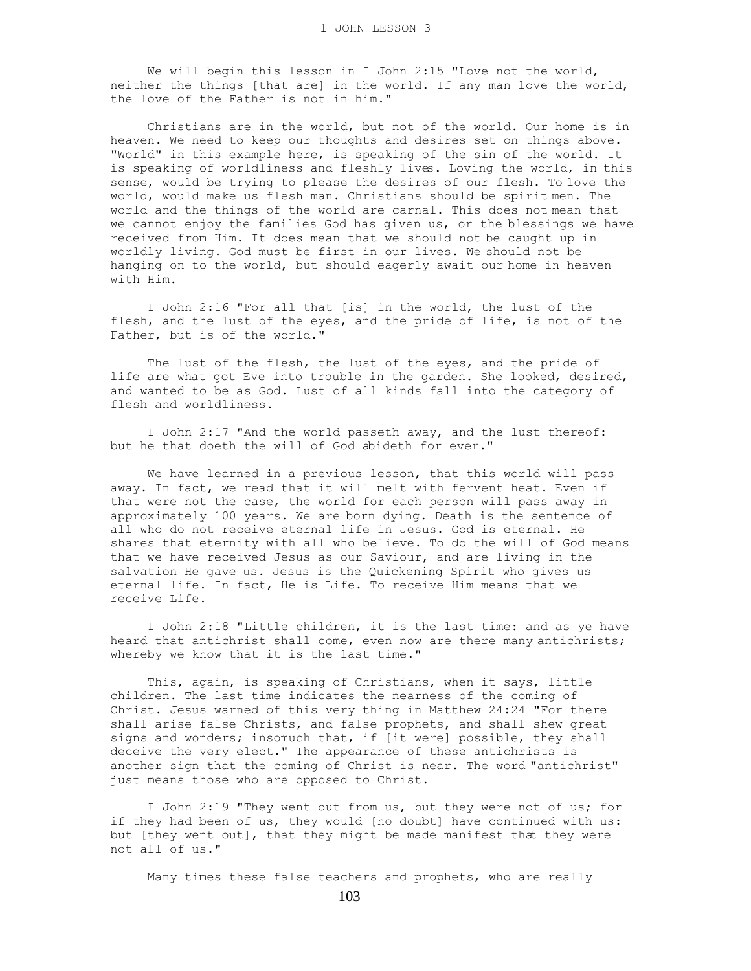We will begin this lesson in I John 2:15 "Love not the world, neither the things [that are] in the world. If any man love the world, the love of the Father is not in him."

 Christians are in the world, but not of the world. Our home is in heaven. We need to keep our thoughts and desires set on things above. "World" in this example here, is speaking of the sin of the world. It is speaking of worldliness and fleshly lives. Loving the world, in this sense, would be trying to please the desires of our flesh. To love the world, would make us flesh man. Christians should be spirit men. The world and the things of the world are carnal. This does not mean that we cannot enjoy the families God has given us, or the blessings we have received from Him. It does mean that we should not be caught up in worldly living. God must be first in our lives. We should not be hanging on to the world, but should eagerly await our home in heaven with Him.

 I John 2:16 "For all that [is] in the world, the lust of the flesh, and the lust of the eyes, and the pride of life, is not of the Father, but is of the world."

The lust of the flesh, the lust of the eyes, and the pride of life are what got Eve into trouble in the garden. She looked, desired, and wanted to be as God. Lust of all kinds fall into the category of flesh and worldliness.

 I John 2:17 "And the world passeth away, and the lust thereof: but he that doeth the will of God abideth for ever."

 We have learned in a previous lesson, that this world will pass away. In fact, we read that it will melt with fervent heat. Even if that were not the case, the world for each person will pass away in approximately 100 years. We are born dying. Death is the sentence of all who do not receive eternal life in Jesus. God is eternal. He shares that eternity with all who believe. To do the will of God means that we have received Jesus as our Saviour, and are living in the salvation He gave us. Jesus is the Quickening Spirit who gives us eternal life. In fact, He is Life. To receive Him means that we receive Life.

 I John 2:18 "Little children, it is the last time: and as ye have heard that antichrist shall come, even now are there many antichrists; whereby we know that it is the last time."

 This, again, is speaking of Christians, when it says, little children. The last time indicates the nearness of the coming of Christ. Jesus warned of this very thing in Matthew 24:24 "For there shall arise false Christs, and false prophets, and shall shew great signs and wonders; insomuch that, if  $\overline{[it]}$  were] possible, they shall deceive the very elect." The appearance of these antichrists is another sign that the coming of Christ is near. The word "antichrist" just means those who are opposed to Christ.

 I John 2:19 "They went out from us, but they were not of us; for if they had been of us, they would [no doubt] have continued with us: but [they went out], that they might be made manifest that they were not all of us."

Many times these false teachers and prophets, who are really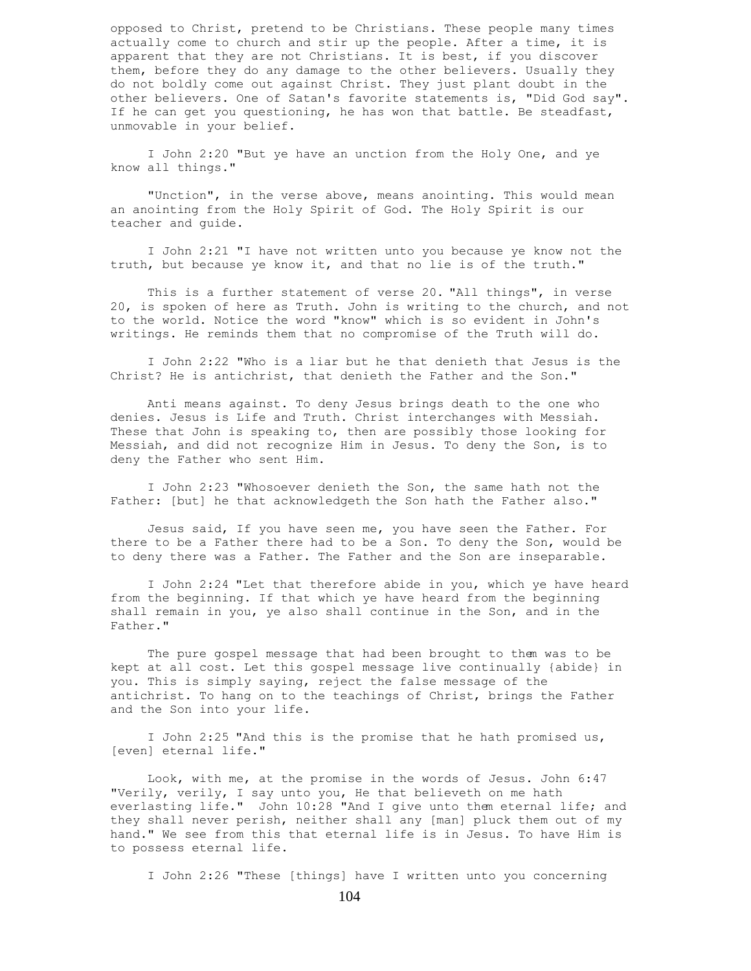opposed to Christ, pretend to be Christians. These people many times actually come to church and stir up the people. After a time, it is apparent that they are not Christians. It is best, if you discover them, before they do any damage to the other believers. Usually they do not boldly come out against Christ. They just plant doubt in the other believers. One of Satan's favorite statements is, "Did God say". If he can get you questioning, he has won that battle. Be steadfast, unmovable in your belief.

 I John 2:20 "But ye have an unction from the Holy One, and ye know all things."

 "Unction", in the verse above, means anointing. This would mean an anointing from the Holy Spirit of God. The Holy Spirit is our teacher and guide.

 I John 2:21 "I have not written unto you because ye know not the truth, but because ye know it, and that no lie is of the truth."

 This is a further statement of verse 20. "All things", in verse 20, is spoken of here as Truth. John is writing to the church, and not to the world. Notice the word "know" which is so evident in John's writings. He reminds them that no compromise of the Truth will do.

 I John 2:22 "Who is a liar but he that denieth that Jesus is the Christ? He is antichrist, that denieth the Father and the Son."

 Anti means against. To deny Jesus brings death to the one who denies. Jesus is Life and Truth. Christ interchanges with Messiah. These that John is speaking to, then are possibly those looking for Messiah, and did not recognize Him in Jesus. To deny the Son, is to deny the Father who sent Him.

 I John 2:23 "Whosoever denieth the Son, the same hath not the Father: [but] he that acknowledgeth the Son hath the Father also."

 Jesus said, If you have seen me, you have seen the Father. For there to be a Father there had to be a Son. To deny the Son, would be to deny there was a Father. The Father and the Son are inseparable.

 I John 2:24 "Let that therefore abide in you, which ye have heard from the beginning. If that which ye have heard from the beginning shall remain in you, ye also shall continue in the Son, and in the Father."

 The pure gospel message that had been brought to them was to be kept at all cost. Let this gospel message live continually {abide} in you. This is simply saying, reject the false message of the antichrist. To hang on to the teachings of Christ, brings the Father and the Son into your life.

 I John 2:25 "And this is the promise that he hath promised us, [even] eternal life."

 Look, with me, at the promise in the words of Jesus. John 6:47 "Verily, verily, I say unto you, He that believeth on me hath everlasting life." John 10:28 "And I give unto them eternal life; and they shall never perish, neither shall any [man] pluck them out of my hand." We see from this that eternal life is in Jesus. To have Him is to possess eternal life.

I John 2:26 "These [things] have I written unto you concerning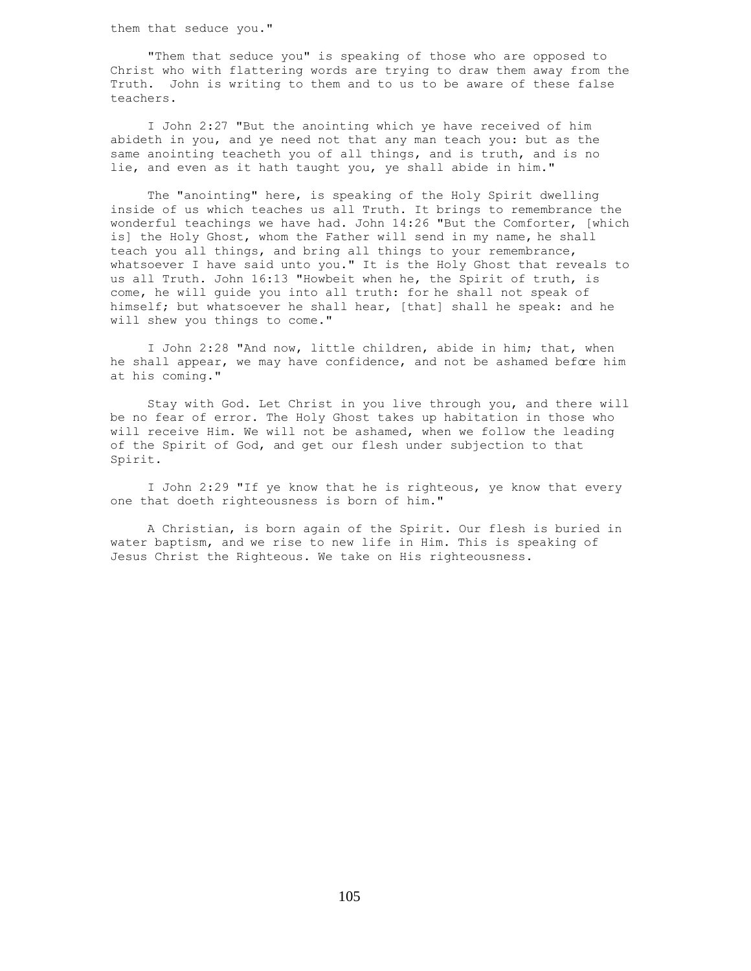them that seduce you."

 "Them that seduce you" is speaking of those who are opposed to Christ who with flattering words are trying to draw them away from the Truth. John is writing to them and to us to be aware of these false teachers.

 I John 2:27 "But the anointing which ye have received of him abideth in you, and ye need not that any man teach you: but as the same anointing teacheth you of all things, and is truth, and is no lie, and even as it hath taught you, ye shall abide in him."

 The "anointing" here, is speaking of the Holy Spirit dwelling inside of us which teaches us all Truth. It brings to remembrance the wonderful teachings we have had. John 14:26 "But the Comforter, [which is] the Holy Ghost, whom the Father will send in my name, he shall teach you all things, and bring all things to your remembrance, whatsoever I have said unto you." It is the Holy Ghost that reveals to us all Truth. John 16:13 "Howbeit when he, the Spirit of truth, is come, he will guide you into all truth: for he shall not speak of himself; but whatsoever he shall hear, [that] shall he speak: and he will shew you things to come."

 I John 2:28 "And now, little children, abide in him; that, when he shall appear, we may have confidence, and not be ashamed before him at his coming."

 Stay with God. Let Christ in you live through you, and there will be no fear of error. The Holy Ghost takes up habitation in those who will receive Him. We will not be ashamed, when we follow the leading of the Spirit of God, and get our flesh under subjection to that Spirit.

 I John 2:29 "If ye know that he is righteous, ye know that every one that doeth righteousness is born of him."

 A Christian, is born again of the Spirit. Our flesh is buried in water baptism, and we rise to new life in Him. This is speaking of Jesus Christ the Righteous. We take on His righteousness.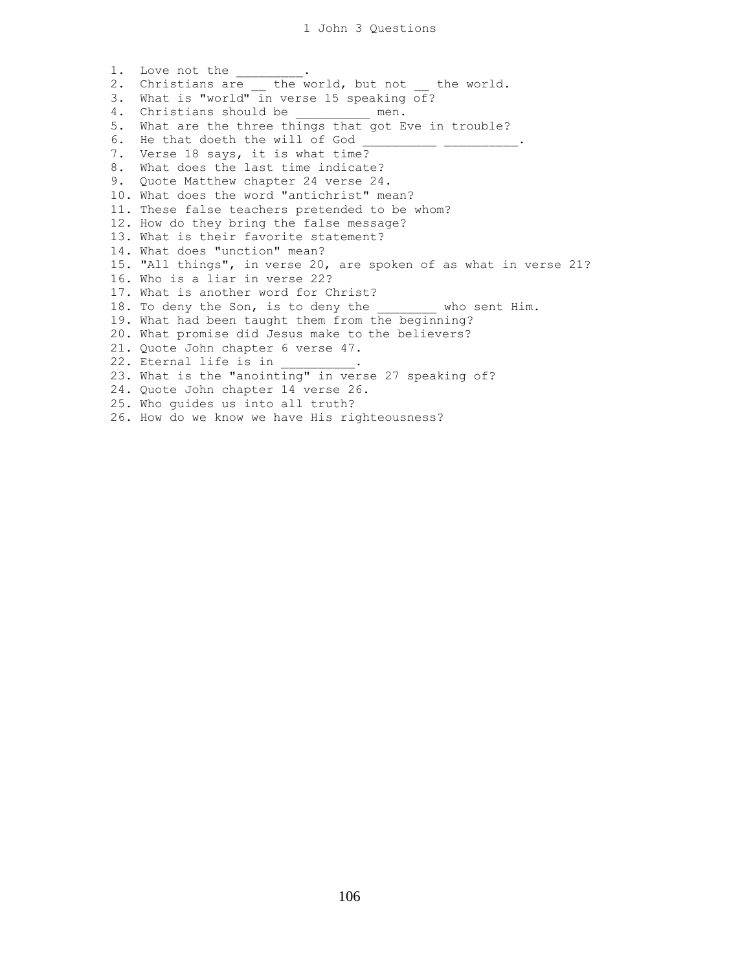1. Love not the \_\_\_\_\_\_\_. 2. Christians are \_\_ the world, but not \_\_ the world. 3. What is "world" in verse 15 speaking of? 4. Christians should be \_\_\_\_\_\_\_\_\_\_ men. 5. What are the three things that got Eve in trouble? 6. He that doeth the will of God 7. Verse 18 says, it is what time? 8. What does the last time indicate? 9. Quote Matthew chapter 24 verse 24. 10. What does the word "antichrist" mean? 11. These false teachers pretended to be whom? 12. How do they bring the false message? 13. What is their favorite statement? 14. What does "unction" mean? 15. "All things", in verse 20, are spoken of as what in verse 21? 16. Who is a liar in verse 22? 17. What is another word for Christ? 18. To deny the Son, is to deny the who sent Him. 19. What had been taught them from the beginning? 20. What promise did Jesus make to the believers? 21. Quote John chapter 6 verse 47. 22. Eternal life is in  $\qquad \qquad$ 23. What is the "anointing" in verse 27 speaking of? 24. Quote John chapter 14 verse 26. 25. Who guides us into all truth? 26. How do we know we have His righteousness?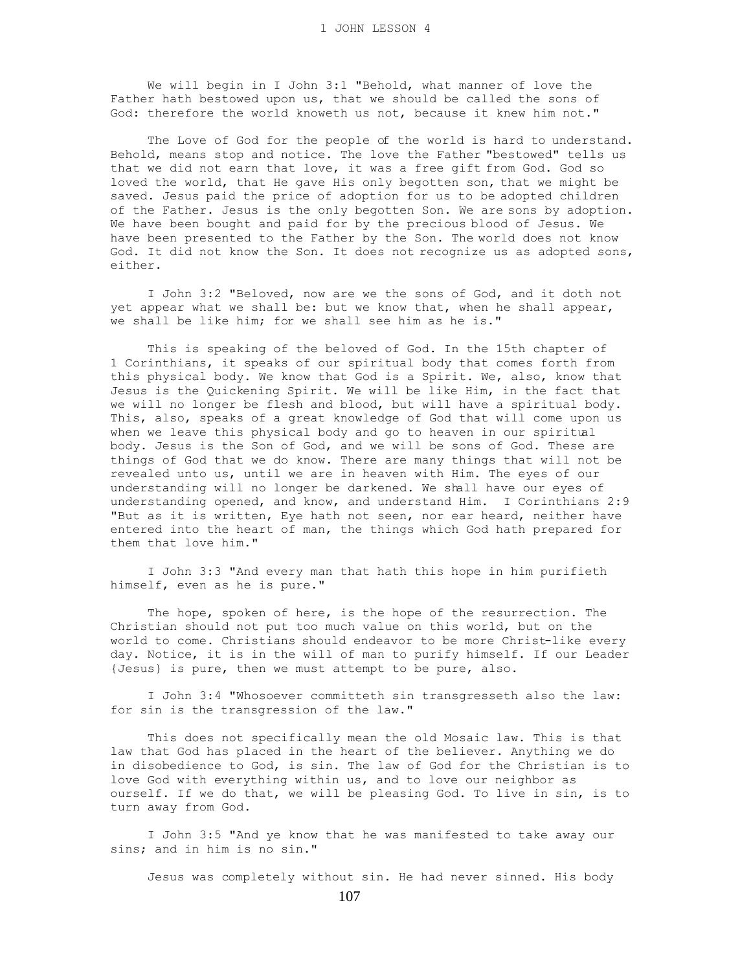We will begin in I John 3:1 "Behold, what manner of love the Father hath bestowed upon us, that we should be called the sons of God: therefore the world knoweth us not, because it knew him not."

 The Love of God for the people of the world is hard to understand. Behold, means stop and notice. The love the Father "bestowed" tells us that we did not earn that love, it was a free gift from God. God so loved the world, that He gave His only begotten son, that we might be saved. Jesus paid the price of adoption for us to be adopted children of the Father. Jesus is the only begotten Son. We are sons by adoption. We have been bought and paid for by the precious blood of Jesus. We have been presented to the Father by the Son. The world does not know God. It did not know the Son. It does not recognize us as adopted sons, either.

 I John 3:2 "Beloved, now are we the sons of God, and it doth not yet appear what we shall be: but we know that, when he shall appear, we shall be like him; for we shall see him as he is."

 This is speaking of the beloved of God. In the 15th chapter of 1 Corinthians, it speaks of our spiritual body that comes forth from this physical body. We know that God is a Spirit. We, also, know that Jesus is the Quickening Spirit. We will be like Him, in the fact that we will no longer be flesh and blood, but will have a spiritual body. This, also, speaks of a great knowledge of God that will come upon us when we leave this physical body and go to heaven in our spiritual body. Jesus is the Son of God, and we will be sons of God. These are things of God that we do know. There are many things that will not be revealed unto us, until we are in heaven with Him. The eyes of our understanding will no longer be darkened. We shall have our eyes of understanding opened, and know, and understand Him. I Corinthians 2:9 "But as it is written, Eye hath not seen, nor ear heard, neither have entered into the heart of man, the things which God hath prepared for them that love him."

 I John 3:3 "And every man that hath this hope in him purifieth himself, even as he is pure."

 The hope, spoken of here, is the hope of the resurrection. The Christian should not put too much value on this world, but on the world to come. Christians should endeavor to be more Christ-like every day. Notice, it is in the will of man to purify himself. If our Leader {Jesus} is pure, then we must attempt to be pure, also.

 I John 3:4 "Whosoever committeth sin transgresseth also the law: for sin is the transgression of the law."

 This does not specifically mean the old Mosaic law. This is that law that God has placed in the heart of the believer. Anything we do in disobedience to God, is sin. The law of God for the Christian is to love God with everything within us, and to love our neighbor as ourself. If we do that, we will be pleasing God. To live in sin, is to turn away from God.

 I John 3:5 "And ye know that he was manifested to take away our sins; and in him is no sin."

Jesus was completely without sin. He had never sinned. His body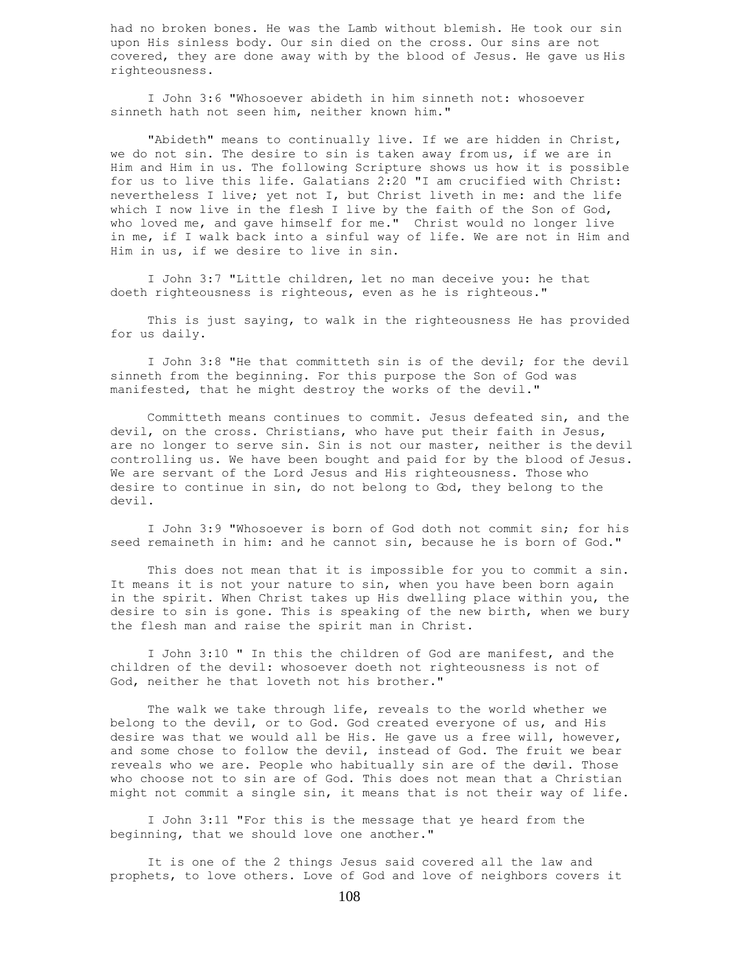had no broken bones. He was the Lamb without blemish. He took our sin upon His sinless body. Our sin died on the cross. Our sins are not covered, they are done away with by the blood of Jesus. He gave us His righteousness.

 I John 3:6 "Whosoever abideth in him sinneth not: whosoever sinneth hath not seen him, neither known him."

 "Abideth" means to continually live. If we are hidden in Christ, we do not sin. The desire to sin is taken away from us, if we are in Him and Him in us. The following Scripture shows us how it is possible for us to live this life. Galatians 2:20 "I am crucified with Christ: nevertheless I live; yet not I, but Christ liveth in me: and the life which I now live in the flesh I live by the faith of the Son of God, who loved me, and gave himself for me." Christ would no longer live in me, if I walk back into a sinful way of life. We are not in Him and Him in us, if we desire to live in sin.

 I John 3:7 "Little children, let no man deceive you: he that doeth righteousness is righteous, even as he is righteous."

 This is just saying, to walk in the righteousness He has provided for us daily.

 I John 3:8 "He that committeth sin is of the devil; for the devil sinneth from the beginning. For this purpose the Son of God was manifested, that he might destroy the works of the devil."

 Committeth means continues to commit. Jesus defeated sin, and the devil, on the cross. Christians, who have put their faith in Jesus, are no longer to serve sin. Sin is not our master, neither is the devil controlling us. We have been bought and paid for by the blood of Jesus. We are servant of the Lord Jesus and His righteousness. Those who desire to continue in sin, do not belong to God, they belong to the devil.

 I John 3:9 "Whosoever is born of God doth not commit sin; for his seed remaineth in him: and he cannot sin, because he is born of God."

 This does not mean that it is impossible for you to commit a sin. It means it is not your nature to sin, when you have been born again in the spirit. When Christ takes up His dwelling place within you, the desire to sin is gone. This is speaking of the new birth, when we bury the flesh man and raise the spirit man in Christ.

 I John 3:10 " In this the children of God are manifest, and the children of the devil: whosoever doeth not righteousness is not of God, neither he that loveth not his brother."

 The walk we take through life, reveals to the world whether we belong to the devil, or to God. God created everyone of us, and His desire was that we would all be His. He gave us a free will, however, and some chose to follow the devil, instead of God. The fruit we bear reveals who we are. People who habitually sin are of the devil. Those who choose not to sin are of God. This does not mean that a Christian might not commit a single sin, it means that is not their way of life.

 I John 3:11 "For this is the message that ye heard from the beginning, that we should love one another."

 It is one of the 2 things Jesus said covered all the law and prophets, to love others. Love of God and love of neighbors covers it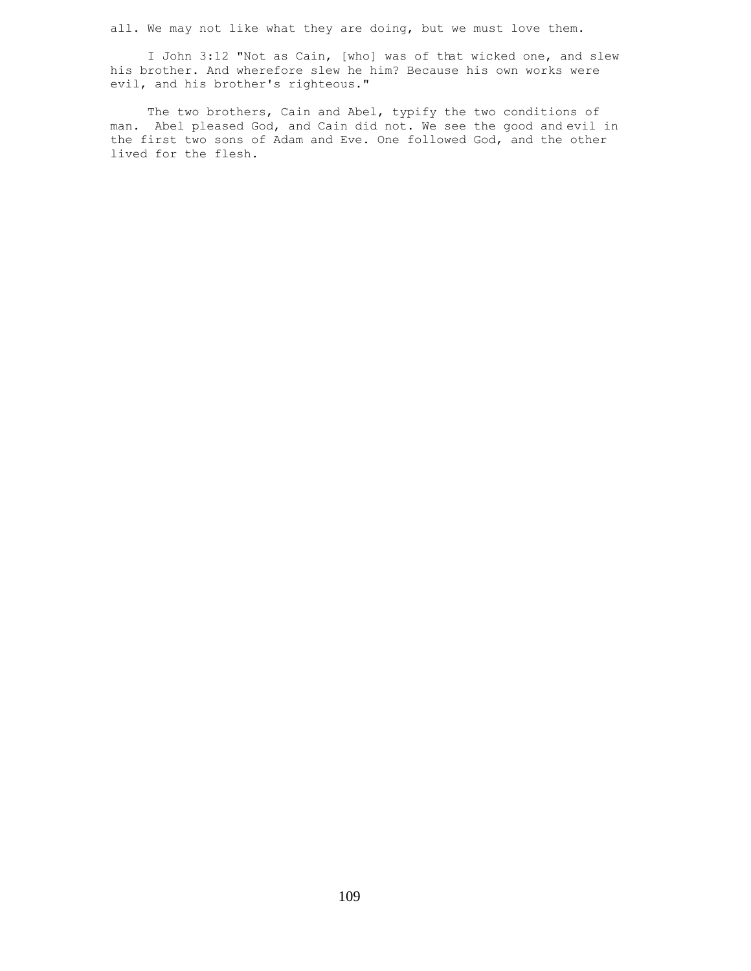all. We may not like what they are doing, but we must love them.

 I John 3:12 "Not as Cain, [who] was of that wicked one, and slew his brother. And wherefore slew he him? Because his own works were evil, and his brother's righteous."

 The two brothers, Cain and Abel, typify the two conditions of man. Abel pleased God, and Cain did not. We see the good and evil in the first two sons of Adam and Eve. One followed God, and the other lived for the flesh.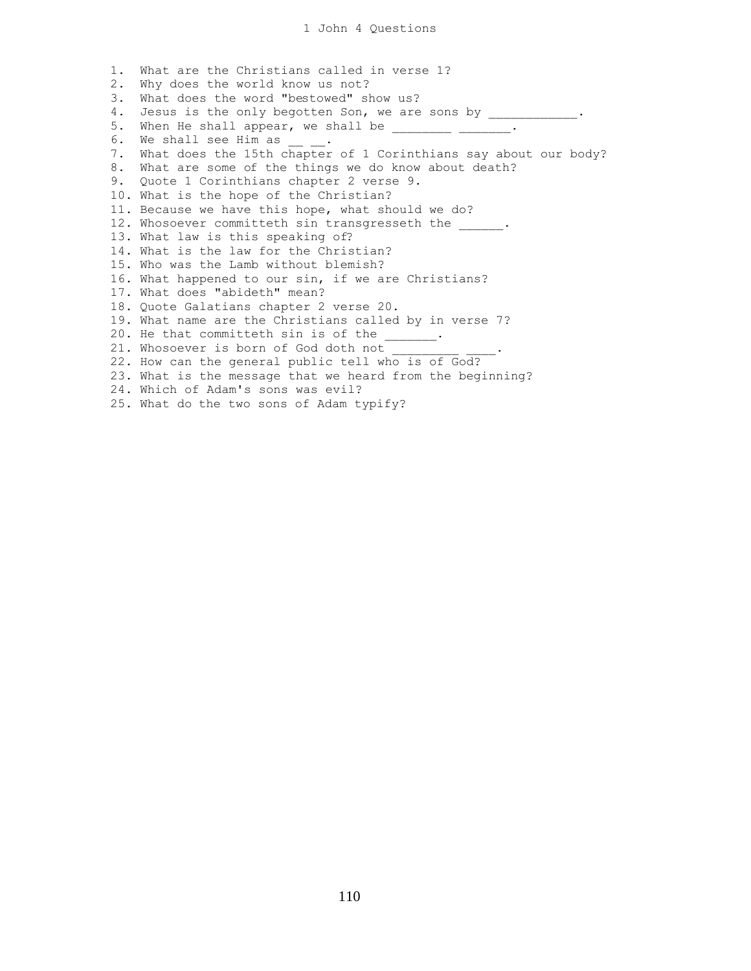1. What are the Christians called in verse 1? 2. Why does the world know us not? 3. What does the word "bestowed" show us? 4. Jesus is the only begotten Son, we are sons by \_\_\_\_\_\_\_\_\_\_\_\_\_. 5. When He shall appear, we shall be  $\frac{1}{\frac{1}{1-\frac{1}{1-\frac{1}{1-\frac{1}{1-\frac{1}{1-\frac{1}{1-\frac{1}{1-\frac{1}{1-\frac{1}{1-\frac{1}{1-\frac{1}{1-\frac{1}{1-\frac{1}{1-\frac{1}{1-\frac{1}{1-\frac{1}{1-\frac{1}{1-\frac{1}{1-\frac{1}{1-\frac{1}{1-\frac{1}{1-\frac{1}{1-\frac{1}{1-\frac{1}{1-\frac{1}{1-\frac{1}{1-\frac{1}{1-\frac{1}{1-\frac{1}{1-\frac{1$ 6. We shall see Him as . 7. What does the 15th chapter of 1 Corinthians say about our body? 8. What are some of the things we do know about death? 9. Quote 1 Corinthians chapter 2 verse 9. 10. What is the hope of the Christian? 11. Because we have this hope, what should we do? 12. Whosoever committeth sin transgresseth the \_\_\_\_\_. 13. What law is this speaking of? 14. What is the law for the Christian? 15. Who was the Lamb without blemish? 16. What happened to our sin, if we are Christians? 17. What does "abideth" mean? 18. Quote Galatians chapter 2 verse 20. 19. What name are the Christians called by in verse 7? 20. He that committeth sin is of the \_\_\_\_\_\_. 21. Whosoever is born of God doth not 22. How can the general public tell who is of God? 23. What is the message that we heard from the beginning? 24. Which of Adam's sons was evil? 25. What do the two sons of Adam typify?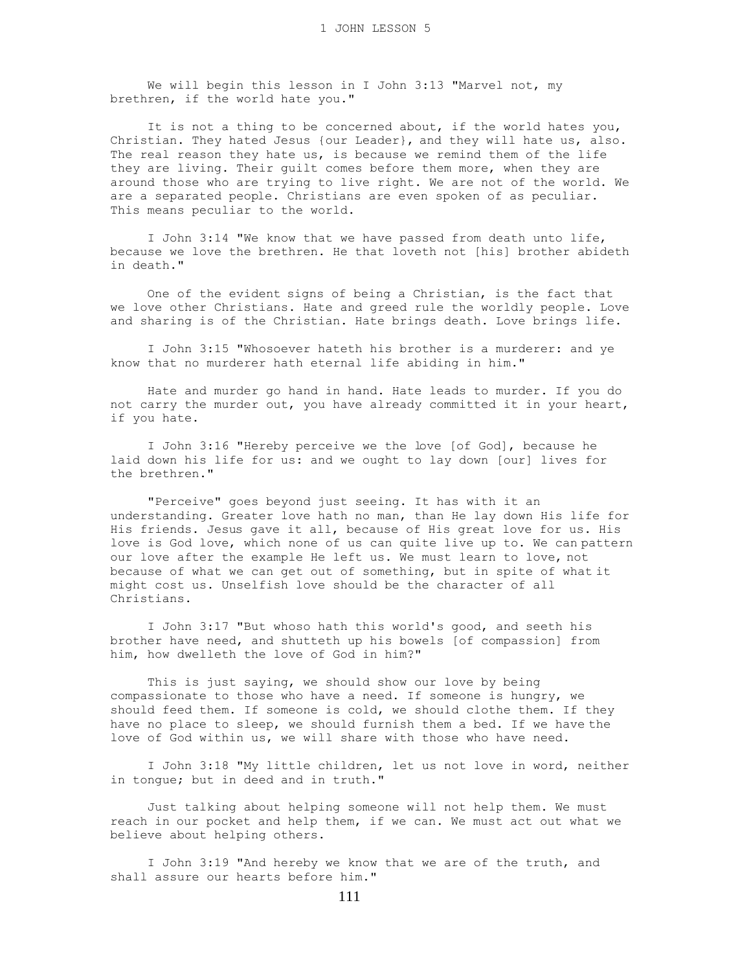We will begin this lesson in I John 3:13 "Marvel not, my brethren, if the world hate you."

 It is not a thing to be concerned about, if the world hates you, Christian. They hated Jesus {our Leader}, and they will hate us, also. The real reason they hate us, is because we remind them of the life they are living. Their guilt comes before them more, when they are around those who are trying to live right. We are not of the world. We are a separated people. Christians are even spoken of as peculiar. This means peculiar to the world.

 I John 3:14 "We know that we have passed from death unto life, because we love the brethren. He that loveth not [his] brother abideth in death."

 One of the evident signs of being a Christian, is the fact that we love other Christians. Hate and greed rule the worldly people. Love and sharing is of the Christian. Hate brings death. Love brings life.

 I John 3:15 "Whosoever hateth his brother is a murderer: and ye know that no murderer hath eternal life abiding in him."

 Hate and murder go hand in hand. Hate leads to murder. If you do not carry the murder out, you have already committed it in your heart, if you hate.

 I John 3:16 "Hereby perceive we the love [of God], because he laid down his life for us: and we ought to lay down [our] lives for the brethren."

 "Perceive" goes beyond just seeing. It has with it an understanding. Greater love hath no man, than He lay down His life for His friends. Jesus gave it all, because of His great love for us. His love is God love, which none of us can quite live up to. We can pattern our love after the example He left us. We must learn to love, not because of what we can get out of something, but in spite of what it might cost us. Unselfish love should be the character of all Christians.

 I John 3:17 "But whoso hath this world's good, and seeth his brother have need, and shutteth up his bowels [of compassion] from him, how dwelleth the love of God in him?"

 This is just saying, we should show our love by being compassionate to those who have a need. If someone is hungry, we should feed them. If someone is cold, we should clothe them. If they have no place to sleep, we should furnish them a bed. If we have the love of God within us, we will share with those who have need.

 I John 3:18 "My little children, let us not love in word, neither in tongue; but in deed and in truth."

 Just talking about helping someone will not help them. We must reach in our pocket and help them, if we can. We must act out what we believe about helping others.

 I John 3:19 "And hereby we know that we are of the truth, and shall assure our hearts before him."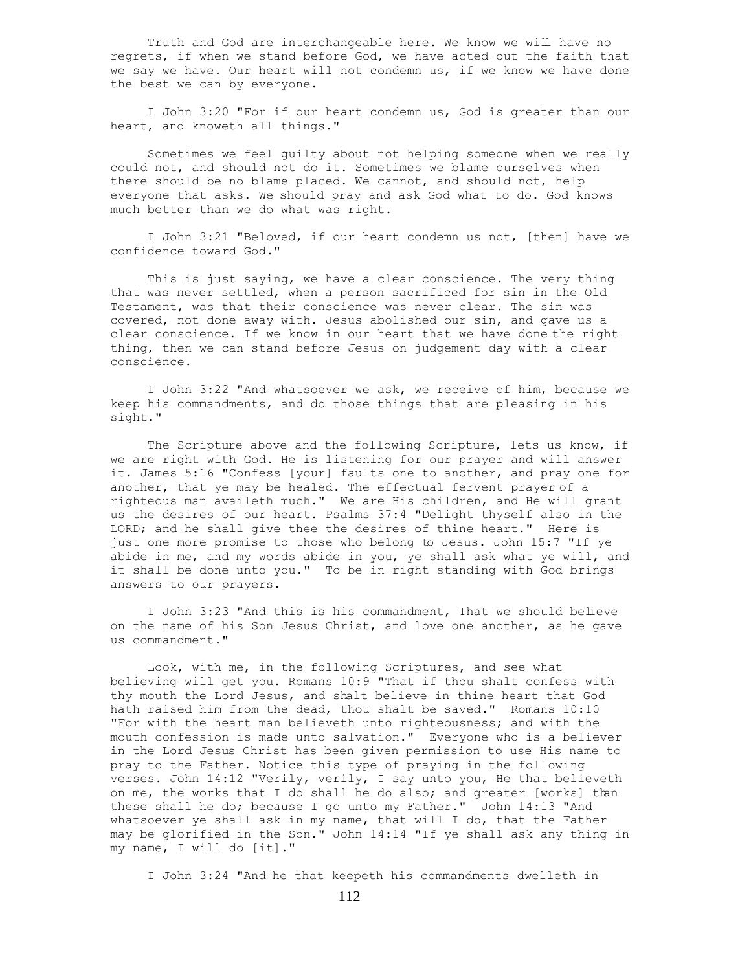Truth and God are interchangeable here. We know we will have no regrets, if when we stand before God, we have acted out the faith that we say we have. Our heart will not condemn us, if we know we have done the best we can by everyone.

 I John 3:20 "For if our heart condemn us, God is greater than our heart, and knoweth all things."

 Sometimes we feel guilty about not helping someone when we really could not, and should not do it. Sometimes we blame ourselves when there should be no blame placed. We cannot, and should not, help everyone that asks. We should pray and ask God what to do. God knows much better than we do what was right.

 I John 3:21 "Beloved, if our heart condemn us not, [then] have we confidence toward God."

 This is just saying, we have a clear conscience. The very thing that was never settled, when a person sacrificed for sin in the Old Testament, was that their conscience was never clear. The sin was covered, not done away with. Jesus abolished our sin, and gave us a clear conscience. If we know in our heart that we have done the right thing, then we can stand before Jesus on judgement day with a clear conscience.

 I John 3:22 "And whatsoever we ask, we receive of him, because we keep his commandments, and do those things that are pleasing in his sight."

 The Scripture above and the following Scripture, lets us know, if we are right with God. He is listening for our prayer and will answer it. James 5:16 "Confess [your] faults one to another, and pray one for another, that ye may be healed. The effectual fervent prayer of a righteous man availeth much." We are His children, and He will grant us the desires of our heart. Psalms 37:4 "Delight thyself also in the LORD; and he shall give thee the desires of thine heart." Here is just one more promise to those who belong to Jesus. John 15:7 "If ye abide in me, and my words abide in you, ye shall ask what ye will, and it shall be done unto you." To be in right standing with God brings answers to our prayers.

 I John 3:23 "And this is his commandment, That we should believe on the name of his Son Jesus Christ, and love one another, as he gave us commandment."

 Look, with me, in the following Scriptures, and see what believing will get you. Romans 10:9 "That if thou shalt confess with thy mouth the Lord Jesus, and shalt believe in thine heart that God hath raised him from the dead, thou shalt be saved." Romans 10:10 "For with the heart man believeth unto righteousness; and with the mouth confession is made unto salvation." Everyone who is a believer in the Lord Jesus Christ has been given permission to use His name to pray to the Father. Notice this type of praying in the following verses. John 14:12 "Verily, verily, I say unto you, He that believeth on me, the works that I do shall he do also; and greater [works] than these shall he do; because I go unto my Father." John 14:13 "And whatsoever ye shall ask in my name, that will I do, that the Father may be glorified in the Son." John 14:14 "If ye shall ask any thing in my name, I will do [it]."

I John 3:24 "And he that keepeth his commandments dwelleth in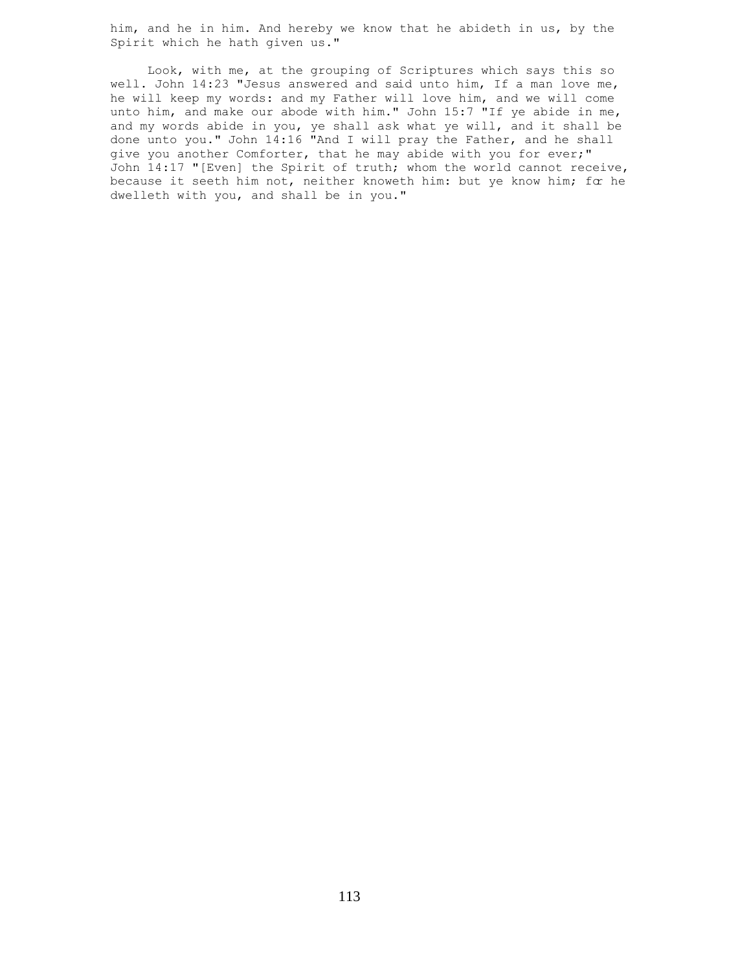him, and he in him. And hereby we know that he abideth in us, by the Spirit which he hath given us."

 Look, with me, at the grouping of Scriptures which says this so well. John 14:23 "Jesus answered and said unto him, If a man love me, he will keep my words: and my Father will love him, and we will come unto him, and make our abode with him." John 15:7 "If ye abide in me, and my words abide in you, ye shall ask what ye will, and it shall be done unto you." John 14:16 "And I will pray the Father, and he shall give you another Comforter, that he may abide with you for ever;" John 14:17 "[Even] the Spirit of truth; whom the world cannot receive, because it seeth him not, neither knoweth him: but ye know him; for he dwelleth with you, and shall be in you."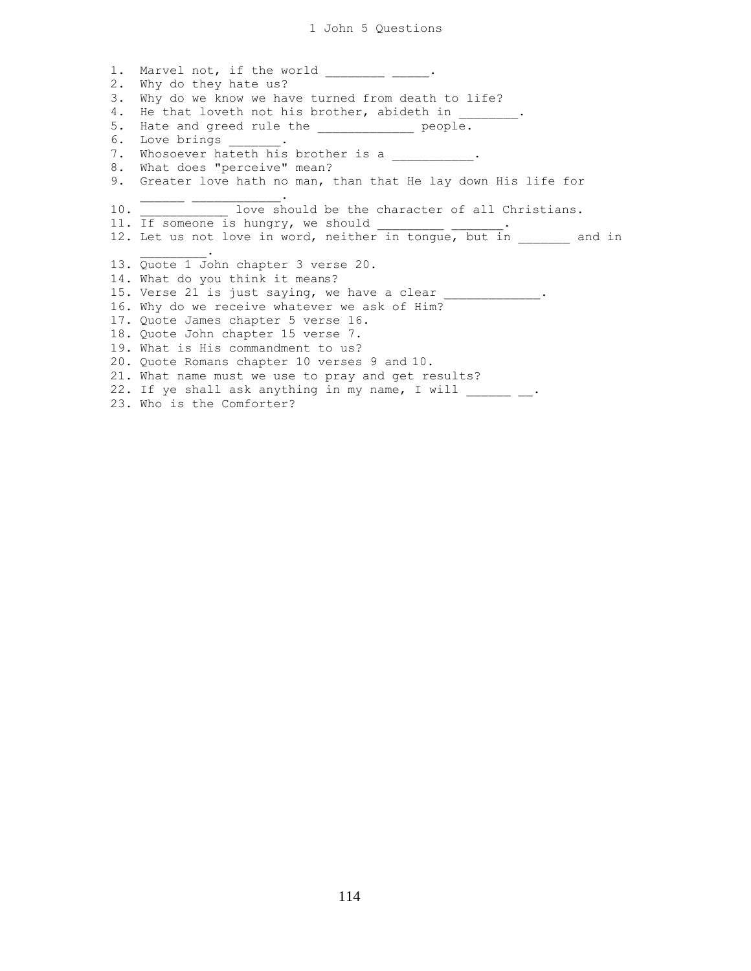1. Marvel not, if the world \_\_\_\_\_\_\_\_\_ \_\_\_\_. 2. Why do they hate us? 3. Why do we know we have turned from death to life? 4. He that loveth not his brother, abideth in \_\_\_\_\_\_\_. 5. Hate and greed rule the \_\_\_\_\_\_\_\_\_\_\_\_ people. 6. Love brings 7. Whosoever hateth his brother is a  $\blacksquare$ 8. What does "perceive" mean? 9. Greater love hath no man, than that He lay down His life for  $\mathcal{L}=\mathcal{L}=\mathcal{L}=\mathcal{L}=\mathcal{L}=\mathcal{L}=\mathcal{L}=\mathcal{L}=\mathcal{L}=\mathcal{L}=\mathcal{L}=\mathcal{L}=\mathcal{L}=\mathcal{L}=\mathcal{L}=\mathcal{L}=\mathcal{L}=\mathcal{L}=\mathcal{L}=\mathcal{L}=\mathcal{L}=\mathcal{L}=\mathcal{L}=\mathcal{L}=\mathcal{L}=\mathcal{L}=\mathcal{L}=\mathcal{L}=\mathcal{L}=\mathcal{L}=\mathcal{L}=\mathcal{L}=\mathcal{L}=\mathcal{L}=\mathcal{L}=\mathcal{L}=\mathcal{$ 10. \_\_\_\_\_\_\_\_\_\_\_\_ love should be the character of all Christians. 11. If someone is hungry, we should 12. Let us not love in word, neither in tongue, but in and in  $\mathcal{L}$  and  $\mathcal{L}$  and  $\mathcal{L}$ 13. Quote 1 John chapter 3 verse 20. 14. What do you think it means? 15. Verse 21 is just saying, we have a clear \_\_\_\_\_\_\_\_\_\_\_\_\_. 16. Why do we receive whatever we ask of Him? 17. Quote James chapter 5 verse 16. 18. Quote John chapter 15 verse 7. 19. What is His commandment to us? 20. Quote Romans chapter 10 verses 9 and 10. 21. What name must we use to pray and get results? 22. If ye shall ask anything in my name, I will  $\frac{1}{\cdot}$   $\cdot$ 23. Who is the Comforter?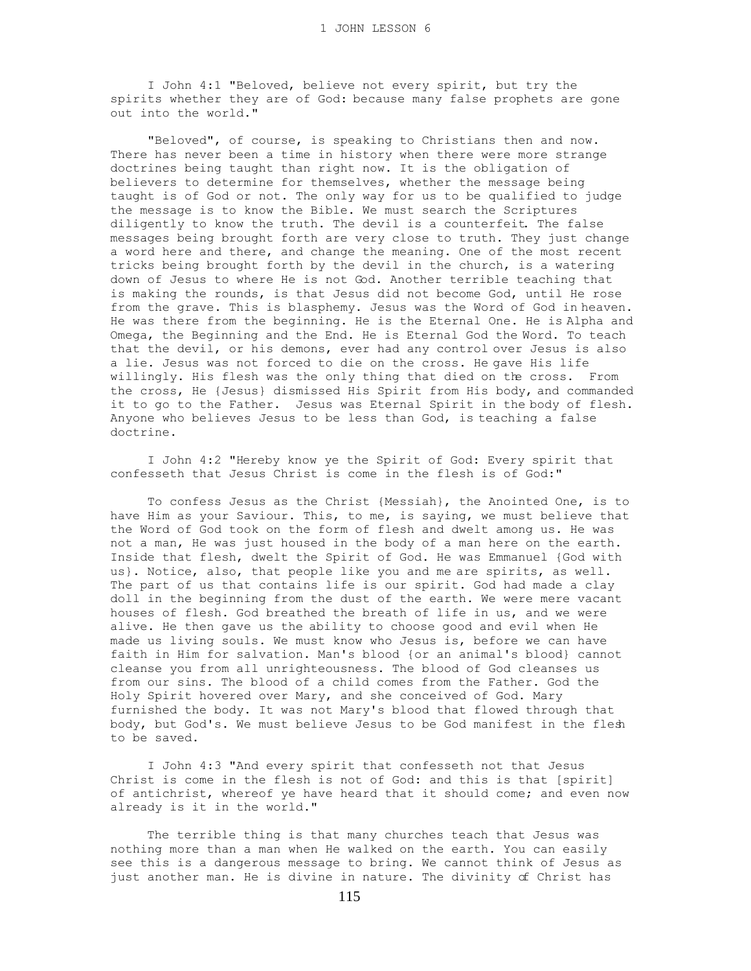I John 4:1 "Beloved, believe not every spirit, but try the spirits whether they are of God: because many false prophets are gone out into the world."

 "Beloved", of course, is speaking to Christians then and now. There has never been a time in history when there were more strange doctrines being taught than right now. It is the obligation of believers to determine for themselves, whether the message being taught is of God or not. The only way for us to be qualified to judge the message is to know the Bible. We must search the Scriptures diligently to know the truth. The devil is a counterfeit. The false messages being brought forth are very close to truth. They just change a word here and there, and change the meaning. One of the most recent tricks being brought forth by the devil in the church, is a watering down of Jesus to where He is not God. Another terrible teaching that is making the rounds, is that Jesus did not become God, until He rose from the grave. This is blasphemy. Jesus was the Word of God in heaven. He was there from the beginning. He is the Eternal One. He is Alpha and Omega, the Beginning and the End. He is Eternal God the Word. To teach that the devil, or his demons, ever had any control over Jesus is also a lie. Jesus was not forced to die on the cross. He gave His life willingly. His flesh was the only thing that died on the cross. From the cross, He {Jesus} dismissed His Spirit from His body, and commanded it to go to the Father. Jesus was Eternal Spirit in the body of flesh. Anyone who believes Jesus to be less than God, is teaching a false doctrine.

 I John 4:2 "Hereby know ye the Spirit of God: Every spirit that confesseth that Jesus Christ is come in the flesh is of God:"

 To confess Jesus as the Christ {Messiah}, the Anointed One, is to have Him as your Saviour. This, to me, is saying, we must believe that the Word of God took on the form of flesh and dwelt among us. He was not a man, He was just housed in the body of a man here on the earth. Inside that flesh, dwelt the Spirit of God. He was Emmanuel {God with us}. Notice, also, that people like you and me are spirits, as well. The part of us that contains life is our spirit. God had made a clay doll in the beginning from the dust of the earth. We were mere vacant houses of flesh. God breathed the breath of life in us, and we were alive. He then gave us the ability to choose good and evil when He made us living souls. We must know who Jesus is, before we can have faith in Him for salvation. Man's blood {or an animal's blood} cannot cleanse you from all unrighteousness. The blood of God cleanses us from our sins. The blood of a child comes from the Father. God the Holy Spirit hovered over Mary, and she conceived of God. Mary furnished the body. It was not Mary's blood that flowed through that body, but God's. We must believe Jesus to be God manifest in the flesh to be saved.

 I John 4:3 "And every spirit that confesseth not that Jesus Christ is come in the flesh is not of God: and this is that [spirit] of antichrist, whereof ye have heard that it should come; and even now already is it in the world."

 The terrible thing is that many churches teach that Jesus was nothing more than a man when He walked on the earth. You can easily see this is a dangerous message to bring. We cannot think of Jesus as just another man. He is divine in nature. The divinity of Christ has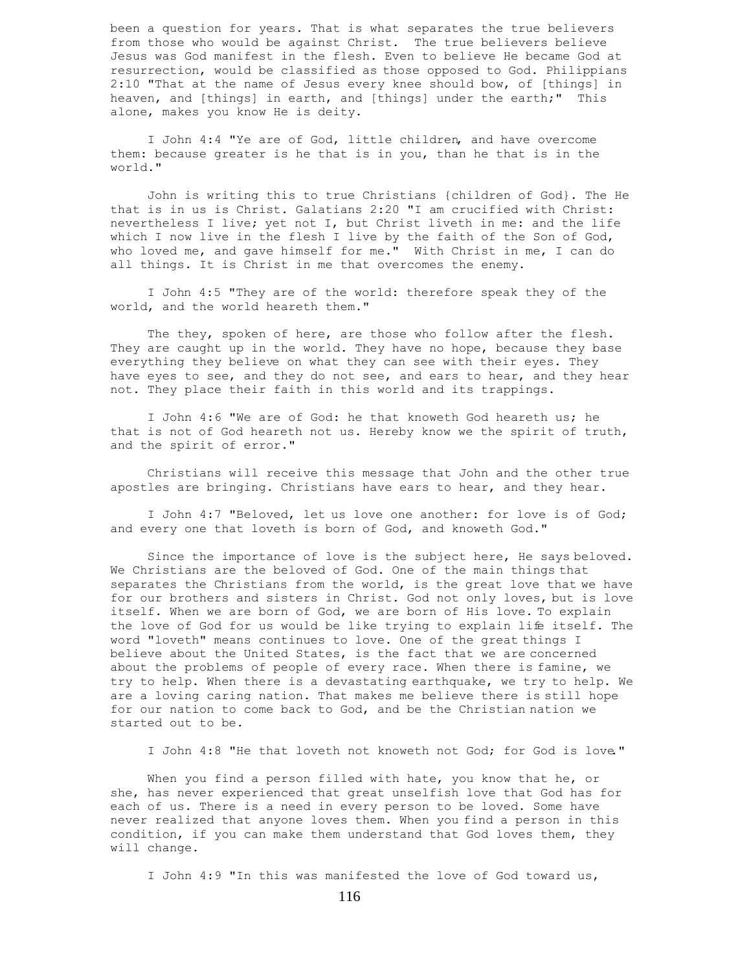been a question for years. That is what separates the true believers from those who would be against Christ. The true believers believe Jesus was God manifest in the flesh. Even to believe He became God at resurrection, would be classified as those opposed to God. Philippians 2:10 "That at the name of Jesus every knee should bow, of [things] in heaven, and [things] in earth, and [things] under the earth;" This alone, makes you know He is deity.

 I John 4:4 "Ye are of God, little children, and have overcome them: because greater is he that is in you, than he that is in the world."

 John is writing this to true Christians {children of God}. The He that is in us is Christ. Galatians 2:20 "I am crucified with Christ: nevertheless I live; yet not I, but Christ liveth in me: and the life which I now live in the flesh I live by the faith of the Son of God, who loved me, and gave himself for me." With Christ in me, I can do all things. It is Christ in me that overcomes the enemy.

 I John 4:5 "They are of the world: therefore speak they of the world, and the world heareth them."

The they, spoken of here, are those who follow after the flesh. They are caught up in the world. They have no hope, because they base everything they believe on what they can see with their eyes. They have eyes to see, and they do not see, and ears to hear, and they hear not. They place their faith in this world and its trappings.

 I John 4:6 "We are of God: he that knoweth God heareth us; he that is not of God heareth not us. Hereby know we the spirit of truth, and the spirit of error."

 Christians will receive this message that John and the other true apostles are bringing. Christians have ears to hear, and they hear.

 I John 4:7 "Beloved, let us love one another: for love is of God; and every one that loveth is born of God, and knoweth God."

 Since the importance of love is the subject here, He says beloved. We Christians are the beloved of God. One of the main things that separates the Christians from the world, is the great love that we have for our brothers and sisters in Christ. God not only loves, but is love itself. When we are born of God, we are born of His love. To explain the love of God for us would be like trying to explain life itself. The word "loveth" means continues to love. One of the great things I believe about the United States, is the fact that we are concerned about the problems of people of every race. When there is famine, we try to help. When there is a devastating earthquake, we try to help. We are a loving caring nation. That makes me believe there is still hope for our nation to come back to God, and be the Christian nation we started out to be.

I John 4:8 "He that loveth not knoweth not God; for God is love."

When you find a person filled with hate, you know that he, or she, has never experienced that great unselfish love that God has for each of us. There is a need in every person to be loved. Some have never realized that anyone loves them. When you find a person in this condition, if you can make them understand that God loves them, they will change.

I John 4:9 "In this was manifested the love of God toward us,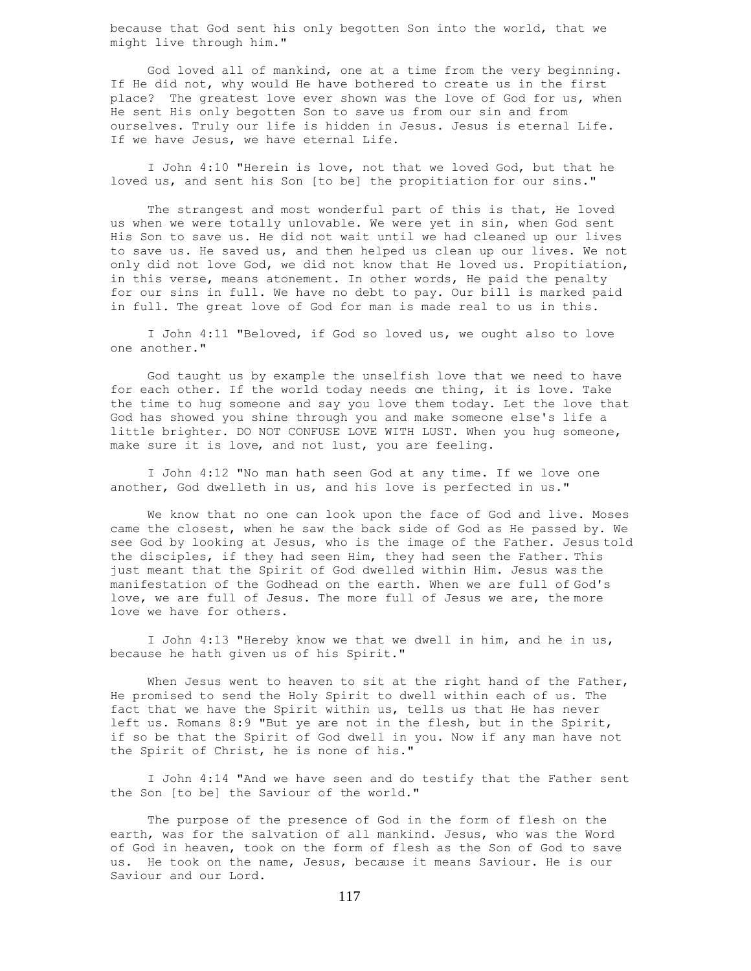because that God sent his only begotten Son into the world, that we might live through him."

 God loved all of mankind, one at a time from the very beginning. If He did not, why would He have bothered to create us in the first place? The greatest love ever shown was the love of God for us, when He sent His only begotten Son to save us from our sin and from ourselves. Truly our life is hidden in Jesus. Jesus is eternal Life. If we have Jesus, we have eternal Life.

 I John 4:10 "Herein is love, not that we loved God, but that he loved us, and sent his Son [to be] the propitiation for our sins."

 The strangest and most wonderful part of this is that, He loved us when we were totally unlovable. We were yet in sin, when God sent His Son to save us. He did not wait until we had cleaned up our lives to save us. He saved us, and then helped us clean up our lives. We not only did not love God, we did not know that He loved us. Propitiation, in this verse, means atonement. In other words, He paid the penalty for our sins in full. We have no debt to pay. Our bill is marked paid in full. The great love of God for man is made real to us in this.

 I John 4:11 "Beloved, if God so loved us, we ought also to love one another."

 God taught us by example the unselfish love that we need to have for each other. If the world today needs one thing, it is love. Take the time to hug someone and say you love them today. Let the love that God has showed you shine through you and make someone else's life a little brighter. DO NOT CONFUSE LOVE WITH LUST. When you hug someone, make sure it is love, and not lust, you are feeling.

 I John 4:12 "No man hath seen God at any time. If we love one another, God dwelleth in us, and his love is perfected in us."

 We know that no one can look upon the face of God and live. Moses came the closest, when he saw the back side of God as He passed by. We see God by looking at Jesus, who is the image of the Father. Jesus told the disciples, if they had seen Him, they had seen the Father. This just meant that the Spirit of God dwelled within Him. Jesus was the manifestation of the Godhead on the earth. When we are full of God's love, we are full of Jesus. The more full of Jesus we are, the more love we have for others.

 I John 4:13 "Hereby know we that we dwell in him, and he in us, because he hath given us of his Spirit."

 When Jesus went to heaven to sit at the right hand of the Father, He promised to send the Holy Spirit to dwell within each of us. The fact that we have the Spirit within us, tells us that He has never left us. Romans 8:9 "But ye are not in the flesh, but in the Spirit, if so be that the Spirit of God dwell in you. Now if any man have not the Spirit of Christ, he is none of his."

 I John 4:14 "And we have seen and do testify that the Father sent the Son [to be] the Saviour of the world."

 The purpose of the presence of God in the form of flesh on the earth, was for the salvation of all mankind. Jesus, who was the Word of God in heaven, took on the form of flesh as the Son of God to save us. He took on the name, Jesus, because it means Saviour. He is our Saviour and our Lord.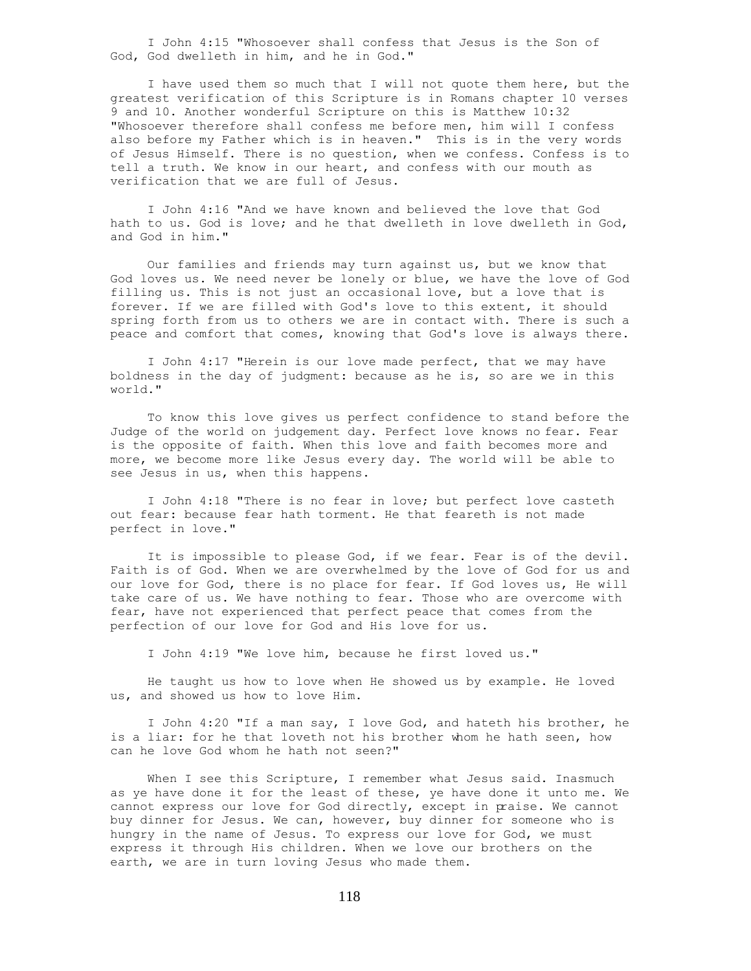I John 4:15 "Whosoever shall confess that Jesus is the Son of God, God dwelleth in him, and he in God."

 I have used them so much that I will not quote them here, but the greatest verification of this Scripture is in Romans chapter 10 verses 9 and 10. Another wonderful Scripture on this is Matthew 10:32 "Whosoever therefore shall confess me before men, him will I confess also before my Father which is in heaven." This is in the very words of Jesus Himself. There is no question, when we confess. Confess is to tell a truth. We know in our heart, and confess with our mouth as verification that we are full of Jesus.

 I John 4:16 "And we have known and believed the love that God hath to us. God is love; and he that dwelleth in love dwelleth in God, and God in him."

 Our families and friends may turn against us, but we know that God loves us. We need never be lonely or blue, we have the love of God filling us. This is not just an occasional love, but a love that is forever. If we are filled with God's love to this extent, it should spring forth from us to others we are in contact with. There is such a peace and comfort that comes, knowing that God's love is always there.

 I John 4:17 "Herein is our love made perfect, that we may have boldness in the day of judgment: because as he is, so are we in this world."

 To know this love gives us perfect confidence to stand before the Judge of the world on judgement day. Perfect love knows no fear. Fear is the opposite of faith. When this love and faith becomes more and more, we become more like Jesus every day. The world will be able to see Jesus in us, when this happens.

 I John 4:18 "There is no fear in love; but perfect love casteth out fear: because fear hath torment. He that feareth is not made perfect in love."

 It is impossible to please God, if we fear. Fear is of the devil. Faith is of God. When we are overwhelmed by the love of God for us and our love for God, there is no place for fear. If God loves us, He will take care of us. We have nothing to fear. Those who are overcome with fear, have not experienced that perfect peace that comes from the perfection of our love for God and His love for us.

I John 4:19 "We love him, because he first loved us."

 He taught us how to love when He showed us by example. He loved us, and showed us how to love Him.

 I John 4:20 "If a man say, I love God, and hateth his brother, he is a liar: for he that loveth not his brother whom he hath seen, how can he love God whom he hath not seen?"

When I see this Scripture, I remember what Jesus said. Inasmuch as ye have done it for the least of these, ye have done it unto me. We cannot express our love for God directly, except in praise. We cannot buy dinner for Jesus. We can, however, buy dinner for someone who is hungry in the name of Jesus. To express our love for God, we must express it through His children. When we love our brothers on the earth, we are in turn loving Jesus who made them.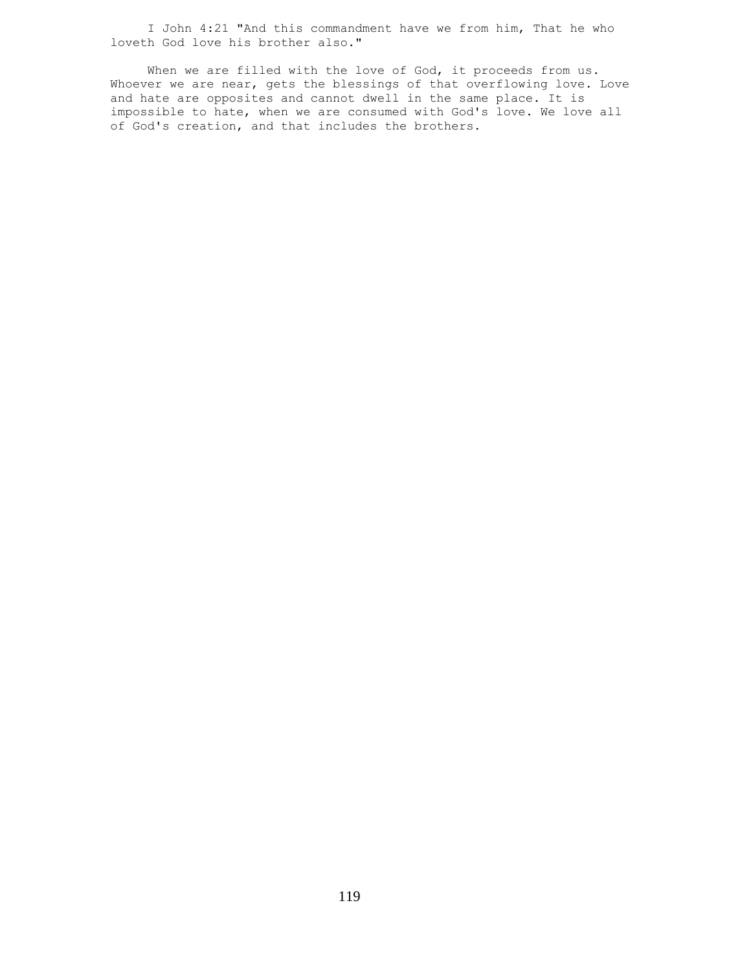I John 4:21 "And this commandment have we from him, That he who loveth God love his brother also."

When we are filled with the love of God, it proceeds from us. Whoever we are near, gets the blessings of that overflowing love. Love and hate are opposites and cannot dwell in the same place. It is impossible to hate, when we are consumed with God's love. We love all of God's creation, and that includes the brothers.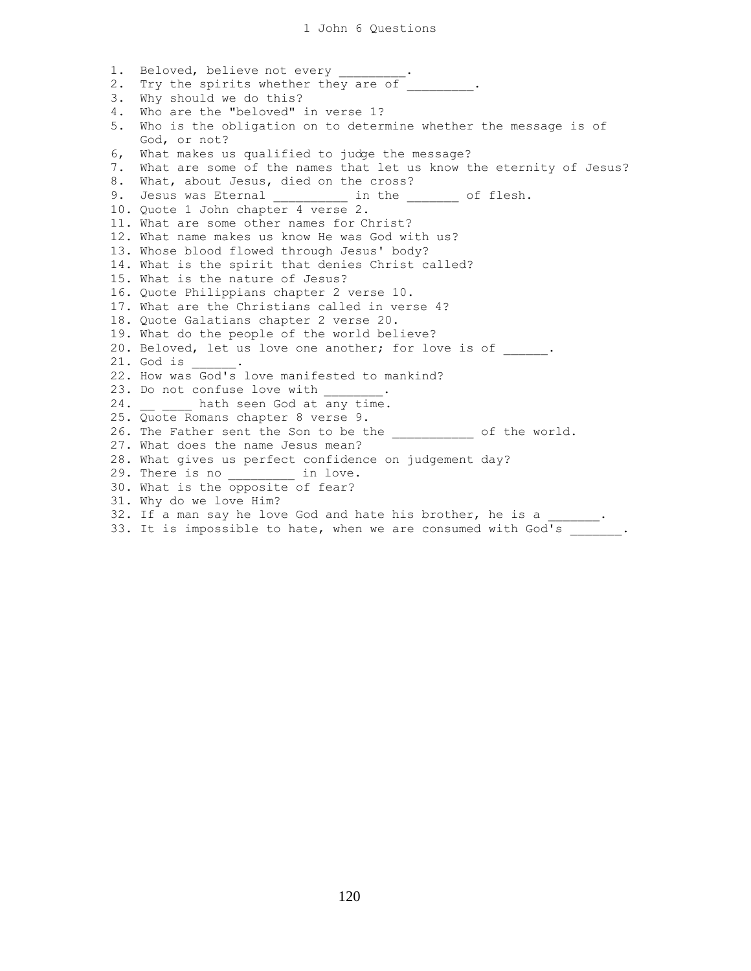1. Beloved, believe not every \_ 2. Try the spirits whether they are of  $\overline{\phantom{a}}$ 3. Why should we do this? 4. Who are the "beloved" in verse 1? 5. Who is the obligation on to determine whether the message is of God, or not? 6, What makes us qualified to judge the message? 7. What are some of the names that let us know the eternity of Jesus? 8. What, about Jesus, died on the cross? 9. Jesus was Eternal \_\_\_\_\_\_\_\_\_\_ in the \_\_\_\_\_\_\_ of flesh. 10. Quote 1 John chapter 4 verse 2. 11. What are some other names for Christ? 12. What name makes us know He was God with us? 13. Whose blood flowed through Jesus' body? 14. What is the spirit that denies Christ called? 15. What is the nature of Jesus? 16. Quote Philippians chapter 2 verse 10. 17. What are the Christians called in verse 4? 18. Quote Galatians chapter 2 verse 20. 19. What do the people of the world believe? 20. Beloved, let us love one another; for love is of . 21. God is \_\_\_ 22. How was God's love manifested to mankind? 23. Do not confuse love with 24. hath seen God at any time. 25. Quote Romans chapter 8 verse 9. 26. The Father sent the Son to be the the son of the world. 27. What does the name Jesus mean? 28. What gives us perfect confidence on judgement day? 29. There is no \_\_\_\_\_\_\_\_\_\_ in love. 30. What is the opposite of fear? 31. Why do we love Him? 32. If a man say he love God and hate his brother, he is a 33. It is impossible to hate, when we are consumed with God's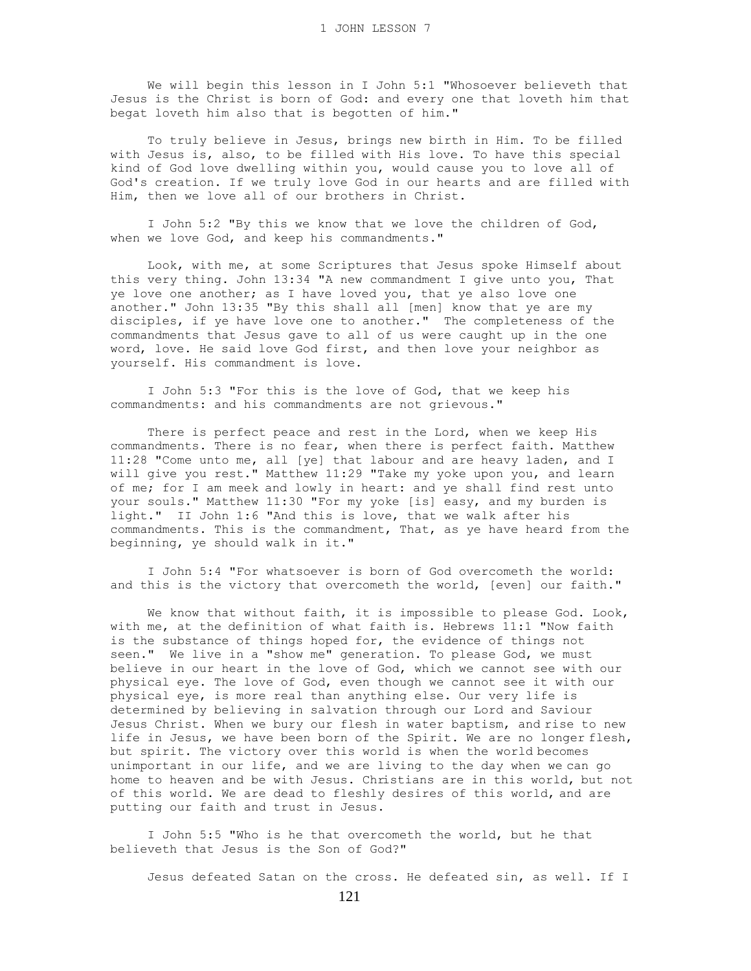We will begin this lesson in I John 5:1 "Whosoever believeth that Jesus is the Christ is born of God: and every one that loveth him that begat loveth him also that is begotten of him."

 To truly believe in Jesus, brings new birth in Him. To be filled with Jesus is, also, to be filled with His love. To have this special kind of God love dwelling within you, would cause you to love all of God's creation. If we truly love God in our hearts and are filled with Him, then we love all of our brothers in Christ.

 I John 5:2 "By this we know that we love the children of God, when we love God, and keep his commandments."

 Look, with me, at some Scriptures that Jesus spoke Himself about this very thing. John 13:34 "A new commandment I give unto you, That ye love one another; as I have loved you, that ye also love one another." John 13:35 "By this shall all [men] know that ye are my disciples, if ye have love one to another." The completeness of the commandments that Jesus gave to all of us were caught up in the one word, love. He said love God first, and then love your neighbor as yourself. His commandment is love.

 I John 5:3 "For this is the love of God, that we keep his commandments: and his commandments are not grievous."

There is perfect peace and rest in the Lord, when we keep His commandments. There is no fear, when there is perfect faith. Matthew 11:28 "Come unto me, all [ye] that labour and are heavy laden, and I will give you rest." Matthew 11:29 "Take my yoke upon you, and learn of me; for I am meek and lowly in heart: and ye shall find rest unto your souls." Matthew 11:30 "For my yoke [is] easy, and my burden is light." II John 1:6 "And this is love, that we walk after his commandments. This is the commandment, That, as ye have heard from the beginning, ye should walk in it."

 I John 5:4 "For whatsoever is born of God overcometh the world: and this is the victory that overcometh the world, [even] our faith."

We know that without faith, it is impossible to please God. Look, with me, at the definition of what faith is. Hebrews 11:1 "Now faith is the substance of things hoped for, the evidence of things not seen." We live in a "show me" generation. To please God, we must believe in our heart in the love of God, which we cannot see with our physical eye. The love of God, even though we cannot see it with our physical eye, is more real than anything else. Our very life is determined by believing in salvation through our Lord and Saviour Jesus Christ. When we bury our flesh in water baptism, and rise to new life in Jesus, we have been born of the Spirit. We are no longer flesh, but spirit. The victory over this world is when the world becomes unimportant in our life, and we are living to the day when we can go home to heaven and be with Jesus. Christians are in this world, but not of this world. We are dead to fleshly desires of this world, and are putting our faith and trust in Jesus.

 I John 5:5 "Who is he that overcometh the world, but he that believeth that Jesus is the Son of God?"

Jesus defeated Satan on the cross. He defeated sin, as well. If I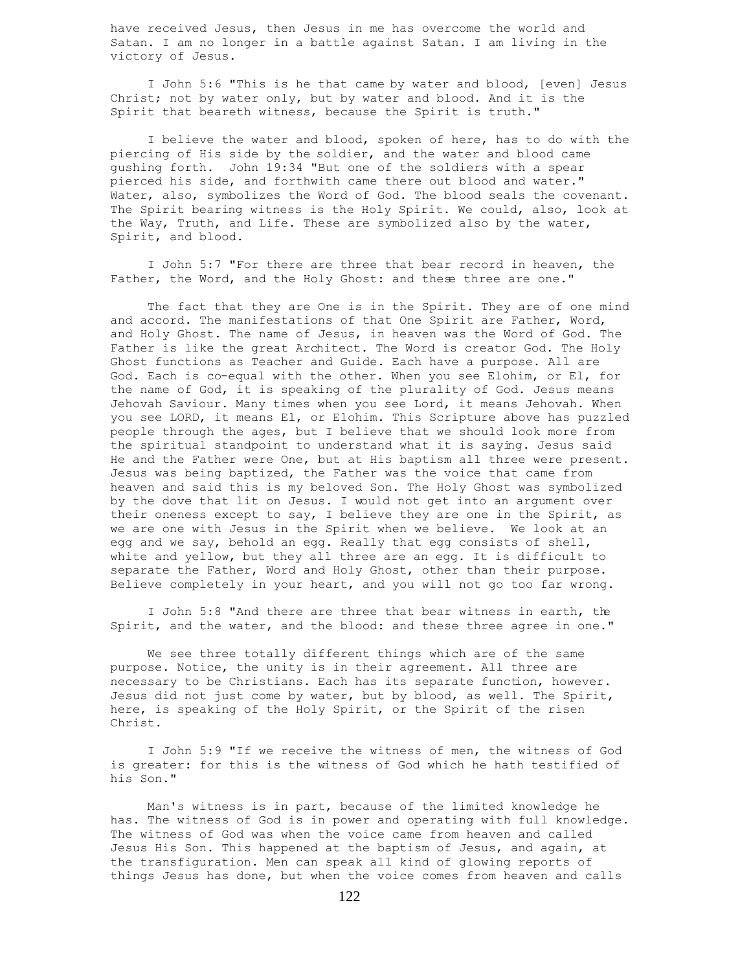have received Jesus, then Jesus in me has overcome the world and Satan. I am no longer in a battle against Satan. I am living in the victory of Jesus.

 I John 5:6 "This is he that came by water and blood, [even] Jesus Christ; not by water only, but by water and blood. And it is the Spirit that beareth witness, because the Spirit is truth."

 I believe the water and blood, spoken of here, has to do with the piercing of His side by the soldier, and the water and blood came gushing forth. John 19:34 "But one of the soldiers with a spear pierced his side, and forthwith came there out blood and water." Water, also, symbolizes the Word of God. The blood seals the covenant. The Spirit bearing witness is the Holy Spirit. We could, also, look at the Way, Truth, and Life. These are symbolized also by the water, Spirit, and blood.

 I John 5:7 "For there are three that bear record in heaven, the Father, the Word, and the Holy Ghost: and these three are one."

 The fact that they are One is in the Spirit. They are of one mind and accord. The manifestations of that One Spirit are Father, Word, and Holy Ghost. The name of Jesus, in heaven was the Word of God. The Father is like the great Architect. The Word is creator God. The Holy Ghost functions as Teacher and Guide. Each have a purpose. All are God. Each is co-equal with the other. When you see Elohim, or El, for the name of God, it is speaking of the plurality of God. Jesus means Jehovah Saviour. Many times when you see Lord, it means Jehovah. When you see LORD, it means El, or Elohim. This Scripture above has puzzled people through the ages, but I believe that we should look more from the spiritual standpoint to understand what it is saying. Jesus said He and the Father were One, but at His baptism all three were present. Jesus was being baptized, the Father was the voice that came from heaven and said this is my beloved Son. The Holy Ghost was symbolized by the dove that lit on Jesus. I would not get into an argument over their oneness except to say, I believe they are one in the Spirit, as we are one with Jesus in the Spirit when we believe. We look at an egg and we say, behold an egg. Really that egg consists of shell, white and yellow, but they all three are an egg. It is difficult to separate the Father, Word and Holy Ghost, other than their purpose. Believe completely in your heart, and you will not go too far wrong.

 I John 5:8 "And there are three that bear witness in earth, the Spirit, and the water, and the blood: and these three agree in one."

 We see three totally different things which are of the same purpose. Notice, the unity is in their agreement. All three are necessary to be Christians. Each has its separate function, however. Jesus did not just come by water, but by blood, as well. The Spirit, here, is speaking of the Holy Spirit, or the Spirit of the risen Christ.

 I John 5:9 "If we receive the witness of men, the witness of God is greater: for this is the witness of God which he hath testified of his Son."

 Man's witness is in part, because of the limited knowledge he has. The witness of God is in power and operating with full knowledge. The witness of God was when the voice came from heaven and called Jesus His Son. This happened at the baptism of Jesus, and again, at the transfiguration. Men can speak all kind of glowing reports of things Jesus has done, but when the voice comes from heaven and calls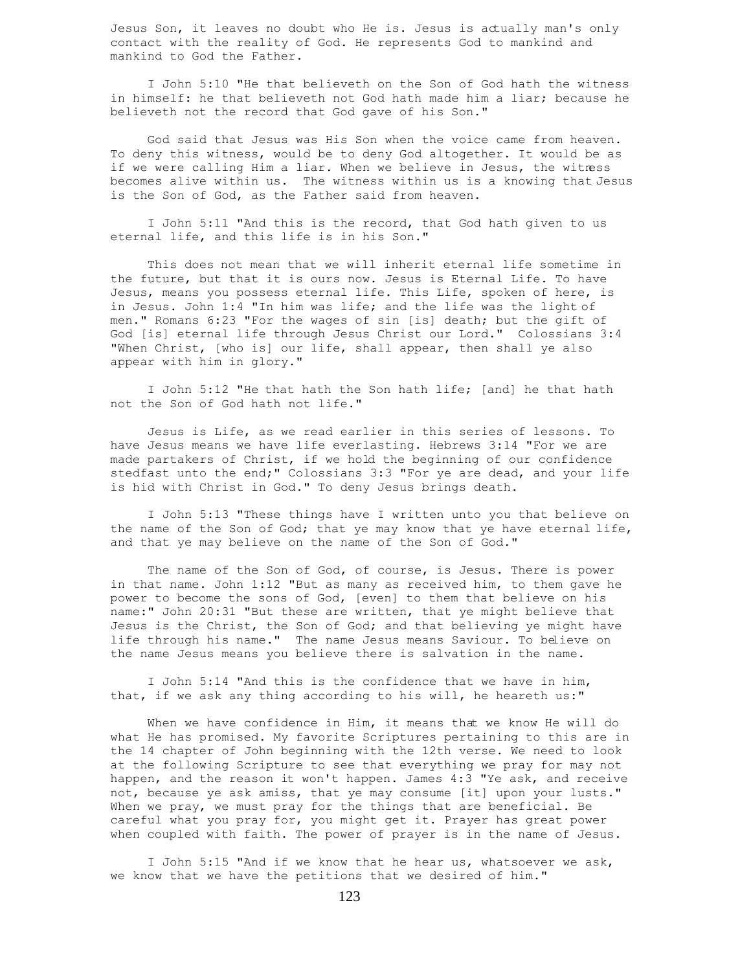Jesus Son, it leaves no doubt who He is. Jesus is actually man's only contact with the reality of God. He represents God to mankind and mankind to God the Father.

 I John 5:10 "He that believeth on the Son of God hath the witness in himself: he that believeth not God hath made him a liar; because he believeth not the record that God gave of his Son."

 God said that Jesus was His Son when the voice came from heaven. To deny this witness, would be to deny God altogether. It would be as if we were calling Him a liar. When we believe in Jesus, the witness becomes alive within us. The witness within us is a knowing that Jesus is the Son of God, as the Father said from heaven.

 I John 5:11 "And this is the record, that God hath given to us eternal life, and this life is in his Son."

 This does not mean that we will inherit eternal life sometime in the future, but that it is ours now. Jesus is Eternal Life. To have Jesus, means you possess eternal life. This Life, spoken of here, is in Jesus. John 1:4 "In him was life; and the life was the light of men." Romans 6:23 "For the wages of sin [is] death; but the gift of God [is] eternal life through Jesus Christ our Lord." Colossians 3:4 "When Christ, [who is] our life, shall appear, then shall ye also appear with him in glory."

 I John 5:12 "He that hath the Son hath life; [and] he that hath not the Son of God hath not life."

 Jesus is Life, as we read earlier in this series of lessons. To have Jesus means we have life everlasting. Hebrews 3:14 "For we are made partakers of Christ, if we hold the beginning of our confidence stedfast unto the end;" Colossians 3:3 "For ye are dead, and your life is hid with Christ in God." To deny Jesus brings death.

 I John 5:13 "These things have I written unto you that believe on the name of the Son of God; that ye may know that ye have eternal life, and that ye may believe on the name of the Son of God."

 The name of the Son of God, of course, is Jesus. There is power in that name. John 1:12 "But as many as received him, to them gave he power to become the sons of God, [even] to them that believe on his name:" John 20:31 "But these are written, that ye might believe that Jesus is the Christ, the Son of God; and that believing ye might have life through his name." The name Jesus means Saviour. To believe on the name Jesus means you believe there is salvation in the name.

 I John 5:14 "And this is the confidence that we have in him, that, if we ask any thing according to his will, he heareth us:"

 When we have confidence in Him, it means that we know He will do what He has promised. My favorite Scriptures pertaining to this are in the 14 chapter of John beginning with the 12th verse. We need to look at the following Scripture to see that everything we pray for may not happen, and the reason it won't happen. James 4:3 "Ye ask, and receive not, because ye ask amiss, that ye may consume [it] upon your lusts." When we pray, we must pray for the things that are beneficial. Be careful what you pray for, you might get it. Prayer has great power when coupled with faith. The power of prayer is in the name of Jesus.

 I John 5:15 "And if we know that he hear us, whatsoever we ask, we know that we have the petitions that we desired of him."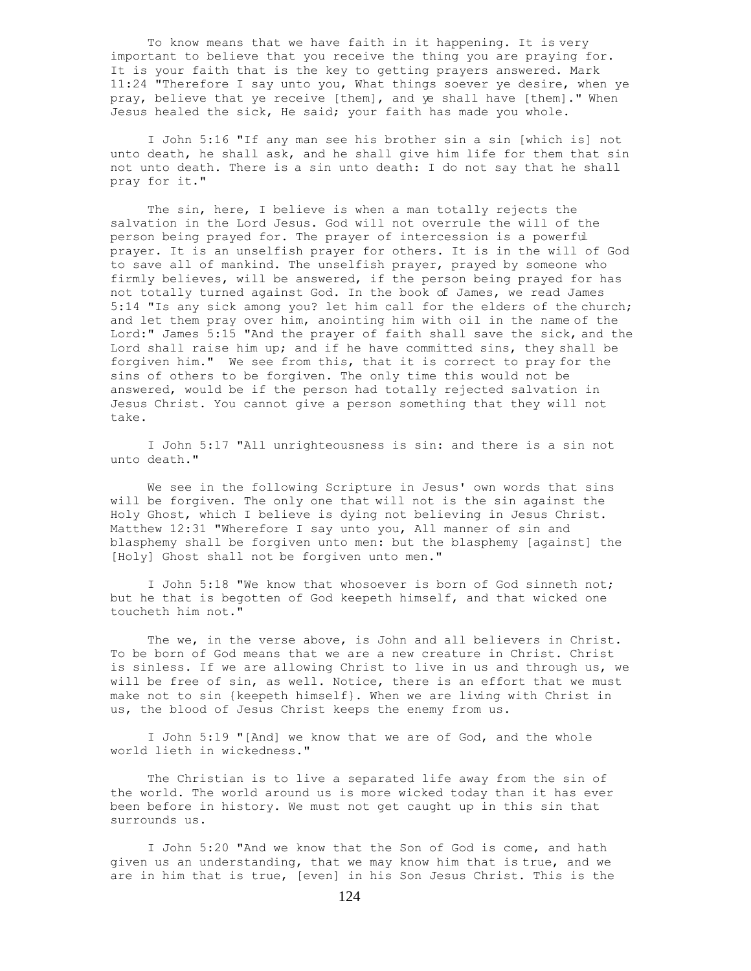To know means that we have faith in it happening. It is very important to believe that you receive the thing you are praying for. It is your faith that is the key to getting prayers answered. Mark 11:24 "Therefore I say unto you, What things soever ye desire, when ye pray, believe that ye receive [them], and ye shall have [them]." When Jesus healed the sick, He said; your faith has made you whole.

 I John 5:16 "If any man see his brother sin a sin [which is] not unto death, he shall ask, and he shall give him life for them that sin not unto death. There is a sin unto death: I do not say that he shall pray for it."

 The sin, here, I believe is when a man totally rejects the salvation in the Lord Jesus. God will not overrule the will of the person being prayed for. The prayer of intercession is a powerful prayer. It is an unselfish prayer for others. It is in the will of God to save all of mankind. The unselfish prayer, prayed by someone who firmly believes, will be answered, if the person being prayed for has not totally turned against God. In the book of James, we read James 5:14 "Is any sick among you? let him call for the elders of the church; and let them pray over him, anointing him with oil in the name of the Lord:" James 5:15 "And the prayer of faith shall save the sick, and the Lord shall raise him up; and if he have committed sins, they shall be forgiven him." We see from this, that it is correct to pray for the sins of others to be forgiven. The only time this would not be answered, would be if the person had totally rejected salvation in Jesus Christ. You cannot give a person something that they will not take.

 I John 5:17 "All unrighteousness is sin: and there is a sin not unto death."

 We see in the following Scripture in Jesus' own words that sins will be forgiven. The only one that will not is the sin against the Holy Ghost, which I believe is dying not believing in Jesus Christ. Matthew 12:31 "Wherefore I say unto you, All manner of sin and blasphemy shall be forgiven unto men: but the blasphemy [against] the [Holy] Ghost shall not be forgiven unto men."

 I John 5:18 "We know that whosoever is born of God sinneth not; but he that is begotten of God keepeth himself, and that wicked one toucheth him not."

 The we, in the verse above, is John and all believers in Christ. To be born of God means that we are a new creature in Christ. Christ is sinless. If we are allowing Christ to live in us and through us, we will be free of sin, as well. Notice, there is an effort that we must make not to sin {keepeth himself}. When we are living with Christ in us, the blood of Jesus Christ keeps the enemy from us.

 I John 5:19 "[And] we know that we are of God, and the whole world lieth in wickedness."

 The Christian is to live a separated life away from the sin of the world. The world around us is more wicked today than it has ever been before in history. We must not get caught up in this sin that surrounds us.

 I John 5:20 "And we know that the Son of God is come, and hath given us an understanding, that we may know him that is true, and we are in him that is true, [even] in his Son Jesus Christ. This is the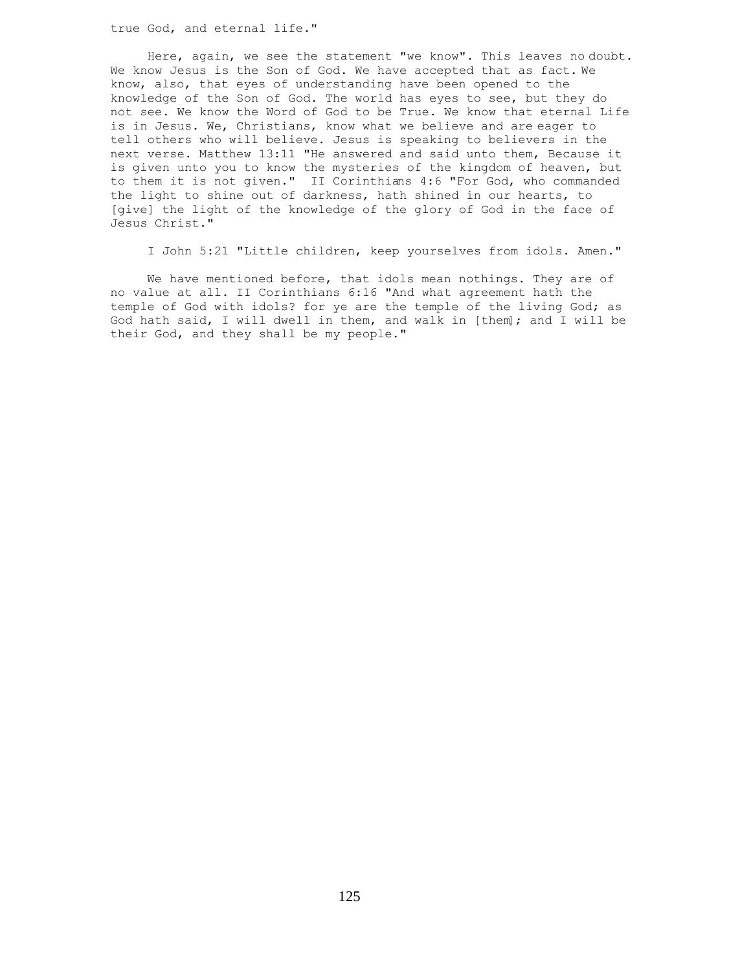true God, and eternal life."

 Here, again, we see the statement "we know". This leaves no doubt. We know Jesus is the Son of God. We have accepted that as fact. We know, also, that eyes of understanding have been opened to the knowledge of the Son of God. The world has eyes to see, but they do not see. We know the Word of God to be True. We know that eternal Life is in Jesus. We, Christians, know what we believe and are eager to tell others who will believe. Jesus is speaking to believers in the next verse. Matthew 13:11 "He answered and said unto them, Because it is given unto you to know the mysteries of the kingdom of heaven, but to them it is not given." II Corinthians 4:6 "For God, who commanded the light to shine out of darkness, hath shined in our hearts, to [give] the light of the knowledge of the glory of God in the face of Jesus Christ."

I John 5:21 "Little children, keep yourselves from idols. Amen."

We have mentioned before, that idols mean nothings. They are of no value at all. II Corinthians 6:16 "And what agreement hath the temple of God with idols? for ye are the temple of the living God; as God hath said, I will dwell in them, and walk in [them]; and I will be their God, and they shall be my people."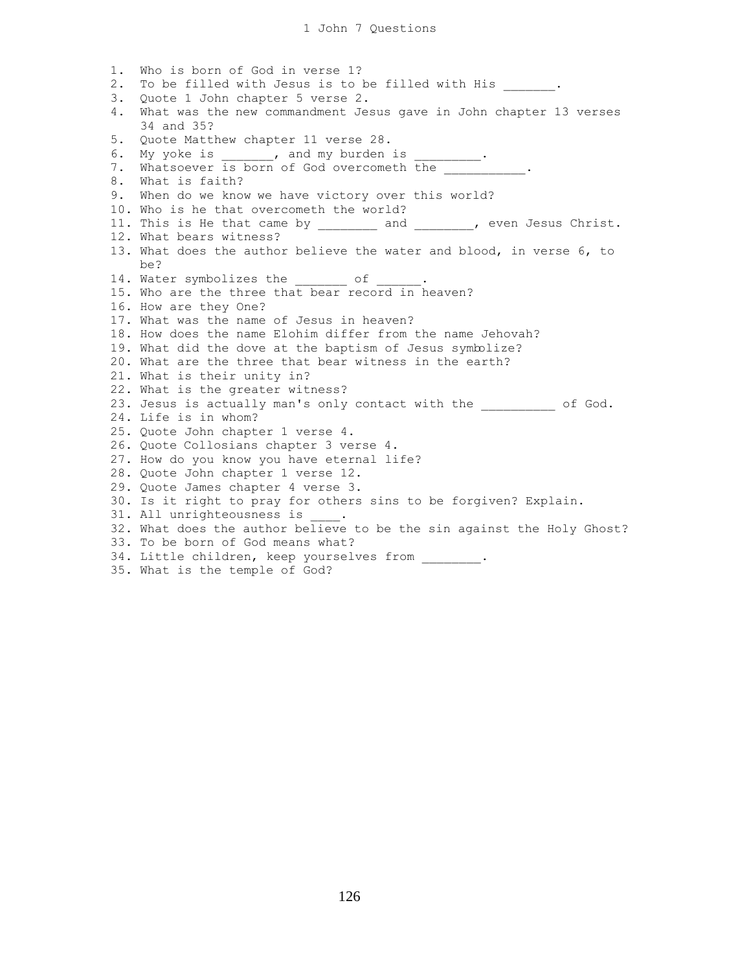1. Who is born of God in verse 1? 2. To be filled with Jesus is to be filled with His  $\qquad \qquad$ 3. Quote 1 John chapter 5 verse 2. 4. What was the new commandment Jesus gave in John chapter 13 verses 34 and 35? 5. Quote Matthew chapter 11 verse 28. 6. My yoke is , and my burden is 7. Whatsoever is born of God overcometh the 8. What is faith? 9. When do we know we have victory over this world? 10. Who is he that overcometh the world? 11. This is He that came by \_\_\_\_\_\_\_\_\_ and \_\_\_\_\_\_\_\_, even Jesus Christ. 12. What bears witness? 13. What does the author believe the water and blood, in verse 6, to be? 14. Water symbolizes the \_\_\_\_\_\_\_\_ of 15. Who are the three that bear record in heaven? 16. How are they One? 17. What was the name of Jesus in heaven? 18. How does the name Elohim differ from the name Jehovah? 19. What did the dove at the baptism of Jesus symbolize? 20. What are the three that bear witness in the earth? 21. What is their unity in? 22. What is the greater witness? 23. Jesus is actually man's only contact with the \_\_\_\_\_\_\_\_\_ of God. 24. Life is in whom? 25. Quote John chapter 1 verse 4. 26. Quote Collosians chapter 3 verse 4. 27. How do you know you have eternal life? 28. Quote John chapter 1 verse 12. 29. Quote James chapter 4 verse 3. 30. Is it right to pray for others sins to be forgiven? Explain. 31. All unrighteousness is 32. What does the author believe to be the sin against the Holy Ghost? 33. To be born of God means what? 34. Little children, keep yourselves from . 35. What is the temple of God?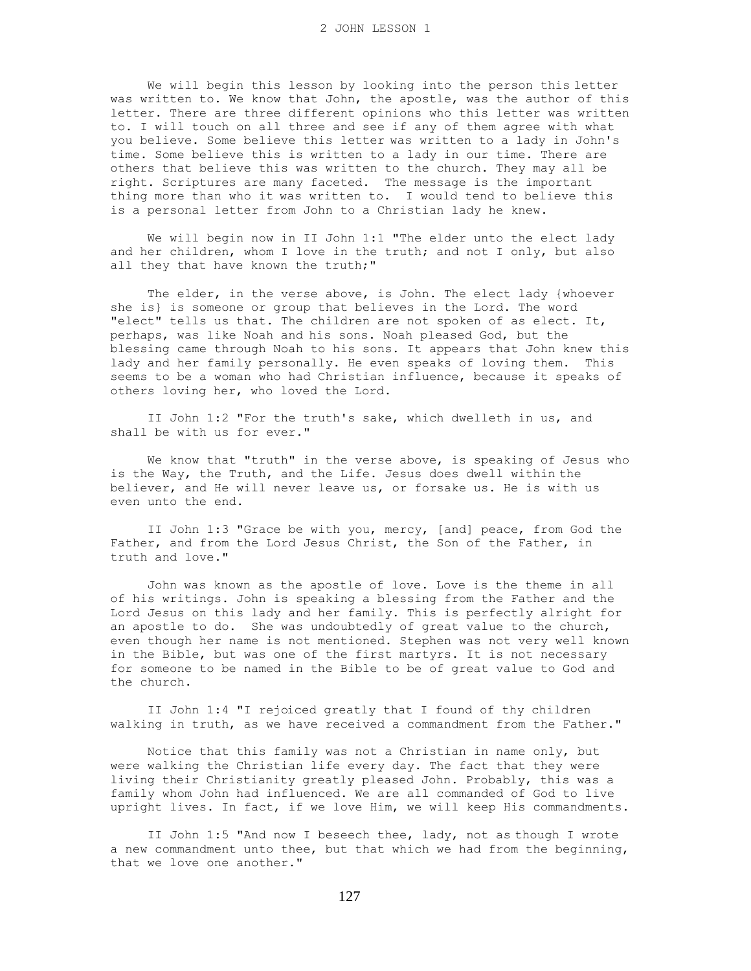We will begin this lesson by looking into the person this letter was written to. We know that John, the apostle, was the author of this letter. There are three different opinions who this letter was written to. I will touch on all three and see if any of them agree with what you believe. Some believe this letter was written to a lady in John's time. Some believe this is written to a lady in our time. There are others that believe this was written to the church. They may all be right. Scriptures are many faceted. The message is the important thing more than who it was written to. I would tend to believe this is a personal letter from John to a Christian lady he knew.

We will begin now in II John 1:1 "The elder unto the elect lady and her children, whom I love in the truth; and not I only, but also all they that have known the truth;"

 The elder, in the verse above, is John. The elect lady {whoever she is} is someone or group that believes in the Lord. The word "elect" tells us that. The children are not spoken of as elect. It, perhaps, was like Noah and his sons. Noah pleased God, but the blessing came through Noah to his sons. It appears that John knew this lady and her family personally. He even speaks of loving them. This seems to be a woman who had Christian influence, because it speaks of others loving her, who loved the Lord.

 II John 1:2 "For the truth's sake, which dwelleth in us, and shall be with us for ever."

We know that "truth" in the verse above, is speaking of Jesus who is the Way, the Truth, and the Life. Jesus does dwell within the believer, and He will never leave us, or forsake us. He is with us even unto the end.

 II John 1:3 "Grace be with you, mercy, [and] peace, from God the Father, and from the Lord Jesus Christ, the Son of the Father, in truth and love."

 John was known as the apostle of love. Love is the theme in all of his writings. John is speaking a blessing from the Father and the Lord Jesus on this lady and her family. This is perfectly alright for an apostle to do. She was undoubtedly of great value to the church, even though her name is not mentioned. Stephen was not very well known in the Bible, but was one of the first martyrs. It is not necessary for someone to be named in the Bible to be of great value to God and the church.

 II John 1:4 "I rejoiced greatly that I found of thy children walking in truth, as we have received a commandment from the Father."

 Notice that this family was not a Christian in name only, but were walking the Christian life every day. The fact that they were living their Christianity greatly pleased John. Probably, this was a family whom John had influenced. We are all commanded of God to live upright lives. In fact, if we love Him, we will keep His commandments.

 II John 1:5 "And now I beseech thee, lady, not as though I wrote a new commandment unto thee, but that which we had from the beginning, that we love one another."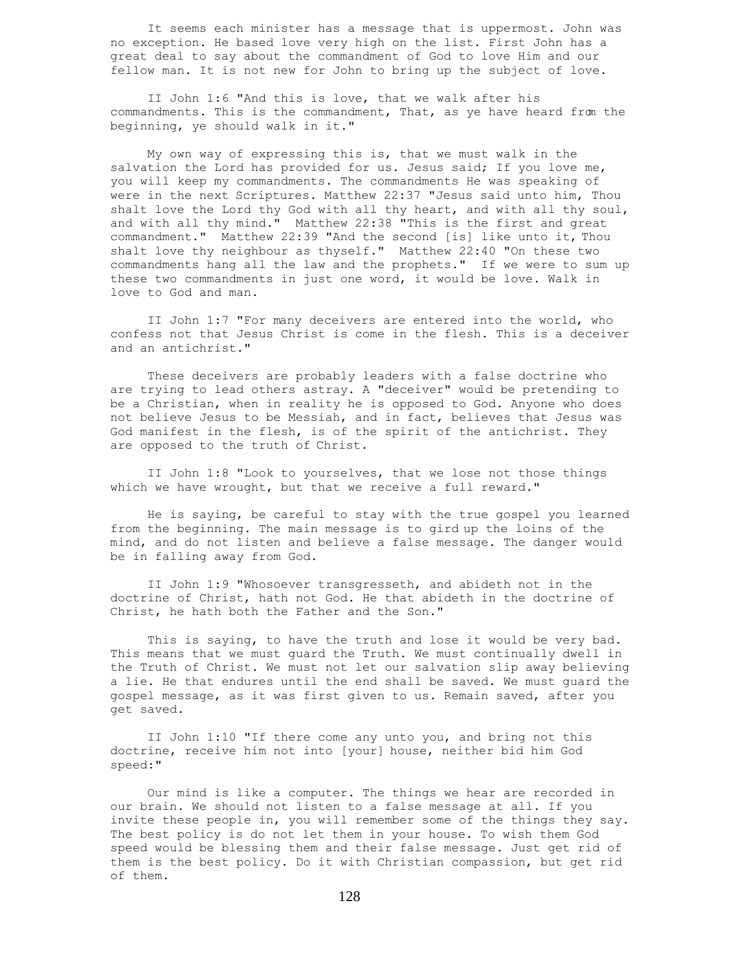It seems each minister has a message that is uppermost. John was no exception. He based love very high on the list. First John has a great deal to say about the commandment of God to love Him and our fellow man. It is not new for John to bring up the subject of love.

 II John 1:6 "And this is love, that we walk after his commandments. This is the commandment, That, as ye have heard from the beginning, ye should walk in it."

 My own way of expressing this is, that we must walk in the salvation the Lord has provided for us. Jesus said; If you love me, you will keep my commandments. The commandments He was speaking of were in the next Scriptures. Matthew 22:37 "Jesus said unto him, Thou shalt love the Lord thy God with all thy heart, and with all thy soul, and with all thy mind." Matthew 22:38 "This is the first and great commandment." Matthew 22:39 "And the second [is] like unto it, Thou shalt love thy neighbour as thyself." Matthew 22:40 "On these two commandments hang all the law and the prophets." If we were to sum up these two commandments in just one word, it would be love. Walk in love to God and man.

 II John 1:7 "For many deceivers are entered into the world, who confess not that Jesus Christ is come in the flesh. This is a deceiver and an antichrist."

 These deceivers are probably leaders with a false doctrine who are trying to lead others astray. A "deceiver" would be pretending to be a Christian, when in reality he is opposed to God. Anyone who does not believe Jesus to be Messiah, and in fact, believes that Jesus was God manifest in the flesh, is of the spirit of the antichrist. They are opposed to the truth of Christ.

 II John 1:8 "Look to yourselves, that we lose not those things which we have wrought, but that we receive a full reward."

 He is saying, be careful to stay with the true gospel you learned from the beginning. The main message is to gird up the loins of the mind, and do not listen and believe a false message. The danger would be in falling away from God.

 II John 1:9 "Whosoever transgresseth, and abideth not in the doctrine of Christ, hath not God. He that abideth in the doctrine of Christ, he hath both the Father and the Son."

 This is saying, to have the truth and lose it would be very bad. This means that we must guard the Truth. We must continually dwell in the Truth of Christ. We must not let our salvation slip away believing a lie. He that endures until the end shall be saved. We must guard the gospel message, as it was first given to us. Remain saved, after you get saved.

 II John 1:10 "If there come any unto you, and bring not this doctrine, receive him not into [your] house, neither bid him God speed:"

 Our mind is like a computer. The things we hear are recorded in our brain. We should not listen to a false message at all. If you invite these people in, you will remember some of the things they say. The best policy is do not let them in your house. To wish them God speed would be blessing them and their false message. Just get rid of them is the best policy. Do it with Christian compassion, but get rid of them.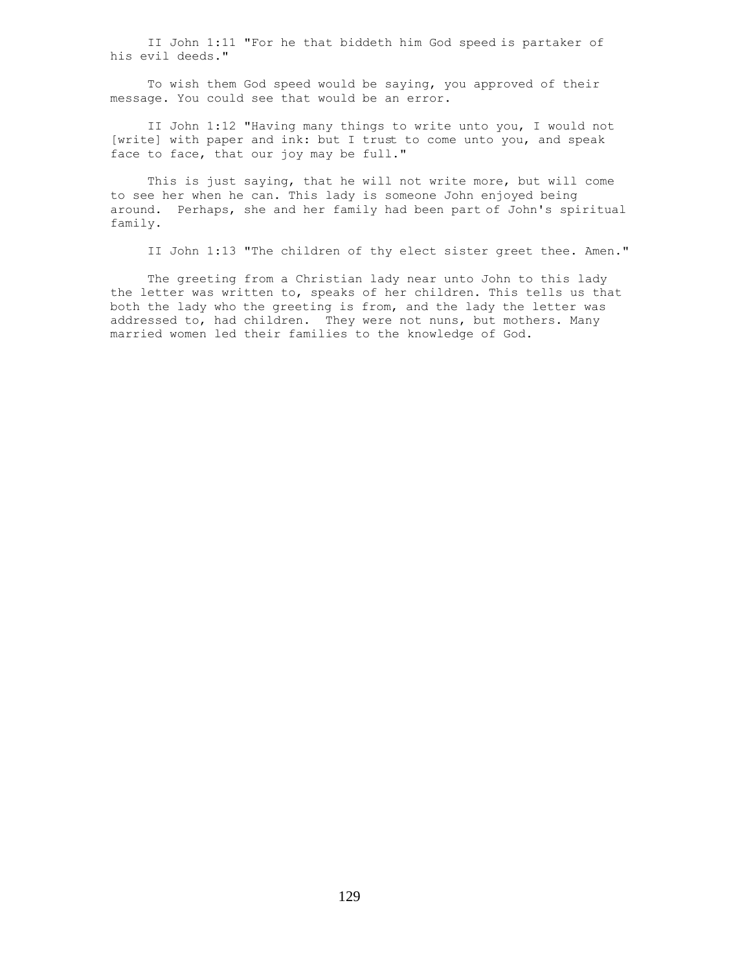II John 1:11 "For he that biddeth him God speed is partaker of his evil deeds."

 To wish them God speed would be saying, you approved of their message. You could see that would be an error.

 II John 1:12 "Having many things to write unto you, I would not [write] with paper and ink: but I trust to come unto you, and speak face to face, that our joy may be full."

 This is just saying, that he will not write more, but will come to see her when he can. This lady is someone John enjoyed being around. Perhaps, she and her family had been part of John's spiritual family.

II John 1:13 "The children of thy elect sister greet thee. Amen."

 The greeting from a Christian lady near unto John to this lady the letter was written to, speaks of her children. This tells us that both the lady who the greeting is from, and the lady the letter was addressed to, had children. They were not nuns, but mothers. Many married women led their families to the knowledge of God.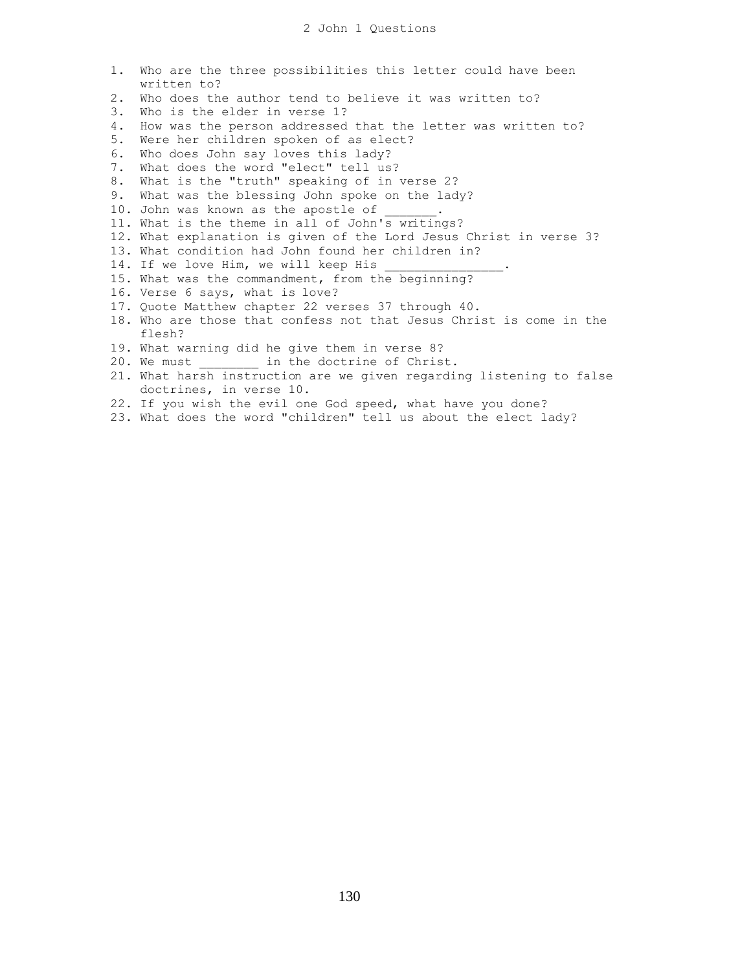|    | 1. Who are the three possibilities this letter could have been       |
|----|----------------------------------------------------------------------|
|    | written to?                                                          |
| 2. | Who does the author tend to believe it was written to?               |
| 3. | Who is the elder in verse 1?                                         |
| 4. | How was the person addressed that the letter was written to?         |
| 5. | Were her children spoken of as elect?                                |
| 6. | Who does John say loves this lady?                                   |
| 7. | What does the word "elect" tell us?                                  |
| 8. | What is the "truth" speaking of in verse 2?                          |
| 9. | What was the blessing John spoke on the lady?                        |
|    | 10. John was known as the apostle of                                 |
|    | 11. What is the theme in all of John's writings?                     |
|    | 12. What explanation is given of the Lord Jesus Christ in verse 3?   |
|    | 13. What condition had John found her children in?                   |
|    | 14. If we love Him, we will keep His                                 |
|    | 15. What was the commandment, from the beginning?                    |
|    | 16. Verse 6 says, what is love?                                      |
|    | 17. Quote Matthew chapter 22 verses 37 through 40.                   |
|    | 18. Who are those that confess not that Jesus Christ is come in the  |
|    | flesh?                                                               |
|    | 19. What warning did he give them in verse 8?                        |
|    | 20. We must in the doctrine of Christ.                               |
|    | 21. What harsh instruction are we given regarding listening to false |
|    | doctrines, in verse 10.                                              |
|    | 22. If you wish the evil one God speed, what have you done?          |
|    | 23. What does the word "children" tell us about the elect lady?      |
|    |                                                                      |
|    |                                                                      |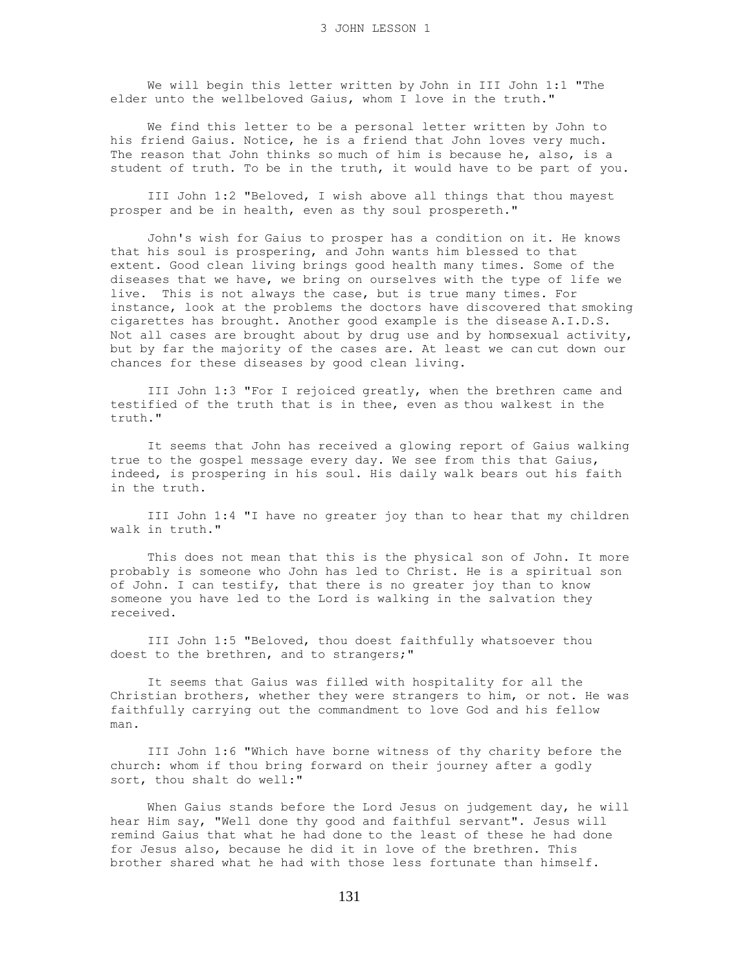We will begin this letter written by John in III John 1:1 "The elder unto the wellbeloved Gaius, whom I love in the truth."

 We find this letter to be a personal letter written by John to his friend Gaius. Notice, he is a friend that John loves very much. The reason that John thinks so much of him is because he, also, is a student of truth. To be in the truth, it would have to be part of you.

 III John 1:2 "Beloved, I wish above all things that thou mayest prosper and be in health, even as thy soul prospereth."

 John's wish for Gaius to prosper has a condition on it. He knows that his soul is prospering, and John wants him blessed to that extent. Good clean living brings good health many times. Some of the diseases that we have, we bring on ourselves with the type of life we live. This is not always the case, but is true many times. For instance, look at the problems the doctors have discovered that smoking cigarettes has brought. Another good example is the disease A.I.D.S. Not all cases are brought about by drug use and by homosexual activity, but by far the majority of the cases are. At least we can cut down our chances for these diseases by good clean living.

 III John 1:3 "For I rejoiced greatly, when the brethren came and testified of the truth that is in thee, even as thou walkest in the truth."

 It seems that John has received a glowing report of Gaius walking true to the gospel message every day. We see from this that Gaius, indeed, is prospering in his soul. His daily walk bears out his faith in the truth.

 III John 1:4 "I have no greater joy than to hear that my children walk in truth."

 This does not mean that this is the physical son of John. It more probably is someone who John has led to Christ. He is a spiritual son of John. I can testify, that there is no greater joy than to know someone you have led to the Lord is walking in the salvation they received.

 III John 1:5 "Beloved, thou doest faithfully whatsoever thou doest to the brethren, and to strangers;"

 It seems that Gaius was filled with hospitality for all the Christian brothers, whether they were strangers to him, or not. He was faithfully carrying out the commandment to love God and his fellow man.

 III John 1:6 "Which have borne witness of thy charity before the church: whom if thou bring forward on their journey after a godly sort, thou shalt do well:"

 When Gaius stands before the Lord Jesus on judgement day, he will hear Him say, "Well done thy good and faithful servant". Jesus will remind Gaius that what he had done to the least of these he had done for Jesus also, because he did it in love of the brethren. This brother shared what he had with those less fortunate than himself.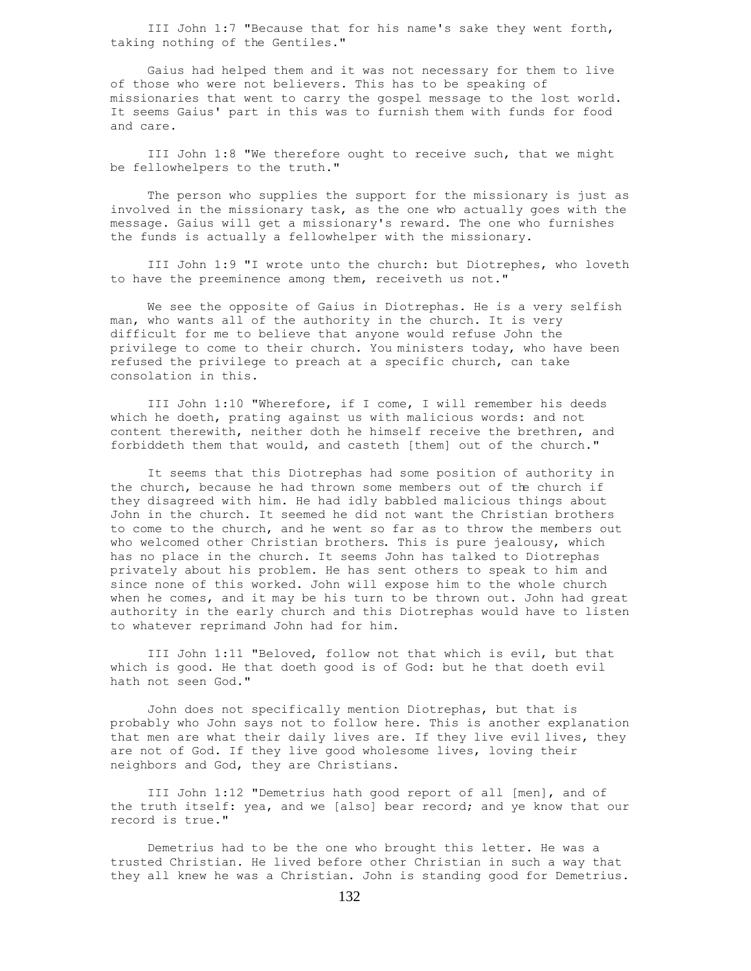III John 1:7 "Because that for his name's sake they went forth, taking nothing of the Gentiles."

 Gaius had helped them and it was not necessary for them to live of those who were not believers. This has to be speaking of missionaries that went to carry the gospel message to the lost world. It seems Gaius' part in this was to furnish them with funds for food and care.

 III John 1:8 "We therefore ought to receive such, that we might be fellowhelpers to the truth."

 The person who supplies the support for the missionary is just as involved in the missionary task, as the one who actually goes with the message. Gaius will get a missionary's reward. The one who furnishes the funds is actually a fellowhelper with the missionary.

 III John 1:9 "I wrote unto the church: but Diotrephes, who loveth to have the preeminence among them, receiveth us not."

 We see the opposite of Gaius in Diotrephas. He is a very selfish man, who wants all of the authority in the church. It is very difficult for me to believe that anyone would refuse John the privilege to come to their church. You ministers today, who have been refused the privilege to preach at a specific church, can take consolation in this.

 III John 1:10 "Wherefore, if I come, I will remember his deeds which he doeth, prating against us with malicious words: and not content therewith, neither doth he himself receive the brethren, and forbiddeth them that would, and casteth [them] out of the church."

 It seems that this Diotrephas had some position of authority in the church, because he had thrown some members out of the church if they disagreed with him. He had idly babbled malicious things about John in the church. It seemed he did not want the Christian brothers to come to the church, and he went so far as to throw the members out who welcomed other Christian brothers. This is pure jealousy, which has no place in the church. It seems John has talked to Diotrephas privately about his problem. He has sent others to speak to him and since none of this worked. John will expose him to the whole church when he comes, and it may be his turn to be thrown out. John had great authority in the early church and this Diotrephas would have to listen to whatever reprimand John had for him.

 III John 1:11 "Beloved, follow not that which is evil, but that which is good. He that doeth good is of God: but he that doeth evil hath not seen God."

 John does not specifically mention Diotrephas, but that is probably who John says not to follow here. This is another explanation that men are what their daily lives are. If they live evil lives, they are not of God. If they live good wholesome lives, loving their neighbors and God, they are Christians.

 III John 1:12 "Demetrius hath good report of all [men], and of the truth itself: yea, and we [also] bear record; and ye know that our record is true."

 Demetrius had to be the one who brought this letter. He was a trusted Christian. He lived before other Christian in such a way that they all knew he was a Christian. John is standing good for Demetrius.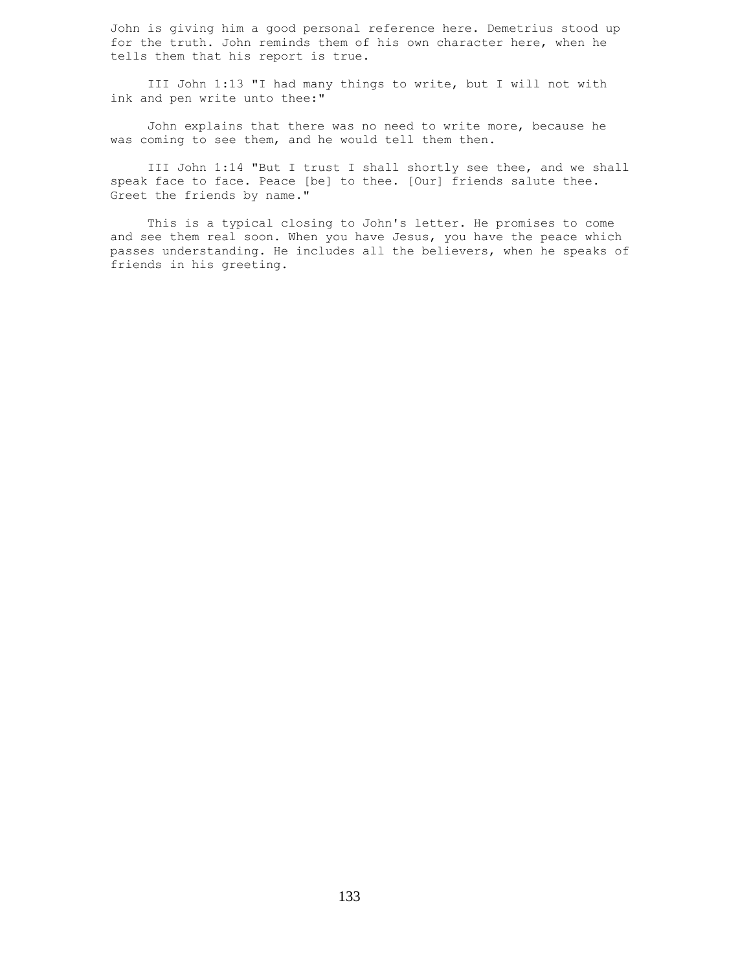John is giving him a good personal reference here. Demetrius stood up for the truth. John reminds them of his own character here, when he tells them that his report is true.

 III John 1:13 "I had many things to write, but I will not with ink and pen write unto thee:"

 John explains that there was no need to write more, because he was coming to see them, and he would tell them then.

 III John 1:14 "But I trust I shall shortly see thee, and we shall speak face to face. Peace [be] to thee. [Our] friends salute thee. Greet the friends by name."

 This is a typical closing to John's letter. He promises to come and see them real soon. When you have Jesus, you have the peace which passes understanding. He includes all the believers, when he speaks of friends in his greeting.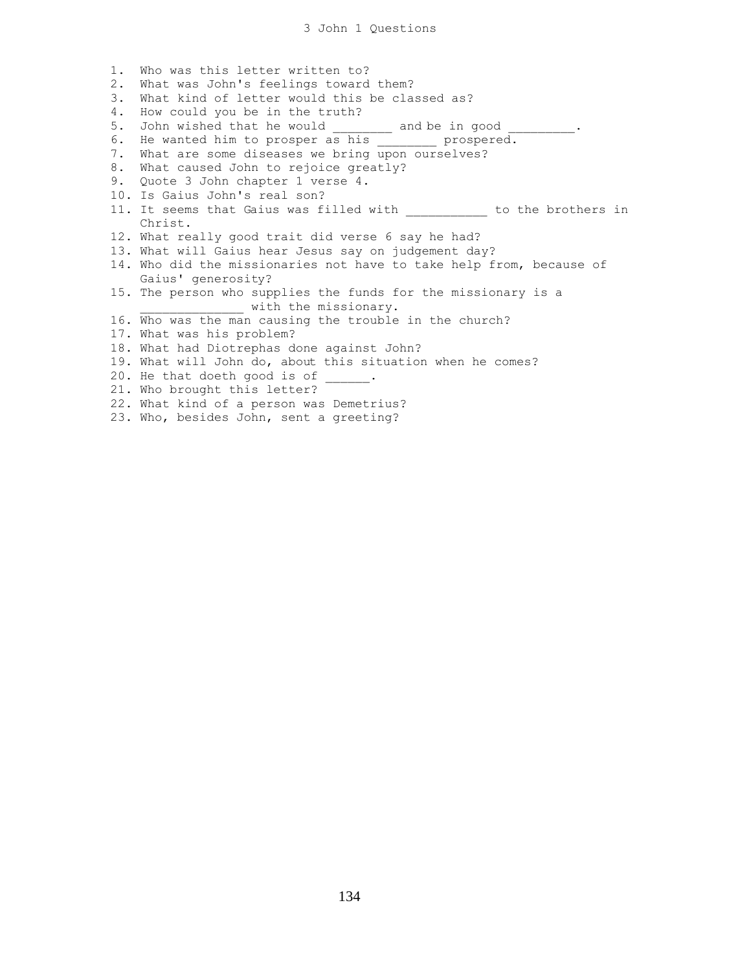1. Who was this letter written to? 2. What was John's feelings toward them? 3. What kind of letter would this be classed as? 4. How could you be in the truth? 5. John wished that he would and be in good . 6. He wanted him to prosper as his \_\_\_\_\_\_\_\_ prospered. 7. What are some diseases we bring upon ourselves? 8. What caused John to rejoice greatly? 9. Quote 3 John chapter 1 verse 4. 10. Is Gaius John's real son? 11. It seems that Gaius was filled with \_\_\_\_\_\_\_\_\_\_\_ to the brothers in Christ. 12. What really good trait did verse 6 say he had? 13. What will Gaius hear Jesus say on judgement day? 14. Who did the missionaries not have to take help from, because of Gaius' generosity? 15. The person who supplies the funds for the missionary is a with the missionary. 16. Who was the man causing the trouble in the church? 17. What was his problem? 18. What had Diotrephas done against John? 19. What will John do, about this situation when he comes? 20. He that doeth good is of . 21. Who brought this letter? 22. What kind of a person was Demetrius? 23. Who, besides John, sent a greeting?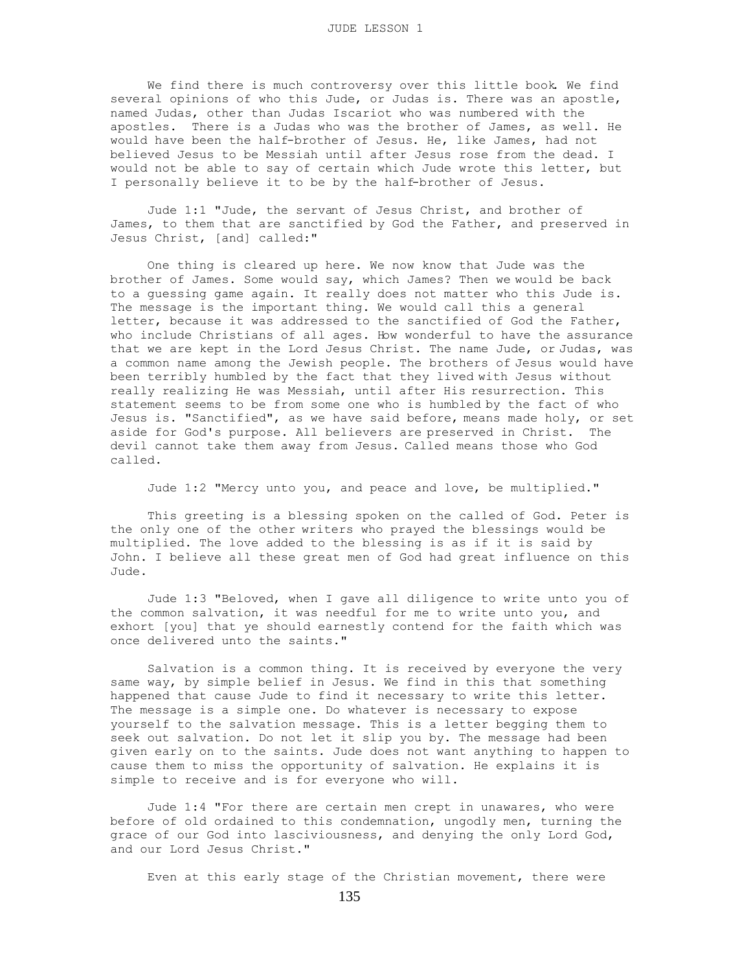We find there is much controversy over this little book. We find several opinions of who this Jude, or Judas is. There was an apostle, named Judas, other than Judas Iscariot who was numbered with the apostles. There is a Judas who was the brother of James, as well. He would have been the half-brother of Jesus. He, like James, had not believed Jesus to be Messiah until after Jesus rose from the dead. I would not be able to say of certain which Jude wrote this letter, but I personally believe it to be by the half-brother of Jesus.

 Jude 1:1 "Jude, the servant of Jesus Christ, and brother of James, to them that are sanctified by God the Father, and preserved in Jesus Christ, [and] called:"

 One thing is cleared up here. We now know that Jude was the brother of James. Some would say, which James? Then we would be back to a guessing game again. It really does not matter who this Jude is. The message is the important thing. We would call this a general letter, because it was addressed to the sanctified of God the Father, who include Christians of all ages. How wonderful to have the assurance that we are kept in the Lord Jesus Christ. The name Jude, or Judas, was a common name among the Jewish people. The brothers of Jesus would have been terribly humbled by the fact that they lived with Jesus without really realizing He was Messiah, until after His resurrection. This statement seems to be from some one who is humbled by the fact of who Jesus is. "Sanctified", as we have said before, means made holy, or set aside for God's purpose. All believers are preserved in Christ. The devil cannot take them away from Jesus. Called means those who God called.

Jude 1:2 "Mercy unto you, and peace and love, be multiplied."

 This greeting is a blessing spoken on the called of God. Peter is the only one of the other writers who prayed the blessings would be multiplied. The love added to the blessing is as if it is said by John. I believe all these great men of God had great influence on this Jude.

 Jude 1:3 "Beloved, when I gave all diligence to write unto you of the common salvation, it was needful for me to write unto you, and exhort [you] that ye should earnestly contend for the faith which was once delivered unto the saints."

 Salvation is a common thing. It is received by everyone the very same way, by simple belief in Jesus. We find in this that something happened that cause Jude to find it necessary to write this letter. The message is a simple one. Do whatever is necessary to expose yourself to the salvation message. This is a letter begging them to seek out salvation. Do not let it slip you by. The message had been given early on to the saints. Jude does not want anything to happen to cause them to miss the opportunity of salvation. He explains it is simple to receive and is for everyone who will.

 Jude 1:4 "For there are certain men crept in unawares, who were before of old ordained to this condemnation, ungodly men, turning the grace of our God into lasciviousness, and denying the only Lord God, and our Lord Jesus Christ."

Even at this early stage of the Christian movement, there were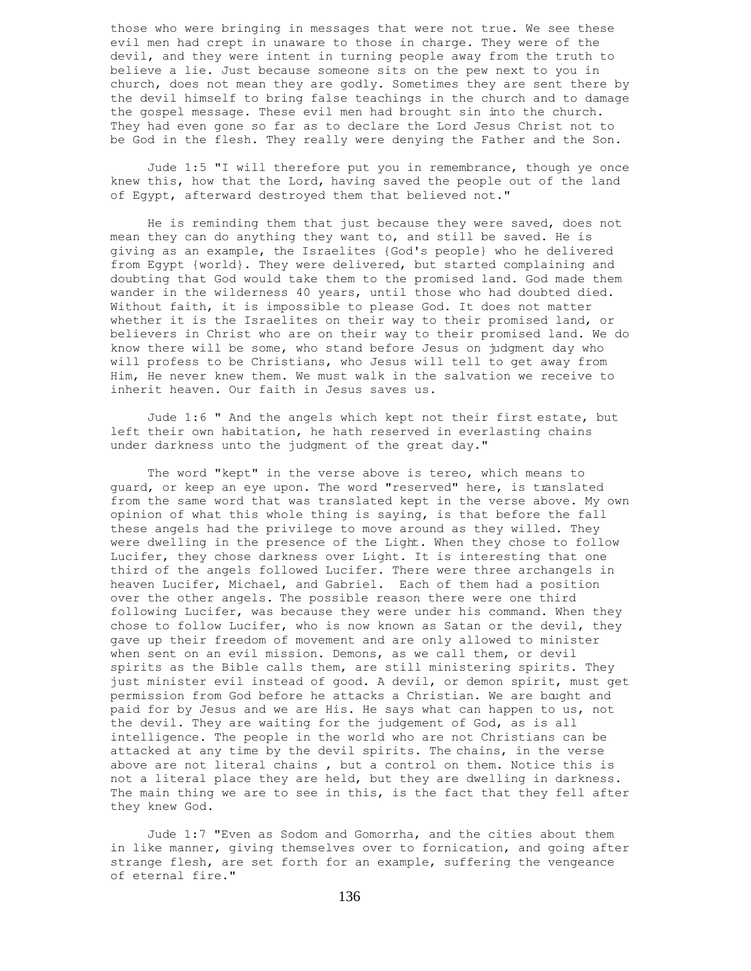those who were bringing in messages that were not true. We see these evil men had crept in unaware to those in charge. They were of the devil, and they were intent in turning people away from the truth to believe a lie. Just because someone sits on the pew next to you in church, does not mean they are godly. Sometimes they are sent there by the devil himself to bring false teachings in the church and to damage the gospel message. These evil men had brought sin into the church. They had even gone so far as to declare the Lord Jesus Christ not to be God in the flesh. They really were denying the Father and the Son.

 Jude 1:5 "I will therefore put you in remembrance, though ye once knew this, how that the Lord, having saved the people out of the land of Egypt, afterward destroyed them that believed not."

 He is reminding them that just because they were saved, does not mean they can do anything they want to, and still be saved. He is giving as an example, the Israelites {God's people} who he delivered from Egypt {world}. They were delivered, but started complaining and doubting that God would take them to the promised land. God made them wander in the wilderness 40 years, until those who had doubted died. Without faith, it is impossible to please God. It does not matter whether it is the Israelites on their way to their promised land, or believers in Christ who are on their way to their promised land. We do know there will be some, who stand before Jesus on judgment day who will profess to be Christians, who Jesus will tell to get away from Him, He never knew them. We must walk in the salvation we receive to inherit heaven. Our faith in Jesus saves us.

 Jude 1:6 " And the angels which kept not their first estate, but left their own habitation, he hath reserved in everlasting chains under darkness unto the judgment of the great day."

 The word "kept" in the verse above is tereo, which means to guard, or keep an eye upon. The word "reserved" here, is translated from the same word that was translated kept in the verse above. My own opinion of what this whole thing is saying, is that before the fall these angels had the privilege to move around as they willed. They were dwelling in the presence of the Light. When they chose to follow Lucifer, they chose darkness over Light. It is interesting that one third of the angels followed Lucifer. There were three archangels in heaven Lucifer, Michael, and Gabriel. Each of them had a position over the other angels. The possible reason there were one third following Lucifer, was because they were under his command. When they chose to follow Lucifer, who is now known as Satan or the devil, they gave up their freedom of movement and are only allowed to minister when sent on an evil mission. Demons, as we call them, or devil spirits as the Bible calls them, are still ministering spirits. They just minister evil instead of good. A devil, or demon spirit, must get permission from God before he attacks a Christian. We are bought and paid for by Jesus and we are His. He says what can happen to us, not the devil. They are waiting for the judgement of God, as is all intelligence. The people in the world who are not Christians can be attacked at any time by the devil spirits. The chains, in the verse above are not literal chains , but a control on them. Notice this is not a literal place they are held, but they are dwelling in darkness. The main thing we are to see in this, is the fact that they fell after they knew God.

 Jude 1:7 "Even as Sodom and Gomorrha, and the cities about them in like manner, giving themselves over to fornication, and going after strange flesh, are set forth for an example, suffering the vengeance of eternal fire."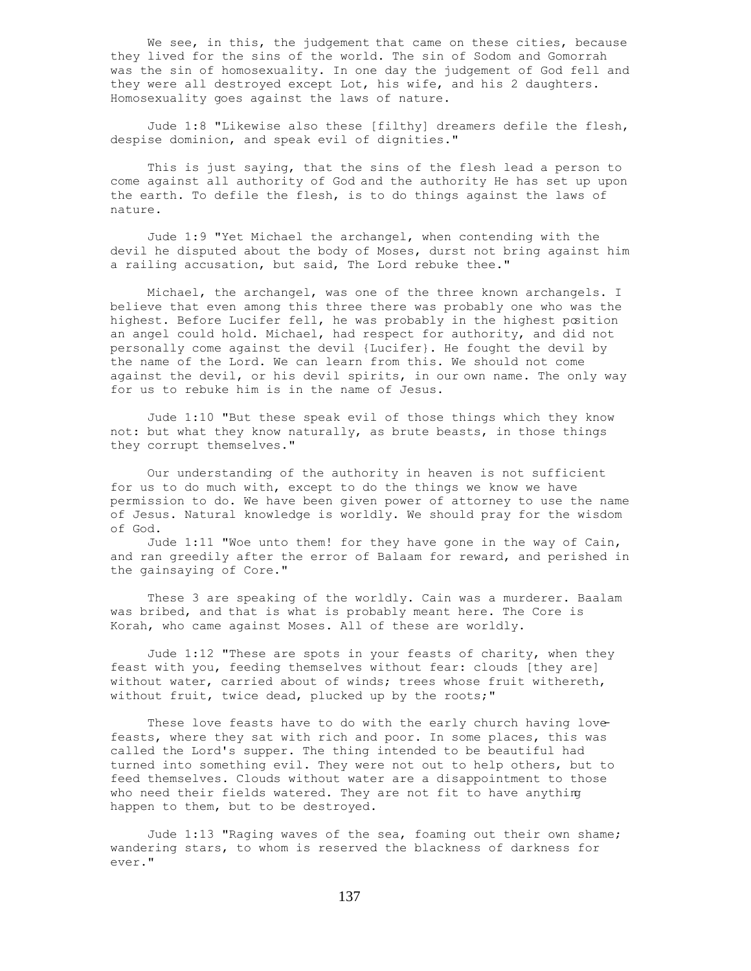We see, in this, the judgement that came on these cities, because they lived for the sins of the world. The sin of Sodom and Gomorrah was the sin of homosexuality. In one day the judgement of God fell and they were all destroyed except Lot, his wife, and his 2 daughters. Homosexuality goes against the laws of nature.

 Jude 1:8 "Likewise also these [filthy] dreamers defile the flesh, despise dominion, and speak evil of dignities."

 This is just saying, that the sins of the flesh lead a person to come against all authority of God and the authority He has set up upon the earth. To defile the flesh, is to do things against the laws of nature.

 Jude 1:9 "Yet Michael the archangel, when contending with the devil he disputed about the body of Moses, durst not bring against him a railing accusation, but said, The Lord rebuke thee."

 Michael, the archangel, was one of the three known archangels. I believe that even among this three there was probably one who was the highest. Before Lucifer fell, he was probably in the highest position an angel could hold. Michael, had respect for authority, and did not personally come against the devil {Lucifer}. He fought the devil by the name of the Lord. We can learn from this. We should not come against the devil, or his devil spirits, in our own name. The only way for us to rebuke him is in the name of Jesus.

 Jude 1:10 "But these speak evil of those things which they know not: but what they know naturally, as brute beasts, in those things they corrupt themselves."

 Our understanding of the authority in heaven is not sufficient for us to do much with, except to do the things we know we have permission to do. We have been given power of attorney to use the name of Jesus. Natural knowledge is worldly. We should pray for the wisdom of God.

 Jude 1:11 "Woe unto them! for they have gone in the way of Cain, and ran greedily after the error of Balaam for reward, and perished in the gainsaying of Core."

 These 3 are speaking of the worldly. Cain was a murderer. Baalam was bribed, and that is what is probably meant here. The Core is Korah, who came against Moses. All of these are worldly.

 Jude 1:12 "These are spots in your feasts of charity, when they feast with you, feeding themselves without fear: clouds [they are] without water, carried about of winds; trees whose fruit withereth, without fruit, twice dead, plucked up by the roots;"

These love feasts have to do with the early church having lovefeasts, where they sat with rich and poor. In some places, this was called the Lord's supper. The thing intended to be beautiful had turned into something evil. They were not out to help others, but to feed themselves. Clouds without water are a disappointment to those who need their fields watered. They are not fit to have anything happen to them, but to be destroyed.

 Jude 1:13 "Raging waves of the sea, foaming out their own shame; wandering stars, to whom is reserved the blackness of darkness for ever."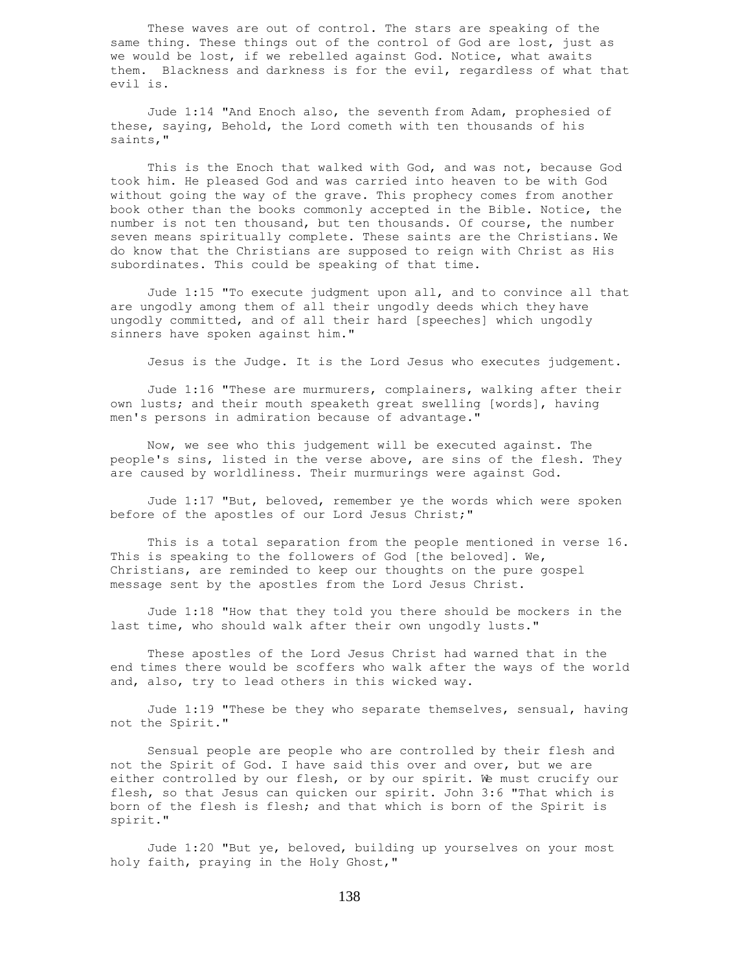These waves are out of control. The stars are speaking of the same thing. These things out of the control of God are lost, just as we would be lost, if we rebelled against God. Notice, what awaits them. Blackness and darkness is for the evil, regardless of what that evil is.

 Jude 1:14 "And Enoch also, the seventh from Adam, prophesied of these, saying, Behold, the Lord cometh with ten thousands of his saints,"

 This is the Enoch that walked with God, and was not, because God took him. He pleased God and was carried into heaven to be with God without going the way of the grave. This prophecy comes from another book other than the books commonly accepted in the Bible. Notice, the number is not ten thousand, but ten thousands. Of course, the number seven means spiritually complete. These saints are the Christians. We do know that the Christians are supposed to reign with Christ as His subordinates. This could be speaking of that time.

 Jude 1:15 "To execute judgment upon all, and to convince all that are ungodly among them of all their ungodly deeds which they have ungodly committed, and of all their hard [speeches] which ungodly sinners have spoken against him."

Jesus is the Judge. It is the Lord Jesus who executes judgement.

 Jude 1:16 "These are murmurers, complainers, walking after their own lusts; and their mouth speaketh great swelling [words], having men's persons in admiration because of advantage."

 Now, we see who this judgement will be executed against. The people's sins, listed in the verse above, are sins of the flesh. They are caused by worldliness. Their murmurings were against God.

 Jude 1:17 "But, beloved, remember ye the words which were spoken before of the apostles of our Lord Jesus Christ;"

 This is a total separation from the people mentioned in verse 16. This is speaking to the followers of God [the beloved]. We, Christians, are reminded to keep our thoughts on the pure gospel message sent by the apostles from the Lord Jesus Christ.

 Jude 1:18 "How that they told you there should be mockers in the last time, who should walk after their own ungodly lusts."

 These apostles of the Lord Jesus Christ had warned that in the end times there would be scoffers who walk after the ways of the world and, also, try to lead others in this wicked way.

 Jude 1:19 "These be they who separate themselves, sensual, having not the Spirit."

 Sensual people are people who are controlled by their flesh and not the Spirit of God. I have said this over and over, but we are either controlled by our flesh, or by our spirit. We must crucify our flesh, so that Jesus can quicken our spirit. John 3:6 "That which is born of the flesh is flesh; and that which is born of the Spirit is spirit."

 Jude 1:20 "But ye, beloved, building up yourselves on your most holy faith, praying in the Holy Ghost,"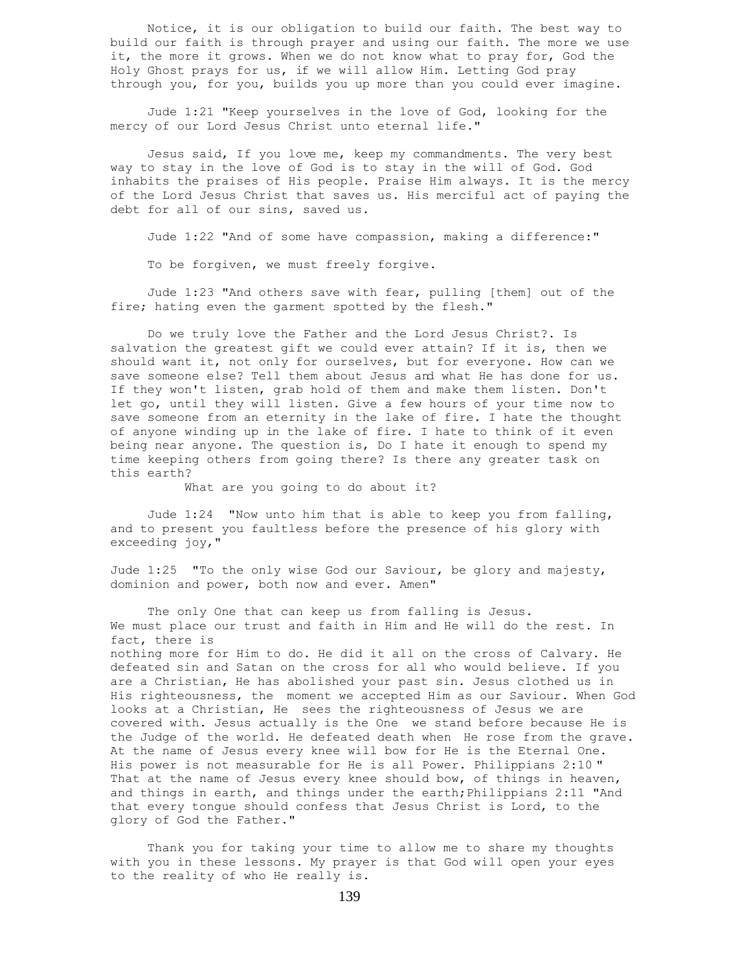Notice, it is our obligation to build our faith. The best way to build our faith is through prayer and using our faith. The more we use it, the more it grows. When we do not know what to pray for, God the Holy Ghost prays for us, if we will allow Him. Letting God pray through you, for you, builds you up more than you could ever imagine.

 Jude 1:21 "Keep yourselves in the love of God, looking for the mercy of our Lord Jesus Christ unto eternal life."

 Jesus said, If you love me, keep my commandments. The very best way to stay in the love of God is to stay in the will of God. God inhabits the praises of His people. Praise Him always. It is the mercy of the Lord Jesus Christ that saves us. His merciful act of paying the debt for all of our sins, saved us.

Jude 1:22 "And of some have compassion, making a difference:"

To be forgiven, we must freely forgive.

 Jude 1:23 "And others save with fear, pulling [them] out of the fire; hating even the garment spotted by the flesh."

 Do we truly love the Father and the Lord Jesus Christ?. Is salvation the greatest gift we could ever attain? If it is, then we should want it, not only for ourselves, but for everyone. How can we save someone else? Tell them about Jesus and what He has done for us. If they won't listen, grab hold of them and make them listen. Don't let go, until they will listen. Give a few hours of your time now to save someone from an eternity in the lake of fire. I hate the thought of anyone winding up in the lake of fire. I hate to think of it even being near anyone. The question is, Do I hate it enough to spend my time keeping others from going there? Is there any greater task on this earth?

What are you going to do about it?

Jude  $1:24$  "Now unto him that is able to keep you from falling, and to present you faultless before the presence of his glory with exceeding joy,"

Jude 1:25 "To the only wise God our Saviour, be glory and majesty, dominion and power, both now and ever. Amen"

 The only One that can keep us from falling is Jesus. We must place our trust and faith in Him and He will do the rest. In fact, there is nothing more for Him to do. He did it all on the cross of Calvary. He

defeated sin and Satan on the cross for all who would believe. If you are a Christian, He has abolished your past sin. Jesus clothed us in His righteousness, the moment we accepted Him as our Saviour. When God looks at a Christian, He sees the righteousness of Jesus we are covered with. Jesus actually is the One we stand before because He is the Judge of the world. He defeated death when He rose from the grave. At the name of Jesus every knee will bow for He is the Eternal One. His power is not measurable for He is all Power. Philippians 2:10 " That at the name of Jesus every knee should bow, of things in heaven, and things in earth, and things under the earth;Philippians 2:11 "And that every tongue should confess that Jesus Christ is Lord, to the glory of God the Father."

 Thank you for taking your time to allow me to share my thoughts with you in these lessons. My prayer is that God will open your eyes to the reality of who He really is.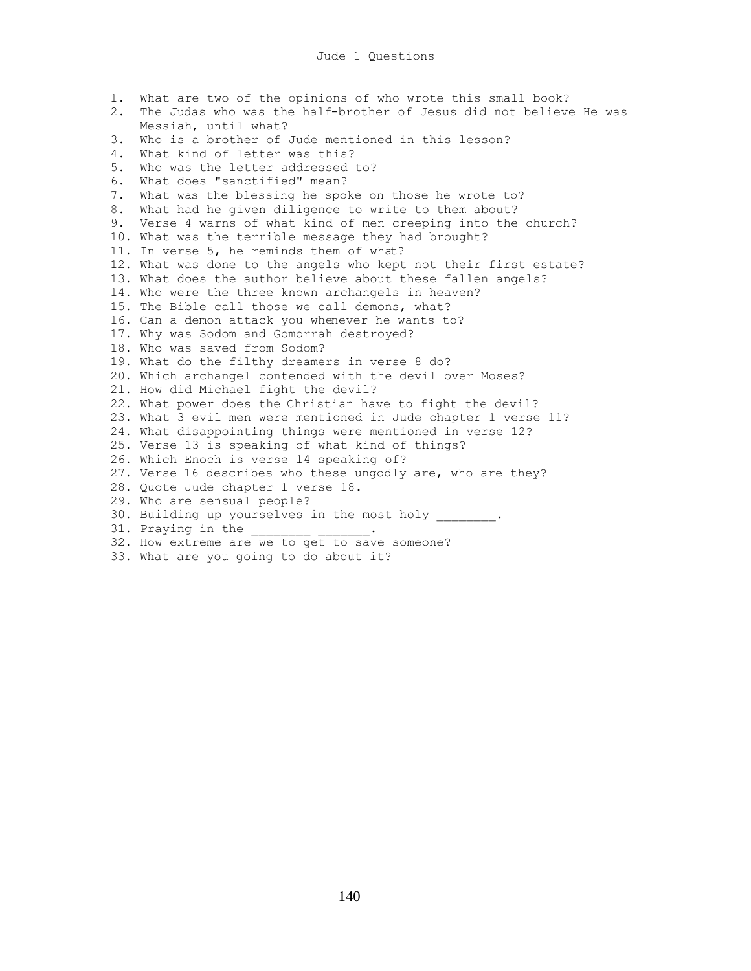1. What are two of the opinions of who wrote this small book? 2. The Judas who was the half-brother of Jesus did not believe He was Messiah, until what? 3. Who is a brother of Jude mentioned in this lesson? 4. What kind of letter was this? 5. Who was the letter addressed to? 6. What does "sanctified" mean? 7. What was the blessing he spoke on those he wrote to? 8. What had he given diligence to write to them about? 9. Verse 4 warns of what kind of men creeping into the church? 10. What was the terrible message they had brought? 11. In verse 5, he reminds them of what? 12. What was done to the angels who kept not their first estate? 13. What does the author believe about these fallen angels? 14. Who were the three known archangels in heaven? 15. The Bible call those we call demons, what? 16. Can a demon attack you whenever he wants to? 17. Why was Sodom and Gomorrah destroyed? 18. Who was saved from Sodom? 19. What do the filthy dreamers in verse 8 do? 20. Which archangel contended with the devil over Moses? 21. How did Michael fight the devil? 22. What power does the Christian have to fight the devil? 23. What 3 evil men were mentioned in Jude chapter 1 verse 11? 24. What disappointing things were mentioned in verse 12? 25. Verse 13 is speaking of what kind of things? 26. Which Enoch is verse 14 speaking of? 27. Verse 16 describes who these ungodly are, who are they? 28. Quote Jude chapter 1 verse 18. 29. Who are sensual people? 30. Building up yourselves in the most holy . 31. Praying in the 32. How extreme are we to get to save someone? 33. What are you going to do about it?